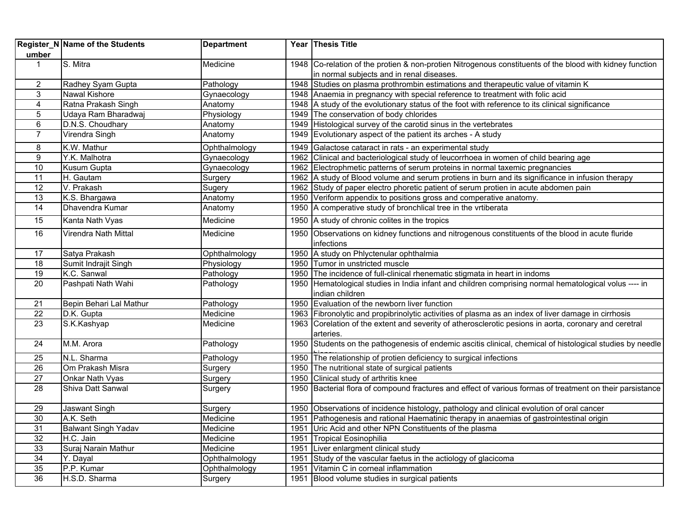| umber           | Register_N Name of the Students | <b>Department</b> |      | Year Thesis Title                                                                                                                                     |
|-----------------|---------------------------------|-------------------|------|-------------------------------------------------------------------------------------------------------------------------------------------------------|
| $\mathbf{1}$    | S. Mitra                        | Medicine          |      | 1948 Co-relation of the protien & non-protien Nitrogenous constituents of the blood with kidney function<br>in normal subjects and in renal diseases. |
| $\overline{2}$  | Radhey Syam Gupta               | Pathology         |      | 1948 Studies on plasma prothrombin estimations and therapeutic value of vitamin K                                                                     |
| 3               | Nawal Kishore                   | Gynaecology       |      | 1948 Anaemia in pregnancy with special reference to treatment with folic acid                                                                         |
| 4               | Ratna Prakash Singh             | Anatomy           |      | 1948 A study of the evolutionary status of the foot with reference to its clinical significance                                                       |
| 5               | Udaya Ram Bharadwaj             | Physiology        |      | 1949 The conservation of body chlorides                                                                                                               |
| 6               | D.N.S. Choudhary                | Anatomy           |      | 1949 Histological survey of the carotid sinus in the vertebrates                                                                                      |
| $\overline{7}$  | Virendra Singh                  | Anatomy           |      | 1949 Evolutionary aspect of the patient its arches - A study                                                                                          |
| 8               | K.W. Mathur                     | Ophthalmology     |      | 1949 Galactose cataract in rats - an experimental study                                                                                               |
| 9               | Y.K. Malhotra                   | Gynaecology       |      | 1962 Clinical and bacteriological study of leucorrhoea in women of child bearing age                                                                  |
| 10              | Kusum Gupta                     | Gynaecology       |      | 1962 Electrophmetic patterns of serum proteins in normal taxemic pregnancies                                                                          |
| 11              | H. Gautam                       | Surgery           |      | 1962 A study of Blood volume and serum protiens in burn and its significance in infusion therapy                                                      |
| $\overline{12}$ | V. Prakash                      | Sugery            |      | 1962 Study of paper electro phoretic patient of serum protien in acute abdomen pain                                                                   |
| 13              | K.S. Bhargawa                   | Anatomy           |      | 1950 Veriform appendix to positions gross and comperative anatomy.                                                                                    |
| 14              | Dhavendra Kumar                 | Anatomy           |      | 1950 A comperative study of bronchlical tree in the vrtiberata                                                                                        |
| 15              | Kanta Nath Vyas                 | Medicine          |      | 1950 A study of chronic colites in the tropics                                                                                                        |
| 16              | Virendra Nath Mittal            | Medicine          | 1950 | Observations on kidney functions and nitrogenous constituents of the blood in acute fluride<br>infections                                             |
| 17              | Satya Prakash                   | Ophthalmology     |      | 1950 A study on Phlyctenular ophthalmia                                                                                                               |
| 18              | Sumit Indrajit Singh            | Physiology        |      | 1950 Tumor in unstricted muscle                                                                                                                       |
| 19              | K.C. Sanwal                     | Pathology         |      | 1950 The incidence of full-clinical rhenematic stigmata in heart in indoms                                                                            |
| $\overline{20}$ | Pashpati Nath Wahi              | Pathology         |      | 1950 Hematological studies in India infant and children comprising normal hematological volus ---- in<br>indian children                              |
| 21              | Bepin Behari Lal Mathur         | Pathology         |      | 1950 Evaluation of the newborn liver function                                                                                                         |
| $\overline{22}$ | D.K. Gupta                      | Medicine          |      | 1963 Fibronolytic and propibrinolytic activities of plasma as an index of liver damage in cirrhosis                                                   |
| $\overline{23}$ | S.K.Kashyap                     | Medicine          |      | 1963 Corelation of the extent and severity of atherosclerotic pesions in aorta, coronary and ceretral<br>arteries.                                    |
| 24              | M.M. Arora                      | Pathology         |      | 1950 Students on the pathogenesis of endemic ascitis clinical, chemical of histological studies by needle                                             |
| 25              | N.L. Sharma                     | Pathology         |      | 1950 The relationship of protien deficiency to surgical infections                                                                                    |
| 26              | Om Prakash Misra                | Surgery           |      | 1950 The nutritional state of surgical patients                                                                                                       |
| $\overline{27}$ | Onkar Nath Vyas                 | Surgery           |      | 1950 Clinical study of arthritis knee                                                                                                                 |
| $\overline{28}$ | Shiva Datt Sanwal               | Surgery           |      | 1950 Bacterial flora of compound fractures and effect of various formas of treatment on their parsistance                                             |
| 29              | Jaswant Singh                   | Surgery           |      | 1950 Observations of incidence histology, pathology and clinical evolution of oral cancer                                                             |
| 30              | A.K. Seth                       | Medicine          | 1951 | Pathogenesis and rational Haematinic therapy in anaemias of gastrointestinal origin                                                                   |
| $\overline{31}$ | <b>Balwant Singh Yadav</b>      | Medicine          | 1951 | Uric Acid and other NPN Constituents of the plasma                                                                                                    |
| 32              | H.C. Jain                       | Medicine          | 1951 | <b>Tropical Eosinophilia</b>                                                                                                                          |
| 33              | Suraj Narain Mathur             | Medicine          | 1951 | Liver enlargment clinical study                                                                                                                       |
| $\overline{34}$ | Y. Dayal                        | Ophthalmology     | 1951 | Study of the vascular faetus in the actiology of glacicoma                                                                                            |
| $\overline{35}$ | P.P. Kumar                      | Ophthalmology     | 1951 | Vitamin C in corneal inflammation                                                                                                                     |
| 36              | H.S.D. Sharma                   | Surgery           | 1951 | Blood volume studies in surgical patients                                                                                                             |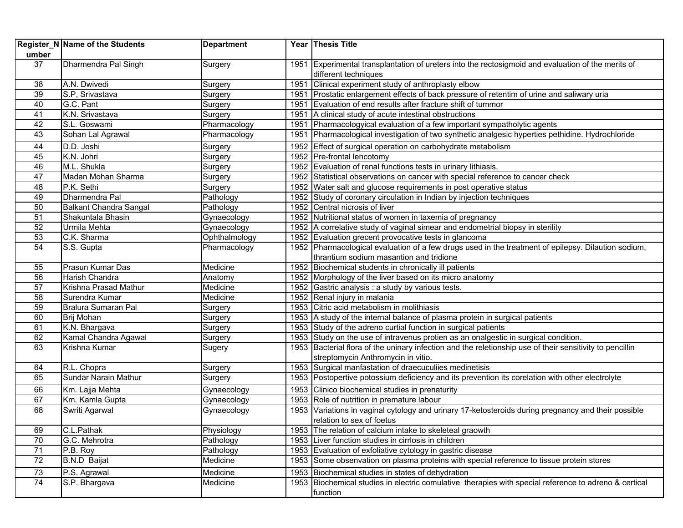| umber           | Register_N Name of the Students | <b>Department</b> |      | Year Thesis Title                                                                                                                |
|-----------------|---------------------------------|-------------------|------|----------------------------------------------------------------------------------------------------------------------------------|
| 37              | Dharmendra Pal Singh            | Surgery           |      | 1951 Experimental transplantation of ureters into the rectosigmoid and evaluation of the merits of<br>different techniques       |
| 38              | A.N. Dwivedi                    | Surgery           |      | 1951 Clinical experiment study of anthroplasty elbow                                                                             |
| 39              | S.P. Srivastava                 | Surgery           |      | 1951 Prostatic enlargement effects of back pressure of retentim of urine and saliwary uria                                       |
| 40              | G.C. Pant                       | Surgery           |      | 1951 Evaluation of end results after fracture shift of tummor                                                                    |
| 41              | K.N. Srivastava                 | Surgery           |      | 1951 A clinical study of acute intestinal obstructions                                                                           |
| 42              | S.L. Goswami                    | Pharmacology      |      | 1951 Pharmacologyical evaluation of a few important sympatholytic agents                                                         |
| 43              | Sohan Lal Agrawal               | Pharmacology      | 1951 | Pharmacological investigation of two synthetic analgesic hyperties pethidine. Hydrochloride                                      |
| 44              | D.D. Joshi                      | Surgery           |      | 1952 Effect of surgical operation on carbohydrate metabolism                                                                     |
| 45              | K.N. Johri                      | Surgery           |      | 1952 Pre-frontal lencotomy                                                                                                       |
| 46              | M.L. Shukla                     | Surgery           |      | 1952 Evaluation of renal functions tests in urinary lithiasis.                                                                   |
| 47              | Madan Mohan Sharma              | Surgery           |      | 1952 Statistical observations on cancer with special reference to cancer check                                                   |
| 48              | P.K. Sethi                      | Surgery           |      | 1952 Water salt and glucose requirements in post operative status                                                                |
| 49              | Dharmendra Pal                  | Pathology         |      | 1952 Study of coronary circulation in Indian by injection techniques                                                             |
| 50              | Balkant Chandra Sangal          | Pathology         |      | 1952 Central nicrosis of liver                                                                                                   |
| 51              | Shakuntala Bhasin               | Gynaecology       |      | 1952 Nutritional status of women in taxemia of pregnancy                                                                         |
| 52              | Urmila Mehta                    | Gynaecology       |      | 1952 A correlative study of vaginal simear and endometrial biopsy in sterility                                                   |
| 53              | C.K. Sharma                     | Ophthalmology     |      | 1952 Evaluation grecent provocative tests in glancoma                                                                            |
| 54              | S.S. Gupta                      | Pharmacology      |      | 1952 Pharmacological evaluation of a few drugs used in the treatment of epilepsy. Dilaution sodium,                              |
|                 |                                 |                   |      | thrantium sodium masantion and tridione                                                                                          |
| 55              | Prasun Kumar Das                | Medicine          |      | 1952 Biochemical students in chronically ill patients                                                                            |
| $\overline{56}$ | Harish Chandra                  | Anatomy           |      | 1952 Morphology of the liver based on its micro anatomy                                                                          |
| 57              | Krishna Prasad Mathur           | Medicine          |      | 1952 Gastric analysis : a study by various tests.                                                                                |
| 58              | Surendra Kumar                  | Medicine          |      | 1952 Renal injury in malania                                                                                                     |
| 59              | Bralura Sumaran Pal             | Surgery           |      | 1953 Citric acid metabolism in molithiasis                                                                                       |
| 60              | Brij Mohan                      | Surgery           |      | 1953 A study of the internal balance of plasma protein in surgical patients                                                      |
| 61              | K.N. Bhargava                   | Surgery           |      | 1953 Study of the adreno curtial function in surgical patients                                                                   |
| 62              | Kamal Chandra Agawal            | Surgery           |      | 1953 Study on the use of intravenus protien as an onalgestic in surgical condition.                                              |
| 63              | Krishna Kumar                   | Sugery            |      | 1953 Bacterial flora of the uninary infection and the reletionship use of their sensitivity to pencillin                         |
|                 |                                 |                   |      | streptomycin Anthromycin in vitio.                                                                                               |
| 64              | R.L. Chopra                     | Surgery           |      | 1953 Surgical manfastation of draecuculiies medinetisis                                                                          |
| 65              | Sundar Narain Mathur            | Surgery           |      | 1953 Postopertive potossium deficiency and its prevention its corelation with other electrolyte                                  |
| 66              | Km. Lajja Mehta                 | Gynaecology       |      | 1953 Clinico biochemical studies in prenaturity                                                                                  |
| 67              | Km. Kamla Gupta                 | Gynaecology       |      | 1953 Role of nutrition in premature labour                                                                                       |
| 68              | Swriti Agarwal                  | Gynaecology       |      | 1953 Variations in vaginal cytology and urinary 17-ketosteroids during pregnancy and their possible<br>relation to sex of foetus |
| 69              | C.L.Pathak                      | Physiology        |      | 1953 The relation of calcium intake to skeleteal graowth                                                                         |
| 70              | G.C. Mehrotra                   | Pathology         |      | 1953 Liver function studies in cirrlosis in children                                                                             |
| 71              | P.B. Roy                        | Pathology         |      | 1953 Evaluation of exfoliative cytology in gastric disease                                                                       |
| 72              | <b>B.N.D Baijat</b>             | Medicine          |      | 1953 Some obsenvation on plasma proteins with special reference to tissue protein stores                                         |
| 73              | P.S. Agrawal                    | Medicine          |      | 1953 Biochemical studies in states of dehydration                                                                                |
| 74              | S.P. Bhargava                   | Medicine          |      | 1953 Biochemical studies in electric comulative therapies with special reference to adreno & certical                            |
|                 |                                 |                   |      | function                                                                                                                         |
|                 |                                 |                   |      |                                                                                                                                  |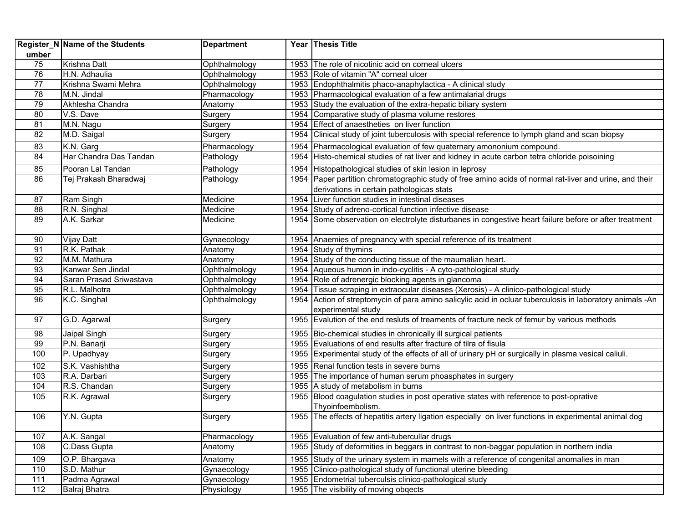| umber           | Register_N Name of the Students | <b>Department</b> |      | Year Thesis Title                                                                                         |
|-----------------|---------------------------------|-------------------|------|-----------------------------------------------------------------------------------------------------------|
| 75              | Krishna Datt                    | Ophthalmology     |      | 1953 The role of nicotinic acid on corneal ulcers                                                         |
| $\overline{76}$ | H.N. Adhaulia                   | Ophthalmology     |      | 1953 Role of vitamin "A" corneal ulcer                                                                    |
| 77              | Krishna Swami Mehra             | Ophthalmology     |      | 1953 Endophthalmitis phaco-anaphylactica - A clinical study                                               |
| 78              | M.N. Jindal                     | Pharmacology      |      | 1953 Pharmacological evaluation of a few antimalarial drugs                                               |
| 79              | Akhlesha Chandra                | Anatomy           |      | 1953 Study the evaluation of the extra-hepatic biliary system                                             |
| 80              | V.S. Dave                       | Surgery           |      | 1954 Comparative study of plasma volume restores                                                          |
| 81              | M.N. Nagu                       | Surgery           |      | 1954 Effect of anaestheties on liver function                                                             |
| 82              | M.D. Saigal                     | Surgery           |      | 1954 Clinical study of joint tuberculosis with special reference to lymph gland and scan biopsy           |
| 83              | K.N. Garg                       | Pharmacology      |      | 1954 Pharmacological evaluation of few quaternary amononium compound.                                     |
| 84              | Har Chandra Das Tandan          | Pathology         |      | 1954 Histo-chemical studies of rat liver and kidney in acute carbon tetra chloride poisoining             |
| 85              | Pooran Lal Tandan               | Pathology         | 1954 | Histopathological studies of skin lesion in leprosy                                                       |
| 86              | Tej Prakash Bharadwaj           | Pathology         |      | 1954 Paper partition chromatographic study of free amino acids of normal rat-liver and urine, and their   |
|                 |                                 |                   |      | derivations in certain pathologicas stats                                                                 |
| 87              | Ram Singh                       | Medicine          |      | 1954 Liver function studies in intestinal diseases                                                        |
| 88              | R.N. Singhal                    | Medicine          | 1954 | Study of adreno-cortical function infective disease                                                       |
| 89              | A.K. Sarkar                     | Medicine          |      | 1954 Some observation on electrolyte disturbanes in congestive heart failure before or after treatment    |
| 90              | <b>Vijay Datt</b>               | Gynaecology       |      | 1954 Anaemies of pregnancy with special reference of its treatment                                        |
| 91              | R.K. Pathak                     | Anatomy           |      | 1954 Study of thymins                                                                                     |
| 92              | M.M. Mathura                    | Anatomy           |      | 1954 Study of the conducting tissue of the maumalian heart.                                               |
| 93              | Kanwar Sen Jindal               | Ophthalmology     |      | 1954 Aqueous humon in indo-cyclitis - A cyto-pathological study                                           |
| 94              | Saran Prasad Sriwastava         | Ophthalmology     |      | 1954 Role of adrenergic blocking agents in glancoma                                                       |
| 95              | R.L. Malhotra                   | Ophthalmology     |      | 1954 Tissue scraping in extraocular diseases (Xerosis) - A clinico-pathological study                     |
| 96              | K.C. Singhal                    | Ophthalmology     |      | 1954 Action of streptomycin of para amino salicylic acid in ocluar tuberculosis in laboratory animals -An |
|                 |                                 |                   |      | experimental study                                                                                        |
| 97              | G.D. Agarwal                    | Surgery           |      | 1955 Evalution of the end resluts of treaments of fracture neck of femur by various methods               |
| 98              | Jaipal Singh                    | Surgery           |      | 1955 Bio-chemical studies in chronically ill surgical patients                                            |
| 99              | P.N. Banarji                    | Surgery           |      | 1955 Evaluations of end results after fracture of tilra of fisula                                         |
| 100             | P. Upadhyay                     | Surgery           |      | 1955 Experimental study of the effects of all of urinary pH or surgically in plasma vesical caliuli.      |
| 102             | S.K. Vashishtha                 | Surgery           |      | 1955 Renal function tests in severe burns                                                                 |
| 103             | R.A. Darbari                    | Surgery           |      | 1955 The importance of human serum phoasphates in surgery                                                 |
| 104             | R.S. Chandan                    | Surgery           |      | 1955 A study of metabolism in burns                                                                       |
| 105             | R.K. Agrawal                    | Surgery           |      | 1955 Blood coagulation studies in post operative states with reference to post-oprative                   |
|                 |                                 |                   |      | Thyoinfoembolism.                                                                                         |
| 106             | Y.N. Gupta                      | Surgery           |      | 1955 The effects of hepatitis artery ligation especially on liver functions in experimental animal dog    |
| 107             | A.K. Sangal                     | Pharmacology      |      | 1955 Evaluation of few anti-tubercullar drugs                                                             |
| 108             | C.Dass Gupta                    | Anatomy           |      | 1955 Study of deformities in beggars in contrast to non-baggar population in northern india               |
| 109             | O.P. Bhargava                   | Anatomy           |      | 1955 Study of the urinary system in mamels with a reference of congenital anomalies in man                |
| 110             | S.D. Mathur                     | Gynaecology       |      | 1955 Clinico-pathological study of functional uterine bleeding                                            |
| 111             | Padma Agrawal                   | Gynaecology       |      | 1955 Endometrial tuberculsis clinico-pathological study                                                   |
| 112             | Balraj Bhatra                   | Physiology        |      | 1955 The visibility of moving obgects                                                                     |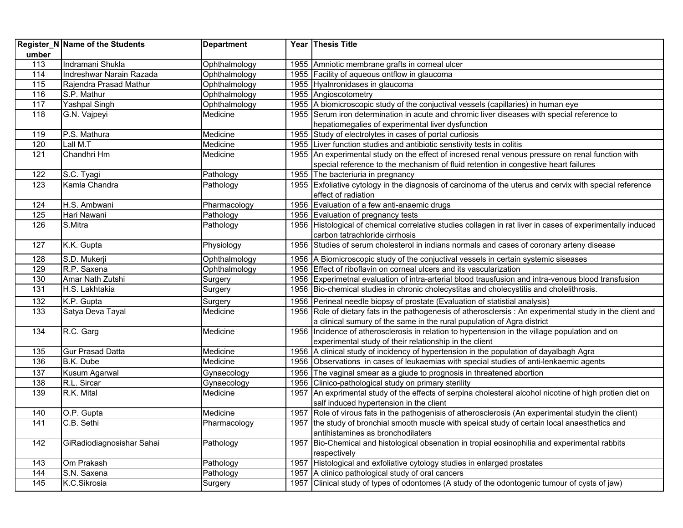|       | <b>Register_N Name of the Students</b> | <b>Department</b> |      | Year Thesis Title                                                                                          |
|-------|----------------------------------------|-------------------|------|------------------------------------------------------------------------------------------------------------|
| umber |                                        |                   |      |                                                                                                            |
| 113   | Indramani Shukla                       | Ophthalmology     |      | 1955 Amniotic membrane grafts in corneal ulcer                                                             |
| 114   | Indreshwar Narain Razada               | Ophthalmology     |      | 1955 Facility of aqueous ontflow in glaucoma                                                               |
| 115   | Rajendra Prasad Mathur                 | Ophthalmology     |      | 1955 Hyalnronidases in glaucoma                                                                            |
| 116   | S.P. Mathur                            | Ophthalmology     |      | 1955 Angioscotometry                                                                                       |
| 117   | Yashpal Singh                          | Ophthalmology     |      | 1955 A biomicroscopic study of the conjuctival vessels (capillaries) in human eye                          |
| 118   | G.N. Vajpeyi                           | Medicine          |      | 1955 Serum iron determination in acute and chromic liver diseases with special reference to                |
|       |                                        |                   |      | hepatiomegalies of experimental liver dysfunction                                                          |
| 119   | P.S. Mathura                           | Medicine          |      | 1955 Study of electrolytes in cases of portal curliosis                                                    |
| 120   | Lall M.T                               | Medicine          |      | 1955 Liver function studies and antibiotic senstivity tests in colitis                                     |
| 121   | Chandhri Hm                            | Medicine          |      | 1955 An experimental study on the effect of incresed renal venous pressure on renal function with          |
|       |                                        |                   |      | special reference to the mechanism of fluid retention in congestive heart failures                         |
| 122   | S.C. Tyagi                             | Pathology         |      | 1955 The bacteriuria in pregnancy                                                                          |
| 123   | Kamla Chandra                          | Pathology         |      | 1955 Exfoliative cytology in the diagnosis of carcinoma of the uterus and cervix with special reference    |
|       |                                        |                   |      | effect of radiation                                                                                        |
| 124   | H.S. Ambwani                           | Pharmacology      |      | 1956 Evaluation of a few anti-anaemic drugs                                                                |
| 125   | Hari Nawani                            | Pathology         |      | 1956 Evaluation of pregnancy tests                                                                         |
| 126   | S.Mitra                                | Pathology         |      | 1956 Histological of chemical correlative studies collagen in rat liver in cases of experimentally induced |
|       |                                        |                   |      | carbon tatrachloride cirrhosis                                                                             |
| 127   | K.K. Gupta                             | Physiology        |      | 1956 Studies of serum cholesterol in indians normals and cases of coronary arteny disease                  |
| 128   | S.D. Mukerji                           | Ophthalmology     |      | 1956   A Biomicroscopic study of the conjuctival vessels in certain systemic siseases                      |
| 129   | R.P. Saxena                            | Ophthalmology     |      | 1956 Effect of riboflavin on corneal ulcers and its vascularization                                        |
| 130   | Amar Nath Zutshi                       | Surgery           |      | 1956 Experimetnal evaluation of intra-arterial blood trausfusion and intra-venous blood transfusion        |
| 131   | H.S. Lakhtakia                         | Surgery           |      | 1956 Bio-chemical studies in chronic cholecystitas and cholecystitis and cholelithrosis.                   |
| 132   | K.P. Gupta                             | Surgery           |      | 1956 Perineal needle biopsy of prostate (Evaluation of statistial analysis)                                |
| 133   | Satya Deva Tayal                       | Medicine          |      | 1956 Role of dietary fats in the pathogenesis of atherosclersis: An experimental study in the client and   |
|       |                                        |                   |      | a clinical sumury of the same in the rural pupulation of Agra district                                     |
| 134   | R.C. Garg                              | Medicine          |      | 1956 Incidence of atherosclerosis in relation to hypertension in the village population and on             |
|       |                                        |                   |      | experimental study of their relationship in the client                                                     |
| 135   | <b>Gur Prasad Datta</b>                | Medicine          |      | 1956 A clinical study of incidency of hypertension in the population of dayalbagh Agra                     |
| 136   | B.K. Dube                              | Medicine          |      | 1956 Observations in cases of leukaemias with special studies of anti-lenkaemic agents                     |
| 137   | Kusum Agarwal                          | Gynaecology       |      | 1956 The vaginal smear as a giude to prognosis in threatened abortion                                      |
| 138   | R.L. Sircar                            | Gynaecology       |      | 1956 Clinico-pathological study on primary sterility                                                       |
| 139   | R.K. Mital                             | Medicine          |      | 1957 An exprimental study of the effects of serpina cholesteral alcohol nicotine of high protien diet on   |
|       |                                        |                   |      | salf induced hypertension in the client                                                                    |
| 140   | O.P. Gupta                             | Medicine          |      | 1957 Role of virous fats in the pathogenisis of atherosclerosis (An experimental studyin the client)       |
| 141   | C.B. Sethi                             | Pharmacology      |      | 1957 the study of bronchial smooth muscle with speical study of certain local anaesthetics and             |
|       |                                        |                   |      | antihistamines as bronchodilaters                                                                          |
| 142   | GiRadiodiagnosishar Sahai              | Pathology         |      | 1957 Bio-Chemical and histological obsenation in tropial eosinophilia and experimental rabbits             |
|       |                                        |                   |      | respectively                                                                                               |
| 143   | Om Prakash                             | Pathology         | 1957 | Histological and exfoliative cytology studies in enlarged prostates                                        |
| 144   | S.N. Saxena                            | Pathology         | 1957 | A clinico pathological study of oral cancers                                                               |
| 145   | K.C.Sikrosia                           | Surgery           | 1957 | Clinical study of types of odontomes (A study of the odontogenic tumour of cysts of jaw)                   |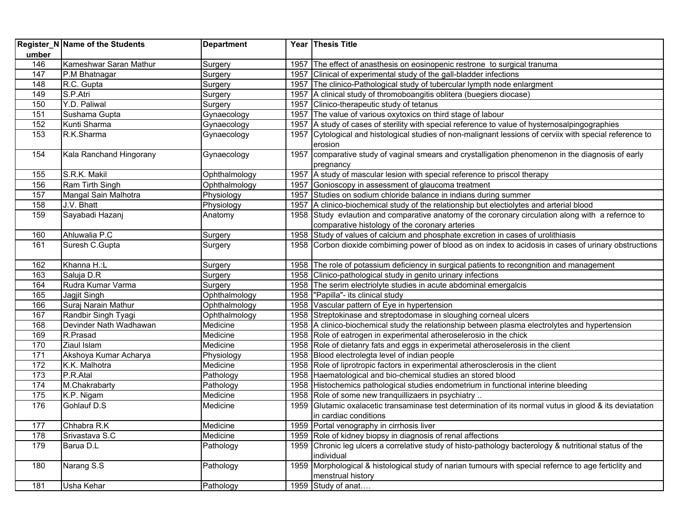|       | Register_N Name of the Students | <b>Department</b> |      | Year Thesis Title                                                                                                          |
|-------|---------------------------------|-------------------|------|----------------------------------------------------------------------------------------------------------------------------|
| umber |                                 |                   |      |                                                                                                                            |
| 146   | Kameshwar Saran Mathur          | Surgery           |      | 1957 The effect of anasthesis on eosinopenic restrone to surgical tranuma                                                  |
| 147   | P.M Bhatnagar                   | Surgery           |      | 1957 Clinical of experimental study of the gall-bladder infections                                                         |
| 148   | R.C. Gupta                      | Surgery           |      | 1957 The clinico-Pathological study of tubercular lympth node enlargment                                                   |
| 149   | S.P.Atri                        | Surgery           |      | 1957 A clinical study of thromoboangitis oblitera (buegiers diocase)                                                       |
| 150   | Y.D. Paliwal                    | Surgery           |      | 1957 Clinico-therapeutic study of tetanus                                                                                  |
| 151   | Sushama Gupta                   | Gynaecology       |      | 1957 The value of various oxytoxics on third stage of labour                                                               |
| 152   | Kunti Sharma                    | Gynaecology       |      | 1957 A study of cases of sterility with special reference to value of hysternosalpingographies                             |
| 153   | R.K.Sharma                      | Gynaecology       | 1957 | Cytological and histological studies of non-malignant lessions of cerviix with special reference to<br>erosion             |
| 154   | Kala Ranchand Hingorany         | Gynaecology       |      | 1957 comparative study of vaginal smears and crystalligation phenomenon in the diagnosis of early<br>pregnancy             |
| 155   | S.R.K. Makil                    | Ophthalmology     |      | 1957 A study of mascular lesion with special reference to priscol therapy                                                  |
| 156   | Ram Tirth Singh                 | Ophthalmology     |      | 1957 Gonioscopy in assessment of glaucoma treatment                                                                        |
| 157   | Mangal Sain Malhotra            | Physiology        | 1957 | Studies on sodium chloride balance in indians during summer                                                                |
| 158   | J.V. Bhatt                      | Physiology        |      | 1957   A clinico-biochemical study of the relationship but electiolytes and arterial blood                                 |
| 159   | Sayabadi Hazanj                 | Anatomy           |      | 1958 Study evlaution and comparative anatomy of the coronary circulation along with a refernce to                          |
|       |                                 |                   |      | comparative histology of the coronary arteries                                                                             |
| 160   | Ahluwalia P.C                   | Surgery           |      | 1958 Study of values of calcium and phosphate excretion in cases of urolithiasis                                           |
| 161   | Suresh C.Gupta                  | Surgery           |      | 1958 Corbon dioxide combiming power of blood as on index to acidosis in cases of urinary obstructions                      |
| 162   | Khanna H.:L                     | Surgery           |      | 1958 The role of potassium deficiency in surgical patients to recongnition and management                                  |
| 163   | Saluja D.R                      | Surgery           |      | 1958 Clinico-pathological study in genito urinary infections                                                               |
| 164   | Rudra Kumar Varma               | Surgery           |      | 1958 The serim electriolyte studies in acute abdominal emergalcis                                                          |
| 165   | Jagjit Singh                    | Ophthalmology     |      | 1958  "Papilla"- its clinical study                                                                                        |
| 166   | Suraj Narain Mathur             | Ophthalmology     |      | 1958 Vascular pattern of Eye in hypertension                                                                               |
| 167   | Randbir Singh Tyagi             | Ophthalmology     |      | 1958 Streptokinase and streptodomase in sloughing corneal ulcers                                                           |
| 168   | Devinder Nath Wadhawan          | Medicine          |      | 1958 A clinico-biochemical study the relationship between plasma electrolytes and hypertension                             |
| 169   | R.Prasad                        | Medicine          |      | 1958 Role of eatrogen in experimental atheroselerosio in the chick                                                         |
| 170   | Ziaul Islam                     | Medicine          |      | 1958 Role of dietanry fats and eggs in experimetal atheroselerosis in the client                                           |
| 171   | Akshoya Kumar Acharya           | Physiology        |      | 1958 Blood electrolegta level of indian people                                                                             |
| 172   | K.K. Malhotra                   | Medicine          |      | 1958 Role of liprotropic factors in experimental atherosclerosis in the client                                             |
| 173   | P.R. Atal                       | Pathology         |      | 1958 Haematological and bio-chemical studies an stored blood                                                               |
| 174   | M.Chakrabarty                   | Pathology         |      | 1958 Histochemics pathological studies endometrium in functional interine bleeding                                         |
| 175   | K.P. Nigam                      | Medicine          |      | 1958 Role of some new tranquillizaers in psychiatry                                                                        |
| 176   | Gohlauf D.S                     | Medicine          |      | 1959 Glutamic oxalacetic transaminase test determination of its normal vutus in glood & its deviatation                    |
|       |                                 |                   |      | in cardiac conditions                                                                                                      |
| 177   | Chhabra R.K                     | Medicine          |      | 1959 Portal venography in cirrhosis liver                                                                                  |
| 178   | Srivastava S.C                  | Medicine          |      | 1959 Role of kidney biopsy in diagnosis of renal affections                                                                |
| 179   | Barua D.L                       | Pathology         |      | 1959 Chronic leg ulcers a correlative study of histo-pathology bacterology & nutritional status of the<br>individual       |
| 180   | Narang S.S                      | Pathology         |      | 1959 Morphological & histological study of narian tumours with special refernce to age ferticlity and<br>menstrual history |
| 181   | Usha Kehar                      | Pathology         |      | 1959 Study of anat                                                                                                         |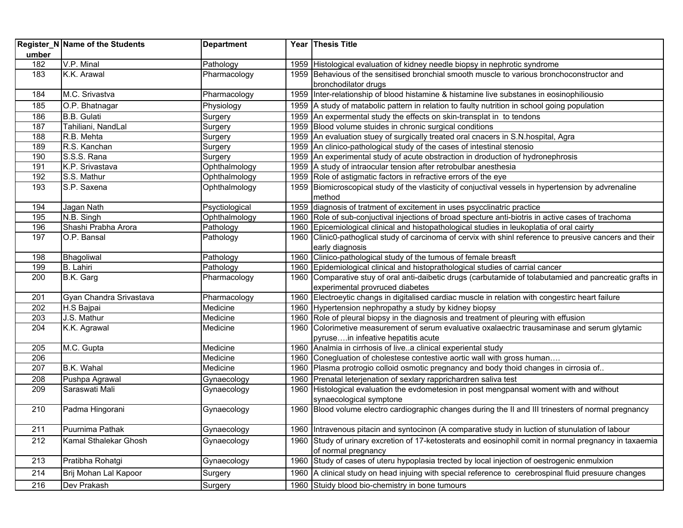| umber      | Register_N Name of the Students | <b>Department</b>    | Year Thesis Title                                                                                                                                                                     |
|------------|---------------------------------|----------------------|---------------------------------------------------------------------------------------------------------------------------------------------------------------------------------------|
| 182        | V.P. Minal                      | Pathology            | 1959 Histological evaluation of kidney needle biopsy in nephrotic syndrome                                                                                                            |
| 183        | K.K. Arawal                     | Pharmacology         | 1959 Behavious of the sensitised bronchial smooth muscle to various bronchoconstructor and                                                                                            |
|            |                                 |                      | bronchodilator drugs                                                                                                                                                                  |
| 184        | M.C. Srivastva                  | Pharmacology         | 1959 Inter-relationship of blood histamine & histamine live substanes in eosinophiliousio                                                                                             |
| 185        | O.P. Bhatnagar                  | Physiology           | 1959 A study of matabolic pattern in relation to faulty nutrition in school going population                                                                                          |
| 186        | <b>B.B.</b> Gulati              | Surgery              | 1959 An expermental study the effects on skin-transplat in to tendons                                                                                                                 |
| 187        | Tahiliani, NandLal              | Surgery              | 1959 Blood volume stuides in chronic surgical conditions                                                                                                                              |
| 188        | R.B. Mehta                      | Surgery              | 1959 An evaluation stuey of surgically treated oral cnacers in S.N. hospital, Agra                                                                                                    |
| 189        | R.S. Kanchan                    | Surgery              | 1959 An clinico-pathological study of the cases of intestinal stenosio                                                                                                                |
| 190        | S.S.S. Rana                     | Surgery              | 1959 An experimental study of acute obstraction in droduction of hydronephrosis                                                                                                       |
| 191        | K.P. Srivastava                 | Ophthalmology        | 1959 A study of intraocular tension after retrobulbar anesthesia                                                                                                                      |
| 192        | S.S. Mathur                     | Ophthalmology        | 1959 Role of astigmatic factors in refractive errors of the eye                                                                                                                       |
| 193        | S.P. Saxena                     | Ophthalmology        | 1959 Biomicroscopical study of the vlasticity of conjuctival vessels in hypertension by advrenaline                                                                                   |
|            |                                 |                      | method                                                                                                                                                                                |
| 194        | Jagan Nath                      | Psyctiological       | 1959 diagnosis of tratment of excitement in uses psycclinatric practice                                                                                                               |
| 195        | N.B. Singh                      | Ophthalmology        | 1960 Role of sub-conjuctival injections of broad specture anti-biotris in active cases of trachoma                                                                                    |
| 196        | Shashi Prabha Arora             | Pathology            | 1960 Epicemiological clinical and histopathological studies in leukoplatia of oral cairty                                                                                             |
| 197        | O.P. Bansal                     | Pathology            | 1960 Clinic0-pathoglical study of carcinoma of cervix with shinl reference to preusive cancers and their                                                                              |
|            |                                 |                      | early diagnosis                                                                                                                                                                       |
| 198        | Bhagoliwal                      | Pathology            | 1960 Clinico-pathological study of the tumous of female breasft                                                                                                                       |
| 199        | B. Lahiri                       | Pathology            | 1960 Epidemiological clinical and histoprathological studies of carrial cancer                                                                                                        |
| 200        | B.K. Garg                       | Pharmacology         | 1960 Comparative stuy of oral anti-daibetic drugs (carbutamide of tolabutamied and pancreatic grafts in                                                                               |
|            |                                 |                      | experimental provruced diabetes                                                                                                                                                       |
| 201        | Gyan Chandra Srivastava         | Pharmacology         | 1960 Electroeytic changs in digitalised cardiac muscle in relation with congestirc heart failure                                                                                      |
| 202        | H.S Bajpai<br>J.S. Mathur       | Medicine             | 1960 Hypertension nephropathy a study by kidney biopsy                                                                                                                                |
| 203<br>204 |                                 | Medicine<br>Medicine | 1960 Role of pleural biopsy in the diagnosis and treatment of pleuring with effusion<br>1960 Colorimetive measurement of serum evaluative oxalaectric trausaminase and serum glytamic |
|            | K.K. Agrawal                    |                      |                                                                                                                                                                                       |
| 205        | M.C. Gupta                      | Medicine             | pyrusein infeative hepatitis acute<br>1960 Analmia in cirrhosis of livea clinical experiental study                                                                                   |
| 206        |                                 | Medicine             | 1960 Conegluation of cholestese contestive aortic wall with gross human                                                                                                               |
| 207        | B.K. Wahal                      | Medicine             | 1960 Plasma protrogio colloid osmotic pregnancy and body thoid changes in cirrosia of                                                                                                 |
| 208        | Pushpa Agrawal                  | Gynaecology          | 1960 Prenatal leterjenation of sexlary rapprichardren saliva test                                                                                                                     |
| 209        | Saraswati Mali                  | Gynaecology          | 1960 Histological evaluation the evdometesion in post mengpansal woment with and without                                                                                              |
|            |                                 |                      | synaecological symptone                                                                                                                                                               |
| 210        | Padma Hingorani                 | Gynaecology          | 1960 Blood volume electro cardiographic changes during the II and III trinesters of normal pregnancy                                                                                  |
|            |                                 |                      |                                                                                                                                                                                       |
| 211        | Puurnima Pathak                 | Gynaecology          | 1960 Intravenous pitacin and syntocinon (A comparative study in luction of stunulation of labour                                                                                      |
| 212        | Kamal Sthalekar Ghosh           | Gynaecology          | 1960 Study of urinary excretion of 17-ketosterats and eosinophil comit in normal pregnancy in taxaemia                                                                                |
|            |                                 |                      | of normal pregnancy                                                                                                                                                                   |
| 213        | Pratibha Rohatgi                | Gynaecology          | 1960 Study of cases of uteru hypoplasia trected by local injection of oestrogenic enmulxion                                                                                           |
| 214        | Brij Mohan Lal Kapoor           | Surgery              | 1960 A clinical study on head injuing with special reference to cerebrospinal fluid presuure changes                                                                                  |
| 216        | Dev Prakash                     | Surgery              | 1960 Stuidy blood bio-chemistry in bone tumours                                                                                                                                       |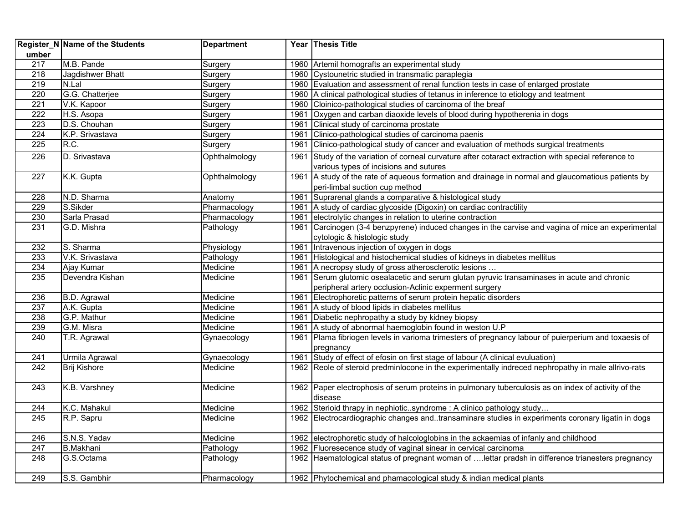| umber            | <b>Register_N Name of the Students</b> | <b>Department</b> |      | Year Thesis Title                                                                                    |
|------------------|----------------------------------------|-------------------|------|------------------------------------------------------------------------------------------------------|
| 217              | M.B. Pande                             | Surgery           |      | 1960 Artemil homografts an experimental study                                                        |
| 218              | Jagdishwer Bhatt                       | Surgery           |      | 1960 Cystounetric studied in transmatic paraplegia                                                   |
| 219              | N.Lal                                  | Surgery           |      | 1960 Evaluation and assessment of renal function tests in case of enlarged prostate                  |
| 220              | G.G. Chatterjee                        | Surgery           |      | 1960 A clinical pathological studies of tetanus in inference to etiology and teatment                |
| 221              | V.K. Kapoor                            | Surgery           |      | 1960 Cloinico-pathological studies of carcinoma of the breaf                                         |
| 222              | H.S. Asopa                             | Surgery           |      | 1961 Oxygen and carban diaoxide levels of blood during hypotherenia in dogs                          |
| 223              | D.S. Chouhan                           | Surgery           | 1961 | Clinical study of carcinoma prostate                                                                 |
| 224              | K.P. Srivastava                        | Surgery           |      | 1961 Clinico-pathological studies of carcinoma paenis                                                |
| $\overline{225}$ | R.C.                                   | Surgery           |      | 1961 Clinico-pathological study of cancer and evaluation of methods surgical treatments              |
| 226              | D. Srivastava                          | Ophthalmology     |      | 1961 Study of the variation of corneal curvature after cotaract extraction with special reference to |
|                  |                                        |                   |      | various types of incisions and sutures                                                               |
| $\overline{227}$ | K.K. Gupta                             | Ophthalmology     |      | 1961 A study of the rate of aqueous formation and drainage in normal and glaucomatious patients by   |
|                  |                                        |                   |      | peri-limbal suction cup method                                                                       |
| 228              | N.D. Sharma                            | Anatomy           |      | 1961 Suprarenal glands a comparative & histological study                                            |
| 229              | S.Sikder                               | Pharmacology      |      | 1961 A study of cardiac glycoside (Digoxin) on cardiac contractility                                 |
| 230              | Sarla Prasad                           | Pharmacology      |      | 1961 electrolytic changes in relation to uterine contraction                                         |
| $\overline{231}$ | G.D. Mishra                            | Pathology         |      | 1961 Carcinogen (3-4 benzpyrene) induced changes in the carvise and vagina of mice an experimental   |
|                  |                                        |                   |      | cytologic & histologic study                                                                         |
| 232              | S. Sharma                              | Physiology        |      | 1961 Intravenous injection of oxygen in dogs                                                         |
| 233              | V.K. Srivastava                        | Pathology         |      | 1961 Histological and histochemical studies of kidneys in diabetes mellitus                          |
| 234              | Ajay Kumar                             | Medicine          |      | 1961 A necropsy study of gross atherosclerotic lesions                                               |
| 235              | Devendra Kishan                        | Medicine          |      | 1961 Serum glutomic osealacetic and serum glutan pyruvic transaminases in acute and chronic          |
|                  |                                        |                   |      | peripheral artery occlusion-Aclinic experment surgery                                                |
| 236              | <b>B.D. Agrawal</b>                    | Medicine          |      | 1961 Electrophoretic patterns of serum protein hepatic disorders                                     |
| 237              | A.K. Gupta                             | Medicine          |      | 1961 A study of blood lipids in diabetes mellitus                                                    |
| 238              | G.P. Mathur                            | Medicine          |      | 1961 Diabetic nephropathy a study by kidney biopsy                                                   |
| 239              | G.M. Misra                             | Medicine          |      | 1961   A study of abnormal haemoglobin found in weston U.P                                           |
| 240              | T.R. Agrawal                           | Gynaecology       |      | 1961 Plama fibriogen levels in varioma trimesters of pregnancy labour of puierperium and toxaesis of |
|                  |                                        |                   |      | pregnancy                                                                                            |
| $\overline{241}$ | Urmila Agrawal                         | Gynaecology       |      | 1961 Study of effect of efosin on first stage of labour (A clinical evuluation)                      |
| 242              | <b>Brij Kishore</b>                    | Medicine          |      | 1962 Reole of steroid predminlocone in the experimentally indreced nephropathy in male allrivo-rats  |
| 243              | K.B. Varshney                          | Medicine          |      | 1962 Paper electrophosis of serum proteins in pulmonary tuberculosis as on index of activity of the  |
|                  |                                        |                   |      | disease                                                                                              |
| 244              | K.C. Mahakul                           | Medicine          |      | 1962 Sterioid thrapy in nephioticsyndrome : A clinico pathology study                                |
| 245              | R.P. Sapru                             | Medicine          |      | 1962 Electrocardiographic changes andtransaminare studies in experiments coronary ligatin in dogs    |
| 246              | S.N.S. Yadav                           | Medicine          |      | 1962 electrophoretic study of halcologlobins in the ackaemias of infanly and childhood               |
| 247              | <b>B.Makhani</b>                       | Pathology         |      | 1962 Fluoresecence study of vaginal sinear in cervical carcinoma                                     |
| 248              | G.S.Octama                             | Pathology         |      | 1962 Haematological status of pregnant woman of  lettar pradsh in difference trianesters pregnancy   |
| 249              | S.S. Gambhir                           | Pharmacology      |      | 1962 Phytochemical and phamacological study & indian medical plants                                  |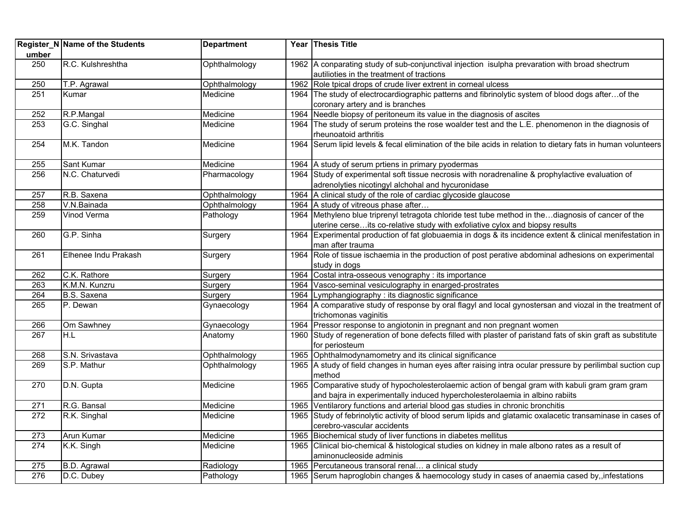| umber            | Register_N Name of the Students | <b>Department</b> | Year Thesis Title                                                                                                                                                                  |
|------------------|---------------------------------|-------------------|------------------------------------------------------------------------------------------------------------------------------------------------------------------------------------|
| 250              | R.C. Kulshreshtha               | Ophthalmology     | 1962 A conparating study of sub-conjunctival injection isulpha prevaration with broad shectrum<br>autilioties in the treatment of tractions                                        |
| 250              | T.P. Agrawal                    | Ophthalmology     | 1962 Role tpical drops of crude liver extrent in corneal ulcess                                                                                                                    |
| 251              | Kumar                           | Medicine          | 1964 The study of electrocardiographic patterns and fibrinolytic system of blood dogs afterof the<br>coronary artery and is branches                                               |
| 252              | R.P.Mangal                      | Medicine          | 1964 Needle biopsy of peritoneum its value in the diagnosis of ascites                                                                                                             |
| 253              | G.C. Singhal                    | Medicine          | 1964 The study of serum proteins the rose woalder test and the L.E. phenomenon in the diagnosis of<br>rheunoatoid arthritis                                                        |
| 254              | M.K. Tandon                     | Medicine          | 1964 Serum lipid levels & fecal elimination of the bile acids in relation to dietary fats in human volunteers                                                                      |
| 255              | Sant Kumar                      | Medicine          | 1964 A study of serum prtiens in primary pyodermas                                                                                                                                 |
| 256              | N.C. Chaturvedi                 | Pharmacology      | 1964 Study of experimental soft tissue necrosis with noradrenaline & prophylactive evaluation of<br>adrenolyties nicotingyl alchohal and hycuronidase                              |
| 257              | R.B. Saxena                     | Ophthalmology     | 1964 A clinical study of the role of cardiac glycoside glaucose                                                                                                                    |
| 258              | V.N.Bainada                     | Ophthalmology     | 1964 A study of vitreous phase after                                                                                                                                               |
| 259              | Vinod Verma                     | Pathology         | 1964 Methyleno blue triprenyl tetragota chloride test tube method in thediagnosis of cancer of the<br>uterine cerseits co-relative study with exfoliative cylox and biopsy results |
| 260              | G.P. Sinha                      | Surgery           | 1964 Experimental production of fat globuaemia in dogs & its incidence extent & clinical menifestation in<br>man after trauma                                                      |
| 261              | Elhenee Indu Prakash            | Surgery           | 1964 Role of tissue ischaemia in the production of post perative abdominal adhesions on experimental<br>study in dogs                                                              |
| 262              | C.K. Rathore                    | Surgery           | 1964 Costal intra-osseous venography : its importance                                                                                                                              |
| 263              | K.M.N. Kunzru                   | Surgery           | 1964 Vasco-seminal vesiculography in enarged-prostrates                                                                                                                            |
| 264              | B.S. Saxena                     | Surgery           | 1964 Lymphangiography : its diagnostic significance                                                                                                                                |
| 265              | P. Dewan                        | Gynaecology       | 1964 A comparative study of response by oral flagyl and local gynostersan and viozal in the treatment of<br>trichomonas vaginitis                                                  |
| 266              | Om Sawhney                      | Gynaecology       | 1964 Pressor response to angiotonin in pregnant and non pregnant women                                                                                                             |
| $\overline{267}$ | H.L                             | Anatomy           | 1960 Study of regeneration of bone defects filled with plaster of paristand fats of skin graft as substitute<br>for periosteum                                                     |
| 268              | S.N. Srivastava                 | Ophthalmology     | 1965 Ophthalmodynamometry and its clinical significance                                                                                                                            |
| 269              | S.P. Mathur                     | Ophthalmology     | 1965 A study of field changes in human eyes after raising intra ocular pressure by perilimbal suction cup<br>method                                                                |
| 270              | D.N. Gupta                      | Medicine          | 1965 Comparative study of hypocholesterolaemic action of bengal gram with kabuli gram gram gram<br>and bajra in experimentally induced hypercholesterolaemia in albino rabiits     |
| 271              | R.G. Bansal                     | Medicine          | 1965 Ventilarory functions and arterial blood gas studies in chronic bronchitis                                                                                                    |
| 272              | R.K. Singhal                    | Medicine          | 1965 Study of febrinolytic activity of blood serum lipids and glatamic oxalacetic transaminase in cases of<br>cerebro-vascular accidents                                           |
| 273              | Arun Kumar                      | Medicine          | 1965 Biochemical study of liver functions in diabetes mellitus                                                                                                                     |
| $\overline{274}$ | K.K. Singh                      | Medicine          | 1965 Clinical bio-chemical & histological studies on kidney in male albono rates as a result of<br>aminonucleoside adminis                                                         |
| 275              | <b>B.D.</b> Agrawal             | Radiology         | 1965 Percutaneous transoral renal a clinical study                                                                                                                                 |
| 276              | D.C. Dubey                      | Pathology         | 1965 Serum haproglobin changes & haemocology study in cases of anaemia cased by, infestations                                                                                      |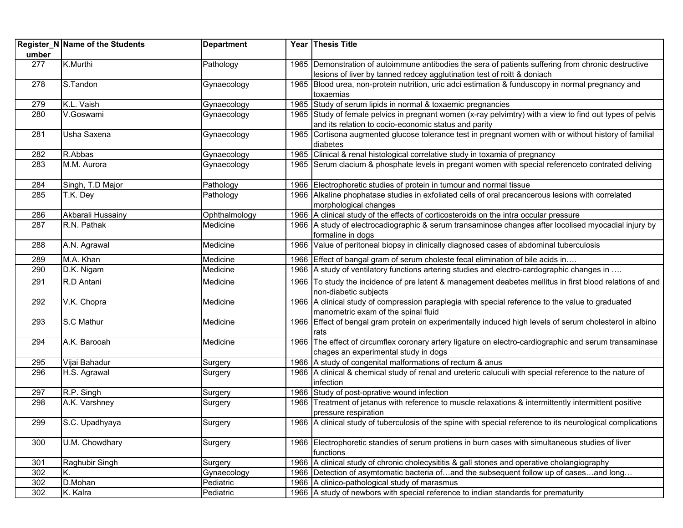| umber | Register_N Name of the Students | <b>Department</b> | Year Thesis Title                                                                                                                                                              |
|-------|---------------------------------|-------------------|--------------------------------------------------------------------------------------------------------------------------------------------------------------------------------|
| 277   | K.Murthi                        | Pathology         | 1965 Demonstration of autoimmune antibodies the sera of patients suffering from chronic destructive<br>lesions of liver by tanned redcey agglutination test of roitt & doniach |
| 278   | S.Tandon                        | Gynaecology       | 1965 Blood urea, non-protein nutrition, uric adci estimation & funduscopy in normal pregnancy and<br>toxaemias                                                                 |
| 279   | K.L. Vaish                      | Gynaecology       | 1965 Study of serum lipids in normal & toxaemic pregnancies                                                                                                                    |
| 280   | V.Goswami                       | Gynaecology       | 1965 Study of female pelvics in pregnant women (x-ray pelvimtry) with a view to find out types of pelvis<br>and its relation to cocio-economic status and parity               |
| 281   | Usha Saxena                     | Gynaecology       | 1965 Cortisona augmented glucose tolerance test in pregnant women with or without history of familial<br>diabetes                                                              |
| 282   | R.Abbas                         | Gynaecology       | 1965 Clinical & renal histological correlative study in toxamia of pregnancy                                                                                                   |
| 283   | M.M. Aurora                     | Gynaecology       | 1965 Serum clacium & phosphate levels in pregant women with special referenceto contrated deliving                                                                             |
| 284   | Singh, T.D Major                | Pathology         | 1966 Electrophoretic studies of protein in tumour and normal tissue                                                                                                            |
| 285   | T.K. Dey                        | Pathology         | 1966 Alkaline phophatase studies in exfoliated cells of oral precancerous lesions with correlated<br>morphological changes                                                     |
| 286   | Akbarali Hussainy               | Ophthalmology     | 1966 A clinical study of the effects of corticosteroids on the intra occular pressure                                                                                          |
| 287   | R.N. Pathak                     | Medicine          | 1966   A study of electrocadiographic & serum transaminose changes after locolised myocadial injury by<br>formaline in dogs                                                    |
| 288   | A.N. Agrawal                    | Medicine          | 1966 Value of peritoneal biopsy in clinically diagnosed cases of abdominal tuberculosis                                                                                        |
| 289   | M.A. Khan                       | Medicine          | 1966 Effect of bangal gram of serum choleste fecal elimination of bile acids in                                                                                                |
| 290   | D.K. Nigam                      | Medicine          | 1966 A study of ventilatory functions artering studies and electro-cardographic changes in                                                                                     |
| 291   | R.D Antani                      | Medicine          | 1966 To study the incidence of pre latent & management deabetes mellitus in first blood relations of and<br>non-diabetic subjects                                              |
| 292   | V.K. Chopra                     | Medicine          | 1966 A clinical study of compression paraplegia with special reference to the value to graduated<br>manometric exam of the spinal fluid                                        |
| 293   | S.C Mathur                      | Medicine          | 1966 Effect of bengal gram protein on experimentally induced high levels of serum cholesterol in albino<br>rats                                                                |
| 294   | A.K. Barooah                    | Medicine          | 1966 The effect of circumflex coronary artery ligature on electro-cardiographic and serum transaminase<br>chages an experimental study in dogs                                 |
| 295   | Vijai Bahadur                   | Surgery           | 1966 A study of congenital malformations of rectum & anus                                                                                                                      |
| 296   | H.S. Agrawal                    | Surgery           | 1966 A clinical & chemical study of renal and ureteric caluculi with special reference to the nature of<br>infection                                                           |
| 297   | R.P. Singh                      | Surgery           | 1966 Study of post-oprative wound infection                                                                                                                                    |
| 298   | A.K. Varshney                   | Surgery           | 1966 Treatment of jetanus with reference to muscle relaxations & intermittently intermittent positive<br>pressure respiration                                                  |
| 299   | S.C. Upadhyaya                  | Surgery           | 1966   A clinical study of tuberculosis of the spine with special reference to its neurological complications                                                                  |
| 300   | U.M. Chowdhary                  | Surgery           | 1966 Electrophoretic standies of serum protiens in burn cases with simultaneous studies of liver<br>functions                                                                  |
| 301   | Raghubir Singh                  | Surgery           | 1966 A clinical study of chronic cholecysititis & gall stones and operative cholangiography                                                                                    |
| 302   | K.                              | Gynaecology       | 1966 Detection of asymtomatic bacteria ofand the subsequent follow up of casesand long                                                                                         |
| 302   | D.Mohan                         | Pediatric         | 1966   A clinico-pathological study of marasmus                                                                                                                                |
| 302   | K. Kalra                        | Pediatric         | 1966 A study of newbors with special reference to indian standards for prematurity                                                                                             |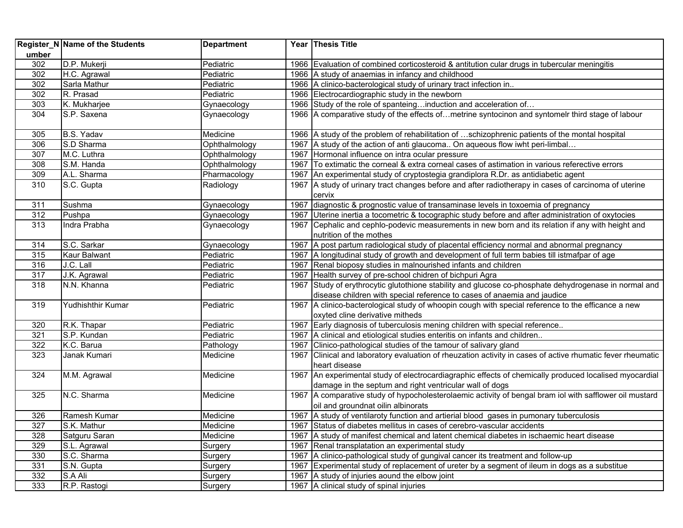|       | Register_N Name of the Students | <b>Department</b> |      | Year Thesis Title                                                                                                       |
|-------|---------------------------------|-------------------|------|-------------------------------------------------------------------------------------------------------------------------|
| umber |                                 |                   |      |                                                                                                                         |
| 302   | D.P. Mukerji                    | Pediatric         |      | 1966 Evaluation of combined corticosteroid & antitution cular drugs in tubercular meningitis                            |
| 302   | H.C. Agrawal                    | Pediatric         |      | 1966 A study of anaemias in infancy and childhood                                                                       |
| 302   | Sarla Mathur                    | Pediatric         |      | 1966   A clinico-bacterological study of urinary tract infection in                                                     |
| 302   | R. Prasad                       | Pediatric         |      | 1966 Electrocardiographic study in the newborn                                                                          |
| 303   | K. Mukharjee                    | Gynaecology       |      | 1966 Study of the role of spanteinginduction and acceleration of                                                        |
| 304   | S.P. Saxena                     | Gynaecology       |      | 1966 A comparative study of the effects ofmetrine syntocinon and syntomelr third stage of labour                        |
| 305   | B.S. Yadav                      | Medicine          |      | 1966 A study of the problem of rehabilitation of schizophrenic patients of the montal hospital                          |
| 306   | S.D Sharma                      | Ophthalmology     |      | 1967 A study of the action of anti glaucoma On aqueous flow iwht peri-limbal                                            |
| 307   | M.C. Luthra                     | Ophthalmology     |      | 1967 Hormonal influence on intra ocular pressure                                                                        |
| 308   | S.M. Handa                      | Ophthalmology     | 1967 | To extimatic the corneal & extra corneal cases of astimation in various referective errors                              |
| 309   | A.L. Sharma                     | Pharmacology      | 1967 | An experimental study of cryptostegia grandiplora R.Dr. as antidiabetic agent                                           |
| 310   | S.C. Gupta                      | Radiology         | 1967 | A study of urinary tract changes before and after radiotherapy in cases of carcinoma of uterine                         |
|       |                                 |                   |      | cervix                                                                                                                  |
| 311   | Sushma                          | Gynaecology       | 1967 | diagnostic & prognostic value of transaminase levels in toxoemia of pregnancy                                           |
| 312   | Pushpa                          | Gynaecology       | 1967 | Uterine inertia a tocometric & tocographic study before and after administration of oxytocies                           |
| 313   | Indra Prabha                    | Gynaecology       | 1967 | Cephalic and cephlo-podevic measurements in new born and its relation if any with height and<br>nutrition of the mothes |
| 314   | S.C. Sarkar                     | Gynaecology       |      | 1967 A post partum radiological study of placental efficiency normal and abnormal pregnancy                             |
| 315   | Kaur Balwant                    | Pediatric         |      | 1967 A longitudinal study of growth and development of full term babies till istmafpar of age                           |
| 316   | J.C. Lall                       | Pediatric         |      | 1967 Renal bioposy studies in malnourished infants and children                                                         |
| 317   | J.K. Agrawal                    | Pediatric         |      | 1967 Health survey of pre-school chidren of bichpuri Agra                                                               |
| 318   | N.N. Khanna                     | Pediatric         |      | 1967 Study of erythrocytic glutothione stability and glucose co-phosphate dehydrogenase in normal and                   |
|       |                                 |                   |      | disease children with special reference to cases of anaemia and jaudice                                                 |
| 319   | Yudhishthir Kumar               | Pediatric         |      | 1967 A clinico-bacterological study of whoopin cough with special reference to the efficance a new                      |
|       |                                 |                   |      | oxyted cline derivative mitheds                                                                                         |
| 320   | R.K. Thapar                     | Pediatric         |      | 1967 Early diagnosis of tuberculosis mening children with special reference                                             |
| 321   | S.P. Kundan                     | Pediatric         |      | 1967 A clinical and etiological studies enteritis on infants and children                                               |
| 322   | K.C. Barua                      | Pathology         | 1967 | Clinico-pathological studies of the tamour of salivary gland                                                            |
| 323   | Janak Kumari                    | Medicine          | 1967 | Clinical and laboratory evaluation of rheuzation activity in cases of active rhumatic fever rheumatic                   |
|       |                                 |                   |      | heart disease                                                                                                           |
| 324   | M.M. Agrawal                    | Medicine          |      | 1967 An experimental study of electrocardiagraphic effects of chemically produced localised myocardial                  |
|       |                                 |                   |      | damage in the septum and right ventricular wall of dogs                                                                 |
| 325   | N.C. Sharma                     | Medicine          |      | 1967 A comparative study of hypocholesterolaemic activity of bengal bram iol with safflower oil mustard                 |
|       |                                 |                   |      | oil and groundnat oilin albinorats                                                                                      |
| 326   | Ramesh Kumar                    | Medicine          |      | 1967 A study of ventilaroty function and artierial blood gases in pumonary tuberculosis                                 |
| 327   | S.K. Mathur                     | Medicine          |      | 1967 Status of diabetes mellitus in cases of cerebro-vascular accidents                                                 |
| 328   | Satguru Saran                   | Medicine          |      | 1967 A study of manifest chemical and latent chemical diabetes in ischaemic heart disease                               |
| 329   | S.L. Agrawal                    | Surgery           |      | 1967 Renal transplatation an experimental study                                                                         |
| 330   | S.C. Sharma                     | Surgery           |      | 1967 A clinico-pathological study of gungival cancer its treatment and follow-up                                        |
| 331   | S.N. Gupta                      | Surgery           |      | 1967 Experimental study of replacement of ureter by a segment of ileum in dogs as a substitue                           |
| 332   | S.A Ali                         | Surgery           |      | 1967 A study of injuries aound the elbow joint                                                                          |
| 333   | R.P. Rastogi                    | Surgery           |      | 1967 A clinical study of spinal injuries                                                                                |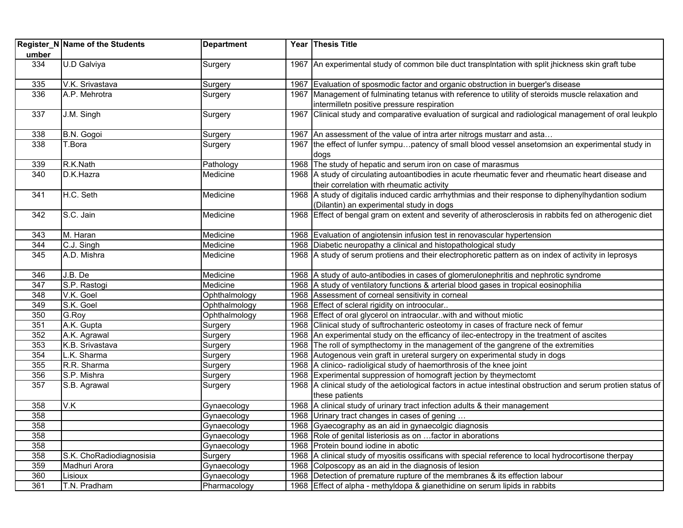|       | Register_N Name of the Students | <b>Department</b> | Year Thesis Title                                                                                             |
|-------|---------------------------------|-------------------|---------------------------------------------------------------------------------------------------------------|
| umber |                                 |                   |                                                                                                               |
| 334   | U.D Galviya                     | Surgery           | 1967 An experimental study of common bile duct transplntation with split jhickness skin graft tube            |
| 335   | V.K. Srivastava                 | Surgery           | 1967 Evaluation of sposmodic factor and organic obstruction in buerger's disease                              |
| 336   | A.P. Mehrotra                   | Surgery           | 1967 Management of fulminating tetanus with reference to utility of steroids muscle relaxation and            |
|       |                                 |                   | intermilletn positive pressure respiration                                                                    |
| 337   | J.M. Singh                      | Surgery           | 1967 Clinical study and comparative evaluation of surgical and radiological management of oral leukplo        |
| 338   | B.N. Gogoi                      | Surgery           | 1967 An assessment of the value of intra arter nitrogs mustarr and asta                                       |
| 338   | T.Bora                          | Surgery           | 1967 the effect of lunfer sympupatency of small blood vessel ansetomsion an experimental study in             |
|       |                                 |                   | dogs                                                                                                          |
| 339   | R.K.Nath                        | Pathology         | 1968 The study of hepatic and serum iron on case of marasmus                                                  |
| 340   | D.K.Hazra                       | Medicine          | 1968 A study of circulating autoantibodies in acute rheumatic fever and rheumatic heart disease and           |
|       |                                 |                   | their correlation with rheumatic activity                                                                     |
| 341   | H.C. Seth                       | Medicine          | 1968 A study of digitalis induced cardic arrhythmias and their response to diphenylhydantion sodium           |
|       |                                 |                   | (Dilantin) an experimental study in dogs                                                                      |
| 342   | S.C. Jain                       | Medicine          | 1968 Effect of bengal gram on extent and severity of atherosclerosis in rabbits fed on atherogenic diet       |
|       |                                 |                   |                                                                                                               |
| 343   | M. Haran                        | Medicine          | 1968 Evaluation of angiotensin infusion test in renovascular hypertension                                     |
| 344   | C.J. Singh                      | Medicine          | 1968 Diabetic neuropathy a clinical and histopathological study                                               |
| 345   | A.D. Mishra                     | Medicine          | 1968 A study of serum protiens and their electrophoretic pattern as on index of activity in leprosys          |
|       |                                 |                   |                                                                                                               |
| 346   | J.B. De                         | Medicine          | 1968 A study of auto-antibodies in cases of glomerulonephritis and nephrotic syndrome                         |
| 347   | S.P. Rastogi                    | Medicine          | 1968   A study of ventilatory functions & arterial blood gases in tropical eosinophilia                       |
| 348   | V.K. Goel                       | Ophthalmology     | 1968 Assessment of corneal sensitivity in corneal                                                             |
| 349   | S.K. Goel                       | Ophthalmology     | 1968 Effect of scleral rigidity on introocular                                                                |
| 350   | G.Roy                           | Ophthalmology     | 1968 Effect of oral glycerol on intraocular. with and without miotic                                          |
| 351   | A.K. Gupta                      | Surgery           | 1968 Clinical study of suftrochanteric osteotomy in cases of fracture neck of femur                           |
| 352   | A.K. Agrawal                    | Surgery           | 1968 An experimental study on the efficancy of ilec-entectropy in the treatment of ascites                    |
| 353   | K.B. Srivastava                 | Surgery           | 1968 The roll of sympthectomy in the management of the gangrene of the extremities                            |
| 354   | L.K. Sharma                     | Surgery           | 1968 Autogenous vein graft in ureteral surgery on experimental study in dogs                                  |
| 355   | R.R. Sharma                     | Surgery           | 1968 A clinico- radioligical study of haemorthrosis of the knee joint                                         |
| 356   | S.P. Mishra                     | Surgery           | 1968 Experimental suppression of homograft jection by theymectomt                                             |
| 357   | S.B. Agrawal                    | Surgery           | 1968 A clinical study of the aetiological factors in actue intestinal obstruction and serum protien status of |
|       |                                 |                   | these patients                                                                                                |
| 358   | V.K                             | Gynaecology       | 1968 A clinical study of urinary tract infection adults & their management                                    |
| 358   |                                 | Gynaecology       | 1968 Urinary tract changes in cases of gening                                                                 |
| 358   |                                 | Gynaecology       | 1968 Gyaecography as an aid in gynaecolgic diagnosis                                                          |
| 358   |                                 | Gynaecology       | 1968 Role of genital listeriosis as on  factor in aborations                                                  |
| 358   |                                 | Gynaecology       | 1968 Protein bound iodine in abotic                                                                           |
| 358   | S.K. ChoRadiodiagnosisia        | Surgery           | 1968 A clinical study of myositis ossificans with special reference to local hydrocortisone therpay           |
| 359   | Madhuri Arora                   | Gynaecology       | 1968 Colposcopy as an aid in the diagnosis of lesion                                                          |
| 360   | Lisioux                         | Gynaecology       | 1968 Detection of premature rupture of the membranes & its effection labour                                   |
| 361   | T.N. Pradham                    | Pharmacology      | 1968 Effect of alpha - methyldopa & gianethidine on serum lipids in rabbits                                   |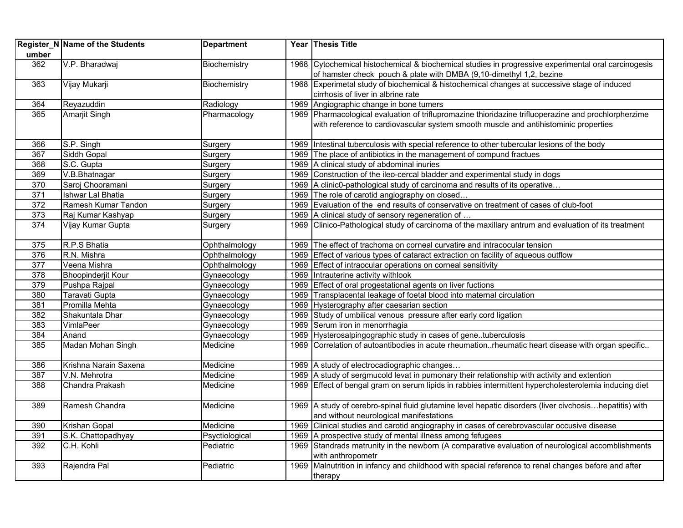|                  | Register_N Name of the Students | <b>Department</b> | Year Thesis Title                                                                                        |
|------------------|---------------------------------|-------------------|----------------------------------------------------------------------------------------------------------|
| umber            |                                 |                   |                                                                                                          |
| 362              | V.P. Bharadwaj                  | Biochemistry      | 1968 Cytochemical histochemical & biochemical studies in progressive experimental oral carcinogesis      |
|                  |                                 |                   | of hamster check pouch & plate with DMBA (9,10-dimethyl 1,2, bezine                                      |
| 363              | Vijay Mukarji                   | Biochemistry      | 1968 Experimetal study of biochemical & histochemical changes at successive stage of induced             |
|                  |                                 |                   | cirrhosis of liver in albrine rate                                                                       |
| 364              | Reyazuddin                      | Radiology         | 1969 Angiographic change in bone tumers                                                                  |
| 365              | <b>Amarjit Singh</b>            | Pharmacology      | 1969 Pharmacological evaluation of triflupromazine thioridazine trifluoperazine and prochlorpherzime     |
|                  |                                 |                   | with reference to cardiovascular system smooth muscle and antihistominic properties                      |
|                  |                                 |                   |                                                                                                          |
| 366              | S.P. Singh                      | Surgery           | 1969 Intestinal tuberculosis with special reference to other tubercular lesions of the body              |
| 367              | Siddh Gopal                     | Surgery           | 1969 The place of antibiotics in the management of compund fractues                                      |
| 368              | S.C. Gupta                      | Surgery           | 1969 A clinical study of abdominal inuries                                                               |
| 369              | V.B.Bhatnagar                   | Surgery           | 1969 Construction of the ileo-cercal bladder and experimental study in dogs                              |
| 370              | Saroj Chooramani                | Surgery           | 1969   A clinic0-pathological study of carcinoma and results of its operative                            |
| 371              | <b>Ishwar Lal Bhatia</b>        | Surgery           | 1969 The role of carotid angiography on closed                                                           |
| 372              | Ramesh Kumar Tandon             | Surgery           | 1969 Evaluation of the end results of conservative on treatment of cases of club-foot                    |
| 373              | Raj Kumar Kashyap               | Surgery           | 1969   A clinical study of sensory regeneration of                                                       |
| 374              | Vijay Kumar Gupta               | Surgery           | 1969 Clinico-Pathological study of carcinoma of the maxillary antrum and evaluation of its treatment     |
|                  |                                 |                   |                                                                                                          |
| 375              | R.P.S Bhatia                    | Ophthalmology     | 1969 The effect of trachoma on corneal curvatire and intracocular tension                                |
| 376              | R.N. Mishra                     | Ophthalmology     | 1969 Effect of various types of cataract extraction on facility of aqueous outflow                       |
| $\overline{377}$ | Veena Mishra                    | Ophthalmology     | 1969 Effect of intraocular operations on corneal sensitivity                                             |
| 378              | <b>Bhoopinderjit Kour</b>       | Gynaecology       | 1969 Intrauterine activity withlook                                                                      |
| 379              | Pushpa Rajpal                   | Gynaecology       | 1969 Effect of oral progestational agents on liver fuctions                                              |
| 380              | Taravati Gupta                  | Gynaecology       | 1969 Transplacental leakage of foetal blood into maternal circulation                                    |
| 381              | Promilla Mehta                  | Gynaecology       | 1969 Hysterography after caesarian section                                                               |
| 382              | Shakuntala Dhar                 | Gynaecology       | 1969 Study of umbilical venous pressure after early cord ligation                                        |
| 383              | VimlaPeer                       | Gynaecology       | 1969 Serum iron in menorrhagia                                                                           |
| 384              | Anand                           | Gynaecology       | 1969 Hysterosalpingographic study in cases of genetuberculosis                                           |
| 385              | Madan Mohan Singh               | Medicine          | 1969 Correlation of autoantibodies in acute rheumationrheumatic heart disease with organ specific        |
|                  |                                 |                   |                                                                                                          |
| 386              | Krishna Narain Saxena           | Medicine          | 1969 A study of electrocadiographic changes                                                              |
| 387              | V.N. Mehrotra                   | Medicine          | 1969 A study of sergmucold levat in pumonary their relationship with activity and extention              |
| 388              | Chandra Prakash                 | Medicine          | 1969 Effect of bengal gram on serum lipids in rabbies intermittent hypercholesterolemia inducing diet    |
|                  |                                 |                   |                                                                                                          |
| 389              | Ramesh Chandra                  | Medicine          | 1969   A study of cerebro-spinal fluid glutamine level hepatic disorders (liver civchosishepatitis) with |
|                  |                                 |                   | and without neurological manifestations                                                                  |
| 390              | Krishan Gopal                   | Medicine          | 1969 Clinical studies and carotid angiography in cases of cerebrovascular occusive disease               |
| 391              | S.K. Chattopadhyay              | Psyctiological    | 1969 A prospective study of mental illness among fefugees                                                |
| 392              | C.H. Kohli                      | Pediatric         | 1969 Standrads matrunity in the newborn (A comparative evaluation of neurological accomblishments        |
|                  |                                 |                   | with anthropometr                                                                                        |
| 393              | Rajendra Pal                    | Pediatric         | 1969 Malnutrition in infancy and childhood with special reference to renal changes before and after      |
|                  |                                 |                   | therapy                                                                                                  |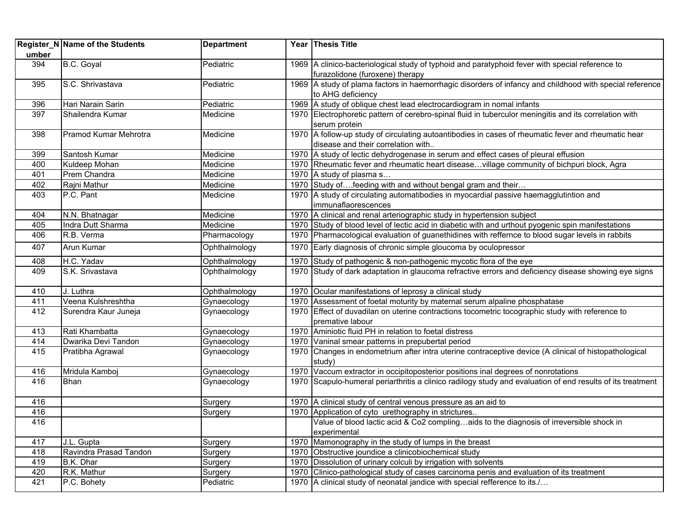|       | Register_N Name of the Students | <b>Department</b> |      | Year Thesis Title                                                                                                                  |
|-------|---------------------------------|-------------------|------|------------------------------------------------------------------------------------------------------------------------------------|
| umber |                                 |                   |      |                                                                                                                                    |
| 394   | B.C. Goyal                      | Pediatric         |      | 1969 A clinico-bacteriological study of typhoid and paratyphoid fever with special reference to<br>furazolidone (furoxene) therapy |
| 395   | S.C. Shrivastava                | Pediatric         |      | 1969 A study of plama factors in haemorrhagic disorders of infancy and childhood with special reference<br>to AHG deficiency       |
| 396   | Hari Narain Sarin               | Pediatric         |      | 1969 A study of oblique chest lead electrocardiogram in nomal infants                                                              |
| 397   | Shailendra Kumar                | Medicine          |      | 1970 Electrophoretic pattern of cerebro-spinal fluid in tuberculor meningitis and its correlation with                             |
|       |                                 |                   |      | serum protein                                                                                                                      |
| 398   | Pramod Kumar Mehrotra           | Medicine          |      | 1970 A follow-up study of circulating autoantibodies in cases of rheumatic fever and rheumatic hear                                |
|       |                                 |                   |      | disease and their correlation with                                                                                                 |
| 399   | Santosh Kumar                   | Medicine          |      | 1970 A study of lectic dehydrogenase in serum and effect cases of pleural effusion                                                 |
| 400   | Kuldeep Mohan                   | Medicine          |      | 1970 Rheumatic fever and rheumatic heart diseasevillage community of bichpuri block, Agra                                          |
| 401   | Prem Chandra                    | Medicine          |      | 1970 A study of plasma s                                                                                                           |
| 402   | Rajni Mathur                    | Medicine          |      | 1970 Study offeeding with and without bengal gram and their                                                                        |
| 403   | P.C. Pant                       | Medicine          |      | 1970 A study of circulating automatibodies in myocardial passive haemagglutintion and                                              |
|       |                                 |                   |      | immunaflaorescences                                                                                                                |
| 404   | N.N. Bhatnagar                  | Medicine          |      | 1970 A clinical and renal arteriographic study in hypertension subject                                                             |
| 405   | Indra Dutt Sharma               | Medicine          |      | 1970 Study of blood level of lectic acid in diabetic with and urthout pyogenic spin manifestations                                 |
| 406   | R.B. Verma                      | Pharmacology      |      | 1970 Pharmacological evaluation of guanethidines with reffernce to blood sugar levels in rabbits                                   |
| 407   | Arun Kumar                      | Ophthalmology     |      | 1970 Early diagnosis of chronic simple gloucoma by oculopressor                                                                    |
| 408   | H.C. Yadav                      | Ophthalmology     |      | 1970 Study of pathogenic & non-pathogenic mycotic flora of the eye                                                                 |
| 409   | S.K. Srivastava                 | Ophthalmology     |      | 1970 Study of dark adaptation in glaucoma refractive errors and deficiency disease showing eye signs                               |
| 410   | J. Luthra                       | Ophthalmology     |      | 1970 Ocular manifestations of leprosy a clinical study                                                                             |
| 411   | Veena Kulshreshtha              | Gynaecology       |      | 1970 Assessment of foetal moturity by maternal serum alpaline phosphatase                                                          |
| 412   | Surendra Kaur Juneja            | Gynaecology       |      | 1970 Effect of duvadilan on uterine contractions tocometric tocographic study with reference to                                    |
|       |                                 |                   |      | premative labour                                                                                                                   |
| 413   | Rati Khambatta                  | Gynaecology       |      | 1970 Aminiotic fluid PH in relation to foetal distress                                                                             |
| 414   | Dwarika Devi Tandon             | Gynaecology       |      | 1970 Vaninal smear patterns in prepubertal period                                                                                  |
| 415   | Pratibha Agrawal                | Gynaecology       | 1970 | Changes in endometrium after intra uterine contraceptive device (A clinical of histopathological<br>study)                         |
| 416   | Mridula Kamboj                  | Gynaecology       |      | 1970 Vaccum extractor in occipitoposterior positions inal degrees of nonrotations                                                  |
| 416   | <b>Bhan</b>                     | Gynaecology       |      | 1970 Scapulo-humeral periarthritis a clinico radilogy study and evaluation of end results of its treatment                         |
| 416   |                                 | Surgery           |      | 1970 A clinical study of central venous pressure as an aid to                                                                      |
| 416   |                                 | Surgery           |      | 1970 Application of cyto urethography in strictures                                                                                |
| 416   |                                 |                   |      | Value of blood lactic acid & Co2 complingaids to the diagnosis of irreversible shock in                                            |
|       |                                 |                   |      | experimental                                                                                                                       |
| 417   | J.L. Gupta                      | Surgery           |      | 1970 Mamonography in the study of lumps in the breast                                                                              |
| 418   | Ravindra Prasad Tandon          | Surgery           |      | 1970 Obstructive joundice a clinicobiochemical study                                                                               |
| 419   | B.K. Dhar                       | Surgery           |      | 1970 Dissolution of urinary colculi by irrigation with solvents                                                                    |
| 420   | R.K. Mathur                     | Surgery           |      | 1970 Clinico-pathological study of cases carcinoma penis and evaluation of its treatment                                           |
| 421   | P.C. Bohety                     | Pediatric         |      | 1970 A clinical study of neonatal jandice with special refference to its./                                                         |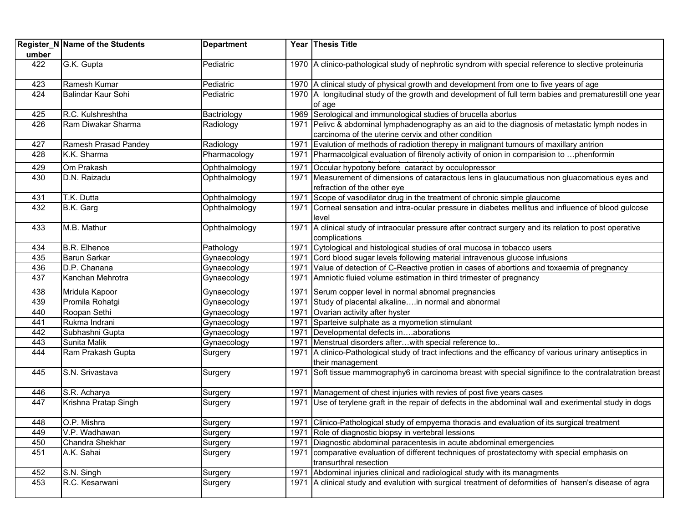|       | Register_N Name of the Students | <b>Department</b> |      | Year Thesis Title                                                                                       |
|-------|---------------------------------|-------------------|------|---------------------------------------------------------------------------------------------------------|
| umber |                                 |                   |      |                                                                                                         |
| 422   | G.K. Gupta                      | Pediatric         |      | 1970 A clinico-pathological study of nephrotic syndrom with special reference to slective proteinuria   |
| 423   | Ramesh Kumar                    | Pediatric         |      | 1970 A clinical study of physical growth and development from one to five years of age                  |
| 424   | Balindar Kaur Sohi              | Pediatric         |      | 1970 A longitudinal study of the growth and development of full term babies and prematurestill one year |
|       |                                 |                   |      | of age                                                                                                  |
| 425   | R.C. Kulshreshtha               | Bactriology       |      | 1969 Serological and immunological studies of brucella abortus                                          |
| 426   | Ram Diwakar Sharma              | Radiology         | 1971 | Pelivc & abdominal lymphadenography as an aid to the diagnosis of metastatic lymph nodes in             |
|       |                                 |                   |      | carcinoma of the uterine cervix and other condition                                                     |
| 427   | Ramesh Prasad Pandey            | Radiology         | 1971 | Evalution of methods of radiotion therepy in malignant tumours of maxillary antrion                     |
| 428   | K.K. Sharma                     | Pharmacology      | 1971 | Pharmacolgical evaluation of filrenoly activity of onion in comparision to phenformin                   |
| 429   | Om Prakash                      | Ophthalmology     | 1971 | Occular hypotony before cataract by occulopressor                                                       |
| 430   | D.N. Raizadu                    | Ophthalmology     |      | 1971 Measurement of dimensions of cataractous lens in glaucumatious non gluacomatious eyes and          |
|       |                                 |                   |      | refraction of the other eye                                                                             |
| 431   | T.K. Dutta                      | Ophthalmology     |      | 1971 Scope of vasodilator drug in the treatment of chronic simple glaucome                              |
| 432   | B.K. Garg                       | Ophthalmology     | 1971 | Corneal sensation and intra-ocular pressure in diabetes mellitus and influence of blood gulcose         |
|       |                                 |                   |      | level                                                                                                   |
| 433   | M.B. Mathur                     | Ophthalmology     | 1971 | A clinical study of intraocular pressure after contract surgery and its relation to post operative      |
|       |                                 |                   |      | complications                                                                                           |
| 434   | <b>B.R. Elhence</b>             | Pathology         | 1971 | Cytological and histological studies of oral mucosa in tobacco users                                    |
| 435   | Barun Sarkar                    | Gynaecology       | 1971 | Cord blood sugar levels following material intravenous glucose infusions                                |
| 436   | D.P. Chanana                    | Gynaecology       | 1971 | Value of detection of C-Reactive protien in cases of abortions and toxaemia of pregnancy                |
| 437   | Kanchan Mehrotra                | Gynaecology       | 1971 | Amniotic fluied volume estimation in third trimester of pregnancy                                       |
| 438   | Mridula Kapoor                  | Gynaecology       | 1971 | Serum copper level in normal abnomal pregnancies                                                        |
| 439   | Promila Rohatgi                 | Gynaecology       | 1971 | Study of placental alkalinein normal and abnormal                                                       |
| 440   | Roopan Sethi                    | Gynaecology       | 1971 | Ovarian activity after hyster                                                                           |
| 441   | Rukma Indrani                   | Gynaecology       | 1971 | Sparteive sulphate as a myometion stimulant                                                             |
| 442   | Subhashni Gupta                 | Gynaecology       | 1971 | Developmental defects inaborations                                                                      |
| 443   | Sunita Malik                    | Gynaecology       | 1971 | Menstrual disorders afterwith special reference to                                                      |
| 444   | Ram Prakash Gupta               | Surgery           | 1971 | A clinico-Pathological study of tract infections and the efficancy of various urinary antiseptics in    |
|       |                                 |                   |      | their management                                                                                        |
| 445   | S.N. Srivastava                 | Surgery           |      | 1971 Soft tissue mammography6 in carcinoma breast with special signifince to the contralatration breast |
| 446   | S.R. Acharya                    | Surgery           | 1971 | Management of chest injuries with revies of post five years cases                                       |
| 447   | Krishna Pratap Singh            | Surgery           | 1971 | Use of terylene graft in the repair of defects in the abdominal wall and exerimental study in dogs      |
|       |                                 |                   |      |                                                                                                         |
| 448   | O.P. Mishra                     | Surgery           |      | 1971 Clinico-Pathological study of empyema thoracis and evaluation of its surgical treatment            |
| 449   | V.P. Wadhawan                   | Surgery           | 1971 | Role of diagnostic biopsy in vertebral lessions                                                         |
| 450   | Chandra Shekhar                 | Surgery           | 1971 | Diagnostic abdominal paracentesis in acute abdominal emergencies                                        |
| 451   | A.K. Sahai                      | Surgery           |      | 1971 comparative evaluation of different techniques of prostatectomy with special emphasis on           |
|       |                                 |                   |      | transurthral resection                                                                                  |
| 452   | S.N. Singh                      | Surgery           |      | 1971 Abdominal injuries clinical and radiological study with its managments                             |
| 453   | R.C. Kesarwani                  | Surgery           |      | 1971 A clinical study and evalution with surgical treatment of deformities of hansen's disease of agra  |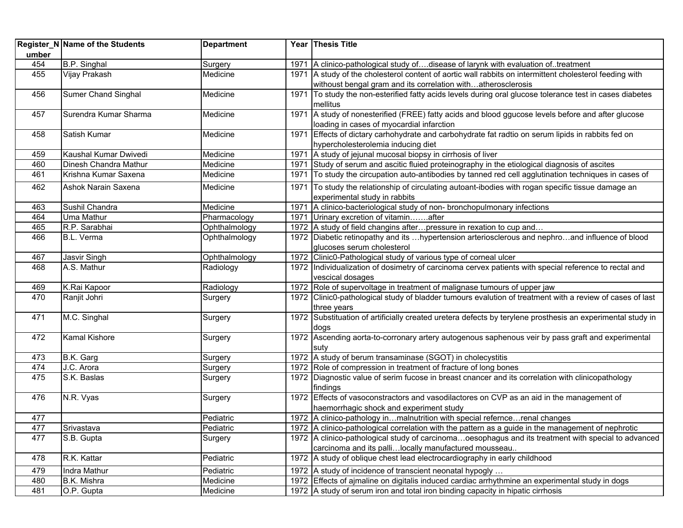| umber | Register_N Name of the Students | <b>Department</b> |      | Year Thesis Title                                                                                                  |
|-------|---------------------------------|-------------------|------|--------------------------------------------------------------------------------------------------------------------|
| 454   | B.P. Singhal                    | Surgery           | 1971 | A clinico-pathological study ofdisease of larynk with evaluation of. treatment                                     |
| 455   | Vijay Prakash                   | Medicine          |      | 1971 A study of the cholesterol content of aortic wall rabbits on intermittent cholesterol feeding with            |
|       |                                 |                   |      | withoust bengal gram and its correlation withatherosclerosis                                                       |
| 456   | <b>Sumer Chand Singhal</b>      | Medicine          | 1971 | To study the non-esterified fatty acids levels during oral glucose tolerance test in cases diabetes                |
|       |                                 |                   |      | mellitus                                                                                                           |
| 457   | Surendra Kumar Sharma           | Medicine          |      | 1971 A study of nonesterified (FREE) fatty acids and blood ggucose levels before and after glucose                 |
|       |                                 |                   |      | loading in cases of myocardial infarction                                                                          |
| 458   | Satish Kumar                    | Medicine          | 1971 | Effects of dictary carhohydrate and carbohydrate fat radtio on serum lipids in rabbits fed on                      |
|       |                                 |                   |      | hypercholesterolemia inducing diet                                                                                 |
| 459   | Kaushal Kumar Dwivedi           | Medicine          | 1971 | A study of jejunal mucosal biopsy in cirrhosis of liver                                                            |
| 460   | Dinesh Chandra Mathur           | Medicine          | 1971 | Study of serum and ascitic fluied proteinography in the etiological diagnosis of ascites                           |
| 461   | Krishna Kumar Saxena            | Medicine          | 1971 | To study the circupation auto-antibodies by tanned red cell agglutination techniques in cases of                   |
| 462   | Ashok Narain Saxena             | Medicine          | 1971 | To study the relationship of circulating autoant-ibodies with rogan specific tissue damage an                      |
|       |                                 |                   |      | experimental study in rabbits                                                                                      |
| 463   | Sushil Chandra                  | Medicine          | 1971 | A clinico-bacteriological study of non- bronchopulmonary infections                                                |
| 464   | Uma Mathur                      | Pharmacology      | 1971 | Urinary excretion of vitaminafter                                                                                  |
| 465   | R.P. Sarabhai                   | Ophthalmology     |      | 1972 A study of field changins after pressure in rexation to cup and                                               |
| 466   | B.L. Verma                      | Ophthalmology     |      | 1972 Diabetic retinopathy and its hypertension arteriosclerous and nephroand influence of blood                    |
|       |                                 |                   |      | glucoses serum cholesterol                                                                                         |
| 467   | Jasvir Singh                    | Ophthalmology     |      | 1972 Clinic0-Pathological study of various type of corneal ulcer                                                   |
| 468   | A.S. Mathur                     | Radiology         |      | 1972  Individualization of dosimetry of carcinoma cervex patients with special reference to rectal and             |
|       |                                 |                   |      | vescical dosages                                                                                                   |
| 469   | K.Rai Kapoor                    | Radiology         |      | 1972 Role of supervoltage in treatment of malignase tumours of upper jaw                                           |
| 470   | Ranjit Johri                    | Surgery           | 1972 | Clinic0-pathological study of bladder tumours evalution of treatment with a review of cases of last<br>three years |
| 471   | M.C. Singhal                    | Surgery           |      | 1972 Substituation of artificially created uretera defects by terylene prosthesis an experimental study in         |
|       |                                 |                   |      | dogs                                                                                                               |
| 472   | <b>Kamal Kishore</b>            | Surgery           |      | 1972 Ascending aorta-to-corronary artery autogenous saphenous veir by pass graft and experimental                  |
|       |                                 |                   |      | suty                                                                                                               |
| 473   | B.K. Garg                       | Surgery           |      | 1972 A study of berum transaminase (SGOT) in cholecystitis                                                         |
| 474   | J.C. Arora                      | Surgery           |      | 1972 Role of compression in treatment of fracture of long bones                                                    |
| 475   | S.K. Baslas                     | Surgery           |      | 1972 Diagnostic value of serim fucose in breast cnancer and its correlation with clinicopathology                  |
|       |                                 |                   |      | findings                                                                                                           |
| 476   | N.R. Vyas                       | Surgery           |      | 1972 Effects of vasoconstractors and vasodilactores on CVP as an aid in the management of                          |
|       |                                 |                   |      | haemorrhagic shock and experiment study                                                                            |
| 477   |                                 | Pediatric         |      | 1972 A clinico-pathology inmalnutrition with special referncerenal changes                                         |
| 477   | Srivastava                      | Pediatric         |      | 1972 A clinico-pathological correlation with the pattern as a guide in the management of nephrotic                 |
| 477   | S.B. Gupta                      | Surgery           |      | 1972 A clinico-pathological study of carcinomaoesophagus and its treatment with special to advanced                |
|       |                                 |                   |      | carcinoma and its pallilocally manufactured mousseau                                                               |
| 478   | R.K. Kattar                     | Pediatric         |      | 1972 A study of oblique chest lead electrocardiography in early childhood                                          |
| 479   | Indra Mathur                    | Pediatric         |      | 1972 A study of incidence of transcient neonatal hypogly                                                           |
| 480   | B.K. Mishra                     | Medicine          |      | 1972 Effects of ajmaline on digitalis induced cardiac arrhythmine an experimental study in dogs                    |
| 481   | O.P. Gupta                      | Medicine          |      | 1972 A study of serum iron and total iron binding capacity in hipatic cirrhosis                                    |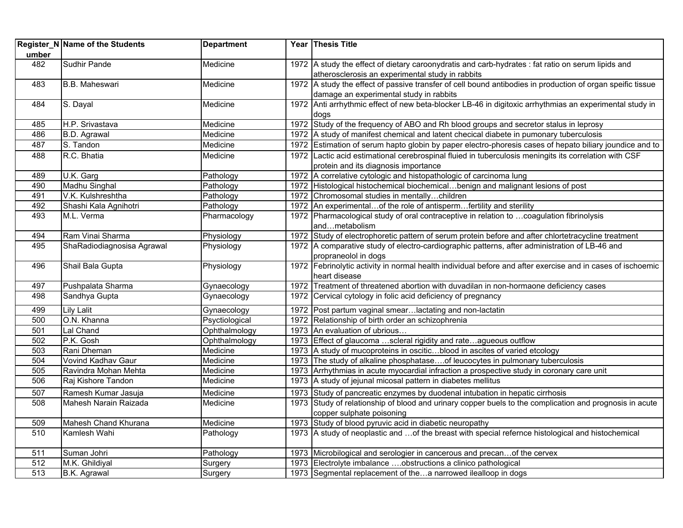| umber | Register_N Name of the Students | <b>Department</b> | Year Thesis Title                                                                                                                                      |
|-------|---------------------------------|-------------------|--------------------------------------------------------------------------------------------------------------------------------------------------------|
| 482   | <b>Sudhir Pande</b>             | Medicine          | 1972 A study the effect of dietary caroonydratis and carb-hydrates : fat ratio on serum lipids and<br>atherosclerosis an experimental study in rabbits |
| 483   | <b>B.B. Maheswari</b>           | Medicine          | 1972 A study the effect of passive transfer of cell bound antibodies in production of organ speific tissue<br>damage an experimental study in rabbits  |
| 484   | S. Dayal                        | Medicine          | 1972 Anti arrhythmic effect of new beta-blocker LB-46 in digitoxic arrhythmias an experimental study in<br>dogs                                        |
| 485   | H.P. Srivastava                 | Medicine          | 1972 Study of the frequency of ABO and Rh blood groups and secretor stalus in leprosy                                                                  |
| 486   | B.D. Agrawal                    | Medicine          | 1972 A study of manifest chemical and latent checical diabete in pumonary tuberculosis                                                                 |
| 487   | S. Tandon                       | Medicine          | 1972 Estimation of serum hapto globin by paper electro-phoresis cases of hepato biliary joundice and to                                                |
| 488   | R.C. Bhatia                     | Medicine          | 1972 Lactic acid estimational cerebrospinal fluied in tuberculosis meningits its correlation with CSF<br>protein and its diagnosis importance          |
| 489   | U.K. Garg                       | Pathology         | 1972 A correlative cytologic and histopathologic of carcinoma lung                                                                                     |
| 490   | Madhu Singhal                   | Pathology         | 1972 Histological histochemical biochemicalbenign and malignant lesions of post                                                                        |
| 491   | V.K. Kulshreshtha               | Pathology         | 1972 Chromosomal studies in mentallychildren                                                                                                           |
| 492   | Shashi Kala Agnihotri           | Pathology         | 1972 An experimentalof the role of antispermfertility and sterility                                                                                    |
| 493   | M.L. Verma                      | Pharmacology      | 1972 Pharmacological study of oral contraceptive in relation to  coagulation fibrinolysis<br>andmetabolism                                             |
| 494   | Ram Vinai Sharma                | Physiology        | 1972 Study of electrophoretic pattern of serum protein before and after chlortetracycline treatment                                                    |
| 495   | ShaRadiodiagnosisa Agrawal      | Physiology        | 1972 A comparative study of electro-cardiographic patterns, after administration of LB-46 and<br>propraneolol in dogs                                  |
| 496   | Shail Bala Gupta                | Physiology        | 1972 Febrinolytic activity in normal health individual before and after exercise and in cases of ischoemic<br>heart disease                            |
| 497   | Pushpalata Sharma               | Gynaecology       | 1972 Treatment of threatened abortion with duvadilan in non-hormaone deficiency cases                                                                  |
| 498   | Sandhya Gupta                   | Gynaecology       | 1972 Cervical cytology in folic acid deficiency of pregnancy                                                                                           |
| 499   | Lily Lalit                      | Gynaecology       | 1972 Post partum vaginal smearlactating and non-lactatin                                                                                               |
| 500   | O.N. Khanna                     | Psyctiological    | 1972 Relationship of birth order an schizophrenia                                                                                                      |
| 501   | Lal Chand                       | Ophthalmology     | 1973 An evaluation of ubrious                                                                                                                          |
| 502   | P.K. Gosh                       | Ophthalmology     | 1973 Effect of glaucoma  scleral rigidity and rate agueous outflow                                                                                     |
| 503   | Rani Dheman                     | Medicine          | 1973   A study of mucoproteins in osciticblood in ascites of varied etcology                                                                           |
| 504   | Vovind Kadhav Gaur              | Medicine          | 1973 The study of alkaline phosphatase of leucocytes in pulmonary tuberculosis                                                                         |
| 505   | Ravindra Mohan Mehta            | Medicine          | 1973 Arrhythmias in acute myocardial infraction a prospective study in coronary care unit                                                              |
| 506   | Raj Kishore Tandon              | Medicine          | 1973 A study of jejunal micosal pattern in diabetes mellitus                                                                                           |
| 507   | Ramesh Kumar Jasuja             | Medicine          | 1973 Study of pancreatic enzymes by duodenal intubation in hepatic cirrhosis                                                                           |
| 508   | Mahesh Narain Raizada           | Medicine          | 1973 Study of relationship of blood and urinary copper buels to the complication and prognosis in acute<br>copper sulphate poisoning                   |
| 509   | Mahesh Chand Khurana            | Medicine          | 1973 Study of blood pyruvic acid in diabetic neuropathy                                                                                                |
| 510   | Kamlesh Wahi                    | Pathology         | 1973 A study of neoplastic and  of the breast with special refernce histological and histochemical                                                     |
| 511   | Suman Johri                     | Pathology         | 1973 Microbilogical and serologier in cancerous and precanof the cervex                                                                                |
| 512   | M.K. Ghildiyal                  | Surgery           | 1973 Electrolyte imbalance obstructions a clinico pathological                                                                                         |
| 513   | B.K. Agrawal                    | Surgery           | 1973 Segmental replacement of thea narrowed ilealloop in dogs                                                                                          |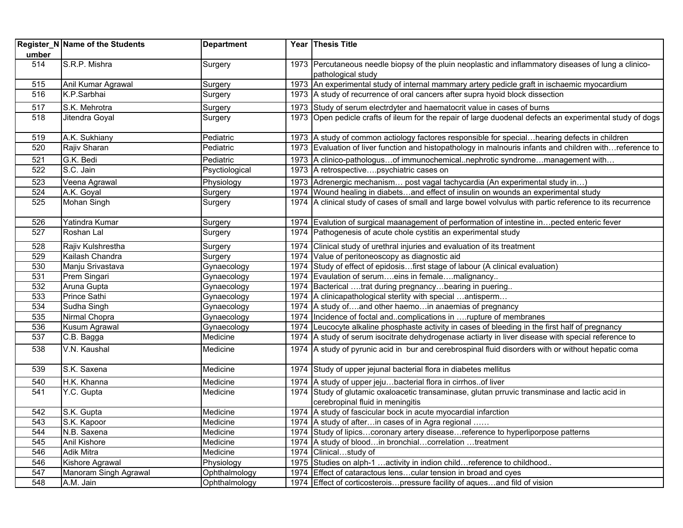| umber            | Register_N Name of the Students | <b>Department</b> | Year Thesis Title                                                                                                                  |
|------------------|---------------------------------|-------------------|------------------------------------------------------------------------------------------------------------------------------------|
| 514              | S.R.P. Mishra                   | Surgery           | 1973 Percutaneous needle biopsy of the pluin neoplastic and inflammatory diseases of lung a clinico-<br>pathological study         |
| 515              | Anil Kumar Agrawal              | Surgery           | 1973 An experimental study of internal mammary artery pedicle graft in ischaemic myocardium                                        |
| 516              | K.P.Sarbhai                     | Surgery           | 1973 A study of recurrence of oral cancers after supra hyoid block dissection                                                      |
| 517              | S.K. Mehrotra                   | Surgery           | 1973 Study of serum electrdyter and haematocrit value in cases of burns                                                            |
| 518              | Jitendra Goyal                  | Surgery           | 1973 Open pedicle crafts of ileum for the repair of large duodenal defects an experimental study of dogs                           |
| 519              | A.K. Sukhiany                   | Pediatric         | 1973 A study of common actiology factores responsible for special hearing defects in children                                      |
| 520              | Rajiv Sharan                    | Pediatric         | 1973 Evaluation of liver function and histopathology in malnouris infants and children withreference to                            |
| 521              | G.K. Bedi                       | Pediatric         | 1973 A clinico-pathologusof immunochemicalnephrotic syndromemanagement with                                                        |
| 522              | S.C. Jain                       | Psyctiological    | 1973 A retrospectivepsychiatric cases on                                                                                           |
| 523              | Veena Agrawal                   | Physiology        | 1973 Adrenergic mechanism post vagal tachycardia (An experimental study in)                                                        |
| 524              | A.K. Goyal                      | Surgery           | 1974 Wound healing in diabetsand effect of insulin on wounds an experimental study                                                 |
| 525              | Mohan Singh                     | Surgery           | 1974 A clinical study of cases of small and large bowel volvulus with partic reference to its recurrence                           |
| 526              | Yatindra Kumar                  | Surgery           | 1974 Evalution of surgical maanagement of performation of intestine in pected enteric fever                                        |
| 527              | Roshan Lal                      | Surgery           | 1974 Pathogenesis of acute chole cystitis an experimental study                                                                    |
| 528              | Rajiv Kulshrestha               | Surgery           | 1974 Clinical study of urethral injuries and evaluation of its treatment                                                           |
| 529              | Kailash Chandra                 | Surgery           | 1974 Value of peritoneoscopy as diagnostic aid                                                                                     |
| 530              | Manju Srivastava                | Gynaecology       | 1974 Study of effect of epidosisfirst stage of labour (A clinical evaluation)                                                      |
| 531              | Prem Singari                    | Gynaecology       | 1974 Evaulation of serumeins in femalemalignancy                                                                                   |
| 532              | Aruna Gupta                     | Gynaecology       | 1974 Bacterical trat during pregnancybearing in puering                                                                            |
| 533              | Prince Sathi                    | Gynaecology       | 1974 A clinicapathological sterlity with special  antisperm                                                                        |
| 534              | Sudha Singh                     | Gynaecology       | 1974 A study ofand other haemoin anaemias of pregnancy                                                                             |
| 535              | Nirmal Chopra                   | Gynaecology       | 1974 Incidence of foctal andcomplications in rupture of membranes                                                                  |
| 536              | Kusum Agrawal                   | Gynaecology       | 1974 Leucocyte alkaline phosphaste activity in cases of bleeding in the first half of pregnancy                                    |
| 537              | C.B. Bagga                      | Medicine          | 1974 A study of serum isocitrate dehydrogenase actiarty in liver disease with special reference to                                 |
| 538              | V.N. Kaushal                    | Medicine          | 1974 A study of pyrunic acid in bur and cerebrospinal fluid disorders with or without hepatic coma                                 |
| 539              | S.K. Saxena                     | Medicine          | 1974 Study of upper jejunal bacterial flora in diabetes mellitus                                                                   |
| 540              | H.K. Khanna                     | Medicine          | 1974 A study of upper jejubacterial flora in cirrhosof liver                                                                       |
| 541              | Y.C. Gupta                      | Medicine          | 1974 Study of glutamic oxaloacetic transaminase, glutan prruvic transminase and lactic acid in<br>cerebropinal fluid in meningitis |
| 542              | S.K. Gupta                      | Medicine          | 1974 A study of fascicular bock in acute myocardial infarction                                                                     |
| $\overline{543}$ | S.K. Kapoor                     | Medicine          | 1974 A study of afterin cases of in Agra regional                                                                                  |
| 544              | N.B. Saxena                     | Medicine          | 1974 Study of lipicscoronary artery diseasereference to hyperliporpose patterns                                                    |
| 545              | Anil Kishore                    | Medicine          | 1974 A study of bloodin bronchialcorrelation treatment                                                                             |
| 546              | <b>Adik Mitra</b>               | Medicine          | 1974 Clinicalstudy of                                                                                                              |
| 546              | Kishore Agrawal                 | Physiology        | 1975 Studies on alph-1  activity in indion child reference to childhood                                                            |
| 547              | Manoram Singh Agrawal           | Ophthalmology     | 1974 Effect of cataractous lenscular tension in broad and cyes                                                                     |
| 548              | A.M. Jain                       | Ophthalmology     | 1974 Effect of corticosterois pressure facility of aques and fild of vision                                                        |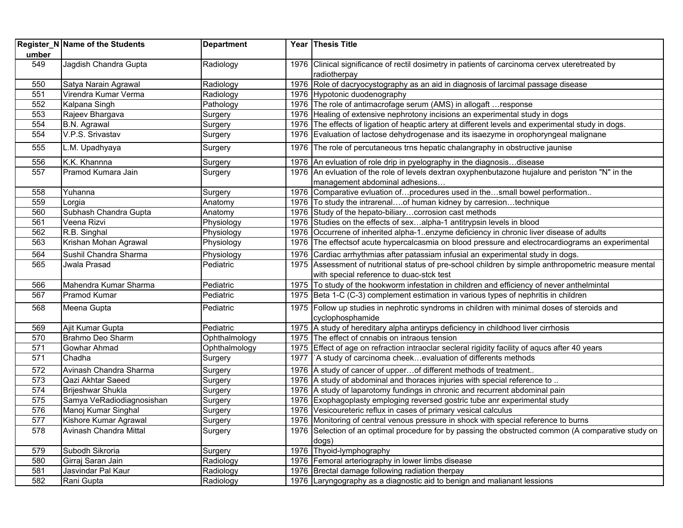|                  | Register_N Name of the Students | <b>Department</b> | Year Thesis Title                                                                                               |
|------------------|---------------------------------|-------------------|-----------------------------------------------------------------------------------------------------------------|
| umber            |                                 |                   |                                                                                                                 |
| 549              | Jagdish Chandra Gupta           | Radiology         | 1976 Clinical significance of rectil dosimetry in patients of carcinoma cervex uteretreated by<br>radiotherpay  |
| 550              | Satya Narain Agrawal            | Radiology         | 1976 Role of dacryocystography as an aid in diagnosis of larcimal passage disease                               |
| 551              | Virendra Kumar Verma            | Radiology         | 1976 Hypotonic duodenography                                                                                    |
| 552              | Kalpana Singh                   | Pathology         | 1976 The role of antimacrofage serum (AMS) in allogaft  response                                                |
| 553              | Rajeev Bhargava                 | Surgery           | 1976 Healing of extensive nephrotony incisions an experimental study in dogs                                    |
| 554              | B.N. Agrawal                    | Surgery           | 1976 The effects of ligation of heaptic artery at different levels and experimental study in dogs.              |
| 554              | V.P.S. Srivastav                | Surgery           | 1976 Evaluation of lactose dehydrogenase and its isaezyme in orophoryngeal malignane                            |
| 555              | L.M. Upadhyaya                  | Surgery           | 1976 The role of percutaneous trns hepatic chalangraphy in obstructive jaunise                                  |
| 556              | K.K. Khannna                    | Surgery           | 1976 An evluation of role drip in pyelography in the diagnosisdisease                                           |
| 557              | Pramod Kumara Jain              | Surgery           | 1976 An evluation of the role of levels dextran oxyphenbutazone hujalure and periston "N" in the                |
|                  |                                 |                   | management abdominal adhesions                                                                                  |
| 558              | Yuhanna                         | Surgery           | 1976 Comparative evluation ofprocedures used in thesmall bowel performation                                     |
| 559              | Lorgia                          | Anatomy           | 1976 To study the intrarenal of human kidney by carresiontechnique                                              |
| 560              | Subhash Chandra Gupta           | Anatomy           | 1976 Study of the hepato-biliarycorrosion cast methods                                                          |
| 561              | Veena Rizvi                     | Physiology        | 1976 Studies on the effects of sexalpha-1 antitrypsin levels in blood                                           |
| 562              | R.B. Singhal                    | Physiology        | 1976 Occurrene of inherited alpha-1enzyme deficiency in chronic liver disease of adults                         |
| 563              | Krishan Mohan Agrawal           | Physiology        | 1976 The effects of acute hypercal casmia on blood pressure and electrocardiograms an experimental              |
| 564              | Sushil Chandra Sharma           | Physiology        | 1976 Cardiac arrhythmias after patassiam infusial an experimental study in dogs.                                |
| 565              | Jwala Prasad                    | Pediatric         | 1975 Assessment of nutritional status of pre-school children by simple anthropometric measure mental            |
|                  |                                 |                   | with special reference to duac-stck test                                                                        |
| 566              | Mahendra Kumar Sharma           | Pediatric         | 1975 To study of the hookworm infestation in children and efficiency of never anthelmintal                      |
| 567              | Pramod Kumar                    | Pediatric         | 1975 Beta 1-C (C-3) complement estimation in various types of nephritis in children                             |
| 568              | Meena Gupta                     | Pediatric         | 1975 Follow up studies in nephrotic syndroms in children with minimal doses of steroids and<br>cyclophosphamide |
| 569              | Ajit Kumar Gupta                | Pediatric         | 1975 A study of hereditary alpha antiryps deficiency in childhood liver cirrhosis                               |
| 570              | Brahmo Deo Sharm                | Ophthalmology     | 1975 The effect of cnnabis on intraous tension                                                                  |
| 571              | Gowhar Ahmad                    | Ophthalmology     | 1975 Effect of age on refraction intraoclar secleral rigidity facility of aques after 40 years                  |
| 571              | Chadha                          | Surgery           | 1977  `A study of carcinoma cheekevaluation of differents methods                                               |
| 572              | Avinash Chandra Sharma          | Surgery           | 1976 A study of cancer of upper of different methods of treatment                                               |
| 573              | Qazi Akhtar Saeed               | Surgery           | 1976 A study of abdominal and thoraces injuries with special reference to                                       |
| $\overline{574}$ | Brijeshwar Shukla               | Surgery           | 1976 A study of laparotomy fundings in chronic and recurrent abdominal pain                                     |
| 575              | Samya VeRadiodiagnosishan       | Surgery           | 1976 Exophagoplasty emploging reversed gostric tube anr experimental study                                      |
| 576              | Manoj Kumar Singhal             | Surgery           | 1976 Vesicoureteric reflux in cases of primary vesical calculus                                                 |
| 577              | Kishore Kumar Agrawal           | Surgery           | 1976 Monitoring of central venous pressure in shock with special reference to burns                             |
| 578              | Avinash Chandra Mittal          | Surgery           | 1976 Selection of an optimal procedure for by passing the obstructed common (A comparative study on             |
|                  |                                 |                   | dogs)                                                                                                           |
| 579              | Subodh Sikroria                 | Surgery           | 1976 Thyoid-lymphography                                                                                        |
| 580              | Girraj Saran Jain               | Radiology         | 1976 Femoral arteriography in lower limbs disease                                                               |
| 581              | Jasvindar Pal Kaur              | Radiology         | 1976 Brectal damage following radiation therpay                                                                 |
| 582              | Rani Gupta                      | Radiology         | 1976 Laryngography as a diagnostic aid to benign and malianant lessions                                         |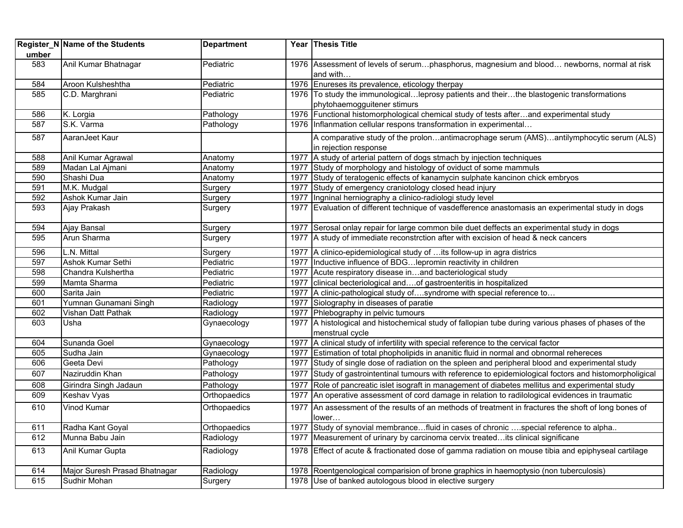| umber | Register_N Name of the Students | <b>Department</b> |      | Year Thesis Title                                                                                               |
|-------|---------------------------------|-------------------|------|-----------------------------------------------------------------------------------------------------------------|
| 583   | Anil Kumar Bhatnagar            | Pediatric         |      | 1976 Assessment of levels of serumphasphorus, magnesium and blood newborns, normal at risk<br>and with          |
| 584   | Aroon Kulsheshtha               | Pediatric         |      | 1976 Enureses its prevalence, eticology therpay                                                                 |
| 585   | C.D. Marghrani                  | Pediatric         |      | 1976 To study the immunologicalleprosy patients and theirthe blastogenic transformations                        |
|       |                                 |                   |      | phytohaemogguitener stimurs                                                                                     |
| 586   | K. Lorgia                       | Pathology         |      | 1976 Functional histomorphological chemical study of tests afterand experimental study                          |
| 587   | S.K. Varma                      | Pathology         |      | 1976 Inflanmation cellular respons transformation in experimental                                               |
| 587   | AaranJeet Kaur                  |                   |      | A comparative study of the prolonantimacrophage serum (AMS)antilymphocytic serum (ALS)<br>in rejection response |
| 588   | Anil Kumar Agrawal              | Anatomy           |      | 1977 A study of arterial pattern of dogs stmach by injection techniques                                         |
| 589   | Madan Lal Ajmani                | Anatomy           | 1977 | Study of morphology and histology of oviduct of some mammuls                                                    |
| 590   | Shashi Dua                      | Anatomy           |      | 1977 Study of teratogenic effects of kanamycin sulphate kancinon chick embryos                                  |
| 591   | M.K. Mudgal                     | Surgery           |      | 1977 Study of emergency craniotology closed head injury                                                         |
| 592   | Ashok Kumar Jain                | Surgery           | 1977 | Ingninal herniography a clinico-radiologi study level                                                           |
| 593   | Ajay Prakash                    | Surgery           |      | 1977 Evaluation of different technique of vasdefference anastomasis an experimental study in dogs               |
| 594   | <b>Ajay Bansal</b>              | Surgery           |      | 1977 Serosal onlay repair for large common bile duet deffects an experimental study in dogs                     |
| 595   | Arun Sharma                     | Surgery           |      | 1977 A study of immediate reconstrction after with excision of head & neck cancers                              |
| 596   | L.N. Mittal                     | Surgery           |      | 1977 A clinico-epidemiological study of  its follow-up in agra districs                                         |
| 597   | Ashok Kumar Sethi               | Pediatric         |      | 1977 Inductive influence of BDG lepromin reactivity in children                                                 |
| 598   | Chandra Kulshertha              | Pediatric         |      | 1977 Acute respiratory disease inand bacteriological study                                                      |
| 599   | Mamta Sharma                    | Pediatric         |      | 1977 clinical becteriological andof gastroenteritis in hospitalized                                             |
| 600   | Sarita Jain                     | Pediatric         |      | 1977 A clinic-pathological study ofsyndrome with special reference to                                           |
| 601   | Yumnan Gunamani Singh           | Radiology         |      | 1977 Siolography in diseases of paratie                                                                         |
| 602   | Vishan Datt Pathak              | Radiology         |      | 1977 Phlebography in pelvic tumours                                                                             |
| 603   | Usha                            | Gynaecology       |      | 1977 A histological and histochemical study of fallopian tube during various phases of phases of the            |
|       |                                 |                   |      | menstrual cycle                                                                                                 |
| 604   | Sunanda Goel                    | Gynaecology       |      | 1977 A clinical study of infertility with special reference to the cervical factor                              |
| 605   | Sudha Jain                      | Gynaecology       |      | 1977 Estimation of total phopholipids in ananitic fluid in normal and obnormal rehereces                        |
| 606   | Geeta Devi                      | Pathology         |      | 1977 Study of single dose of radiation on the spleen and peripheral blood and experimental study                |
| 607   | Naziruddin Khan                 | Pathology         |      | 1977 Study of gastrointentinal tumours with reference to epidemiological foctors and histomorpholigical         |
| 608   | Girindra Singh Jadaun           | Pathology         | 1977 | Role of pancreatic islet isograft in management of diabetes mellitus and experimental study                     |
| 609   | Keshav Vyas                     | Orthopaedics      | 1977 | An operative assessment of cord damage in relation to radilological evidences in traumatic                      |
| 610   | <b>Vinod Kumar</b>              | Orthopaedics      | 1977 | An assessment of the results of an methods of treatment in fractures the shoft of long bones of<br>lower        |
| 611   | Radha Kant Goyal                | Orthopaedics      | 1977 | Study of synovial membrancefluid in cases of chronic special reference to alpha                                 |
| 612   | Munna Babu Jain                 | Radiology         | 1977 | Measurement of urinary by carcinoma cervix treatedits clinical significane                                      |
| 613   | Anil Kumar Gupta                | Radiology         |      | 1978 Effect of acute & fractionated dose of gamma radiation on mouse tibia and epiphyseal cartilage             |
| 614   | Major Suresh Prasad Bhatnagar   | Radiology         |      | 1978 Roentgenological comparision of brone graphics in haemoptysio (non tuberculosis)                           |
| 615   | Sudhir Mohan                    | Surgery           |      | 1978 Use of banked autologous blood in elective surgery                                                         |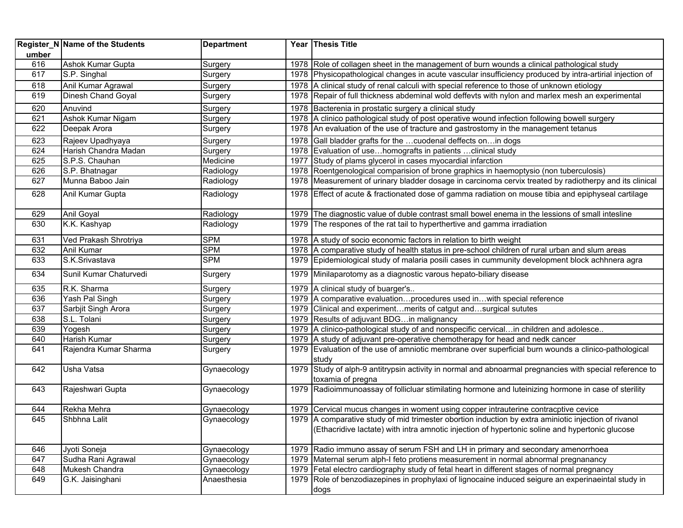| umber | <b>Register_N Name of the Students</b> | <b>Department</b> |      | Year Thesis Title                                                                                                            |
|-------|----------------------------------------|-------------------|------|------------------------------------------------------------------------------------------------------------------------------|
| 616   | Ashok Kumar Gupta                      | Surgery           |      | 1978 Role of collagen sheet in the management of burn wounds a clinical pathological study                                   |
| 617   | S.P. Singhal                           | Surgery           |      | 1978 Physicopathological changes in acute vascular insufficiency produced by intra-artirial injection of                     |
| 618   | Anil Kumar Agrawal                     | Surgery           |      | 1978 A clinical study of renal calculi with special reference to those of unknown etiology                                   |
| 619   | <b>Dinesh Chand Goyal</b>              | Surgery           |      | 1978 Repair of full thickness abdeminal wold deffevts with nylon and marlex mesh an experimental                             |
| 620   | Anuvind                                | Surgery           |      | 1978 Bacterenia in prostatic surgery a clinical study                                                                        |
| 621   | Ashok Kumar Nigam                      | Surgery           |      | 1978 A clinico pathological study of post operative wound infection following bowell surgery                                 |
| 622   | Deepak Arora                           | Surgery           |      | 1978 An evaluation of the use of tracture and gastrostomy in the management tetanus                                          |
| 623   | Rajeev Upadhyaya                       | Surgery           |      | 1978 Gall bladder grafts for the  cuodenal deffects on in dogs                                                               |
| 624   | Harish Chandra Madan                   | Surgery           |      | 1978 Evaluation of usehomografts in patients clinical study                                                                  |
| 625   | S.P.S. Chauhan                         | Medicine          |      | 1977 Study of plams glycerol in cases myocardial infarction                                                                  |
| 626   | S.P. Bhatnagar                         | Radiology         |      | 1978 Roentgenological comparision of brone graphics in haemoptysio (non tuberculosis)                                        |
| 627   | Munna Baboo Jain                       | Radiology         |      | 1978 Measurement of urinary bladder dosage in carcinoma cervix treated by radiotherpy and its clinical                       |
| 628   | Anil Kumar Gupta                       | Radiology         |      | 1978 Effect of acute & fractionated dose of gamma radiation on mouse tibia and epiphyseal cartilage                          |
| 629   | Anil Goyal                             | Radiology         |      | 1979 The diagnostic value of duble contrast small bowel enema in the lessions of small intesline                             |
| 630   | K.K. Kashyap                           | Radiology         |      | 1979 The respones of the rat tail to hyperthertive and gamma irradiation                                                     |
| 631   | Ved Prakash Shrotriya                  | <b>SPM</b>        |      | 1978 A study of socio economic factors in relation to birth weight                                                           |
| 632   | Anil Kumar                             | <b>SPM</b>        |      | 1978 A comparative study of health status in pre-school children of rural urban and slum areas                               |
| 633   | S.K.Srivastava                         | <b>SPM</b>        |      | 1979 Epidemiological study of malaria posili cases in cummunity development block achhnera agra                              |
| 634   | Sunil Kumar Chaturvedi                 | Surgery           |      | 1979 Minilaparotomy as a diagnostic varous hepato-biliary disease                                                            |
| 635   | R.K. Sharma                            | Surgery           |      | 1979 A clinical study of buarger's                                                                                           |
| 636   | Yash Pal Singh                         | Surgery           |      | 1979 A comparative evaluationprocedures used inwith special reference                                                        |
| 637   | Sarbjit Singh Arora                    | Surgery           |      | 1979 Clinical and experimentmerits of catgut andsurgical sututes                                                             |
| 638   | S.L. Tolani                            | Surgery           |      | 1979 Results of adjuvant BDG in malignancy                                                                                   |
| 639   | Yogesh                                 | Surgery           |      | 1979 A clinico-pathological study of and nonspecific cervical in children and adolesce                                       |
| 640   | Harish Kumar                           | Surgery           |      | 1979 A study of adjuvant pre-operative chemotherapy for head and nedk cancer                                                 |
| 641   | Rajendra Kumar Sharma                  | Surgery           |      | 1979 Evaluation of the use of amniotic membrane over superficial burn wounds a clinico-pathological<br>study                 |
| 642   | Usha Vatsa                             | Gynaecology       |      | 1979 Study of alph-9 antitrypsin activity in normal and abnoarmal pregnancies with special reference to<br>toxamia of pregna |
| 643   | Rajeshwari Gupta                       | Gynaecology       |      | 1979 Radioimmunoassay of follicluar stimilating hormone and luteinizing hormone in case of sterility                         |
| 644   | Rekha Mehra                            | Gynaecology       |      | 1979 Cervical mucus changes in woment using copper intrauterine contracptive cevice                                          |
| 645   | Shbhna Lalit                           | Gynaecology       |      | 1979 A comparative study of mid trimester obortion induction by extra aminiotic injection of rivanol                         |
|       |                                        |                   |      | (Ethacridive lactate) with intra amnotic injection of hypertonic soline and hypertonic glucose                               |
| 646   | Jyoti Soneja                           | Gynaecology       |      | 1979 Radio immuno assay of serum FSH and LH in primary and secondary amenorrhoea                                             |
| 647   | Sudha Rani Agrawal                     | Gynaecology       | 1979 | Maternal serum alph-I feto protiens measurement in normal abnormal pregnanancy                                               |
| 648   | Mukesh Chandra                         | Gynaecology       |      | 1979 Fetal electro cardiography study of fetal heart in different stages of normal pregnancy                                 |
| 649   | G.K. Jaisinghani                       | Anaesthesia       |      | 1979 Role of benzodiazepines in prophylaxi of lignocaine induced seigure an experinaeintal study in                          |
|       |                                        |                   |      | dogs                                                                                                                         |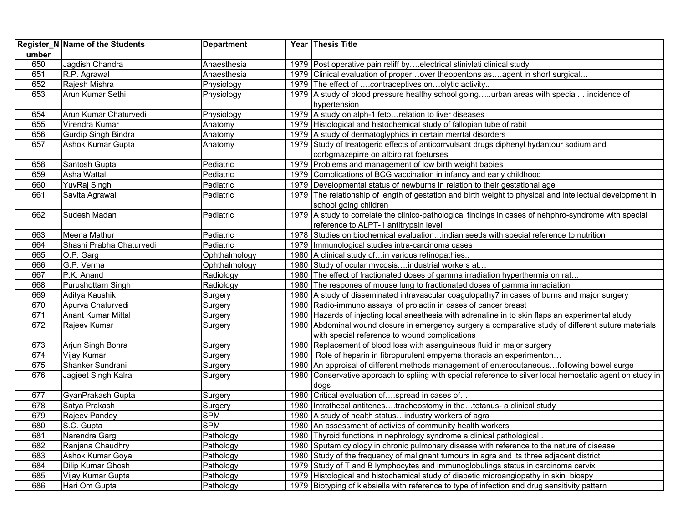| umber | Register_N Name of the Students | <b>Department</b> | Year Thesis Title                                                                                         |
|-------|---------------------------------|-------------------|-----------------------------------------------------------------------------------------------------------|
| 650   | Jagdish Chandra                 | Anaesthesia       | 1979   Post operative pain reliff byelectrical stiniviati clinical study                                  |
| 651   | R.P. Agrawal                    | Anaesthesia       | 1979 Clinical evaluation of properover theopentons asagent in short surgical                              |
| 652   | Rajesh Mishra                   | Physiology        | 1979 The effect of contraceptives onolytic activity                                                       |
| 653   | Arun Kumar Sethi                | Physiology        | 1979 A study of blood pressure healthy school goingurban areas with specialincidence of                   |
|       |                                 |                   | hypertension                                                                                              |
| 654   | Arun Kumar Chaturvedi           | Physiology        | 1979 A study on alph-1 feto relation to liver diseases                                                    |
| 655   | Virendra Kumar                  | Anatomy           | 1979 Histological and histochemical study of fallopian tube of rabit                                      |
| 656   | Gurdip Singh Bindra             | Anatomy           | 1979 A study of dermatoglyphics in certain merrtal disorders                                              |
| 657   | Ashok Kumar Gupta               | Anatomy           | 1979 Study of treatogeric effects of anticorrvulsant drugs diphenyl hydantour sodium and                  |
|       |                                 |                   | corbgmazepirre on albiro rat foeturses                                                                    |
| 658   | Santosh Gupta                   | Pediatric         | 1979 Problems and management of low birth weight babies                                                   |
| 659   | Asha Wattal                     | Pediatric         | 1979 Complications of BCG vaccination in infancy and early childhood                                      |
| 660   | YuvRaj Singh                    | Pediatric         | 1979   Developmental status of newburns in relation to their gestational age                              |
| 661   | Savita Agrawal                  | Pediatric         | 1979 The relationship of length of gestation and birth weight to physical and intellectual development in |
|       |                                 |                   | school going children                                                                                     |
| 662   | Sudesh Madan                    | Pediatric         | 1979 A study to correlate the clinico-pathological findings in cases of nehphro-syndrome with special     |
|       |                                 |                   | reference to ALPT-1 antitrypsin level                                                                     |
| 663   | Meena Mathur                    | Pediatric         | 1978 Studies on biochemical evaluationindian seeds with special reference to nutrition                    |
| 664   | Shashi Prabha Chaturvedi        | Pediatric         | 1979   Immunological studies intra-carcinoma cases                                                        |
| 665   | O.P. Garg                       | Ophthalmology     | 1980 A clinical study of in various retinopathies                                                         |
| 666   | G.P. Verma                      | Ophthalmology     | 1980 Study of ocular mycosisindustrial workers at                                                         |
| 667   | P.K. Anand                      | Radiology         | 1980 The effect of fractionated doses of gamma irradiation hyperthermia on rat                            |
| 668   | Purushottam Singh               | Radiology         | 1980 The respones of mouse lung to fractionated doses of gamma inrradiation                               |
| 669   | Aditya Kaushik                  | Surgery           | 1980 A study of disseminated intravascular coagulopathy7 in cases of burns and major surgery              |
| 670   | Apurva Chaturvedi               | Surgery           | 1980 Radio-immuno assays of prolactin in cases of cancer breast                                           |
| 671   | <b>Anant Kumar Mittal</b>       | Surgery           | 1980 Hazards of injecting local anesthesia with adrenaline in to skin flaps an experimental study         |
| 672   | Rajeev Kumar                    | Surgery           | 1980 Abdominal wound closure in emergency surgery a comparative study of different suture materials       |
|       |                                 |                   | with special reference to wound complications                                                             |
| 673   | Arjun Singh Bohra               | Surgery           | 1980 Replacement of blood loss with asanguineous fluid in major surgery                                   |
| 674   | Vijay Kumar                     | Surgery           | 1980   Role of heparin in fibropurulent empyema thoracis an experimenton                                  |
| 675   | Shanker Sundrani                | Surgery           | 1980 An approisal of different methods management of enterocutaneousfollowing bowel surge                 |
| 676   | Jagjeet Singh Kalra             | Surgery           | 1980 Conservative approach to spliing with special reference to silver local hemostatic agent on study in |
|       |                                 |                   | dogs                                                                                                      |
| 677   | GyanPrakash Gupta               | Surgery           | 1980 Critical evaluation ofspread in cases of                                                             |
| 678   | Satya Prakash                   | Surgery           | 1980 Intrathecal antitenestracheostomy in thetetanus- a clinical study                                    |
| 679   | Rajeev Pandey                   | <b>SPM</b>        | 1980 A study of health statusindustry workers of agra                                                     |
| 680   | S.C. Gupta                      | <b>SPM</b>        | 1980 An assessment of activies of community health workers                                                |
| 681   | Narendra Garg                   | Pathology         | 1980 Thyroid functions in nephrology syndrome a clinical pathological                                     |
| 682   | Ranjana Chaudhry                | Pathology         | 1980 Sputam cylology in chronic pulmonary disease with reference to the nature of disease                 |
| 683   | Ashok Kumar Goyal               | Pathology         | 1980 Study of the frequency of malignant tumours in agra and its three adjacent district                  |
| 684   | Dilip Kumar Ghosh               | Pathology         | 1979 Study of T and B lymphocytes and immunoglobulings status in carcinoma cervix                         |
| 685   | Vijay Kumar Gupta               | Pathology         | 1979 Histological and histochemical study of diabetic microangiopathy in skin biospy                      |
| 686   | Hari Om Gupta                   | Pathology         | 1979 Biotyping of klebsiella with reference to type of infection and drug sensitivity pattern             |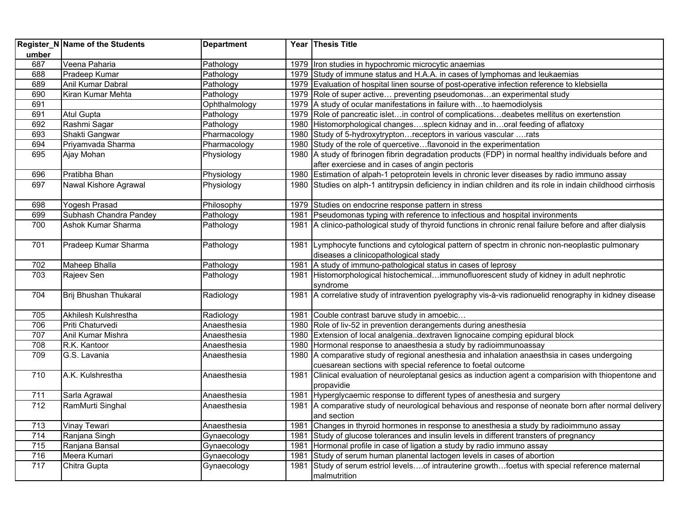|       | <b>Register_N Name of the Students</b> | <b>Department</b> |      | Year Thesis Title                                                                                                                  |
|-------|----------------------------------------|-------------------|------|------------------------------------------------------------------------------------------------------------------------------------|
| umber |                                        |                   |      |                                                                                                                                    |
| 687   | Veena Paharia                          | Pathology         |      | 1979   Iron studies in hypochromic microcytic anaemias                                                                             |
| 688   | Pradeep Kumar                          | Pathology         |      | 1979 Study of immune status and H.A.A. in cases of lymphomas and leukaemias                                                        |
| 689   | Anil Kumar Dabral                      | Pathology         |      | 1979 Evaluation of hospital linen sourse of post-operative infection reference to klebsiella                                       |
| 690   | Kiran Kumar Mehta                      | Pathology         |      | 1979 Role of super active preventing pseudomonasan experimental study                                                              |
| 691   |                                        | Ophthalmology     |      | 1979 A study of ocular manifestations in failure withto haemodiolysis                                                              |
| 691   | <b>Atul Gupta</b>                      | Pathology         |      | 1979 Role of pancreatic isletin control of complicationsdeabetes mellitus on exertenstion                                          |
| 692   | Rashmi Sagar                           | Pathology         |      | 1980 Histomorphological changessplecn kidnay and inoral feeding of aflatoxy                                                        |
| 693   | Shakti Gangwar                         | Pharmacology      |      | 1980 Study of 5-hydroxytryptonreceptors in various vascular rats                                                                   |
| 694   | Priyamvada Sharma                      | Pharmacology      |      | 1980 Study of the role of quercetiveflavonoid in the experimentation                                                               |
| 695   | Ajay Mohan                             | Physiology        |      | 1980 A study of fbrinogen fibrin degradation products (FDP) in normal healthy individuals before and                               |
|       |                                        |                   |      | after exerciese and in cases of angin pectoris                                                                                     |
| 696   | Pratibha Bhan                          | Physiology        |      | 1980 Estimation of alpah-1 petoprotein levels in chronic lever diseases by radio immuno assay                                      |
| 697   | Nawal Kishore Agrawal                  | Physiology        |      | 1980 Studies on alph-1 antitrypsin deficiency in indian children and its role in indain childhood cirrhosis                        |
| 698   | Yogesh Prasad                          | Philosophy        |      | 1979 Studies on endocrine response pattern in stress                                                                               |
| 699   | Subhash Chandra Pandey                 | Pathology         | 1981 | Pseudomonas typing with reference to infectious and hospital invironments                                                          |
| 700   | Ashok Kumar Sharma                     | Pathology         | 1981 | A clinico-pathological study of thyroid functions in chronic renal failure before and after dialysis                               |
| 701   | Pradeep Kumar Sharma                   | Pathology         | 1981 | Lymphocyte functions and cytological pattern of spectm in chronic non-neoplastic pulmonary<br>diseases a clinicopathological stady |
| 702   | <b>Maheep Bhalla</b>                   | Pathology         | 1981 | A study of immuno-pathological status in cases of leprosy                                                                          |
| 703   | Rajeev Sen                             | Pathology         | 1981 | Histomorphological histochemicalimmunofluorescent study of kidney in adult nephrotic                                               |
|       |                                        |                   |      | syndrome                                                                                                                           |
| 704   | Brij Bhushan Thukaral                  | Radiology         |      | 1981 A correlative study of intravention pyelography vis-à-vis radionuelid renography in kidney disease                            |
| 705   | Akhilesh Kulshrestha                   | Radiology         | 1981 | Couble contrast baruve study in amoebic                                                                                            |
| 706   | Priti Chaturvedi                       | Anaesthesia       |      | 1980 Role of liv-52 in prevention derangements during anesthesia                                                                   |
| 707   | Anil Kumar Mishra                      | Anaesthesia       |      | 1980 Extension of local analgeniadextraven lignocaine comping epidural block                                                       |
| 708   | R.K. Kantoor                           | Anaesthesia       |      | 1980 Hormonal response to anaesthesia a study by radioimmunoassay                                                                  |
| 709   | G.S. Lavania                           | Anaesthesia       |      | 1980 A comparative study of regional anesthesia and inhalation anaesthsia in cases undergoing                                      |
|       |                                        |                   |      | cuesarean sections with special reference to foetal outcome                                                                        |
| 710   | A.K. Kulshrestha                       | Anaesthesia       | 1981 | Clinical evaluation of neuroleptanal gesics as induction agent a comparision with thiopentone and<br>propavidie                    |
| 711   | Sarla Agrawal                          | Anaesthesia       | 1981 | Hyperglycaemic response to different types of anesthesia and surgery                                                               |
| 712   | RamMurti Singhal                       | Anaesthesia       | 1981 | A comparative study of neurological behavious and response of neonate born after normal delivery                                   |
|       |                                        |                   |      | and section                                                                                                                        |
| 713   | <b>Vinay Tewari</b>                    | Anaesthesia       | 1981 | Changes in thyroid hormones in response to anesthesia a study by radioimmuno assay                                                 |
| 714   | Ranjana Singh                          | Gynaecology       | 1981 | Study of glucose tolerances and insulin levels in different transters of pregnancy                                                 |
| 715   | Ranjana Bansal                         | Gynaecology       | 1981 | Hormonal profile in case of ligation a study by radio immuno assay                                                                 |
| 716   | Meera Kumari                           | Gynaecology       | 1981 | Study of serum human planental lactogen levels in cases of abortion                                                                |
| 717   | Chitra Gupta                           | Gynaecology       | 1981 | Study of serum estriol levelsof intrauterine growthfoetus with special reference maternal                                          |
|       |                                        |                   |      | malmutrition                                                                                                                       |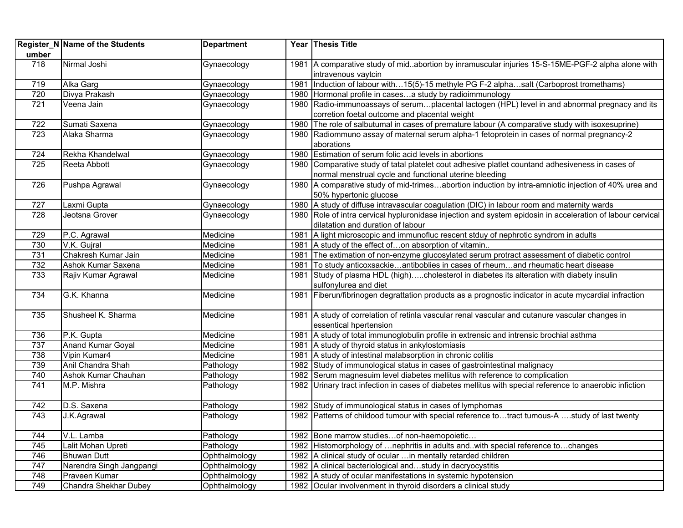|       | Register_N Name of the Students | <b>Department</b> |      | Year Thesis Title                                                                                                          |
|-------|---------------------------------|-------------------|------|----------------------------------------------------------------------------------------------------------------------------|
| umber |                                 |                   |      |                                                                                                                            |
| 718   | Nirmal Joshi                    | Gynaecology       |      | 1981 A comparative study of mid. abortion by inramuscular injuries 15-S-15ME-PGF-2 alpha alone with<br>intravenous vaytcin |
| 719   | Alka Garg                       | Gynaecology       | 1981 | Induction of labour with15(5)-15 methyle PG F-2 alphasalt (Carboprost tromethams)                                          |
| 720   | Divya Prakash                   | Gynaecology       |      | 1980 Hormonal profile in casesa study by radioimmunology                                                                   |
| 721   | Veena Jain                      | Gynaecology       |      | 1980 Radio-immunoassays of serumplacental lactogen (HPL) level in and abnormal pregnacy and its                            |
|       |                                 |                   |      | corretion foetal outcome and placental weight                                                                              |
| 722   | Sumati Saxena                   | Gynaecology       |      | 1980 The role of salbutumal in cases of premature labour (A comparative study with isoxesuprine)                           |
| 723   | Alaka Sharma                    | Gynaecology       |      | 1980 Radiommuno assay of maternal serum alpha-1 fetoprotein in cases of normal pregnancy-2                                 |
|       |                                 |                   |      | aborations                                                                                                                 |
| 724   | Rekha Khandelwal                | Gynaecology       |      | 1980 Estimation of serum folic acid levels in abortions                                                                    |
| 725   | <b>Reeta Abbott</b>             | Gynaecology       |      | 1980 Comparative study of tatal platelet cout adhesive platlet countand adhesiveness in cases of                           |
|       |                                 |                   |      | normal menstrual cycle and functional uterine bleeding                                                                     |
| 726   | Pushpa Agrawal                  | Gynaecology       |      | 1980 A comparative study of mid-trimesabortion induction by intra-amniotic injection of 40% urea and                       |
|       |                                 |                   |      | 50% hypertonic glucose                                                                                                     |
| 727   | Laxmi Gupta                     | Gynaecology       |      | 1980 A study of diffuse intravascular coagulation (DIC) in labour room and maternity wards                                 |
| 728   | Jeotsna Grover                  | Gynaecology       |      | 1980 Role of intra cervical hypluronidase injection and system epidosin in acceleration of labour cervical                 |
|       |                                 |                   |      | dilatation and duration of labour                                                                                          |
| 729   | P.C. Agrawal                    | Medicine          | 1981 | A light microscopic and immunofluc rescent stduy of nephrotic syndrom in adults                                            |
| 730   | V.K. Gujral                     | Medicine          | 1981 | A study of the effect ofon absorption of vitamin                                                                           |
| 731   | Chakresh Kumar Jain             | Medicine          | 1981 | The extimation of non-enzyme glucosylated serum protract assessment of diabetic control                                    |
| 732   | Ashok Kumar Saxena              | Medicine          | 1981 | To study anticoxsackieantiboblies in cases of rheumand rheumatic heart disease                                             |
| 733   | Rajiv Kumar Agrawal             | Medicine          |      | 1981 Study of plasma HDL (high)cholesterol in diabetes its alteration with diabety insulin                                 |
|       |                                 |                   |      | sulfonylurea and diet                                                                                                      |
| 734   | G.K. Khanna                     | Medicine          |      | 1981 Fiberun/fibrinogen degrattation products as a prognostic indicator in acute mycardial infraction                      |
| 735   | Shusheel K. Sharma              | Medicine          |      | 1981 A study of correlation of retinla vascular renal vascular and cutanure vascular changes in                            |
|       |                                 |                   |      | essentical hpertension                                                                                                     |
| 736   | P.K. Gupta                      | Medicine          | 1981 | A study of total immunoglobulin profile in extrensic and intrensic brochial asthma                                         |
| 737   | <b>Anand Kumar Goyal</b>        | Medicine          | 1981 | A study of thyroid status in ankylostomiasis                                                                               |
| 738   | Vipin Kumar4                    | Medicine          | 1981 | A study of intestinal malabsorption in chronic colitis                                                                     |
| 739   | Anil Chandra Shah               | Pathology         |      | 1982 Study of immunological status in cases of gastrointestinal malignacy                                                  |
| 740   | Ashok Kumar Chauhan             | Pathology         |      | 1982 Serum magnesuim level diabetes mellitus with reference to complication                                                |
| 741   | M.P. Mishra                     | Pathology         |      | 1982 Urinary tract infection in cases of diabetes mellitus with special reference to anaerobic infiction                   |
| 742   | D.S. Saxena                     | Pathology         |      | 1982 Study of immunological status in cases of lymphomas                                                                   |
| 743   | J.K.Agrawal                     | Pathology         |      | 1982 Patterns of childood tumour with special reference totract tumous-A study of last twenty                              |
|       |                                 |                   |      |                                                                                                                            |
| 744   | V.L. Lamba                      | Pathology         |      | 1982 Bone marrow studies of non-haemopoietic                                                                               |
| 745   | Lalit Mohan Upreti              | Pathology         |      | 1982 Histomorphology of  nephritis in adults and. with special reference to changes                                        |
| 746   | <b>Bhuwan Dutt</b>              | Ophthalmology     |      | 1982 A clinical study of ocular  in mentally retarded children                                                             |
| 747   | Narendra Singh Jangpangi        | Ophthalmology     |      | 1982   A clinical bacteriological andstudy in dacryocystitis                                                               |
| 748   | Praveen Kumar                   | Ophthalmology     |      | 1982 A study of ocular manifestations in systemic hypotension                                                              |
| 749   | Chandra Shekhar Dubey           | Ophthalmology     |      | 1982 Ocular involvenment in thyroid disorders a clinical study                                                             |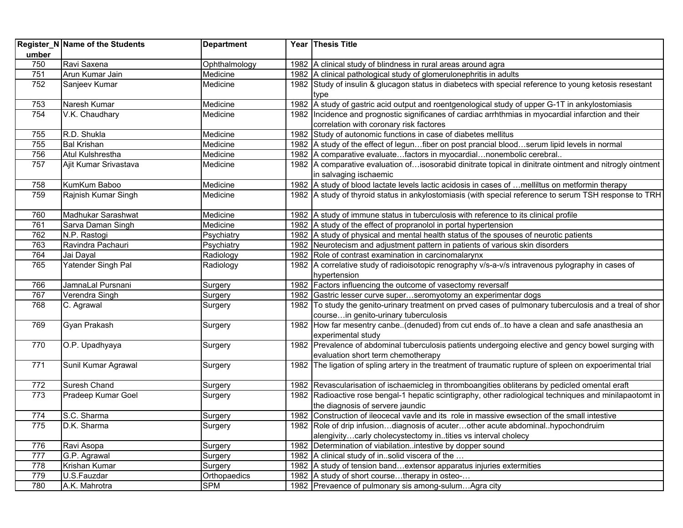|       | Register_N Name of the Students | <b>Department</b> | Year Thesis Title                                                                                         |
|-------|---------------------------------|-------------------|-----------------------------------------------------------------------------------------------------------|
| umber |                                 |                   |                                                                                                           |
| 750   | Ravi Saxena                     | Ophthalmology     | 1982 A clinical study of blindness in rural areas around agra                                             |
| 751   | Arun Kumar Jain                 | Medicine          | 1982 A clinical pathological study of glomerulonephritis in adults                                        |
| 752   | Sanjeev Kumar                   | Medicine          | 1982 Study of insulin & glucagon status in diabetecs with special reference to young ketosis resestant    |
|       |                                 |                   | type                                                                                                      |
| 753   | Naresh Kumar                    | Medicine          | 1982 A study of gastric acid output and roentgenological study of upper G-1T in ankylostomiasis           |
| 754   | V.K. Chaudhary                  | Medicine          | 1982  Incidence and prognostic significanes of cardiac arrhthmias in myocardial infarction and their      |
|       |                                 |                   | correlation with coronary risk factores                                                                   |
| 755   | R.D. Shukla                     | Medicine          | 1982 Study of autonomic functions in case of diabetes mellitus                                            |
| 755   | <b>Bal Krishan</b>              | Medicine          | 1982 A study of the effect of legunfiber on post prancial bloodserum lipid levels in normal               |
| 756   | Atul Kulshrestha                | Medicine          | 1982 A comparative evaluatefactors in myocardialnonembolic cerebral                                       |
| 757   | Ajit Kumar Srivastava           | Medicine          | 1982 A comparative evaluation ofisosorabid dinitrate topical in dinitrate ointment and nitrogly ointment  |
|       |                                 |                   | in salvaging ischaemic                                                                                    |
| 758   | KumKum Baboo                    | Medicine          | 1982 A study of blood lactate levels lactic acidosis in cases of  melliltus on metformin therapy          |
| 759   | Rajnish Kumar Singh             | Medicine          | 1982 A study of thyroid status in ankylostomiasis (with special reference to serum TSH response to TRH    |
| 760   | Madhukar Sarashwat              | Medicine          | 1982 A study of immune status in tuberculosis with reference to its clinical profile                      |
| 761   | Sarva Daman Singh               | Medicine          | 1982 A study of the effect of propranolol in portal hypertension                                          |
| 762   | N.P. Rastogi                    | Psychiatry        | 1982 A study of physical and mental health status of the spouses of neurotic patients                     |
| 763   | Ravindra Pachauri               | Psychiatry        | 1982 Neurotecism and adjustment pattern in patients of various skin disorders                             |
| 764   | Jai Dayal                       | Radiology         | 1982 Role of contrast examination in carcinomalarynx                                                      |
| 765   | Yatender Singh Pal              | Radiology         | 1982 A correlative study of radioisotopic renography v/s-a-v/s intravenous pylography in cases of         |
|       |                                 |                   | hypertension                                                                                              |
| 766   | JamnaLal Pursnani               | Surgery           | 1982 Factors influencing the outcome of vasectomy reversalf                                               |
| 767   | Verendra Singh                  | Surgery           | 1982 Gastric lesser curve superseromyotomy an experimentar dogs                                           |
| 768   | C. Agrawal                      | Surgery           | 1982 To study the genito-urinary treatment on prved cases of pulmonary tuberculosis and a treal of shor   |
|       |                                 |                   | coursein genito-urinary tuberculosis                                                                      |
| 769   | Gyan Prakash                    | Surgery           | 1982 How far mesentry canbe(denuded) from cut ends ofto have a clean and safe anasthesia an               |
|       |                                 |                   | experimental study                                                                                        |
| 770   | O.P. Upadhyaya                  | Surgery           | 1982 Prevalence of abdominal tuberculosis patients undergoing elective and gency bowel surging with       |
|       |                                 |                   | evaluation short term chemotherapy                                                                        |
| 771   | Sunil Kumar Agrawal             | Surgery           | 1982 The ligation of spling artery in the treatment of traumatic rupture of spleen on expoerimental trial |
|       |                                 |                   |                                                                                                           |
| 772   | Suresh Chand                    | Surgery           | 1982 Revascularisation of ischaemicleg in thromboangities obliterans by pedicled omental eraft            |
| 773   | Pradeep Kumar Goel              | Surgery           | 1982 Radioactive rose bengal-1 hepatic scintigraphy, other radiological techniques and minilapaotomt in   |
|       |                                 |                   | the diagnosis of servere jaundic                                                                          |
| 774   | S.C. Sharma                     | Surgery           | 1982 Construction of ileocecal vavie and its role in massive ewsection of the small intestive             |
| 775   | D.K. Sharma                     | Surgery           | 1982 Role of drip infusiondiagnosis of acuterother acute abdominalhypochondruim                           |
|       |                                 |                   | alengivitycarly cholecystectomy intities vs interval cholecy                                              |
| 776   | Ravi Asopa                      | Surgery           | 1982 Determination of viabilationintestive by dopper sound                                                |
| 777   | G.P. Agrawal                    | Surgery           | 1982 A clinical study of in. solid viscera of the                                                         |
| 778   | Krishan Kumar                   | Surgery           | 1982 A study of tension band extensor apparatus injuries extermities                                      |
| 779   | U.S.Fauzdar                     | Orthopaedics      | 1982 A study of short coursetherapy in osteo-                                                             |
| 780   | A.K. Mahrotra                   | <b>SPM</b>        | 1982 Prevaence of pulmonary sis among-sulumAgra city                                                      |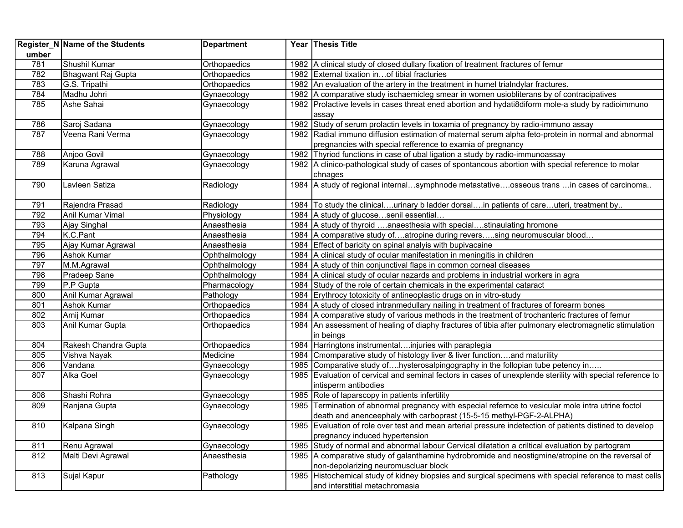|       | Register_N Name of the Students | <b>Department</b> |      | Year Thesis Title                                                                                          |
|-------|---------------------------------|-------------------|------|------------------------------------------------------------------------------------------------------------|
| umber |                                 |                   |      |                                                                                                            |
| 781   | Shushil Kumar                   | Orthopaedics      |      | 1982 A clinical study of closed dullary fixation of treatment fractures of femur                           |
| 782   | Bhagwant Raj Gupta              | Orthopaedics      |      | 1982 External tixation in of tibial fracturies                                                             |
| 783   | G.S. Tripathi                   | Orthopaedics      |      | 1982 An evaluation of the artery in the treatment in humel trialndylar fractures.                          |
| 784   | Madhu Johri                     | Gynaecology       |      | 1982 A comparative study ischaemicleg smear in women usiobliterans by of contracipatives                   |
| 785   | Ashe Sahai                      | Gynaecology       |      | 1982 Prolactive levels in cases threat ened abortion and hydati8diform mole-a study by radioimmuno         |
|       |                                 |                   |      | assay                                                                                                      |
| 786   | Saroj Sadana                    | Gynaecology       |      | 1982 Study of serum prolactin levels in toxamia of pregnancy by radio-immuno assay                         |
| 787   | Veena Rani Verma                | Gynaecology       |      | 1982 Radial immuno diffusion estimation of maternal serum alpha feto-protein in normal and abnormal        |
|       |                                 |                   |      | pregnancies with special refference to examia of pregnancy                                                 |
| 788   | Anjoo Govil                     | Gynaecology       |      | 1982 Thyriod functions in case of ubal ligation a study by radio-immunoassay                               |
| 789   | Karuna Agrawal                  | Gynaecology       |      | 1982 A clinico-pathological study of cases of spontancous abortion with special reference to molar         |
|       |                                 |                   |      | chnages                                                                                                    |
| 790   | Lavleen Satiza                  | Radiology         |      | 1984 A study of regional internalsymphnode metastativeosseous trans in cases of carcinoma                  |
|       |                                 |                   |      |                                                                                                            |
| 791   | Rajendra Prasad                 | Radiology         |      | 1984 To study the clinicalurinary b ladder dorsalin patients of careuteri, treatment by                    |
| 792   | Anil Kumar Vimal                | Physiology        |      | 1984 A study of glucosesenil essential                                                                     |
| 793   | Ajay Singhal                    | Anaesthesia       |      | 1984 A study of thyroid anaesthesia with specialstinaulating hromone                                       |
| 794   | K.C.Pant                        | Anaesthesia       |      | 1984   A comparative study ofatropine during reverssing neuromuscular blood                                |
| 795   | Ajay Kumar Agrawal              | Anaesthesia       |      | 1984 Effect of baricity on spinal analyis with bupivacaine                                                 |
| 796   | <b>Ashok Kumar</b>              | Ophthalmology     |      | 1984 A clinical study of ocular manifestation in meningitis in children                                    |
| 797   | M.M.Agrawal                     | Ophthalmology     |      | 1984 A study of thin conjunctival flaps in common corneal diseases                                         |
| 798   | Pradeep Sane                    | Ophthalmology     |      | 1984 A clinical study of ocular nazards and problems in industrial workers in agra                         |
| 799   | P.P Gupta                       | Pharmacology      |      | 1984 Study of the role of certain chemicals in the experimental cataract                                   |
| 800   | Anil Kumar Agrawal              | Pathology         |      | 1984 Erythrocy totoxicity of antineoplastic drugs on in vitro-study                                        |
| 801   | <b>Ashok Kumar</b>              | Orthopaedics      |      | 1984   A study of closed intranmedullary nailing in treatment of fractures of forearm bones                |
| 802   | Amij Kumar                      | Orthopaedics      |      | 1984 A comparative study of various methods in the treatment of trochanteric fractures of femur            |
| 803   | Anil Kumar Gupta                | Orthopaedics      | 1984 | An assessment of healing of diaphy fractures of tibia after pulmonary electromagnetic stimulation          |
|       |                                 |                   |      | in beings                                                                                                  |
| 804   | Rakesh Chandra Gupta            | Orthopaedics      |      | 1984 Harringtons instrumental injuries with paraplegia                                                     |
| 805   | Vishva Nayak                    | Medicine          |      | 1984 Cmomparative study of histology liver & liver functionand maturility                                  |
| 806   | Vandana                         | Gynaecology       |      | 1985 Comparative study ofhysterosalpingography in the follopian tube petency in                            |
| 807   | Alka Goel                       | Gynaecology       |      | 1985 Evaluation of cervical and seminal fectors in cases of unexplende sterility with special reference to |
|       |                                 |                   |      | intisperm antibodies                                                                                       |
| 808   | Shashi Rohra                    | Gynaecology       |      | 1985 Role of laparscopy in patients infertility                                                            |
| 809   | Ranjana Gupta                   | Gynaecology       |      | 1985 Termination of abnormal pregnancy with especial refernce to vesicular mole intra utrine foctol        |
|       |                                 |                   |      | death and anenceephaly with carboprast (15-5-15 methyl-PGF-2-ALPHA)                                        |
| 810   | Kalpana Singh                   | Gynaecology       |      | 1985 Evaluation of role over test and mean arterial pressure indetection of patients distined to develop   |
|       |                                 |                   |      | pregnancy induced hypertension                                                                             |
| 811   | Renu Agrawal                    | Gynaecology       |      | 1985 Study of normal and abnormal labour Cervical dilatation a criltical evaluation by partogram           |
| 812   | Malti Devi Agrawal              | Anaesthesia       |      | 1985   A comparative study of galanthamine hydrobromide and neostigmine/atropine on the reversal of        |
|       |                                 |                   |      | non-depolarizing neuromuscluar block                                                                       |
| 813   | Sujal Kapur                     | Pathology         |      | 1985 Histochemical study of kidney biopsies and surgical specimens with special reference to mast cells    |
|       |                                 |                   |      | and interstitial metachromasia                                                                             |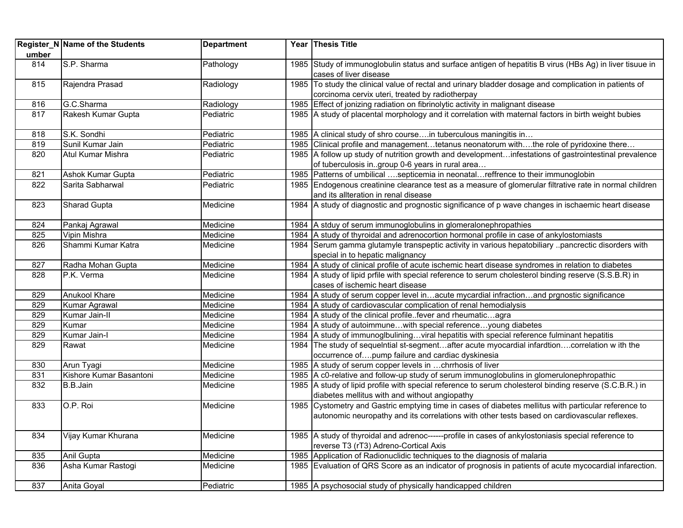| umber | Register_N Name of the Students | <b>Department</b> | Year Thesis Title                                                                                                                                                                                    |
|-------|---------------------------------|-------------------|------------------------------------------------------------------------------------------------------------------------------------------------------------------------------------------------------|
| 814   | S.P. Sharma                     | Pathology         | 1985 Study of immunoglobulin status and surface antigen of hepatitis B virus (HBs Ag) in liver tisuue in<br>cases of liver disease                                                                   |
| 815   | Rajendra Prasad                 | Radiology         | 1985 To study the clinical value of rectal and urinary bladder dosage and complication in patients of                                                                                                |
|       |                                 |                   | corcinoma cervix uteri, treated by radiotherpay                                                                                                                                                      |
| 816   | G.C.Sharma                      | Radiology         | 1985 Effect of jonizing radiation on fibrinolytic activity in malignant disease                                                                                                                      |
| 817   | Rakesh Kumar Gupta              | Pediatric         | 1985   A study of placental morphology and it correlation with maternal factors in birth weight bubies                                                                                               |
| 818   | S.K. Sondhi                     | Pediatric         | 1985 A clinical study of shro coursein tuberculous maningitis in                                                                                                                                     |
| 819   | Sunil Kumar Jain                | Pediatric         | 1985 Clinical profile and managementtetanus neonatorum withthe role of pyridoxine there                                                                                                              |
| 820   | Atul Kumar Mishra               | Pediatric         | 1985 A follow up study of nutrition growth and developmentinfestations of gastrointestinal prevalence<br>of tuberculosis ingroup 0-6 years in rural area                                             |
| 821   | Ashok Kumar Gupta               | Pediatric         | 1985   Patterns of umbilical septicemia in neonatalreffrence to their immunoglobin                                                                                                                   |
| 822   | Sarita Sabharwal                | Pediatric         | 1985 Endogenous creatinine clearance test as a measure of glomerular filtrative rate in normal children<br>and its allteration in renal disease                                                      |
| 823   | Sharad Gupta                    | Medicine          | 1984 A study of diagnostic and prognostic significance of p wave changes in ischaemic heart disease                                                                                                  |
| 824   | Pankaj Agrawal                  | Medicine          | 1984   A stduy of serum immunoglobulins in glomeralonephropathies                                                                                                                                    |
| 825   | Vipin Mishra                    | Medicine          | 1984   A study of thyroidal and adrenocortion hormonal profile in case of ankylostomiasts                                                                                                            |
| 826   | Shammi Kumar Katra              | Medicine          | 1984 Serum gamma glutamyle transpeptic activity in various hepatobiliary pancrectic disorders with<br>special in to hepatic malignancy                                                               |
| 827   | Radha Mohan Gupta               | Medicine          | 1984 A study of clinical profile of acute ischemic heart disease syndromes in relation to diabetes                                                                                                   |
| 828   | P.K. Verma                      | Medicine          | 1984 A study of lipid prfile with special reference to serum cholesterol binding reserve (S.S.B.R) in<br>cases of ischemic heart disease                                                             |
| 829   | Anukool Khare                   | Medicine          | 1984 A study of serum copper level inacute mycardial infractionand prgnostic significance                                                                                                            |
| 829   | Kumar Agrawal                   | Medicine          | 1984 A study of cardiovascular complication of renal hemodialysis                                                                                                                                    |
| 829   | Kumar Jain-II                   | Medicine          | 1984   A study of the clinical profilefever and rheumaticagra                                                                                                                                        |
| 829   | Kumar                           | Medicine          | 1984 A study of autoimmune with special reference young diabetes                                                                                                                                     |
| 829   | Kumar Jain-I                    | Medicine          | 1984 A study of immunoglbuliningviral hepatitis with special reference fulminant hepatitis                                                                                                           |
| 829   | Rawat                           | Medicine          | 1984 The study of sequelntial st-segmentafter acute myocardial infardtioncorrelation w ith the<br>occurrence ofpump failure and cardiac dyskinesia                                                   |
| 830   | Arun Tyagi                      | Medicine          | 1985 A study of serum copper levels in chrrhosis of liver                                                                                                                                            |
| 831   | Kishore Kumar Basantoni         | Medicine          | 1985 A c0-relative and follow-up study of serum immunoglobulins in glomerulonephropathic                                                                                                             |
| 832   | B.B.Jain                        | Medicine          | 1985 A study of lipid profile with special reference to serum cholesterol binding reserve (S.C.B.R.) in<br>diabetes mellitus with and without angiopathy                                             |
| 833   | O.P. Roi                        | Medicine          | 1985 Cystometry and Gastric emptying time in cases of diabetes mellitus with particular reference to<br>autonomic neuropathy and its correlations with other tests based on cardiovascular reflexes. |
| 834   | Vijay Kumar Khurana             | Medicine          | 1985 A study of thyroidal and adrenoc------profile in cases of ankylostoniasis special reference to<br>reverse T3 (rT3) Adreno-Cortical Axis                                                         |
| 835   | Anil Gupta                      | Medicine          | 1985 Application of Radionuclidic techniques to the diagnosis of malaria                                                                                                                             |
| 836   | Asha Kumar Rastogi              | Medicine          | 1985 Evaluation of QRS Score as an indicator of prognosis in patients of acute mycocardial infarection.                                                                                              |
| 837   | Anita Goyal                     | Pediatric         | 1985 A psychosocial study of physically handicapped children                                                                                                                                         |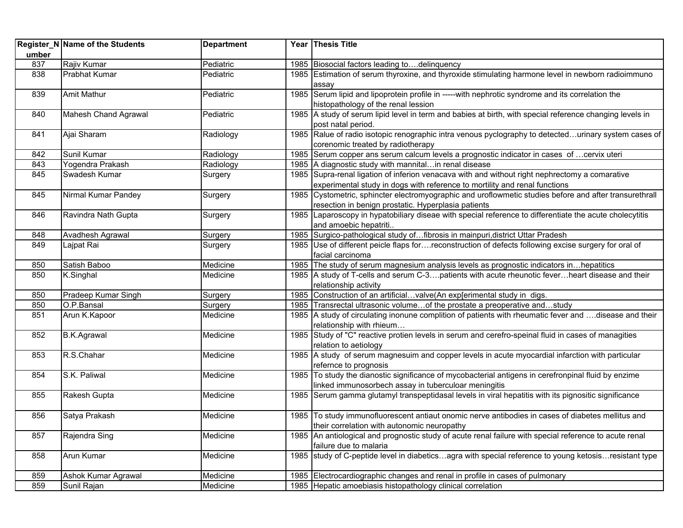|       | Register_N Name of the Students   | <b>Department</b>  |      | Year Thesis Title                                                                                                                                         |
|-------|-----------------------------------|--------------------|------|-----------------------------------------------------------------------------------------------------------------------------------------------------------|
| umber |                                   |                    |      |                                                                                                                                                           |
| 837   | Rajiv Kumar                       | Pediatric          | 1985 | Biosocial factors leading todelinquency                                                                                                                   |
| 838   | <b>Prabhat Kumar</b>              | Pediatric          |      | 1985 Estimation of serum thyroxine, and thyroxide stimulating harmone level in newborn radioimmuno                                                        |
|       |                                   |                    |      | assay                                                                                                                                                     |
| 839   | <b>Amit Mathur</b>                | Pediatric          |      | 1985 Serum lipid and lipoprotein profile in -----with nephrotic syndrome and its correlation the                                                          |
|       |                                   |                    |      | histopathology of the renal lession                                                                                                                       |
| 840   | Mahesh Chand Agrawal              | Pediatric          |      | 1985 A study of serum lipid level in term and babies at birth, with special reference changing levels in                                                  |
|       |                                   |                    |      | post natal period.                                                                                                                                        |
| 841   | Ajai Sharam                       | Radiology          |      | 1985 Ralue of radio isotopic renographic intra venous pyclography to detectedurinary system cases of                                                      |
|       |                                   |                    |      | corenomic treated by radiotherapy                                                                                                                         |
| 842   | Sunil Kumar                       | Radiology          |      | 1985 Serum copper ans serum calcum levels a prognostic indicator in cases of  cervix uteri<br>1985 A diagnostic study with mannital in renal disease      |
| 843   | Yogendra Prakash<br>Swadesh Kumar | Radiology          |      | 1985 Supra-renal ligation of inferion venacava with and without right nephrectomy a comarative                                                            |
| 845   |                                   | Surgery            |      |                                                                                                                                                           |
|       |                                   |                    |      | experimental study in dogs with reference to mortility and renal functions                                                                                |
| 845   | Nirmal Kumar Pandey               | Surgery            |      | 1985 Cystometric, sphincter electromyographic and uroflowmetic studies before and after transurethrall                                                    |
| 846   | Ravindra Nath Gupta               |                    | 1985 | resection in benign prostatic. Hyperplasia patients<br>Laparoscopy in hypatobiliary diseae with special reference to differentiate the acute cholecytitis |
|       |                                   | Surgery            |      | and amoebic hepatriti                                                                                                                                     |
| 848   | Avadhesh Agrawal                  |                    |      | 1985 Surgico-pathological study of fibrosis in mainpuri, district Uttar Pradesh                                                                           |
| 849   | Lajpat Rai                        | Surgery<br>Surgery |      | 1985 Use of different peicle flaps forreconstruction of defects following excise surgery for oral of                                                      |
|       |                                   |                    |      | facial carcinoma                                                                                                                                          |
| 850   | Satish Baboo                      | Medicine           |      | 1985 The study of serum magnesium analysis levels as prognostic indicators inhepatitics                                                                   |
| 850   | K.Singhal                         | Medicine           |      | 1985 A study of T-cells and serum C-3 patients with acute rheunotic fever heart disease and their                                                         |
|       |                                   |                    |      | relationship activity                                                                                                                                     |
| 850   | Pradeep Kumar Singh               | Surgery            |      | 1985 Construction of an artificialvalve(An exp[erimental study in digs.                                                                                   |
| 850   | O.P.Bansal                        | Surgery            |      | 1985 Transrectal ultrasonic volumeof the prostate a preoperative andstudy                                                                                 |
| 851   | Arun K.Kapoor                     | Medicine           |      | 1985 A study of circulating inonune complition of patients with rheumatic fever and disease and their                                                     |
|       |                                   |                    |      | relationship with rhieum                                                                                                                                  |
| 852   | <b>B.K.Agrawal</b>                | Medicine           |      | 1985 Study of "C" reactive protien levels in serum and cerefro-speinal fluid in cases of managities                                                       |
|       |                                   |                    |      | relation to aetiology                                                                                                                                     |
| 853   | R.S.Chahar                        | Medicine           |      | 1985 A study of serum magnesuim and copper levels in acute myocardial infarction with particular                                                          |
|       |                                   |                    |      | refernce to prognosis                                                                                                                                     |
| 854   | S.K. Paliwal                      | Medicine           | 1985 | To study the dianostic significance of mycobacterial antigens in cerefronpinal fluid by enzime                                                            |
|       |                                   |                    |      | linked immunosorbech assay in tuberculoar meningitis                                                                                                      |
| 855   | Rakesh Gupta                      | Medicine           | 1985 | Serum gamma glutamyl transpeptidasal levels in viral hepatitis with its pignositic significance                                                           |
|       |                                   |                    |      |                                                                                                                                                           |
| 856   | Satya Prakash                     | Medicine           |      | 1985  To study immunofluorescent antiaut onomic nerve antibodies in cases of diabetes mellitus and                                                        |
|       |                                   |                    |      | their correlation with autonomic neuropathy                                                                                                               |
| 857   | Rajendra Sing                     | Medicine           |      | 1985 An antiological and prognostic study of acute renal failure with special reference to acute renal                                                    |
|       |                                   |                    |      | failure due to malaria                                                                                                                                    |
| 858   | Arun Kumar                        | Medicine           |      | 1985 study of C-peptide level in diabeticsagra with special reference to young ketosisresistant type                                                      |
|       |                                   |                    |      |                                                                                                                                                           |
| 859   | Ashok Kumar Agrawal               | Medicine           |      | 1985   Electrocardiographic changes and renal in profile in cases of pulmonary                                                                            |
| 859   | Sunil Rajan                       | Medicine           |      | 1985 Hepatic amoebiasis histopathology clinical correlation                                                                                               |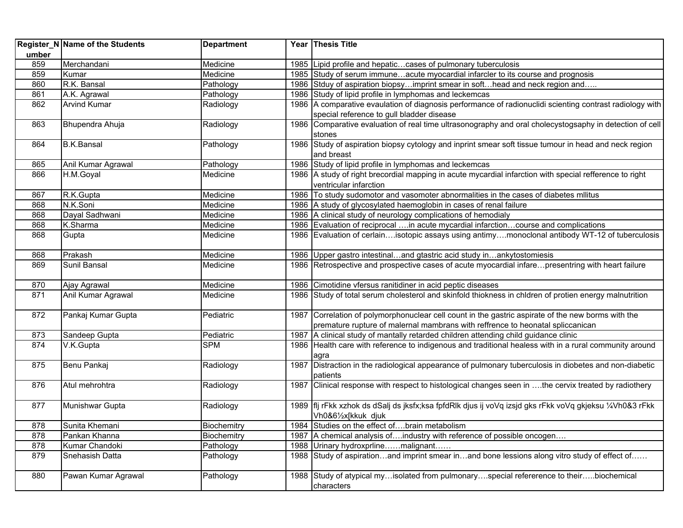|       | Register_N Name of the Students | <b>Department</b> |      | Year Thesis Title                                                                                        |
|-------|---------------------------------|-------------------|------|----------------------------------------------------------------------------------------------------------|
| umber |                                 |                   |      |                                                                                                          |
| 859   | Merchandani                     | Medicine          |      | 1985 Lipid profile and hepatic cases of pulmonary tuberculosis                                           |
| 859   | Kumar                           | Medicine          |      | 1985 Study of serum immuneacute myocardial infarcler to its course and prognosis                         |
| 860   | R.K. Bansal                     | Pathology         |      | 1986 Stduy of aspiration biopsyimprint smear in softhead and neck region and                             |
| 861   | A.K. Agrawal                    | Pathology         |      | 1986 Study of lipid profile in lymphomas and leckemcas                                                   |
| 862   | <b>Arvind Kumar</b>             | Radiology         |      | 1986 A comparative evaulation of diagnosis performance of radionuclidi scienting contrast radiology with |
|       |                                 |                   |      | special reference to gull bladder disease                                                                |
| 863   | Bhupendra Ahuja                 | Radiology         |      | 1986 Comparative evaluation of real time ultrasonography and oral cholecystogsaphy in detection of cell  |
|       |                                 |                   |      | stones                                                                                                   |
| 864   | <b>B.K.Bansal</b>               | Pathology         |      | 1986 Study of aspiration biopsy cytology and inprint smear soft tissue tumour in head and neck region    |
|       |                                 |                   |      | and breast                                                                                               |
| 865   | Anil Kumar Agrawal              | Pathology         |      | 1986 Study of lipid profile in lymphomas and leckemcas                                                   |
| 866   | H.M.Goyal                       | Medicine          |      | 1986 A study of right brecordial mapping in acute mycardial infarction with special refference to right  |
|       |                                 |                   |      | ventricular infarction                                                                                   |
| 867   | R.K.Gupta                       | Medicine          |      | 1986 To study sudomotor and vasomoter abnormalities in the cases of diabetes militus                     |
| 868   | N.K.Soni                        | Medicine          |      | 1986 A study of glycosylated haemoglobin in cases of renal failure                                       |
| 868   | Dayal Sadhwani                  | Medicine          |      | 1986 A clinical study of neurology complications of hemodialy                                            |
| 868   | K.Sharma                        | Medicine          |      | 1986 Evaluation of reciprocal in acute mycardial infarctioncourse and complications                      |
| 868   | Gupta                           | Medicine          |      | 1986 Evaluation of cerlainisotopic assays using antimymonoclonal antibody WT-12 of tuberculosis          |
| 868   | Prakash                         | Medicine          |      | 1986 Upper gastro intestinaland gtastric acid study inankytostomiesis                                    |
| 869   | Sunil Bansal                    | Medicine          |      | 1986 Retrospective and prospective cases of acute myocardial infarepresentring with heart failure        |
|       |                                 |                   |      |                                                                                                          |
| 870   | Ajay Agrawal                    | Medicine          |      | 1986 Cimotidine vfersus ranitidiner in acid peptic diseases                                              |
| 871   | Anil Kumar Agrawal              | Medicine          |      | 1986 Study of total serum cholesterol and skinfold thiokness in chidren of protien energy malnutrition   |
| 872   | Pankaj Kumar Gupta              | Pediatric         |      | 1987 Correlation of polymorphonuclear cell count in the gastric aspirate of the new borms with the       |
|       |                                 |                   |      | premature rupture of malernal mambrans with reffrence to heonatal spliccanican                           |
| 873   | Sandeep Gupta                   | Pediatric         | 1987 | A clinical study of mantally retarded children attending child guidance clinic                           |
| 874   | V.K.Gupta                       | <b>SPM</b>        | 1986 | Health care with reference to indigenous and traditional healess with in a rural community around        |
|       |                                 |                   |      | agra                                                                                                     |
| 875   | Benu Pankaj                     | Radiology         | 1987 | Distraction in the radiological appearance of pulmonary tuberculosis in diobetes and non-diabetic        |
|       |                                 |                   |      | patients                                                                                                 |
| 876   | Atul mehrohtra                  | Radiology         | 1987 | Clinical response with respect to histological changes seen in the cervix treated by radiothery          |
| 877   | Munishwar Gupta                 | Radiology         |      | 1989   flj rFkk xzhok ds dSalj ds jksfx;ksa fpfdRlk djus ij voVq izsjd gks rFkk voVq gkjeksu ¼Vh0&3 rFkk |
|       |                                 |                   |      | Vh0&61/2x[kkuk djuk                                                                                      |
| 878   | Sunita Khemani                  | Biochemitry       |      | 1984 Studies on the effect ofbrain metabolism                                                            |
| 878   | Pankan Khanna                   | Biochemitry       |      | 1987 A chemical analysis ofindustry with reference of possible oncogen                                   |
| 878   | Kumar Chandoki                  | Pathology         |      | 1988   Urinary hydroxprlinemalignant                                                                     |
| 879   | Snehasish Datta                 | Pathology         |      | 1988 Study of aspirationand imprint smear inand bone lessions along vitro study of effect of             |
|       |                                 |                   |      |                                                                                                          |
| 880   | Pawan Kumar Agrawal             | Pathology         |      | 1988 Study of atypical myisolated from pulmonaryspecial refererence to theirbiochemical                  |
|       |                                 |                   |      | characters                                                                                               |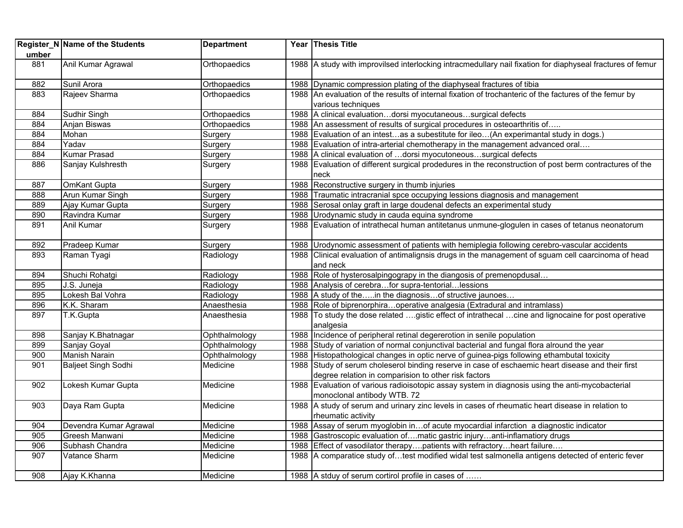| umber | Register_N Name of the Students | <b>Department</b> | Year Thesis Title                                                                                                                                         |
|-------|---------------------------------|-------------------|-----------------------------------------------------------------------------------------------------------------------------------------------------------|
| 881   | Anil Kumar Agrawal              | Orthopaedics      | 1988 A study with improvilsed interlocking intracmedullary nail fixation for diaphyseal fractures of femur                                                |
| 882   | Sunil Arora                     | Orthopaedics      | 1988 Dynamic compression plating of the diaphyseal fractures of tibia                                                                                     |
| 883   | Rajeev Sharma                   | Orthopaedics      | 1988 An evaluation of the results of internal fixation of trochanteric of the factures of the femur by<br>various techniques                              |
| 884   | Sudhir Singh                    | Orthopaedics      | 1988   A clinical evaluationdorsi myocutaneoussurgical defects                                                                                            |
| 884   | Anjan Biswas                    | Orthopaedics      | 1988 An assessment of results of surgical procedures in osteoarthritis of                                                                                 |
| 884   | Mohan                           | Surgery           | 1988 Evaluation of an intestas a subestitute for ileo(An experimantal study in dogs.)                                                                     |
| 884   | Yadav                           | Surgery           | 1988 Evaluation of intra-arterial chemotherapy in the management advanced oral                                                                            |
| 884   | <b>Kumar Prasad</b>             | Surgery           | 1988 A clinical evaluation of  dorsi myocutoneoussurgical defects                                                                                         |
| 886   | Sanjay Kulshresth               | Surgery           | 1988 Evaluation of different surgical prodedures in the reconstruction of post berm contractures of the<br>neck                                           |
| 887   | <b>OmKant Gupta</b>             | Surgery           | 1988 Reconstructive surgery in thumb injuries                                                                                                             |
| 888   | Arun Kumar Singh                | Surgery           | 1988 Traumatic intracranial spce occupying lessions diagnosis and management                                                                              |
| 889   | Ajay Kumar Gupta                | Surgery           | 1988 Serosal onlay graft in large doudenal defects an experimental study                                                                                  |
| 890   | Ravindra Kumar                  | Surgery           | 1988 Urodynamic study in cauda equina syndrome                                                                                                            |
| 891   | Anil Kumar                      | Surgery           | 1988 Evaluation of intrathecal human antitetanus unmune-glogulen in cases of tetanus neonatorum                                                           |
| 892   | Pradeep Kumar                   | Surgery           | 1988 Urodynomic assessment of patients with hemiplegia following cerebro-vascular accidents                                                               |
| 893   | Raman Tyagi                     | Radiology         | 1988 Clinical evaluation of antimalignsis drugs in the management of squam cell caarcinoma of head<br>and neck                                            |
| 894   | Shuchi Rohatgi                  | Radiology         | 1988 Role of hysterosalpingograpy in the diangosis of premenopdusal                                                                                       |
| 895   | J.S. Juneja                     | Radiology         | 1988 Analysis of cerebrafor supra-tentoriallessions                                                                                                       |
| 895   | Lokesh Bal Vohra                | Radiology         | 1988 A study of thein the diagnosisof structive jaunoes                                                                                                   |
| 896   | K.K. Sharam                     | Anaesthesia       | 1988 Role of biprenorphiraoperative analgesia (Extradural and intramlass)                                                                                 |
| 897   | T.K.Gupta                       | Anaesthesia       | 1988 To study the dose related gistic effect of intrathecal cine and lignocaine for post operative<br>analgesia                                           |
| 898   | Sanjay K.Bhatnagar              | Ophthalmology     | 1988 Incidence of peripheral retinal degererotion in senile population                                                                                    |
| 899   | Sanjay Goyal                    | Ophthalmology     | 1988 Study of variation of normal conjunctival bacterial and fungal flora alround the year                                                                |
| 900   | <b>Manish Narain</b>            | Ophthalmology     | 1988 Histopathological changes in optic nerve of guinea-pigs following ethambutal toxicity                                                                |
| 901   | <b>Baljeet Singh Sodhi</b>      | Medicine          | 1988 Study of serum choleserol binding reserve in case of eschaemic heart disease and their first<br>degree relation in comparision to other risk factors |
| 902   | Lokesh Kumar Gupta              | Medicine          | 1988 Evaluation of various radioisotopic assay system in diagnosis using the anti-mycobacterial<br>monoclonal antibody WTB. 72                            |
| 903   | Daya Ram Gupta                  | Medicine          | 1988 A study of serum and urinary zinc levels in cases of rheumatic heart disease in relation to<br>rheumatic activity                                    |
| 904   | Devendra Kumar Agrawal          | Medicine          | 1988 Assay of serum myoglobin inof acute myocardial infarction a diagnostic indicator                                                                     |
| 905   | Greesh Manwani                  | Medicine          | 1988 Gastroscopic evaluation ofmatic gastric injuryanti-inflamatiory drugs                                                                                |
| 906   | Subhash Chandra                 | Medicine          | 1988 Effect of vasodilator therapypatients with refractoryheart failure                                                                                   |
| 907   | Vatance Sharm                   | Medicine          | 1988 A comparatice study oftest modified widal test salmonella antigens detected of enteric fever                                                         |
| 908   | Ajay K.Khanna                   | Medicine          | 1988 A stduy of serum cortirol profile in cases of                                                                                                        |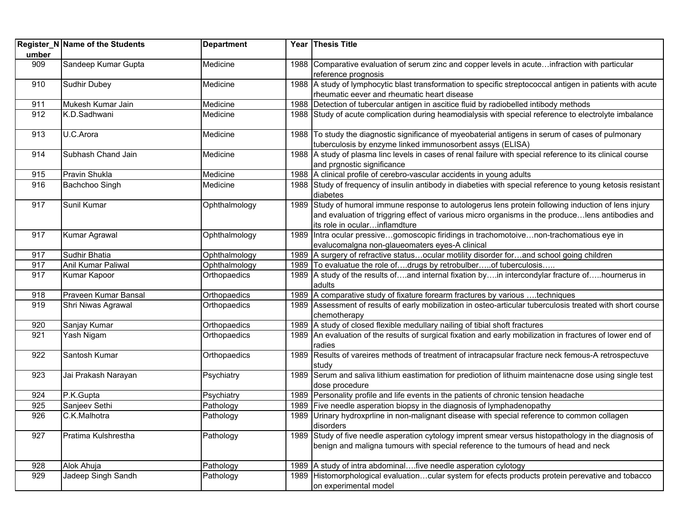| umber | Register_N Name of the Students | <b>Department</b> |      | Year Thesis Title                                                                                                                                                                                                                        |
|-------|---------------------------------|-------------------|------|------------------------------------------------------------------------------------------------------------------------------------------------------------------------------------------------------------------------------------------|
| 909   | Sandeep Kumar Gupta             | Medicine          |      | 1988 Comparative evaluation of serum zinc and copper levels in acuteinfraction with particular<br>reference prognosis                                                                                                                    |
| 910   | Sudhir Dubey                    | Medicine          |      | 1988 A study of lymphocytic blast transformation to specific streptococcal antigen in patients with acute<br>rheumatic eever and rheumatic heart disease                                                                                 |
| 911   | Mukesh Kumar Jain               | Medicine          |      | 1988 Detection of tubercular antigen in ascitice fluid by radiobelled intibody methods                                                                                                                                                   |
| 912   | K.D.Sadhwani                    | Medicine          |      | 1988 Study of acute complication during heamodialysis with special reference to electrolyte imbalance                                                                                                                                    |
| 913   | U.C.Arora                       | Medicine          |      | 1988 To study the diagnostic significance of myeobaterial antigens in serum of cases of pulmonary<br>tuberculosis by enzyme linked immunosorbent assys (ELISA)                                                                           |
| 914   | Subhash Chand Jain              | Medicine          |      | 1988 A study of plasma linc levels in cases of renal failure with special reference to its clinical course<br>and prgnostic significance                                                                                                 |
| 915   | Pravin Shukla                   | Medicine          |      | 1988 A clinical profile of cerebro-vascular accidents in young adults                                                                                                                                                                    |
| 916   | Bachchoo Singh                  | Medicine          |      | 1988 Study of frequency of insulin antibody in diabeties with special reference to young ketosis resistant<br>diabetes                                                                                                                   |
| 917   | Sunil Kumar                     | Ophthalmology     |      | 1989 Study of humoral immune response to autologerus lens protein following induction of lens injury<br>and evaluation of triggring effect of various micro organisms in the producelens antibodies and<br>its role in ocularinflamdture |
| 917   | Kumar Agrawal                   | Ophthalmology     |      | 1989 Intra ocular pressivegomoscopic firidings in trachomotoivenon-trachomatious eye in<br>evalucomalgna non-glaueomaters eyes-A clinical                                                                                                |
| 917   | Sudhir Bhatia                   | Ophthalmology     |      | 1989 A surgery of refractive statusocular motility disorder forand school going children                                                                                                                                                 |
| 917   | Anil Kumar Paliwal              | Ophthalmology     |      | 1989   To evaluatue the role ofdrugs by retrobulberof tuberculosis                                                                                                                                                                       |
| 917   | Kumar Kapoor                    | Orthopaedics      |      | 1989 A study of the results ofand internal fixation byin intercondylar fracture ofhournerus in<br>adults                                                                                                                                 |
| 918   | Praveen Kumar Bansal            | Orthopaedics      |      | 1989 A comparative study of fixature forearm fractures by various  techniques                                                                                                                                                            |
| 919   | Shri Niwas Agrawal              | Orthopaedics      |      | 1989 Assessment of results of early mobilization in osteo-articular tuberculosis treated with short course<br>chemotherapy                                                                                                               |
| 920   | Sanjay Kumar                    | Orthopaedics      |      | 1989 A study of closed flexible medullary nailing of tibial shoft fractures                                                                                                                                                              |
| 921   | Yash Nigam                      | Orthopaedics      |      | 1989 An evaluation of the results of surgical fixation and early mobilization in fractures of lower end of<br>radies                                                                                                                     |
| 922   | Santosh Kumar                   | Orthopaedics      |      | 1989 Results of vareires methods of treatment of intracapsular fracture neck femous-A retrospectuve<br>studv                                                                                                                             |
| 923   | Jai Prakash Narayan             | Psychiatry        | 1989 | Serum and saliva lithium eastimation for prediotion of lithuim maintenacne dose using single test<br>dose procedure                                                                                                                      |
| 924   | P.K.Gupta                       | Psychiatry        |      | 1989   Personality profile and life events in the patients of chronic tension headache                                                                                                                                                   |
| 925   | Sanjeev Sethi                   | Pathology         |      | 1989 Five needle asperation biopsy in the diagnosis of lymphadenopathy                                                                                                                                                                   |
| 926   | C.K.Malhotra                    | Pathology         |      | 1989 Urinary hydroxprline in non-malignant disease with special reference to common collagen<br>disorders                                                                                                                                |
| 927   | Pratima Kulshrestha             | Pathology         |      | 1989 Study of five needle asperation cytology imprent smear versus histopathology in the diagnosis of<br>benign and maligna tumours with special reference to the tumours of head and neck                                               |
| 928   | Alok Ahuja                      | Pathology         |      | 1989 A study of intra abdominalfive needle asperation cylotogy                                                                                                                                                                           |
| 929   | Jadeep Singh Sandh              | Pathology         |      | 1989 Histomorphological evaluationcular system for efects products protein perevative and tobacco<br>on experimental model                                                                                                               |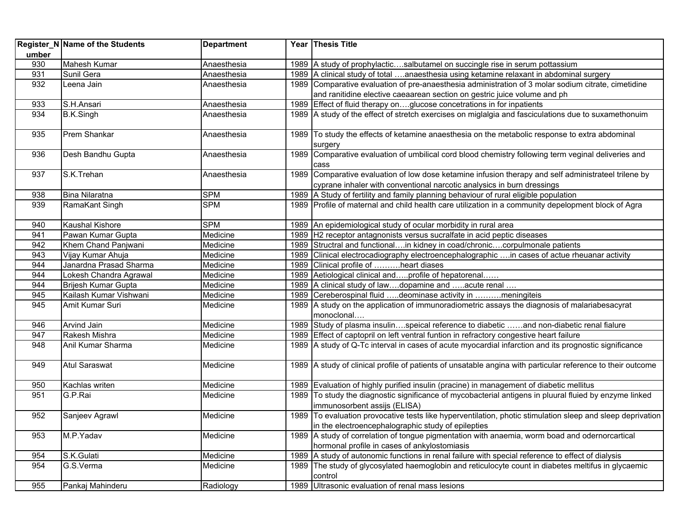|       | Register_N Name of the Students | <b>Department</b> |      | Year Thesis Title                                                                                                                                                |
|-------|---------------------------------|-------------------|------|------------------------------------------------------------------------------------------------------------------------------------------------------------------|
| umber |                                 |                   |      |                                                                                                                                                                  |
| 930   | Mahesh Kumar                    | Anaesthesia       |      | 1989 A study of prophylacticsalbutamel on succingle rise in serum pottassium                                                                                     |
| 931   | Sunil Gera                      | Anaesthesia       |      | 1989 A clinical study of total anaesthesia using ketamine relaxant in abdominal surgery                                                                          |
| 932   | Leena Jain                      | Anaesthesia       |      | 1989 Comparative evaluation of pre-anaesthesia administration of 3 molar sodium citrate, cimetidine                                                              |
|       |                                 |                   |      | and ranitidine elective caeaarean section on gestric juice volume and ph                                                                                         |
| 933   | S.H.Ansari                      | Anaesthesia       |      | 1989 Effect of fluid therapy onglucose concetrations in for inpatients                                                                                           |
| 934   | <b>B.K.Singh</b>                | Anaesthesia       |      | 1989 A study of the effect of stretch exercises on miglalgia and fasciculations due to suxamethonuim                                                             |
| 935   | Prem Shankar                    | Anaesthesia       |      | 1989 To study the effects of ketamine anaesthesia on the metabolic response to extra abdominal<br>surgery                                                        |
| 936   | Desh Bandhu Gupta               | Anaesthesia       |      | 1989 Comparative evaluation of umbilical cord blood chemistry following term veginal deliveries and<br>cass                                                      |
| 937   | S.K.Trehan                      | Anaesthesia       |      | 1989 Comparative evaluation of low dose ketamine infusion therapy and self administrateel trilene by                                                             |
|       |                                 |                   |      | cyprane inhaler with conventional narcotic analysics in burn dressings                                                                                           |
| 938   | Bina Nilaratna                  | <b>SPM</b>        |      | 1989 A Study of fertility and family planning behaviour of rural eligible population                                                                             |
| 939   | RamaKant Singh                  | <b>SPM</b>        |      | 1989 Profile of maternal and child health care utilization in a community depelopment block of Agra                                                              |
| 940   | Kaushal Kishore                 | <b>SPM</b>        |      | 1989 An epidemiological study of ocular morbidity in rural area                                                                                                  |
| 941   | Pawan Kumar Gupta               | Medicine          |      | 1989 H2 receptor antagnonists versus sucralfate in acid peptic diseases                                                                                          |
| 942   | Khem Chand Panjwani             | Medicine          |      | 1989 Structral and functionalin kidney in coad/chroniccorpulmonale patients                                                                                      |
| 943   | Vijay Kumar Ahuja               | Medicine          | 1989 | Clinical electrocadiography electroencephalographic  in cases of actue rheuanar activity                                                                         |
| 944   | Janardna Prasad Sharma          | Medicine          |      | 1989 Clinical profile of heart diases                                                                                                                            |
| 944   | Lokesh Chandra Agrawal          | Medicine          |      | 1989 Aetiological clinical andprofile of hepatorenal                                                                                                             |
| 944   | Brijesh Kumar Gupta             | Medicine          |      | 1989   A clinical study of lawdopamine and acute renal                                                                                                           |
| 945   | Kailash Kumar Vishwani          | Medicine          |      | 1989 Cereberospinal fluid deominase activity in meningiteis                                                                                                      |
| 945   | Amit Kumar Suri                 | Medicine          |      | 1989 A study on the application of immunoradiometric assays the diagnosis of malariabesacyrat<br>monoclonal                                                      |
| 946   | Arvind Jain                     | Medicine          |      | 1989 Study of plasma insulinspeical reference to diabetic and non-diabetic renal fialure                                                                         |
| 947   | Rakesh Mishra                   | Medicine          |      | 1989 Effect of captopril on left ventral funtion in refractory congestive heart failure                                                                          |
| 948   | Anil Kumar Sharma               | Medicine          |      | 1989 A study of Q-Tc interval in cases of acute myocardial infarction and its prognostic significance                                                            |
| 949   | <b>Atul Saraswat</b>            | Medicine          |      | 1989 A study of clinical profile of patients of unsatable angina with particular reference to their outcome                                                      |
| 950   | Kachlas writen                  | Medicine          |      | 1989 Evaluation of highly purified insulin (pracine) in management of diabetic mellitus                                                                          |
| 951   | G.P.Rai                         | Medicine          | 1989 | To study the diagnostic significance of mycobacterial antigens in pluural fluied by enzyme linked<br>immunosorbent assijs (ELISA)                                |
| 952   | Sanjeev Agrawl                  | Medicine          |      | 1989 To evaluation provocative tests like hyperventilation, photic stimulation sleep and sleep deprivation<br>in the electroencephalographic study of epilepties |
| 953   | M.P.Yadav                       | Medicine          |      | 1989 A study of correlation of tongue pigmentation with anaemia, worm boad and odernorcartical<br>hormonal profile in cases of ankylostomiasis                   |
| 954   | S.K.Gulati                      | Medicine          |      | 1989 A study of autonomic functions in renal failure with special reference to effect of dialysis                                                                |
| 954   | G.S.Verma                       | Medicine          |      | 1989 The study of glycosylated haemoglobin and reticulocyte count in diabetes meltifus in glycaemic<br>control                                                   |
| 955   | Pankaj Mahinderu                | Radiology         | 1989 | Ultrasonic evaluation of renal mass lesions                                                                                                                      |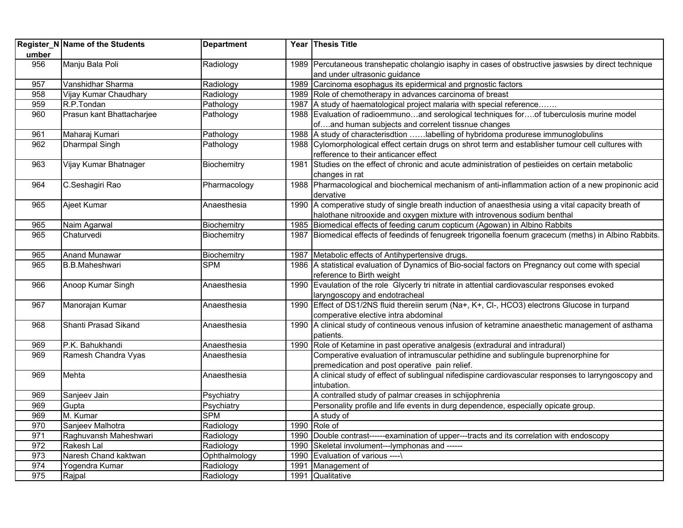| umber | Register_N Name of the Students | <b>Department</b> |      | Year Thesis Title                                                                                                                     |
|-------|---------------------------------|-------------------|------|---------------------------------------------------------------------------------------------------------------------------------------|
| 956   | Manju Bala Poli                 | Radiology         |      | 1989 Percutaneous transhepatic cholangio isaphy in cases of obstructive jaswsies by direct technique<br>and under ultrasonic guidance |
| 957   | Vanshidhar Sharma               | Radiology         |      | 1989 Carcinoma esophagus its epidermical and prgnostic factors                                                                        |
| 958   | Vijay Kumar Chaudhary           | Radiology         |      | 1989 Role of chemotherapy in advances carcinoma of breast                                                                             |
| 959   | R.P.Tondan                      | Pathology         |      | 1987 A study of haematological project malaria with special reference                                                                 |
| 960   | Prasun kant Bhattacharjee       | Pathology         |      | 1988 Evaluation of radioemmunoand serological techniques forof tuberculosis murine model                                              |
|       |                                 |                   |      | ofand human subjects and correlent tissnue changes                                                                                    |
| 961   | Maharaj Kumari                  | Pathology         |      | 1988 A study of characterisdtion labelling of hybridoma produrese immunoglobulins                                                     |
| 962   | <b>Dharmpal Singh</b>           | Pathology         |      | 1988 Cylomorphological effect certain drugs on shrot term and establisher tumour cell cultures with                                   |
|       |                                 |                   |      | refference to their anticancer effect                                                                                                 |
| 963   | Vijay Kumar Bhatnager           | Biochemitry       | 1981 | Studies on the effect of chronic and acute administration of pestieides on certain metabolic                                          |
|       |                                 |                   |      | changes in rat                                                                                                                        |
| 964   | C.Seshagiri Rao                 | Pharmacology      |      | 1988 Pharmacological and biochemical mechanism of anti-inflammation action of a new propinonic acid                                   |
|       |                                 |                   |      | dervative                                                                                                                             |
| 965   | Ajeet Kumar                     | Anaesthesia       |      | 1990 A comperative study of single breath induction of anaesthesia using a vital capacity breath of                                   |
|       |                                 |                   |      | halothane nitrooxide and oxygen mixture with introvenous sodium benthal                                                               |
| 965   | Naim Agarwal                    | Biochemitry       | 1985 | Biomedical effects of feeding carum copticum (Agowan) in Albino Rabbits                                                               |
| 965   | Chaturvedi                      | Biochemitry       |      | 1987 Biomedical effects of feedinds of fenugreek trigonella foenum gracecum (meths) in Albino Rabbits.                                |
| 965   | <b>Anand Munawar</b>            | Biochemitry       |      | 1987 Metabolic effects of Antihypertensive drugs.                                                                                     |
| 965   | <b>B.B.Maheshwari</b>           | <b>SPM</b>        |      | 1986 A statistical evaluation of Dynamics of Bio-social factors on Pregnancy out come with special                                    |
|       |                                 |                   |      | reference to Birth weight                                                                                                             |
| 966   | Anoop Kumar Singh               | Anaesthesia       |      | 1990 Evaulation of the role Glycerly tri nitrate in attential cardiovascular responses evoked                                         |
|       |                                 |                   |      | laryngoscopy and endotracheal                                                                                                         |
| 967   | Manorajan Kumar                 | Anaesthesia       |      | 1990 Effect of DS1/2NS fluid thereiin serum (Na+, K+, Cl-, HCO3) electrons Glucose in turpand                                         |
|       |                                 |                   |      | comperative elective intra abdominal                                                                                                  |
| 968   | Shanti Prasad Sikand            | Anaesthesia       |      | 1990 A clinical study of contineous venous infusion of ketramine anaesthetic management of asthama                                    |
|       |                                 |                   |      | patients.                                                                                                                             |
| 969   | P.K. Bahukhandi                 | Anaesthesia       | 1990 | Role of Ketamine in past operative analgesis (extradural and intradural)                                                              |
| 969   | Ramesh Chandra Vyas             | Anaesthesia       |      | Comperative evaluation of intramuscular pethidine and sublingule buprenorphine for                                                    |
|       |                                 |                   |      | premedication and post operative pain relief.                                                                                         |
| 969   | Mehta                           | Anaesthesia       |      | A clinical study of effect of sublingual nifedispine cardiovascular responses to larryngoscopy and                                    |
|       |                                 |                   |      | intubation.                                                                                                                           |
| 969   | Sanjeev Jain                    | Psychiatry        |      | A contralled study of palmar creases in schijophrenia                                                                                 |
| 969   | Gupta                           | Psychiatry        |      | Personality profile and life events in durg dependence, especially opicate group.                                                     |
| 969   | M. Kumar                        | <b>SPM</b>        |      | A study of                                                                                                                            |
| 970   | Sanjeev Malhotra                | Radiology         |      | 1990 Role of                                                                                                                          |
| 971   | Raghuvansh Maheshwari           | Radiology         |      | 1990 Double contrast------examination of upper---tracts and its correlation with endoscopy                                            |
| 972   | Rakesh Lal                      | Radiology         | 1990 | Skeletal involument---lymphonas and ------                                                                                            |
| 973   | Naresh Chand kaktwan            | Ophthalmology     | 1990 | Evaluation of various ---- \                                                                                                          |
| 974   | Yogendra Kumar                  | Radiology         | 1991 | Management of                                                                                                                         |
| 975   | Rajpal                          | Radiology         |      | 1991 Qualitative                                                                                                                      |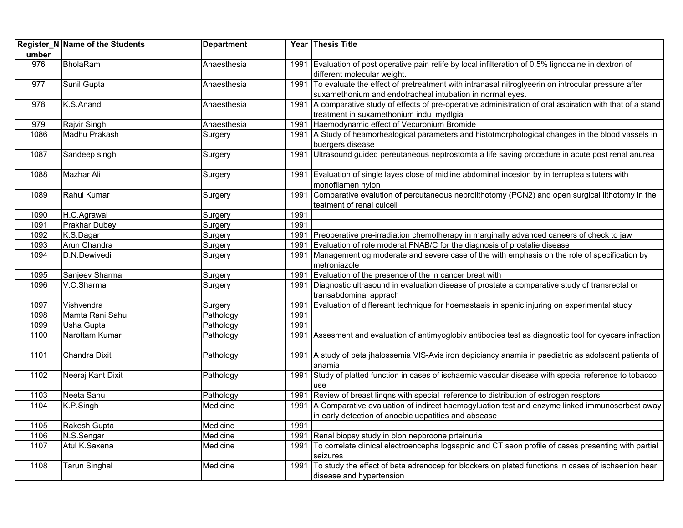|       | Register_N Name of the Students | <b>Department</b> |      | Year Thesis Title                                                                                                 |
|-------|---------------------------------|-------------------|------|-------------------------------------------------------------------------------------------------------------------|
| umber |                                 |                   |      |                                                                                                                   |
| 976   | <b>BholaRam</b>                 | Anaesthesia       |      | 1991 Evaluation of post operative pain relife by local infilteration of 0.5% lignocaine in dextron of             |
|       |                                 |                   |      | different molecular weight.                                                                                       |
| 977   | Sunil Gupta                     | Anaesthesia       | 1991 | To evaluate the effect of pretreatment with intranasal nitroglyeerin on introcular pressure after                 |
|       |                                 |                   |      | suxamethonium and endotracheal intubation in normal eyes.                                                         |
| 978   | K.S.Anand                       | Anaesthesia       |      | 1991 A comparative study of effects of pre-operative administration of oral aspiration with that of a stand       |
|       |                                 |                   |      | treatment in suxamethonium indu mydlgia                                                                           |
| 979   | Rajvir Singh                    | Anaesthesia       | 1991 | Haemodynamic effect of Vecuronium Bromide                                                                         |
| 1086  | Madhu Prakash                   | Surgery           |      | 1991 A Study of heamorhealogical parameters and histotmorphological changes in the blood vassels in               |
|       |                                 |                   |      | buergers disease                                                                                                  |
| 1087  | Sandeep singh                   | Surgery           |      | 1991 Ultrasound guided pereutaneous neptrostomta a life saving procedure in acute post renal anurea               |
| 1088  | Mazhar Ali                      | Surgery           |      | 1991 Evaluation of single layes close of midline abdominal incesion by in terruptea situters with                 |
|       |                                 |                   |      | monofilamen nylon                                                                                                 |
| 1089  | <b>Rahul Kumar</b>              | Surgery           | 1991 | Comparative evalution of percutaneous neprolithotomy (PCN2) and open surgical lithotomy in the                    |
|       |                                 |                   |      | teatment of renal culceli                                                                                         |
| 1090  | H.C.Agrawal                     | Surgery           | 1991 |                                                                                                                   |
| 1091  | Prakhar Dubey                   | Surgery           | 1991 |                                                                                                                   |
| 1092  | K.S.Dagar                       | Surgery           | 1991 | Preoperative pre-irradiation chemotherapy in marginally advanced caneers of check to jaw                          |
| 1093  | Arun Chandra                    | Surgery           | 1991 | Evaluation of role moderat FNAB/C for the diagnosis of prostalie disease                                          |
| 1094  | D.N.Dewivedi                    | Surgery           | 1991 | Management og moderate and severe case of the with emphasis on the role of specification by                       |
|       |                                 |                   |      | metroniazole                                                                                                      |
| 1095  | Sanjeev Sharma                  | Surgery           | 1991 | Evaluation of the presence of the in cancer breat with                                                            |
| 1096  | V.C.Sharma                      | Surgery           | 1991 | Diagnostic ultrasound in evaluation disease of prostate a comparative study of transrectal or                     |
|       |                                 |                   |      | transabdominal apprach                                                                                            |
| 1097  | Vishvendra                      | Surgery           | 1991 | Evaluation of differeant technique for hoemastasis in spenic injuring on experimental study                       |
| 1098  | Mamta Rani Sahu                 | Pathology         | 1991 |                                                                                                                   |
| 1099  | <b>Usha Gupta</b>               | Pathology         | 1991 |                                                                                                                   |
| 1100  | Narottam Kumar                  | Pathology         |      | 1991 Assesment and evaluation of antimyoglobiv antibodies test as diagnostic tool for cyecare infraction          |
| 1101  | Chandra Dixit                   | Pathology         |      | 1991 A study of beta jhalossemia VIS-Avis iron depiciancy anamia in paediatric as adolscant patients of<br>anamia |
| 1102  | Neeraj Kant Dixit               | Pathology         |      | 1991 Study of platted function in cases of ischaemic vascular disease with special reference to tobacco           |
|       |                                 |                   |      | use                                                                                                               |
| 1103  | Neeta Sahu                      | Pathology         | 1991 | Review of breast lingns with special reference to distribution of estrogen resptors                               |
| 1104  | K.P.Singh                       | Medicine          |      | 1991 A Comparative evaluation of indirect haemagyluation test and enzyme linked immunosorbest away                |
|       |                                 |                   |      | in early detection of anoebic uepatities and absease                                                              |
| 1105  | Rakesh Gupta                    | Medicine          | 1991 |                                                                                                                   |
| 1106  | N.S.Sengar                      | Medicine          | 1991 | Renal biopsy study in blon nepbroone prteinuria                                                                   |
| 1107  | Atul K.Saxena                   | Medicine          | 1991 | To correlate clinical electroencepha logsapnic and CT seon profile of cases presenting with partial               |
|       |                                 |                   |      | seizures                                                                                                          |
| 1108  | <b>Tarun Singhal</b>            | Medicine          | 1991 | To study the effect of beta adrenocep for blockers on plated functions in cases of ischaenion hear                |
|       |                                 |                   |      | disease and hypertension                                                                                          |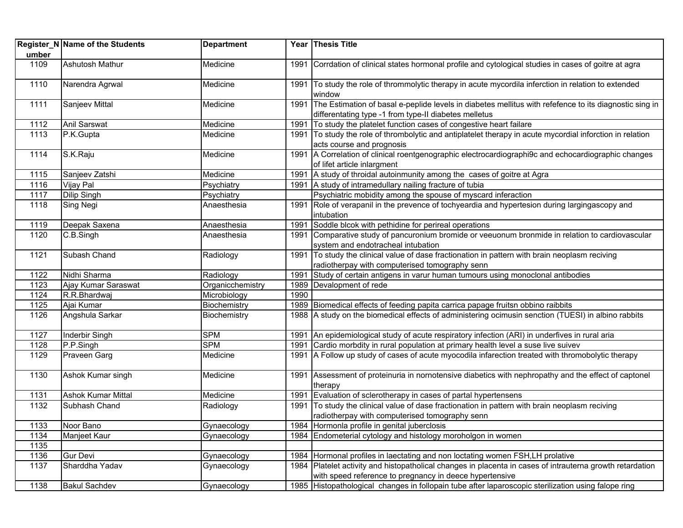| umber | Register_N Name of the Students | <b>Department</b> |      | Year Thesis Title                                                                                                                                                    |
|-------|---------------------------------|-------------------|------|----------------------------------------------------------------------------------------------------------------------------------------------------------------------|
| 1109  | Ashutosh Mathur                 | Medicine          |      | 1991 Corrdation of clinical states hormonal profile and cytological studies in cases of goitre at agra                                                               |
| 1110  | Narendra Agrwal                 | Medicine          |      | 1991 To study the role of thrommolytic therapy in acute mycordila inferction in relation to extended<br>window                                                       |
| 1111  | Sanjeev Mittal                  | Medicine          |      | 1991 The Estimation of basal e-peplide levels in diabetes mellitus with refefence to its diagnostic sing in<br>differentating type -1 from type-II diabetes melletus |
| 1112  | Anil Sarswat                    | Medicine          | 1991 | To study the platelet function cases of congestive heart failare                                                                                                     |
| 1113  | P.K.Gupta                       | Medicine          |      | 1991 To study the role of thrombolytic and antiplatelet therapy in acute mycordial inforction in relation<br>acts course and prognosis                               |
| 1114  | S.K.Raju                        | Medicine          |      | 1991 A Correlation of clinical roentgenographic electrocardiographi9c and echocardiographic changes<br>of lifet article inlargment                                   |
| 1115  | Sanjeev Zatshi                  | Medicine          | 1991 | A study of throidal autoinmunity among the cases of goitre at Agra                                                                                                   |
| 1116  | Vijay Pal                       | Psychiatry        |      | 1991 A study of intramedullary nailing fracture of tubia                                                                                                             |
| 1117  | <b>Dilip Singh</b>              | Psychiatry        |      | Psychiatric mobidity among the spouse of myscard inferaction                                                                                                         |
| 1118  | Sing Negi                       | Anaesthesia       |      | 1991 Role of verapanil in the prevence of tochyeardia and hypertesion during largingascopy and<br>intubation                                                         |
| 1119  | Deepak Saxena                   | Anaesthesia       | 1991 | Soddle blcok with pethidine for perireal operations                                                                                                                  |
| 1120  | C.B.Singh                       | Anaesthesia       |      | 1991 Comparative study of pancuronium bromide or veeuonum bronmide in relation to cardiovascular<br>system and endotracheal intubation                               |
| 1121  | Subash Chand                    | Radiology         |      | 1991 To study the clinical value of dase fractionation in pattern with brain neoplasm reciving<br>radiotherpay with computerised tomography senn                     |
| 1122  | Nidhi Sharma                    | Radiology         | 1991 | Study of certain antigens in varur human tumours using monoclonal antibodies                                                                                         |
| 1123  | Ajay Kumar Saraswat             | Organicchemistry  |      | 1989 Devalopment of rede                                                                                                                                             |
| 1124  | R.R.Bhardwaj                    | Microbiology      | 1990 |                                                                                                                                                                      |
| 1125  | Ajai Kumar                      | Biochemistry      |      | 1989 Biomedical effects of feeding papita carrica papage fruitsn obbino raibbits                                                                                     |
| 1126  | Angshula Sarkar                 | Biochemistry      |      | 1988 A study on the biomedical effects of administering ocimusin senction (TUESI) in albino rabbits                                                                  |
| 1127  | Inderbir Singh                  | <b>SPM</b>        |      | 1991 An epidemiological study of acute respiratory infection (ARI) in underfives in rural aria                                                                       |
| 1128  | P.P.Singh                       | <b>SPM</b>        |      | 1991 Cardio morbdity in rural population at primary health level a suse live suivev                                                                                  |
| 1129  | Praveen Garg                    | Medicine          |      | 1991 A Follow up study of cases of acute myocodila infarection treated with thromobolytic therapy                                                                    |
| 1130  | Ashok Kumar singh               | Medicine          |      | 1991 Assessment of proteinuria in nornotensive diabetics with nephropathy and the effect of captonel<br>therapy                                                      |
| 1131  | <b>Ashok Kumar Mittal</b>       | Medicine          |      | 1991 Evaluation of sclerotherapy in cases of partal hypertensens                                                                                                     |
| 1132  | Subhash Chand                   | Radiology         |      | 1991 To study the clinical value of dase fractionation in pattern with brain neoplasm reciving<br>radiotherpay with computerised tomography senn                     |
| 1133  | Noor Bano                       | Gynaecology       |      | 1984 Hormonla profile in genital juberclosis                                                                                                                         |
| 1134  | Manjeet Kaur                    | Gynaecology       |      | 1984 Endometerial cytology and histology moroholgon in women                                                                                                         |
| 1135  |                                 |                   |      |                                                                                                                                                                      |
| 1136  | <b>Gur Devi</b>                 | Gynaecology       |      | 1984 Hormonal profiles in laectating and non loctating women FSH, LH prolative                                                                                       |
| 1137  | Sharddha Yadav                  | Gynaecology       |      | 1984 Platelet activity and histopatholical changes in placenta in cases of intrauterna growth retardation<br>with speed reference to pregnancy in deece hypertensive |
| 1138  | <b>Bakul Sachdev</b>            | Gynaecology       |      | 1985 Histopathological changes in follopain tube after laparoscopic sterilization using falope ring                                                                  |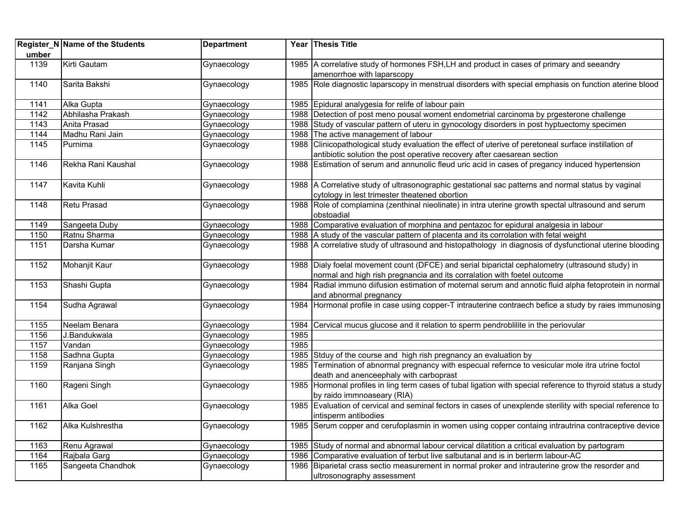|       | Register_N Name of the Students | <b>Department</b> |      | Year Thesis Title                                                                                                                                                           |
|-------|---------------------------------|-------------------|------|-----------------------------------------------------------------------------------------------------------------------------------------------------------------------------|
| umber |                                 |                   |      |                                                                                                                                                                             |
| 1139  | Kirti Gautam                    | Gynaecology       |      | 1985 A correlative study of hormones FSH, LH and product in cases of primary and seeandry                                                                                   |
|       |                                 |                   |      | amenorrhoe with laparscopy                                                                                                                                                  |
| 1140  | Sarita Bakshi                   | Gynaecology       |      | 1985 Role diagnostic laparscopy in menstrual disorders with special emphasis on function aterine blood                                                                      |
| 1141  | Alka Gupta                      | Gynaecology       |      | 1985 Epidural analygesia for relife of labour pain                                                                                                                          |
| 1142  | Abhilasha Prakash               | Gynaecology       |      | 1988 Detection of post meno pousal woment endometrial carcinoma by prgesterone challenge                                                                                    |
| 1143  | Anita Prasad                    | Gynaecology       |      | 1988 Study of vascular pattern of uteru in gynocology disorders in post hyptuectomy specimen                                                                                |
| 1144  | Madhu Rani Jain                 | Gynaecology       | 1988 | The active management of labour                                                                                                                                             |
| 1145  | Purnima                         | Gynaecology       |      | 1988 Clinicopathological study evaluation the effect of uterive of peretoneal surface instillation of                                                                       |
|       |                                 |                   |      | antibiotic solution the post operative recovery after caesarean section                                                                                                     |
| 1146  | Rekha Rani Kaushal              | Gynaecology       |      | 1988 Estimation of serum and annunolic fleud uric acid in cases of pregancy induced hypertension                                                                            |
| 1147  | Kavita Kuhli                    | Gynaecology       |      | 1988 A Correlative study of ultrasonographic gestational sac patterns and normal status by vaginal                                                                          |
|       |                                 |                   |      | cytology in lest trimester theatened obortion                                                                                                                               |
| 1148  | Retu Prasad                     | Gynaecology       |      | 1988 Role of complamina (zenthinal nieolinate) in intra uterine growth spectal ultrasound and serum                                                                         |
|       |                                 |                   |      | obstoadial                                                                                                                                                                  |
| 1149  | Sangeeta Duby                   | Gynaecology       |      | 1988 Comparative evaluation of morphina and pentazoc for epidural analgesia in labour                                                                                       |
| 1150  | Ratnu Sharma                    | Gynaecology       |      | 1988 A study of the vascular pattern of placenta and its corrolation with fetal weight                                                                                      |
| 1151  | Darsha Kumar                    | Gynaecology       |      | 1988 A correlative study of ultrasound and histopathology in diagnosis of dysfunctional uterine blooding                                                                    |
| 1152  | Mohanjit Kaur                   | Gynaecology       |      | 1988 Dialy foelal movement count (DFCE) and serial biparictal cephalometry (ultrasound study) in<br>normal and high rish pregnancia and its corralation with foetel outcome |
| 1153  | Shashi Gupta                    | Gynaecology       |      | 1984 Radial immuno diifusion estimation of moternal serum and annotic fluid alpha fetoprotein in normal<br>and abnormal pregnancy                                           |
| 1154  | Sudha Agrawal                   | Gynaecology       |      | 1984 Hormonal profile in case using copper-T intrauterine contraech befice a study by raies immunosing                                                                      |
| 1155  | Neelam Benara                   | Gynaecology       | 1984 | Cervical mucus glucose and it relation to sperm pendroblilite in the periovular                                                                                             |
| 1156  | J.Bandukwala                    | Gynaecology       | 1985 |                                                                                                                                                                             |
| 1157  | Vandan                          | Gynaecology       | 1985 |                                                                                                                                                                             |
| 1158  | Sadhna Gupta                    | Gynaecology       | 1985 | Stduy of the course and high rish pregnancy an evaluation by                                                                                                                |
| 1159  | Ranjana Singh                   | Gynaecology       | 1985 | Termination of abnormal pregnancy with especual refernce to vesicular mole itra utrine foctol<br>death and anenceephaly with carboprast                                     |
| 1160  | Rageni Singh                    | Gynaecology       |      | 1985 Hormonal profiles in ling term cases of tubal ligation with special reference to thyroid status a study<br>by raido immnoaseary (RIA)                                  |
| 1161  | Alka Goel                       | Gynaecology       |      | 1985 Evaluation of cervical and seminal fectors in cases of unexplende sterility with special reference to<br>intisperm antibodies                                          |
| 1162  | Alka Kulshrestha                | Gynaecology       |      | 1985 Serum copper and cerufoplasmin in women using copper containg intrautrina contraceptive device                                                                         |
| 1163  | Renu Agrawal                    | Gynaecology       |      | 1985 Study of normal and abnormal labour cervical dilatition a critical evaluation by partogram                                                                             |
| 1164  | Rajbala Garg                    | Gynaecology       |      | 1986 Comparative evaluation of terbut live salbutanal and is in berterm labour-AC                                                                                           |
| 1165  | Sangeeta Chandhok               | Gynaecology       | 1986 | Biparietal crass sectio measurement in normal proker and intrauterine grow the resorder and                                                                                 |
|       |                                 |                   |      | ultrosonography assessment                                                                                                                                                  |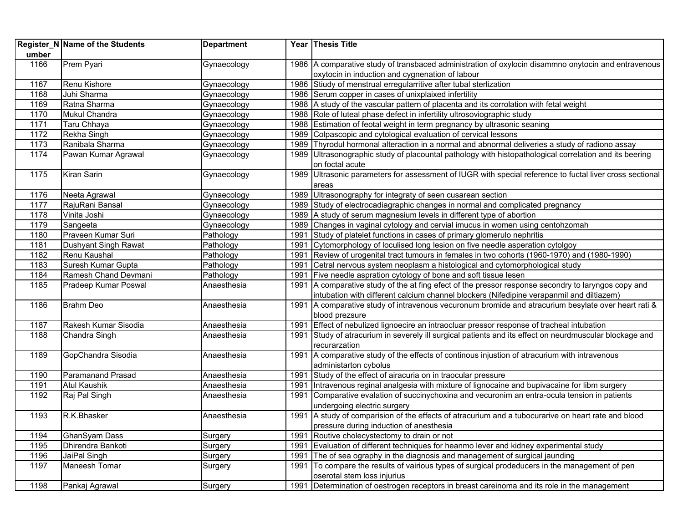| umber | Register_N Name of the Students | <b>Department</b> |      | Year Thesis Title                                                                                                                                      |
|-------|---------------------------------|-------------------|------|--------------------------------------------------------------------------------------------------------------------------------------------------------|
| 1166  | Prem Pyari                      | Gynaecology       |      | 1986 A comparative study of transbaced administration of oxylocin disammno onytocin and entravenous<br>oxytocin in induction and cygnenation of labour |
| 1167  | Renu Kishore                    | Gynaecology       |      | 1986 Stiudy of menstrual erregularritive after tubal sterlization                                                                                      |
| 1168  | Juhi Sharma                     | Gynaecology       |      | 1986 Serum copper in cases of unixplaixed infertility                                                                                                  |
| 1169  | Ratna Sharma                    | Gynaecology       |      | 1988 A study of the vascular pattern of placenta and its corrolation with fetal weight                                                                 |
| 1170  | Mukul Chandra                   | Gynaecology       |      | 1988 Role of luteal phase defect in infertility ultrosoviographic study                                                                                |
| 1171  | Taru Chhaya                     | Gynaecology       |      | 1988 Estimation of feotal weight in term pregnancy by ultrasonic seaning                                                                               |
| 1172  | Rekha Singh                     | Gynaecology       |      | 1989 Colpascopic and cytological evaluation of cervical lessons                                                                                        |
| 1173  | Ranibala Sharma                 | Gynaecology       |      | 1989 Thyrodul hormonal alteraction in a normal and abnormal deliveries a study of radiono assay                                                        |
| 1174  | Pawan Kumar Agrawal             | Gynaecology       |      | 1989 Ultrasonographic study of placountal pathology with histopathological correlation and its beering                                                 |
|       |                                 |                   |      | on foctal acute                                                                                                                                        |
| 1175  | Kiran Sarin                     | Gynaecology       |      | 1989 Ultrasonic parameters for assessment of IUGR with special reference to fuctal liver cross sectional                                               |
|       |                                 |                   |      | areas                                                                                                                                                  |
| 1176  | Neeta Agrawal                   | Gynaecology       |      | 1989 Ultrasonography for integraty of seen cusarean section                                                                                            |
| 1177  | RajuRani Bansal                 | Gynaecology       |      | 1989 Study of electrocadiagraphic changes in normal and complicated pregnancy                                                                          |
| 1178  | Vinita Joshi                    | Gynaecology       |      | 1989   A study of serum magnesium levels in different type of abortion                                                                                 |
| 1179  | Sangeeta                        | Gynaecology       | 1989 | Changes in vaginal cytology and cervial imucus in women using centohzomah                                                                              |
| 1180  | Praveen Kumar Suri              | Pathology         | 1991 | Study of platelet functions in cases of primary glomerulo nephritis                                                                                    |
| 1181  | Dushyant Singh Rawat            | Pathology         | 1991 | Cytomorphology of loculised long lesion on five needle asperation cytolgoy                                                                             |
| 1182  | Renu Kaushal                    | Pathology         | 1991 | Review of urogenital tract tumours in females in two cohorts (1960-1970) and (1980-1990)                                                               |
| 1183  | Suresh Kumar Gupta              | Pathology         | 1991 | Cetral nervous system neoplasm a histological and cytomorphological study                                                                              |
| 1184  | Ramesh Chand Devmani            | Pathology         | 1991 | Five needle aspration cytology of bone and soft tissue lesen                                                                                           |
| 1185  | Pradeep Kumar Poswal            | Anaesthesia       |      | 1991 A comparative study of the at fing efect of the pressor response secondry to laryngos copy and                                                    |
|       |                                 |                   |      | intubation with different calcium channel blockers (Nifedipine verapanmil and diltiazem)                                                               |
| 1186  | <b>Brahm Deo</b>                | Anaesthesia       |      | 1991 A comparative study of intravenous vecuronum bromide and atracurium besylate over heart rati &                                                    |
|       |                                 |                   |      | blood prezsure                                                                                                                                         |
| 1187  | Rakesh Kumar Sisodia            | Anaesthesia       | 1991 | Effect of nebulized lignoecire an intraocluar pressor response of tracheal intubation                                                                  |
| 1188  | Chandra Singh                   | Anaesthesia       | 1991 | Study of atracurium in severely ill surgical patients and its effect on neurdmuscular blockage and                                                     |
|       |                                 |                   |      | recurarzation                                                                                                                                          |
| 1189  | GopChandra Sisodia              | Anaesthesia       | 1991 | A comparative study of the effects of continous injustion of atracurium with intravenous                                                               |
|       |                                 |                   |      | administarton cybolus                                                                                                                                  |
| 1190  | <b>Paramanand Prasad</b>        | Anaesthesia       | 1991 | Study of the effect of airacuria on in traocular pressure                                                                                              |
| 1191  | <b>Atul Kaushik</b>             | Anaesthesia       | 1991 | Intravenous reginal analgesia with mixture of lignocaine and bupivacaine for libm surgery                                                              |
| 1192  | Raj Pal Singh                   | Anaesthesia       | 1991 | Comparative evalation of succinychoxina and vecuronim an entra-ocula tension in patients                                                               |
|       |                                 |                   |      | undergoing electric surgery                                                                                                                            |
| 1193  | R.K.Bhasker                     | Anaesthesia       |      | 1991 A study of comparision of the effects of atracurium and a tubocurarive on heart rate and blood                                                    |
|       |                                 |                   |      | pressure during induction of anesthesia                                                                                                                |
| 1194  | GhanSyam Dass                   | Surgery           | 1991 | Routive cholecystectomy to drain or not                                                                                                                |
| 1195  | Dhirendra Bankoti               | Surgery           | 1991 | Evaluation of different techniques for heanmo lever and kidney experimental study                                                                      |
| 1196  | JaiPal Singh                    | Surgery           | 1991 | The of sea ography in the diagnosis and management of surgical jaunding                                                                                |
| 1197  | Maneesh Tomar                   | Surgery           | 1991 | To compare the results of vairious types of surgical prodeducers in the management of pen                                                              |
|       |                                 |                   |      | oserotal stem loss injurius                                                                                                                            |
| 1198  | Pankaj Agrawal                  | Surgery           | 1991 | Determination of oestrogen receptors in breast careinoma and its role in the management                                                                |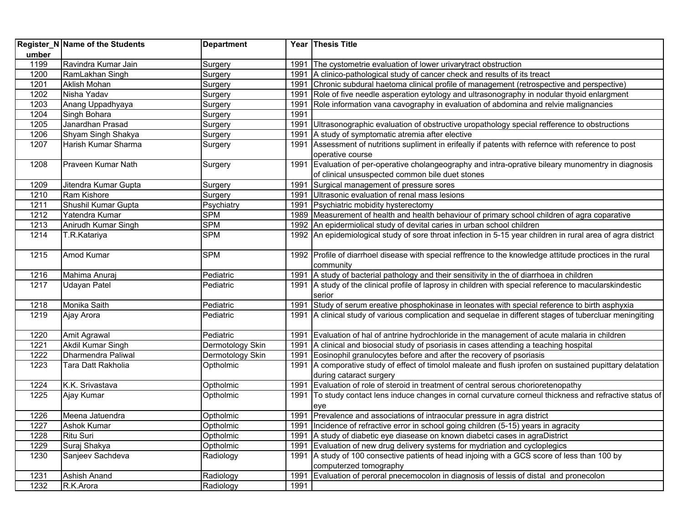|       | <b>Register_N Name of the Students</b> | <b>Department</b> |      | Year Thesis Title                                                                                           |
|-------|----------------------------------------|-------------------|------|-------------------------------------------------------------------------------------------------------------|
| umber |                                        |                   |      |                                                                                                             |
| 1199  | Ravindra Kumar Jain                    | Surgery           | 1991 | The cystometrie evaluation of lower urivarytract obstruction                                                |
| 1200  | RamLakhan Singh                        | Surgery           | 1991 | A clinico-pathological study of cancer check and results of its treact                                      |
| 1201  | <b>Aklish Mohan</b>                    | Surgery           | 1991 | Chronic subdural haetoma clinical profile of management (retrospective and perspective)                     |
| 1202  | Nisha Yadav                            | Surgery           | 1991 | Role of five needle asperation eytology and ultrasonography in nodular thyoid enlargment                    |
| 1203  | Anang Uppadhyaya                       | Surgery           | 1991 | Role information vana cavography in evaluation of abdomina and relvie malignancies                          |
| 1204  | Singh Bohara                           | Surgery           | 1991 |                                                                                                             |
| 1205  | Janardhan Prasad                       | Surgery           | 1991 | Ultrasonographic evaluation of obstructive uropathology special refference to obstructions                  |
| 1206  | Shyam Singh Shakya                     | Surgery           | 1991 | A study of symptomatic atremia after elective                                                               |
| 1207  | Harish Kumar Sharma                    | Surgery           | 1991 | Assessment of nutritions supliment in erifeally if patents with refernce with reference to post             |
|       |                                        |                   |      | operative course                                                                                            |
| 1208  | Praveen Kumar Nath                     | Surgery           | 1991 | Evaluation of per-operative cholangeography and intra-oprative bileary munomentry in diagnosis              |
|       |                                        |                   |      | of clinical unsuspected common bile duet stones                                                             |
| 1209  | Jitendra Kumar Gupta                   | Surgery           | 1991 | Surgical management of pressure sores                                                                       |
| 1210  | Ram Kishore                            | Surgery           | 1991 | Ultrasonic evaluation of renal mass lesions                                                                 |
| 1211  | Shushil Kumar Gupta                    | Psychiatry        | 1991 | Psychiatric mobidity hysterectomy                                                                           |
| 1212  | Yatendra Kumar                         | <b>SPM</b>        |      | 1989 Measurement of health and health behaviour of primary school children of agra coparative               |
| 1213  | Anirudh Kumar Singh                    | <b>SPM</b>        |      | 1992 An epidermiolical study of devital caries in urban school children                                     |
| 1214  | T.R.Katariya                           | <b>SPM</b>        |      | 1992 An epidemiological study of sore throat infection in 5-15 year children in rural area of agra district |
|       |                                        |                   |      |                                                                                                             |
| 1215  | Amod Kumar                             | <b>SPM</b>        |      | 1992 Profile of diarrhoel disease with special reffrence to the knowledge attitude proctices in the rural   |
|       |                                        |                   |      | community                                                                                                   |
| 1216  | Mahima Anuraj                          | Pediatric         | 1991 | A study of bacterial pathology and their sensitivity in the of diarrhoea in children                        |
| 1217  | Udayan Patel                           | Pediatric         | 1991 | A study of the clinical profile of laprosy in children with special reference to macularskindestic          |
|       |                                        |                   |      | serior                                                                                                      |
| 1218  | Monika Saith                           | Pediatric         | 1991 | Study of serum ereative phosphokinase in leonates with special reference to birth asphyxia                  |
| 1219  | Ajay Arora                             | Pediatric         | 1991 | A clinical study of various complication and sequelae in different stages of tubercluar meningiting         |
|       |                                        |                   |      |                                                                                                             |
| 1220  | Amit Agrawal                           | Pediatric         | 1991 | Evaluation of hal of antrine hydrochloride in the management of acute malaria in children                   |
| 1221  | Akdil Kumar Singh                      | Dermotology Skin  | 1991 | A clinical and biosocial study of psoriasis in cases attending a teaching hospital                          |
| 1222  | Dharmendra Paliwal                     | Dermotology Skin  | 1991 | Eosinophil granulocytes before and after the recovery of psoriasis                                          |
| 1223  | Tara Datt Rakholia                     | Optholmic         | 1991 | A comporative study of effect of timolol maleate and flush iprofen on sustained pupittary delatation        |
|       |                                        |                   |      | during cataract surgery                                                                                     |
| 1224  | K.K. Srivastava                        | Optholmic         | 1991 | Evaluation of role of steroid in treatment of central serous chorioretenopathy                              |
| 1225  | Ajay Kumar                             | Optholmic         |      | 1991 To study contact lens induce changes in cornal curvature corneul thickness and refractive status of    |
|       |                                        |                   |      | eve                                                                                                         |
| 1226  | Meena Jatuendra                        | Optholmic         |      | 1991 Prevalence and associations of intraocular pressure in agra district                                   |
| 1227  | Ashok Kumar                            | Optholmic         |      | 1991 Incidence of refractive error in school going children (5-15) years in agracity                        |
| 1228  | Ritu Suri                              | Optholmic         | 1991 | A study of diabetic eye diasease on known diabetci cases in agraDistrict                                    |
| 1229  | Suraj Shakya                           | Optholmic         | 1991 | Evaluation of new drug delivery systems for mydriation and cycloplegics                                     |
| 1230  | Sanjeev Sachdeva                       | Radiology         | 1991 | A study of 100 consective patients of head injoing with a GCS score of less than 100 by                     |
|       |                                        |                   |      | computerzed tomography                                                                                      |
| 1231  | Ashish Anand                           | Radiology         | 1991 | Evaluation of peroral pnecemocolon in diagnosis of lessis of distal and pronecolon                          |
| 1232  | R.K.Arora                              | Radiology         | 1991 |                                                                                                             |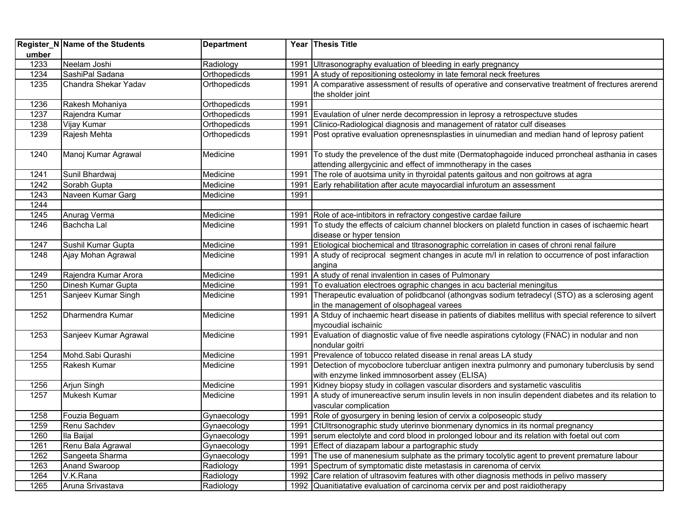|       | Register_N Name of the Students | <b>Department</b> |      | Year Thesis Title                                                                                               |
|-------|---------------------------------|-------------------|------|-----------------------------------------------------------------------------------------------------------------|
| umber |                                 |                   |      |                                                                                                                 |
| 1233  | Neelam Joshi                    | Radiology         | 1991 | Ultrasonography evaluation of bleeding in early pregnancy                                                       |
| 1234  | SashiPal Sadana                 | Orthopedicds      |      | 1991 A study of repositioning osteolomy in late femoral neck freetures                                          |
| 1235  | Chandra Shekar Yadav            | Orthopedicds      |      | 1991   A comparative assessment of results of operative and conservative treatment of frectures arerend         |
|       |                                 |                   |      | the sholder joint                                                                                               |
| 1236  | Rakesh Mohaniya                 | Orthopedicds      | 1991 |                                                                                                                 |
| 1237  | Rajendra Kumar                  | Orthopedicds      |      | 1991 Evaulation of ulner nerde decompression in leprosy a retrospectuve studes                                  |
| 1238  | Vijay Kumar                     | Orthopedicds      | 1991 | Clinico-Radiological diagnosis and management of ratator culf diseases                                          |
| 1239  | Rajesh Mehta                    | Orthopedicds      |      | 1991 Post oprative evaluation oprenesnsplasties in uinumedian and median hand of leprosy patient                |
| 1240  | Manoj Kumar Agrawal             | Medicine          |      | 1991 To study the prevelence of the dust mite (Dermatophagoide induced prroncheal asthania in cases             |
|       |                                 |                   |      | attending allergycinic and effect of immnotherapy in the cases                                                  |
| 1241  | Sunil Bhardwaj                  | Medicine          | 1991 | The role of auotsima unity in thyroidal patents gaitous and non goitrows at agra                                |
| 1242  | Sorabh Gupta                    | Medicine          | 1991 | Early rehabilitation after acute mayocardial infurotum an assessment                                            |
| 1243  | Naveen Kumar Garg               | Medicine          | 1991 |                                                                                                                 |
| 1244  |                                 |                   |      |                                                                                                                 |
| 1245  | Anurag Verma                    | Medicine          | 1991 | Role of ace-intibitors in refractory congestive cardae failure                                                  |
| 1246  | Bachcha Lal                     | Medicine          | 1991 | To study the effects of calcium channel blockers on plaletd function in cases of ischaemic heart                |
|       |                                 |                   |      | disease or hyper tension                                                                                        |
| 1247  | Sushil Kumar Gupta              | Medicine          | 1991 | Etiological biochemical and tltrasonographic correlation in cases of chroni renal failure                       |
| 1248  | Ajay Mohan Agrawal              | Medicine          |      | 1991 A study of reciprocal segment changes in acute m/l in relation to occurrence of post infaraction<br>angina |
| 1249  | Rajendra Kumar Arora            | Medicine          |      | 1991 A study of renal invalention in cases of Pulmonary                                                         |
| 1250  | Dinesh Kumar Gupta              | Medicine          |      | 1991 To evaluation electroes ographic changes in acu bacterial meningitus                                       |
| 1251  | Sanjeev Kumar Singh             | Medicine          | 1991 | Therapeutic evaluation of polidbcanol (athongvas sodium tetradecyl (STO) as a sclerosing agent                  |
|       |                                 |                   |      | in the management of olsophageal varees                                                                         |
| 1252  | Dharmendra Kumar                | Medicine          |      | 1991   A Stduy of inchaemic heart disease in patients of diabites mellitus with special reference to silvert    |
|       |                                 |                   |      | mycoudial ischainic                                                                                             |
| 1253  | Sanjeev Kumar Agrawal           | Medicine          |      | 1991 Evaluation of diagnostic value of five needle aspirations cytology (FNAC) in nodular and non               |
|       |                                 |                   |      | nondular goitri                                                                                                 |
| 1254  | Mohd.Sabi Qurashi               | Medicine          | 1991 | Prevalence of tobucco related disease in renal areas LA study                                                   |
| 1255  | Rakesh Kumar                    | Medicine          | 1991 | Detection of mycoboclore tubercluar antigen inextra pulmonry and pumonary tuberclusis by send                   |
|       |                                 |                   |      | with enzyme linked immnosorbent assey (ELISA)                                                                   |
| 1256  | Arjun Singh                     | Medicine          | 1991 | Kidney biopsy study in collagen vascular disorders and systametic vasculitis                                    |
| 1257  | Mukesh Kumar                    | Medicine          |      | 1991 A study of imunereactive serum insulin levels in non insulin dependent diabetes and its relation to        |
|       |                                 |                   |      | vascular complication                                                                                           |
| 1258  | Fouzia Beguam                   | Gynaecology       |      | 1991 Role of gyosurgery in bening lesion of cervix a colposeopic study                                          |
| 1259  | Renu Sachdev                    | Gynaecology       |      | 1991 CtUltrsonographic study uterinve bionmenary dynomics in its normal pregnancy                               |
| 1260  | Ila Baijal                      | Gynaecology       |      | 1991 Serum electolyte and cord blood in prolonged lobour and its relation with foetal out com                   |
| 1261  | Renu Bala Agrawal               | Gynaecology       |      | 1991 Effect of diazapam labour a partographic study                                                             |
| 1262  | Sangeeta Sharma                 | Gynaecology       | 1991 | The use of manenesium sulphate as the primary tocolytic agent to prevent premature labour                       |
| 1263  | Anand Swaroop                   | Radiology         | 1991 | Spectrum of symptomatic diste metastasis in carenoma of cervix                                                  |
| 1264  | V.K.Rana                        | Radiology         |      | 1992 Care relation of ultrasovim features with other diagnosis methods in pelivo massery                        |
| 1265  | Aruna Srivastava                | Radiology         |      | 1992 Quanitiatative evaluation of carcinoma cervix per and post raidiotherapy                                   |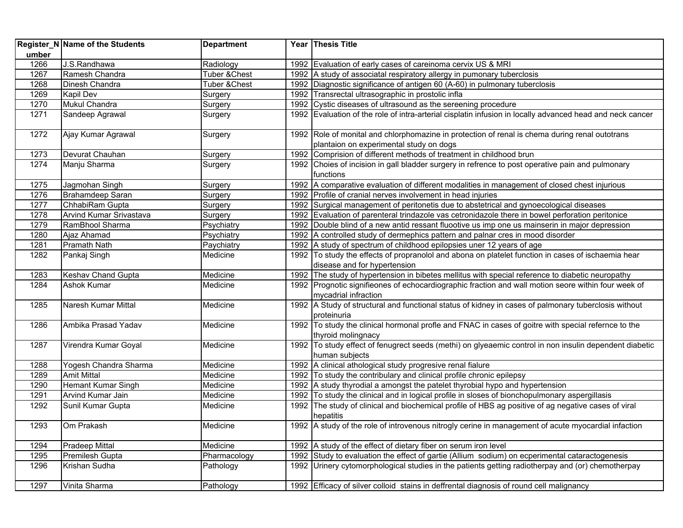|       | Register_N Name of the Students | <b>Department</b>        | Year Thesis Title                                                                                                                         |
|-------|---------------------------------|--------------------------|-------------------------------------------------------------------------------------------------------------------------------------------|
| umber |                                 |                          |                                                                                                                                           |
| 1266  | J.S.Randhawa                    | Radiology                | 1992 Evaluation of early cases of careinoma cervix US & MRI                                                                               |
| 1267  | Ramesh Chandra                  | Tuber & Chest            | 1992 A study of associatal respiratory allergy in pumonary tuberclosis                                                                    |
| 1268  | Dinesh Chandra                  | <b>Tuber &amp; Chest</b> | 1992 Diagnostic significance of antigen 60 (A-60) in pulmonary tuberclosis                                                                |
| 1269  | Kapil Dev                       | Surgery                  | 1992 Transrectal ultrasographic in prostolic infla                                                                                        |
| 1270  | Mukul Chandra                   | Surgery                  | 1992 Cystic diseases of ultrasound as the sereening procedure                                                                             |
| 1271  | Sandeep Agrawal                 | Surgery                  | 1992 Evaluation of the role of intra-arterial cisplatin infusion in locally advanced head and neck cancer                                 |
| 1272  | Ajay Kumar Agrawal              | Surgery                  | 1992 Role of monital and chlorphomazine in protection of renal is chema during renal outotrans<br>plantaion on experimental study on dogs |
| 1273  | Devurat Chauhan                 | Surgery                  | 1992 Comprision of different methods of treatment in childhood brun                                                                       |
| 1274  | Manju Sharma                    | Surgery                  | 1992 Choies of incision in gall bladder surgery in refrence to post operative pain and pulmonary                                          |
|       |                                 |                          | functions                                                                                                                                 |
| 1275  | Jagmohan Singh                  | Surgery                  | 1992 A comparative evaluation of different modalities in management of closed chest injurious                                             |
| 1276  | Brahamdeep Saran                | Surgery                  | 1992 Profile of cranial nerves involvement in head injuries                                                                               |
| 1277  | ChhabiRam Gupta                 | Surgery                  | 1992 Surgical management of peritonetis due to abstetrical and gynoecological diseases                                                    |
| 1278  | Arvind Kumar Srivastava         | Surgery                  | 1992 Evaluation of parenteral trindazole vas cetronidazole there in bowel perforation peritonice                                          |
| 1279  | RamBhool Sharma                 | Psychiatry               | 1992 Double blind of a new antid ressant fluootive us imp one us mainserin in major depression                                            |
| 1280  | Ajaz Ahamad                     | Psychiatry               | 1992 A controlled study of dermephics pattern and palnar cres in mood disorder                                                            |
| 1281  | Pramath Nath                    | Paychiatry               | 1992 A study of spectrum of childhood epilopsies uner 12 years of age                                                                     |
| 1282  | Pankaj Singh                    | Medicine                 | 1992 To study the effects of propranolol and abona on platelet function in cases of ischaemia hear<br>disease and for hypertension        |
| 1283  | Keshav Chand Gupta              | Medicine                 | 1992 The study of hypertension in bibetes mellitus with special reference to diabetic neuropathy                                          |
| 1284  | Ashok Kumar                     | Medicine                 | 1992 Prognotic signifieones of echocardiographic fraction and wall motion seore within four week of                                       |
|       |                                 |                          | mycadrial infraction                                                                                                                      |
| 1285  | Naresh Kumar Mittal             | Medicine                 | 1992 A Study of structural and functional status of kidney in cases of palmonary tuberclosis without                                      |
|       |                                 |                          | proteinuria                                                                                                                               |
| 1286  | Ambika Prasad Yadav             | Medicine                 | 1992 To study the clinical hormonal profle and FNAC in cases of goitre with special refernce to the                                       |
|       |                                 |                          | thyroid molingnacy                                                                                                                        |
| 1287  | Virendra Kumar Goyal            | Medicine                 | 1992 To study effect of fenugrect seeds (methi) on glyeaemic control in non insulin dependent diabetic                                    |
|       |                                 |                          | human subjects                                                                                                                            |
| 1288  | Yogesh Chandra Sharma           | Medicine                 | 1992 A clinical athological study progresive renal fialure                                                                                |
| 1289  | <b>Amit Mittal</b>              | Medicine                 | 1992 To study the contribulary and clinical profile chronic epilepsy                                                                      |
| 1290  | Hemant Kumar Singh              | Medicine                 | 1992 A study thyrodial a amongst the patelet thyrobial hypo and hypertension                                                              |
| 1291  | Arvind Kumar Jain               | Medicine                 | 1992 To study the clinical and in logical profile in sloses of bionchopulmonary aspergillasis                                             |
| 1292  | Sunil Kumar Gupta               | Medicine                 | 1992 The study of clinical and biochemical profile of HBS ag positive of ag negative cases of viral<br>hepatitis                          |
| 1293  | Om Prakash                      | Medicine                 | 1992 A study of the role of introvenous nitrogly cerine in management of acute myocardial infaction                                       |
| 1294  | Pradeep Mittal                  | Medicine                 | 1992 A study of the effect of dietary fiber on serum iron level                                                                           |
| 1295  | Premilesh Gupta                 | Pharmacology             | 1992 Study to evaluation the effect of gartie (Allium sodium) on ecperimental cataractogenesis                                            |
| 1296  | Krishan Sudha                   | Pathology                | 1992 Urinery cytomorphological studies in the patients getting radiotherpay and (or) chemotherpay                                         |
| 1297  | Vinita Sharma                   | Pathology                | 1992 Efficacy of silver colloid stains in deffrental diagnosis of round cell malignancy                                                   |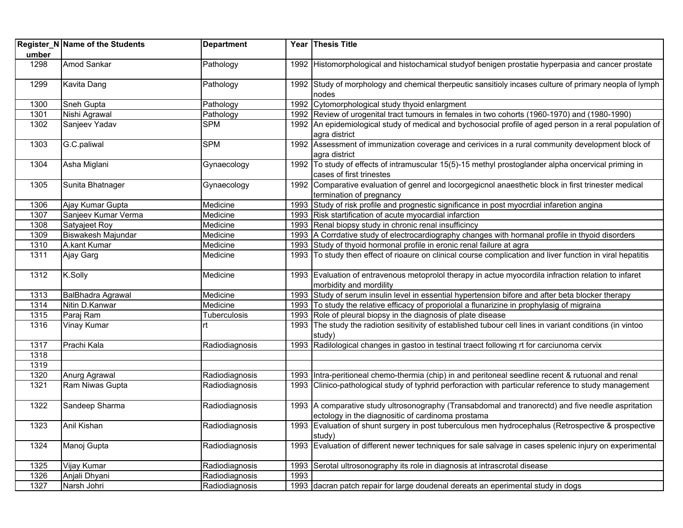|       | Register_N Name of the Students | <b>Department</b> |      | Year Thesis Title                                                                                                                                       |
|-------|---------------------------------|-------------------|------|---------------------------------------------------------------------------------------------------------------------------------------------------------|
| umber |                                 |                   |      |                                                                                                                                                         |
| 1298  | Amod Sankar                     | Pathology         |      | 1992 Histomorphological and histochamical studyof benigen prostatie hyperpasia and cancer prostate                                                      |
| 1299  | Kavita Dang                     | Pathology         |      | 1992 Study of morphology and chemical therpeutic sansitioly incases culture of primary neopla of lymph<br>nodes                                         |
| 1300  | Sneh Gupta                      | Pathology         |      | 1992 Cytomorphological study thyoid enlargment                                                                                                          |
| 1301  | Nishi Agrawal                   | Pathology         |      | 1992 Review of urogenital tract tumours in females in two cohorts (1960-1970) and (1980-1990)                                                           |
| 1302  | Sanjeev Yadav                   | <b>SPM</b>        |      | 1992 An epidemiological study of medical and bychosocial profile of aged person in a reral population of<br>agra district                               |
| 1303  | G.C.paliwal                     | <b>SPM</b>        |      | 1992 Assessment of immunization coverage and cerivices in a rural community development block of<br>agra district                                       |
| 1304  | Asha Miglani                    | Gynaecology       |      | 1992 To study of effects of intramuscular 15(5)-15 methyl prostoglander alpha oncervical priming in<br>cases of first trinestes                         |
| 1305  | Sunita Bhatnager                | Gynaecology       |      | 1992 Comparative evaluation of genrel and locorgegicnol anaesthetic block in first trinester medical<br>termination of pregnancy                        |
| 1306  | Ajay Kumar Gupta                | Medicine          |      | 1993 Study of risk profile and prognestic significance in post myocrdial infaretion angina                                                              |
| 1307  | Sanjeev Kumar Verma             | Medicine          |      | 1993 Risk startification of acute myocardial infarction                                                                                                 |
| 1308  | Satyajeet Roy                   | Medicine          |      | 1993 Renal biopsy study in chronic renal insufficincy                                                                                                   |
| 1309  | Biswakesh Majundar              | Medicine          |      | 1993 A Corrdative study of electrocardiography changes with hormanal profile in thyoid disorders                                                        |
| 1310  | A.kant Kumar                    | Medicine          |      | 1993 Study of thyoid hormonal profile in eronic renal failure at agra                                                                                   |
| 1311  | Ajay Garg                       | Medicine          |      | 1993 To study then effect of rioaure on clinical course complication and liver function in viral hepatitis                                              |
| 1312  | K.Solly                         | Medicine          |      | 1993 Evaluation of entravenous metoprolol therapy in actue myocordila infraction relation to infaret<br>morbidity and mordility                         |
| 1313  | BalBhadra Agrawal               | Medicine          |      | 1993 Study of serum insulin level in essential hypertension bifore and after beta blocker therapy                                                       |
| 1314  | Nitin D.Kanwar                  | Medicine          |      | 1993 To study the relative efficacy of proporiolal a flunarizine in prophylasig of migraina                                                             |
| 1315  | Paraj Ram                       | Tuberculosis      |      | 1993 Role of pleural biopsy in the diagnosis of plate disease                                                                                           |
| 1316  | Vinay Kumar                     | rt                |      | 1993 The study the radiotion sesitivity of established tubour cell lines in variant conditions (in vintoo<br>study)                                     |
| 1317  | Prachi Kala                     | Radiodiagnosis    |      | 1993 Radilological changes in gastoo in testinal traect following rt for carciunoma cervix                                                              |
| 1318  |                                 |                   |      |                                                                                                                                                         |
| 1319  |                                 |                   |      |                                                                                                                                                         |
| 1320  | Anurg Agrawal                   | Radiodiagnosis    |      | 1993 Intra-peritioneal chemo-thermia (chip) in and peritoneal seedline recent & rutuonal and renal                                                      |
| 1321  | Ram Niwas Gupta                 | Radiodiagnosis    |      | 1993 Clinico-pathological study of typhrid perforaction with particular reference to study management                                                   |
| 1322  | Sandeep Sharma                  | Radiodiagnosis    |      | 1993 A comparative study ultrosonography (Transabdomal and tranorectd) and five needle aspritation<br>ectology in the diagnositic of cardinoma prostama |
| 1323  | Anil Kishan                     | Radiodiagnosis    |      | 1993 Evaluation of shunt surgery in post tuberculous men hydrocephalus (Retrospective & prospective<br>study)                                           |
| 1324  | Manoj Gupta                     | Radiodiagnosis    |      | 1993 Evaluation of different newer techniques for sale salvage in cases spelenic injury on experimental                                                 |
| 1325  | Vijay Kumar                     | Radiodiagnosis    | 1993 | Serotal ultrosonography its role in diagnosis at intrascrotal disease                                                                                   |
| 1326  | Anjali Dhyani                   | Radiodiagnosis    | 1993 |                                                                                                                                                         |
| 1327  | Narsh Johri                     | Radiodiagnosis    |      | 1993 dacran patch repair for large doudenal dereats an eperimental study in dogs                                                                        |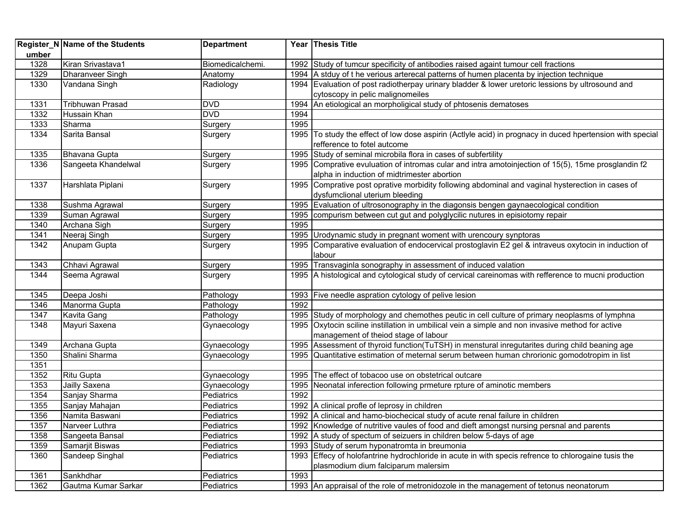|       | Register_N Name of the Students | <b>Department</b> |      | Year Thesis Title                                                                                    |
|-------|---------------------------------|-------------------|------|------------------------------------------------------------------------------------------------------|
| umber |                                 |                   |      |                                                                                                      |
| 1328  | Kiran Srivastava1               | Biomedicalchemi.  |      | 1992 Study of tumcur specificity of antibodies raised againt tumour cell fractions                   |
| 1329  | Dharanveer Singh                | Anatomy           |      | 1994 A stduy of t he verious arterecal patterns of humen placenta by injection technique             |
| 1330  | Vandana Singh                   | Radiology         |      | 1994 Evaluation of post radiotherpay urinary bladder & lower uretoric lessions by ultrosound and     |
|       |                                 |                   |      | cytoscopy in pelic malignomeiles                                                                     |
| 1331  | Tribhuwan Prasad                | <b>DVD</b>        |      | 1994 An etiological an morpholigical study of phtosenis dematoses                                    |
| 1332  | Hussain Khan                    | <b>DVD</b>        | 1994 |                                                                                                      |
| 1333  | Sharma                          | Surgery           | 1995 |                                                                                                      |
| 1334  | Sarita Bansal                   | Surgery           | 1995 | To study the effect of low dose aspirin (Actlyle acid) in prognacy in duced hpertension with special |
|       |                                 |                   |      | refference to fotel autcome                                                                          |
| 1335  | Bhavana Gupta                   | Surgery           |      | 1995 Study of seminal microbila flora in cases of subfertility                                       |
| 1336  | Sangeeta Khandelwal             | Surgery           |      | 1995 Comprative evuluation of intromas cular and intra amotoinjection of 15(5), 15me prosglandin f2  |
|       |                                 |                   |      | alpha in induction of midtrimester abortion                                                          |
| 1337  | Harshlata Piplani               | Surgery           |      | 1995 Comprative post oprative morbidity following abdominal and vaginal hysterection in cases of     |
|       |                                 |                   |      | dysfumclional uterium bleeding                                                                       |
| 1338  | Sushma Agrawal                  | Surgery           | 1995 | Evaluation of ultrosonography in the diagonsis bengen gaynaecological condition                      |
| 1339  | Suman Agrawal                   | Surgery           | 1995 | compurism between cut gut and polyglycilic nutures in episiotomy repair                              |
| 1340  | Archana Sigh                    | Surgery           | 1995 |                                                                                                      |
| 1341  | Neeraj Singh                    | Surgery           |      | 1995 Urodynamic study in pregnant woment with urencoury synptoras                                    |
| 1342  | Anupam Gupta                    | Surgery           |      | 1995 Comparative evaluation of endocervical prostoglavin E2 gel & intraveus oxytocin in induction of |
|       |                                 |                   |      | labour                                                                                               |
| 1343  | Chhavi Agrawal                  | Surgery           |      | 1995 Transvaginla sonography in assessment of induced valation                                       |
| 1344  | Seema Agrawal                   | Surgery           |      | 1995 A histological and cytological study of cervical careinomas with refference to mucni production |
| 1345  | Deepa Joshi                     | Pathology         |      | 1993 Five needle aspration cytology of pelive lesion                                                 |
| 1346  | Manorma Gupta                   | Pathology         | 1992 |                                                                                                      |
| 1347  | Kavita Gang                     | Pathology         |      | 1995 Study of morphology and chemothes peutic in cell culture of primary neoplasms of lymphna        |
| 1348  | Mayuri Saxena                   | Gynaecology       |      | 1995 Oxytocin sciline instillation in umbilical vein a simple and non invasive method for active     |
|       |                                 |                   |      | management of theiod stage of labour                                                                 |
| 1349  | Archana Gupta                   | Gynaecology       | 1995 | Assessment of thyroid function(TuTSH) in menstural inregutarites during child beaning age            |
| 1350  | Shalini Sharma                  | Gynaecology       | 1995 | Quantitative estimation of meternal serum between human chrorionic gomodotropim in list              |
| 1351  |                                 |                   |      |                                                                                                      |
| 1352  | <b>Ritu Gupta</b>               | Gynaecology       |      | 1995 The effect of tobacoo use on obstetrical outcare                                                |
| 1353  | Jailly Saxena                   | Gynaecology       |      | 1995 Neonatal inferection following prmeture rpture of aminotic members                              |
| 1354  | Sanjay Sharma                   | Pediatrics        | 1992 |                                                                                                      |
| 1355  | Sanjay Mahajan                  | Pediatrics        |      | 1992 A clinical profle of leprosy in children                                                        |
| 1356  | Namita Baswani                  | Pediatrics        |      | 1992 A clinical and hamo-biochecical study of acute renal failure in children                        |
| 1357  | Narveer Luthra                  | Pediatrics        |      | 1992 Knowledge of nutritive vaules of food and dieft amongst nursing persnal and parents             |
| 1358  | Sangeeta Bansal                 | Pediatrics        |      | 1992 A study of spectum of seizuers in children below 5-days of age                                  |
| 1359  | Samarjit Biswas                 | Pediatrics        |      | 1993 Study of serum hyponatromta in breumonia                                                        |
| 1360  | Sandeep Singhal                 | Pediatrics        |      | 1993 Effecy of holofantrine hydrochloride in acute in with specis refrence to chlorogaine tusis the  |
|       |                                 |                   |      | plasmodium dium falciparum malersim                                                                  |
| 1361  | Sankhdhar                       | Pediatrics        | 1993 |                                                                                                      |
| 1362  | Gautma Kumar Sarkar             | Pediatrics        |      | 1993 An appraisal of the role of metronidozole in the management of tetonus neonatorum               |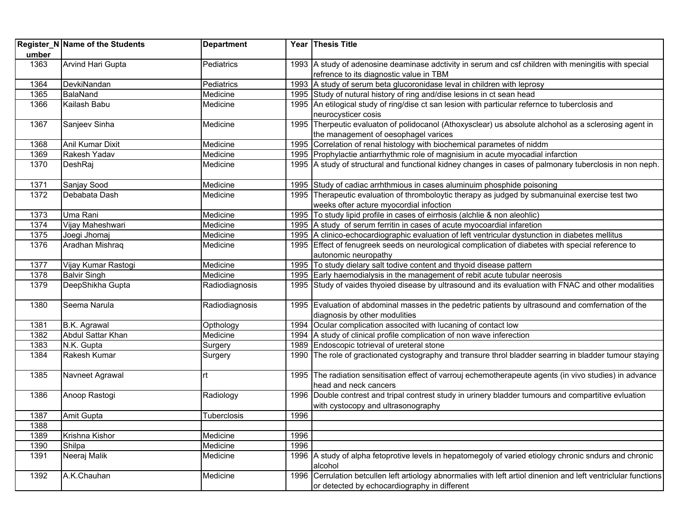|       | Register_N Name of the Students | <b>Department</b> |      | Year Thesis Title                                                                                          |
|-------|---------------------------------|-------------------|------|------------------------------------------------------------------------------------------------------------|
| umber |                                 |                   |      |                                                                                                            |
| 1363  | <b>Arvind Hari Gupta</b>        | Pediatrics        |      | 1993 A study of adenosine deaminase adctivity in serum and csf children with meningitis with special       |
|       |                                 |                   |      | refrence to its diagnostic value in TBM                                                                    |
| 1364  | DevkiNandan                     | Pediatrics        |      | 1993 A study of serum beta glucoronidase leval in children with leprosy                                    |
| 1365  | BalaNand                        | Medicine          |      | 1995 Study of nutural history of ring and/dise lesions in ct sean head                                     |
| 1366  | Kailash Babu                    | Medicine          |      | 1995 An etilogical study of ring/dise ct san lesion with particular refernce to tuberclosis and            |
|       |                                 |                   |      | neurocysticer cosis                                                                                        |
| 1367  | Sanjeev Sinha                   | Medicine          |      | 1995 Therpeutic evaluaton of polidocanol (Athoxysclear) us absolute alchohol as a sclerosing agent in      |
|       |                                 |                   |      | the management of oesophagel varices                                                                       |
| 1368  | <b>Anil Kumar Dixit</b>         | Medicine          |      | 1995 Correlation of renal histology with biochemical parametes of niddm                                    |
| 1369  | Rakesh Yadav                    | Medicine          |      | 1995 Prophylactie antiarrhythmic role of magnisium in acute myocadial infarction                           |
| 1370  | DeshRaj                         | Medicine          |      | 1995 A study of structural and functional kidney changes in cases of palmonary tuberclosis in non neph.    |
|       |                                 |                   |      |                                                                                                            |
| 1371  | Sanjay Sood                     | Medicine          |      | 1995 Study of cadiac arrhthmious in cases aluminuim phosphide poisoning                                    |
| 1372  | Debabata Dash                   | Medicine          |      | 1995 Therapeutic evaluation of thromboloytic therapy as judged by submanuinal exercise test two            |
|       |                                 |                   |      | weeks ofter acture myocordial infoction                                                                    |
| 1373  | Uma Rani                        | Medicine          |      | 1995 To study lipid profile in cases of eirrhosis (alchlie & non aleohlic)                                 |
| 1374  | Vijay Maheshwari                | Medicine          |      | 1995 A study of serum ferritin in cases of acute myocoardial infaretion                                    |
| 1375  | Joegi Jhomaj                    | Medicine          |      | 1995 A clinico-echocardiographic evaluation of left ventricular dystunction in diabetes mellitus           |
| 1376  | Aradhan Mishraq                 | Medicine          |      | 1995 Effect of fenugreek seeds on neurological complication of diabetes with special reference to          |
|       |                                 |                   |      | autonomic neuropathy                                                                                       |
| 1377  | Vijay Kumar Rastogi             | Medicine          |      | 1995 To study dielary salt todive content and thyoid disease pattern                                       |
| 1378  | <b>Balvir Singh</b>             | Medicine          |      | 1995 Early haemodialysis in the management of rebit acute tubular neerosis                                 |
| 1379  | DeepShikha Gupta                | Radiodiagnosis    |      | 1995 Study of vaides thyoied disease by ultrasound and its evaluation with FNAC and other modalities       |
|       |                                 |                   |      |                                                                                                            |
| 1380  | Seema Narula                    | Radiodiagnosis    |      | 1995 Evaluation of abdominal masses in the pedetric patients by ultrasound and comfernation of the         |
|       |                                 |                   |      | diagnosis by other modulities                                                                              |
| 1381  | B.K. Agrawal                    | Opthology         |      | 1994 Ocular complication associted with lucaning of contact low                                            |
| 1382  | Abdul Sattar Khan               | Medicine          |      | 1994 A study of clinical profile complication of non wave inferection                                      |
| 1383  | N.K. Gupta                      | Surgery           |      | 1989 Endoscopic totrieval of ureteral stone                                                                |
| 1384  | Rakesh Kumar                    | Surgery           |      | 1990 The role of gractionated cystography and transure throl bladder searring in bladder tumour staying    |
| 1385  | Navneet Agrawal                 | rt                |      | 1995 The radiation sensitisation effect of varrouj echemotherapeute agents (in vivo studies) in advance    |
|       |                                 |                   |      | head and neck cancers                                                                                      |
| 1386  | Anoop Rastogi                   | Radiology         |      | 1996 Double contrest and tripal contrest study in urinery bladder tumours and compartitive evluation       |
|       |                                 |                   |      | with cystocopy and ultrasonography                                                                         |
| 1387  | Amit Gupta                      | Tuberclosis       | 1996 |                                                                                                            |
| 1388  |                                 |                   |      |                                                                                                            |
| 1389  | Krishna Kishor                  | Medicine          | 1996 |                                                                                                            |
| 1390  | Shilpa                          | Medicine          | 1996 |                                                                                                            |
| 1391  | Neeraj Malik                    | Medicine          |      | 1996 A study of alpha fetoprotive levels in hepatomegoly of varied etiology chronic sndurs and chronic     |
|       |                                 |                   |      | alcohol                                                                                                    |
| 1392  | A.K.Chauhan                     | Medicine          | 1996 | Cerrulation betcullen left artiology abnormalies with left artiol dinenion and left ventriclular functions |
|       |                                 |                   |      | or detected by echocardiography in different                                                               |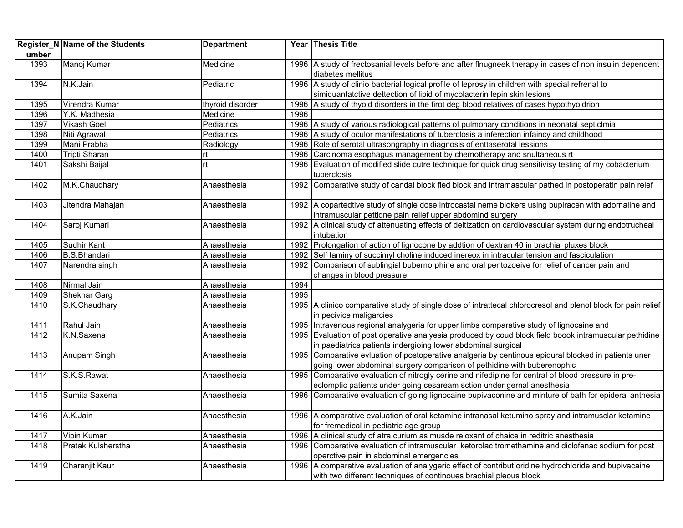|       | Register_N Name of the Students | <b>Department</b> |      | Year Thesis Title                                                                                                             |
|-------|---------------------------------|-------------------|------|-------------------------------------------------------------------------------------------------------------------------------|
| umber |                                 |                   |      |                                                                                                                               |
| 1393  | Manoj Kumar                     | Medicine          |      | 1996 A study of frectosanial levels before and after flnugneek therapy in cases of non insulin dependent<br>diabetes mellitus |
| 1394  | N.K.Jain                        | Pediatric         |      | 1996 A study of clinio bacterial logical profile of leprosy in children with special refrenal to                              |
|       |                                 |                   |      | simiquantatctive dettection of lipid of mycolacterin lepin skin lesions                                                       |
| 1395  | Virendra Kumar                  | thyroid disorder  |      | 1996 A study of thyoid disorders in the firot deg blood relatives of cases hypothyoidrion                                     |
| 1396  | Y.K. Madhesia                   | Medicine          | 1996 |                                                                                                                               |
| 1397  | <b>Vikash Goel</b>              | Pediatrics        |      | 1996 A study of various radiological patterns of pulmonary conditions in neonatal septicimia                                  |
| 1398  | Niti Agrawal                    | Pediatrics        |      | 1996 A study of oculor manifestations of tuberclosis a inferection infaincy and childhood                                     |
| 1399  | Mani Prabha                     | Radiology         |      | 1996 Role of serotal ultrasongraphy in diagnosis of enttaserotal lessions                                                     |
| 1400  | <b>Tripti Sharan</b>            | rt                |      | 1996 Carcinoma esophagus management by chemotherapy and snultaneous rt                                                        |
| 1401  | Sakshi Baijal                   | rt                | 1996 | Evaluation of modified slide cutre technique for quick drug sensitivisy testing of my cobacterium                             |
|       |                                 |                   |      | tuberclosis                                                                                                                   |
| 1402  | M.K.Chaudhary                   | Anaesthesia       |      | 1992 Comparative study of candal block fied block and intramascular pathed in postoperatin pain relef                         |
| 1403  | Jitendra Mahajan                | Anaesthesia       |      | 1992 A copartedtive study of single dose introcastal neme blokers using bupiracen with adornaline and                         |
|       |                                 |                   |      | intramuscular pettidne pain relief upper abdomind surgery                                                                     |
| 1404  | Saroj Kumari                    | Anaesthesia       |      | 1992 A clinical study of attenuating effects of deltization on cardiovascular system during endotrucheal                      |
|       |                                 |                   |      | intubation                                                                                                                    |
| 1405  | <b>Sudhir Kant</b>              | Anaesthesia       |      | 1992 Prolongation of action of lignocone by addtion of dextran 40 in brachial pluxes block                                    |
| 1406  | <b>B.S.Bhandari</b>             | Anaesthesia       |      | 1992 Self taminy of succimyl choline induced inereox in intracular tension and fasciculation                                  |
| 1407  | Narendra singh                  | Anaesthesia       |      | 1992 Comparison of sublingial bubernorphine and oral pentozoeive for relief of cancer pain and                                |
|       |                                 |                   |      | changes in blood pressure                                                                                                     |
| 1408  | Nirmal Jain                     | Anaesthesia       | 1994 |                                                                                                                               |
| 1409  | Shekhar Garg                    | Anaesthesia       | 1995 |                                                                                                                               |
| 1410  | S.K.Chaudhary                   | Anaesthesia       |      | 1995 A clinico comparative study of single dose of intrattecal chlorocresol and plenol block for pain relief                  |
|       |                                 |                   |      | in pecivice maligarcies                                                                                                       |
| 1411  | Rahul Jain                      | Anaesthesia       |      | 1995 Intravenous regional analygeria for upper limbs comparative study of lignocaine and                                      |
| 1412  | K.N.Saxena                      | Anaesthesia       |      | 1995 Evaluation of post operative analyesia produced by coud block field boook intramuscular pethidine                        |
|       |                                 |                   |      | in paediatrics patients indergioing lower abdominal surgical                                                                  |
| 1413  | Anupam Singh                    | Anaesthesia       |      | 1995 Comparative evluation of postoperative analgeria by centinous epidural blocked in patients uner                          |
|       |                                 |                   |      | going lower abdominal surgery comparison of pethidine with buberenophic                                                       |
| 1414  | S.K.S.Rawat                     | Anaesthesia       |      | 1995 Comparative evaluation of nitrogly cerine and nifedipine for central of blood pressure in pre-                           |
|       |                                 |                   |      | eclomptic patients under going cesaream sction under gernal anesthesia                                                        |
| 1415  | Sumita Saxena                   | Anaesthesia       |      | 1996 Comparative evaluation of going lignocaine bupivaconine and minture of bath for epideral anthesia                        |
| 1416  | A.K.Jain                        | Anaesthesia       |      | 1996 A comparative evaluation of oral ketamine intranasal ketumino spray and intramusclar ketamine                            |
|       |                                 |                   |      | for fremedical in pediatric age group                                                                                         |
| 1417  | Vipin Kumar                     | Anaesthesia       |      | 1996 A clinical study of atra curium as musde reloxant of chaice in reditric anesthesia                                       |
| 1418  | Pratak Kulsherstha              | Anaesthesia       |      | 1996 Comparative evaluation of intramuscular ketorolac tromethamine and diclofenac sodium for post                            |
|       |                                 |                   |      | operctive pain in abdominal emergencies                                                                                       |
| 1419  | Charanjit Kaur                  | Anaesthesia       |      | 1996 A comparative evaluation of analygeric effect of contribut oridine hydrochloride and bupivacaine                         |
|       |                                 |                   |      | with two different techniques of continoues brachial pleous block                                                             |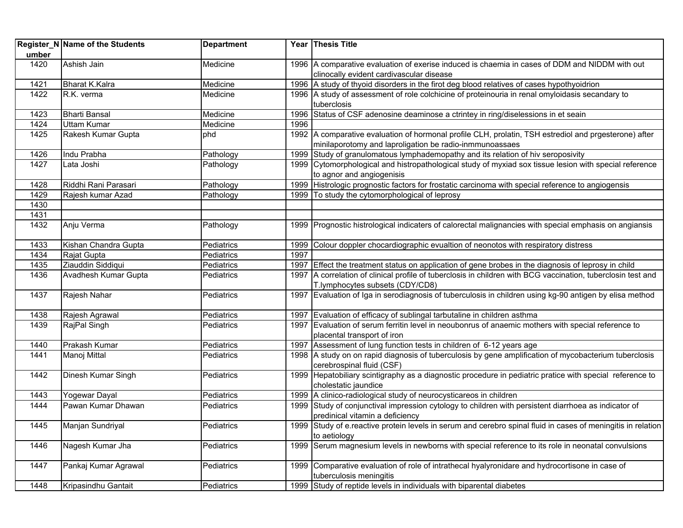|       | Register_N Name of the Students | <b>Department</b> |      | Year Thesis Title                                                                                                                          |
|-------|---------------------------------|-------------------|------|--------------------------------------------------------------------------------------------------------------------------------------------|
| umber |                                 |                   |      |                                                                                                                                            |
| 1420  | Ashish Jain                     | Medicine          |      | 1996 A comparative evaluation of exerise induced is chaemia in cases of DDM and NIDDM with out<br>clinocally evident cardivascular disease |
| 1421  | <b>Bharat K.Kalra</b>           | Medicine          |      | 1996 A study of thyoid disorders in the firot deg blood relatives of cases hypothyoidrion                                                  |
| 1422  | R.K. verma                      | Medicine          |      | 1996 A study of assessment of role colchicine of proteinouria in renal omyloidasis secandary to                                            |
|       |                                 |                   |      | tuberclosis                                                                                                                                |
| 1423  | <b>Bharti Bansal</b>            | Medicine          |      | 1996 Status of CSF adenosine deaminose a ctrintey in ring/diselessions in et seain                                                         |
| 1424  | <b>Uttam Kumar</b>              | Medicine          | 1996 |                                                                                                                                            |
| 1425  | Rakesh Kumar Gupta              | phd               |      | 1992 A comparative evaluation of hormonal profile CLH, prolatin, TSH estrediol and prgesterone) after                                      |
|       |                                 |                   |      | minilaporotomy and laproligation be radio-inmmunoassaes                                                                                    |
| 1426  | Indu Prabha                     | Pathology         | 1999 | Study of granulomatous lymphademopathy and its relation of hiv seroposivity                                                                |
| 1427  | Lata Joshi                      | Pathology         |      | 1999 Cytomorphological and histropathological study of myxiad sox tissue lesion with special reference                                     |
|       |                                 |                   |      | to agnor and angiogenisis                                                                                                                  |
| 1428  | Riddhi Rani Parasari            | Pathology         |      | 1999 Histrologic prognostic factors for frostatic carcinoma with special reference to angiogensis                                          |
| 1429  | Rajesh kumar Azad               | Pathology         | 1999 | To study the cytomorphological of leprosy                                                                                                  |
| 1430  |                                 |                   |      |                                                                                                                                            |
| 1431  |                                 |                   |      |                                                                                                                                            |
| 1432  | Anju Verma                      | Pathology         |      | 1999 Prognostic histrological indicaters of calorectal malignancies with special emphasis on angiansis                                     |
| 1433  | Kishan Chandra Gupta            | Pediatrics        |      | 1999 Colour doppler chocardiographic evualtion of neonotos with respiratory distress                                                       |
| 1434  | Rajat Gupta                     | Pediatrics        | 1997 |                                                                                                                                            |
| 1435  | Ziauddin Siddiqui               | Pediatrics        |      | 1997 Effect the treatment status on application of gene brobes in the diagnosis of leprosy in child                                        |
| 1436  | Avadhesh Kumar Gupta            | Pediatrics        |      | 1997 A correlation of clinical profile of tuberclosis in children with BCG vaccination, tuberclosin test and                               |
|       |                                 |                   |      | T.lymphocytes subsets (CDY/CD8)                                                                                                            |
| 1437  | Rajesh Nahar                    | Pediatrics        |      | 1997 Evaluation of Iga in serodiagnosis of tuberculosis in children using kg-90 antigen by elisa method                                    |
| 1438  | Rajesh Agrawal                  | Pediatrics        |      | 1997 Evaluation of efficacy of sublingal tarbutaline in children asthma                                                                    |
| 1439  | RajPal Singh                    | Pediatrics        |      | 1997 Evaluation of serum ferritin level in neoubonrus of anaemic mothers with special reference to                                         |
|       |                                 |                   |      | placental transport of iron                                                                                                                |
| 1440  | Prakash Kumar                   | Pediatrics        |      | 1997 Assessment of lung function tests in children of 6-12 years age                                                                       |
| 1441  | Manoj Mittal                    | Pediatrics        |      | 1998 A study on on rapid diagnosis of tuberculosis by gene amplification of mycobacterium tuberclosis<br>cerebrospinal fluid (CSF)         |
| 1442  | Dinesh Kumar Singh              | Pediatrics        |      | 1999 Hepatobiliary scintigraphy as a diagnostic procedure in pediatric pratice with special reference to<br>cholestatic jaundice           |
| 1443  | Yogewar Dayal                   | Pediatrics        |      | 1999 A clinico-radiological study of neurocysticareos in children                                                                          |
| 1444  | Pawan Kumar Dhawan              | Pediatrics        |      | 1999 Study of conjunctival impression cytology to children with persistent diarrhoea as indicator of                                       |
|       |                                 |                   |      | predinical vitamin a deficiency                                                                                                            |
| 1445  | Manjan Sundriyal                | Pediatrics        |      | 1999 Study of e.reactive protein levels in serum and cerebro spinal fluid in cases of meningitis in relation                               |
|       |                                 |                   |      | to aetiology                                                                                                                               |
| 1446  | Nagesh Kumar Jha                | Pediatrics        | 1999 | Serum magnesium levels in newborns with special reference to its role in neonatal convulsions                                              |
| 1447  | Pankaj Kumar Agrawal            | Pediatrics        | 1999 | Comparative evaluation of role of intrathecal hyalyronidare and hydrocortisone in case of                                                  |
|       |                                 |                   |      | tuberculosis meningitis                                                                                                                    |
| 1448  | Kripasindhu Gantait             | Pediatrics        | 1999 | Study of reptide levels in individuals with biparental diabetes                                                                            |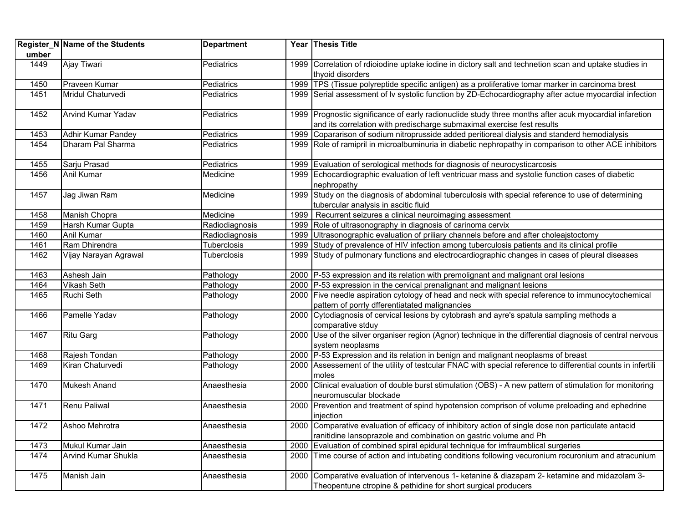|       | Register_N Name of the Students | <b>Department</b> |      | Year Thesis Title                                                                                                                                                                |
|-------|---------------------------------|-------------------|------|----------------------------------------------------------------------------------------------------------------------------------------------------------------------------------|
| umber |                                 |                   |      |                                                                                                                                                                                  |
| 1449  | Ajay Tiwari                     | Pediatrics        |      | 1999 Correlation of rdioiodine uptake iodine in dictory salt and technetion scan and uptake studies in<br>thyoid disorders                                                       |
| 1450  | Praveen Kumar                   | Pediatrics        |      | 1999   TPS (Tissue polyreptide specific antigen) as a proliferative tomar marker in carcinoma brest                                                                              |
| 1451  | Mridul Chaturvedi               | Pediatrics        |      | 1999 Serial assessment of Iv systolic function by ZD-Echocardiography after actue myocardial infection                                                                           |
| 1452  | Arvind Kumar Yadav              | Pediatrics        |      | 1999 Prognostic significance of early radionuclide study three months after acuk myocardial infaretion<br>and its correlation with predischarge submaximal exercise fest results |
| 1453  | Adhir Kumar Pandey              | Pediatrics        |      | 1999 Copararison of sodium nitroprusside added peritioreal dialysis and standerd hemodialysis                                                                                    |
| 1454  | Dharam Pal Sharma               | Pediatrics        |      | 1999 Role of ramipril in microalbuminuria in diabetic nephropathy in comparison to other ACE inhibitors                                                                          |
| 1455  | Sarju Prasad                    | Pediatrics        |      | 1999 Evaluation of serological methods for diagnosis of neurocysticarcosis                                                                                                       |
| 1456  | Anil Kumar                      | Medicine          |      | 1999 Echocardiographic evaluation of left ventricuar mass and systolie function cases of diabetic<br>nephropathy                                                                 |
| 1457  | Jag Jiwan Ram                   | Medicine          |      | 1999 Study on the diagnosis of abdominal tuberculosis with special reference to use of determining<br>tubercular analysis in ascitic fluid                                       |
| 1458  | Manish Chopra                   | Medicine          | 1999 | Recurrent seizures a clinical neuroimaging assessment                                                                                                                            |
| 1459  | Harsh Kumar Gupta               | Radiodiagnosis    |      | 1999 Role of ultrasonography in diagnosis of carinoma cervix                                                                                                                     |
| 1460  | Anil Kumar                      | Radiodiagnosis    | 1999 | Ultrasonographic evaluation of priliary channels before and after choleajstoctomy                                                                                                |
| 1461  | Ram Dhirendra                   | Tuberclosis       | 1999 | Study of prevalence of HIV infection among tuberculosis patients and its clinical profile                                                                                        |
| 1462  | Vijay Narayan Agrawal           | Tuberclosis       |      | 1999 Study of pulmonary functions and electrocardiographic changes in cases of pleural diseases                                                                                  |
| 1463  | Ashesh Jain                     | Pathology         |      | 2000   P-53 expression and its relation with premolignant and malignant oral lesions                                                                                             |
| 1464  | <b>Vikash Seth</b>              | Pathology         |      | 2000 P-53 expression in the cervical prenalignant and malignant lesions                                                                                                          |
| 1465  | Ruchi Seth                      | Pathology         |      | 2000 Five needle aspiration cytology of head and neck with special reference to immunocytochemical<br>pattern of porrly dfferentiatated malignancies                             |
| 1466  | Pamelle Yadav                   | Pathology         |      | 2000 Cytodiagnosis of cervical lesions by cytobrash and ayre's spatula sampling methods a<br>comparative stduy                                                                   |
| 1467  | <b>Ritu Garg</b>                | Pathology         |      | 2000 Use of the silver organiser region (Agnor) technique in the differential diagnosis of central nervous<br>system neoplasms                                                   |
| 1468  | Rajesh Tondan                   | Pathology         |      | 2000 P-53 Expression and its relation in benign and malignant neoplasms of breast                                                                                                |
| 1469  | Kiran Chaturvedi                | Pathology         |      | 2000 Assessement of the utility of testcular FNAC with special reference to differential counts in infertili<br>moles                                                            |
| 1470  | Mukesh Anand                    | Anaesthesia       |      | 2000 Clinical evaluation of double burst stimulation (OBS) - A new pattern of stimulation for monitoring<br>neuromuscular blockade                                               |
| 1471  | Renu Paliwal                    | Anaesthesia       |      | 2000 Prevention and treatment of spind hypotension comprison of volume preloading and ephedrine<br>injection                                                                     |
| 1472  | Ashoo Mehrotra                  | Anaesthesia       |      | 2000 Comparative evaluation of efficacy of inhibitory action of single dose non particulate antacid<br>ranitidine lansoprazole and combination on gastric volume and Ph          |
| 1473  | Mukul Kumar Jain                | Anaesthesia       |      | 2000 Evaluation of combined spiral epidural technique for imfraumblical surgeries                                                                                                |
| 1474  | <b>Arvind Kumar Shukla</b>      | Anaesthesia       | 2000 | Time course of action and intubating conditions following vecuronium rocuronium and atracunium                                                                                   |
| 1475  | Manish Jain                     | Anaesthesia       |      | 2000 Comparative evaluation of intervenous 1- ketanine & diazapam 2- ketamine and midazolam 3-<br>Theopentune ctropine & pethidine for short surgical producers                  |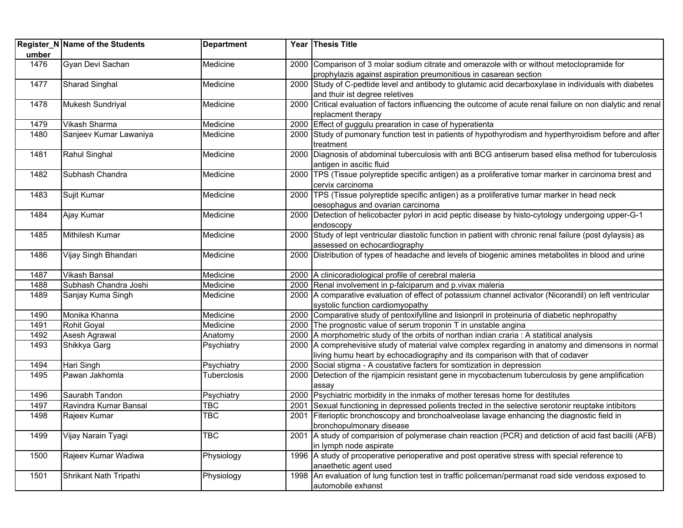|       | <b>Register_N Name of the Students</b> | <b>Department</b>       |      | Year Thesis Title                                                                                                                                                     |
|-------|----------------------------------------|-------------------------|------|-----------------------------------------------------------------------------------------------------------------------------------------------------------------------|
| umber |                                        |                         |      |                                                                                                                                                                       |
| 1476  | Gyan Devi Sachan                       | Medicine                |      | 2000 Comparison of 3 molar sodium citrate and omerazole with or without metoclopramide for                                                                            |
|       |                                        |                         |      | prophylazis against aspiration preumonitious in casarean section                                                                                                      |
| 1477  | Sharad Singhal                         | Medicine                |      | 2000 Study of C-pedtide level and antibody to glutamic acid decarboxylase in individuals with diabetes                                                                |
|       |                                        |                         |      | and thuir ist degree reletives                                                                                                                                        |
| 1478  | Mukesh Sundriyal                       | Medicine                |      | 2000 Critical evaluation of factors influencing the outcome of acute renal failure on non dialytic and renal                                                          |
|       |                                        |                         |      | replacment therapy                                                                                                                                                    |
| 1479  | Vikash Sharma                          | Medicine                |      | 2000 Effect of guggulu prearation in case of hyperatienta                                                                                                             |
| 1480  | Sanjeev Kumar Lawaniya                 | Medicine                |      | 2000 Study of pumonary function test in patients of hypothyrodism and hyperthyroidism before and after                                                                |
|       |                                        |                         |      | treatment                                                                                                                                                             |
| 1481  | Rahul Singhal                          | Medicine                |      | 2000 Diagnosis of abdominal tuberculosis with anti BCG antiserum based elisa method for tuberculosis                                                                  |
|       |                                        |                         |      | antigen in ascitic fluid                                                                                                                                              |
| 1482  | Subhash Chandra                        | Medicine                |      | 2000 TPS (Tissue polyreptide specific antigen) as a proliferative tomar marker in carcinoma brest and                                                                 |
|       |                                        |                         |      | cervix carcinoma                                                                                                                                                      |
| 1483  | Sujit Kumar                            | Medicine                |      | 2000 TPS (Tissue polyreptide specific antigen) as a proliferative tumar marker in head neck                                                                           |
|       |                                        |                         |      | oesophagus and ovarian carcinoma                                                                                                                                      |
| 1484  | Ajay Kumar                             | Medicine                |      | 2000 Detection of helicobacter pylori in acid peptic disease by histo-cytology undergoing upper-G-1                                                                   |
|       |                                        |                         |      | endoscopy                                                                                                                                                             |
| 1485  | Mithilesh Kumar                        | Medicine                |      | 2000 Study of lept ventricular diastolic function in patient with chronic renal failure (post dylaysis) as                                                            |
|       |                                        |                         |      | assessed on echocardiography                                                                                                                                          |
| 1486  | Vijay Singh Bhandari                   | Medicine                |      | 2000 Distribution of types of headache and levels of biogenic amines metabolites in blood and urine                                                                   |
|       |                                        |                         |      |                                                                                                                                                                       |
| 1487  | <b>Vikash Bansal</b>                   | Medicine                |      | 2000 A clinicoradiological profile of cerebral maleria                                                                                                                |
| 1488  | Subhash Chandra Joshi                  | Medicine                |      | 2000 Renal involvement in p-falciparum and p.vivax maleria<br>2000 A comparative evaluation of effect of potassium channel activator (Nicorandil) on left ventricular |
| 1489  | Sanjay Kuma Singh                      | Medicine                |      | systolic function cardiomyopathy                                                                                                                                      |
| 1490  | Monika Khanna                          | Medicine                |      | 2000 Comparative study of pentoxifylline and lisionpril in proteinuria of diabetic nephropathy                                                                        |
| 1491  | Rohit Goyal                            | Medicine                | 2000 | The prognostic value of serum troponin T in unstable angina                                                                                                           |
| 1492  | Asesh Agrawal                          | Anatomy                 |      | 2000 A morphometric study of the orbits of northan indian craria : A statitical analysis                                                                              |
| 1493  | Shikkya Garg                           | Psychiatry              |      | 2000 A comprehevisive study of material valve complex regarding in anatomy and dimensons in normal                                                                    |
|       |                                        |                         |      | living humu heart by echocadiography and its comparison with that of codaver                                                                                          |
| 1494  | Hari Singh                             | Psychiatry              | 2000 | Social stigma - A coustative facters for somtization in depression                                                                                                    |
| 1495  | Pawan Jakhomla                         | Tuberclosis             | 2000 | Detection of the rijampicin resistant gene in mycobactenum tuberculosis by gene amplification                                                                         |
|       |                                        |                         |      | assay                                                                                                                                                                 |
| 1496  | Saurabh Tandon                         | Psychiatry              | 2000 | Psychiatric morbidity in the inmaks of mother teresas home for destitutes                                                                                             |
| 1497  | Ravindra Kumar Bansal                  | <b>TBC</b>              | 2001 | Sexual functioning in depressed polients trected in the selective serotonir reuptake intibitors                                                                       |
| 1498  | Rajeev Kumar                           | $\overline{\text{TBC}}$ |      | 2001 Fiterioptic bronchoscopy and bronchoalveolase lavage enhancing the diagnostic field in                                                                           |
|       |                                        |                         |      | bronchopulmonary disease                                                                                                                                              |
| 1499  | Vijay Narain Tyagi                     | <b>TBC</b>              |      | 2001 A study of comparision of polymerase chain reaction (PCR) and detiction of acid fast bacilli (AFB)                                                               |
|       |                                        |                         |      | in lymph node aspirate                                                                                                                                                |
| 1500  | Rajeev Kumar Wadiwa                    | Physiology              |      | 1996 A study of prcoperative perioperative and post operative stress with special reference to                                                                        |
|       |                                        |                         |      | anaethetic agent used                                                                                                                                                 |
| 1501  | Shrikant Nath Tripathi                 | Physiology              |      | 1998 An evaluation of lung function test in traffic policeman/permanat road side vendoss exposed to                                                                   |
|       |                                        |                         |      | automobile exhanst                                                                                                                                                    |
|       |                                        |                         |      |                                                                                                                                                                       |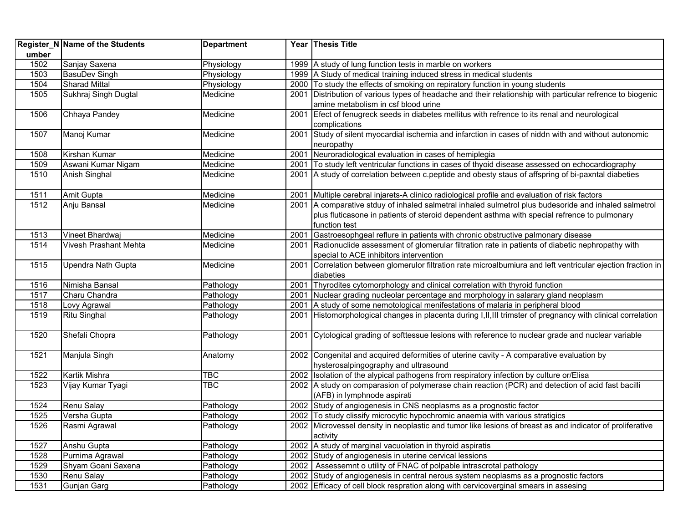|                                                                                                                              | Register_N Name of the Students                                                                                                                                                                                                                                              | <b>Department</b>                                                                                                                                                                                                            |                      | Year Thesis Title                                                                                                                                                                                                                                                                                                                                                                                                                                                                                                                                                                                                                                                                                                                                                                                                                                                                                                                                                                                                                                                                                                                                                                                                                                                                                                                                                                                                                                                                                                                                          |
|------------------------------------------------------------------------------------------------------------------------------|------------------------------------------------------------------------------------------------------------------------------------------------------------------------------------------------------------------------------------------------------------------------------|------------------------------------------------------------------------------------------------------------------------------------------------------------------------------------------------------------------------------|----------------------|------------------------------------------------------------------------------------------------------------------------------------------------------------------------------------------------------------------------------------------------------------------------------------------------------------------------------------------------------------------------------------------------------------------------------------------------------------------------------------------------------------------------------------------------------------------------------------------------------------------------------------------------------------------------------------------------------------------------------------------------------------------------------------------------------------------------------------------------------------------------------------------------------------------------------------------------------------------------------------------------------------------------------------------------------------------------------------------------------------------------------------------------------------------------------------------------------------------------------------------------------------------------------------------------------------------------------------------------------------------------------------------------------------------------------------------------------------------------------------------------------------------------------------------------------------|
| umber                                                                                                                        |                                                                                                                                                                                                                                                                              |                                                                                                                                                                                                                              |                      |                                                                                                                                                                                                                                                                                                                                                                                                                                                                                                                                                                                                                                                                                                                                                                                                                                                                                                                                                                                                                                                                                                                                                                                                                                                                                                                                                                                                                                                                                                                                                            |
| 1502                                                                                                                         | Sanjay Saxena                                                                                                                                                                                                                                                                | Physiology                                                                                                                                                                                                                   |                      | 1999 A study of lung function tests in marble on workers                                                                                                                                                                                                                                                                                                                                                                                                                                                                                                                                                                                                                                                                                                                                                                                                                                                                                                                                                                                                                                                                                                                                                                                                                                                                                                                                                                                                                                                                                                   |
| 1503                                                                                                                         | <b>BasuDev Singh</b>                                                                                                                                                                                                                                                         | Physiology                                                                                                                                                                                                                   |                      | 1999 A Study of medical training induced stress in medical students                                                                                                                                                                                                                                                                                                                                                                                                                                                                                                                                                                                                                                                                                                                                                                                                                                                                                                                                                                                                                                                                                                                                                                                                                                                                                                                                                                                                                                                                                        |
| 1504                                                                                                                         | <b>Sharad Mittal</b>                                                                                                                                                                                                                                                         | Physiology                                                                                                                                                                                                                   |                      | 2000 To study the effects of smoking on repiratory function in young students                                                                                                                                                                                                                                                                                                                                                                                                                                                                                                                                                                                                                                                                                                                                                                                                                                                                                                                                                                                                                                                                                                                                                                                                                                                                                                                                                                                                                                                                              |
| 1505                                                                                                                         | Sukhraj Singh Dugtal                                                                                                                                                                                                                                                         | Medicine                                                                                                                                                                                                                     |                      | 2001 Distribution of various types of headache and their relationship with particular refrence to biogenic                                                                                                                                                                                                                                                                                                                                                                                                                                                                                                                                                                                                                                                                                                                                                                                                                                                                                                                                                                                                                                                                                                                                                                                                                                                                                                                                                                                                                                                 |
|                                                                                                                              |                                                                                                                                                                                                                                                                              |                                                                                                                                                                                                                              |                      | amine metabolism in csf blood urine                                                                                                                                                                                                                                                                                                                                                                                                                                                                                                                                                                                                                                                                                                                                                                                                                                                                                                                                                                                                                                                                                                                                                                                                                                                                                                                                                                                                                                                                                                                        |
| 1506                                                                                                                         | Chhaya Pandey                                                                                                                                                                                                                                                                | Medicine                                                                                                                                                                                                                     |                      | 2001 Efect of fenugreck seeds in diabetes mellitus with refrence to its renal and neurological                                                                                                                                                                                                                                                                                                                                                                                                                                                                                                                                                                                                                                                                                                                                                                                                                                                                                                                                                                                                                                                                                                                                                                                                                                                                                                                                                                                                                                                             |
|                                                                                                                              |                                                                                                                                                                                                                                                                              |                                                                                                                                                                                                                              |                      | complications                                                                                                                                                                                                                                                                                                                                                                                                                                                                                                                                                                                                                                                                                                                                                                                                                                                                                                                                                                                                                                                                                                                                                                                                                                                                                                                                                                                                                                                                                                                                              |
| 1507                                                                                                                         | Manoj Kumar                                                                                                                                                                                                                                                                  | Medicine                                                                                                                                                                                                                     | 2001                 | Study of silent myocardial ischemia and infarction in cases of niddn with and without autonomic                                                                                                                                                                                                                                                                                                                                                                                                                                                                                                                                                                                                                                                                                                                                                                                                                                                                                                                                                                                                                                                                                                                                                                                                                                                                                                                                                                                                                                                            |
|                                                                                                                              |                                                                                                                                                                                                                                                                              |                                                                                                                                                                                                                              |                      | neuropathy                                                                                                                                                                                                                                                                                                                                                                                                                                                                                                                                                                                                                                                                                                                                                                                                                                                                                                                                                                                                                                                                                                                                                                                                                                                                                                                                                                                                                                                                                                                                                 |
| 1508                                                                                                                         | Kirshan Kumar                                                                                                                                                                                                                                                                | Medicine                                                                                                                                                                                                                     | 2001                 | Neuroradiological evaluation in cases of hemiplegia                                                                                                                                                                                                                                                                                                                                                                                                                                                                                                                                                                                                                                                                                                                                                                                                                                                                                                                                                                                                                                                                                                                                                                                                                                                                                                                                                                                                                                                                                                        |
| 1509                                                                                                                         | Aswani Kumar Nigam                                                                                                                                                                                                                                                           | Medicine                                                                                                                                                                                                                     | 2001                 | To study left ventricular functions in cases of thyoid disease assessed on echocardiography                                                                                                                                                                                                                                                                                                                                                                                                                                                                                                                                                                                                                                                                                                                                                                                                                                                                                                                                                                                                                                                                                                                                                                                                                                                                                                                                                                                                                                                                |
| 1510                                                                                                                         | Anish Singhal                                                                                                                                                                                                                                                                | Medicine                                                                                                                                                                                                                     | 2001                 | A study of correlation between c.peptide and obesty staus of affspring of bi-paxntal diabeties                                                                                                                                                                                                                                                                                                                                                                                                                                                                                                                                                                                                                                                                                                                                                                                                                                                                                                                                                                                                                                                                                                                                                                                                                                                                                                                                                                                                                                                             |
|                                                                                                                              |                                                                                                                                                                                                                                                                              |                                                                                                                                                                                                                              |                      |                                                                                                                                                                                                                                                                                                                                                                                                                                                                                                                                                                                                                                                                                                                                                                                                                                                                                                                                                                                                                                                                                                                                                                                                                                                                                                                                                                                                                                                                                                                                                            |
| 1511                                                                                                                         | Amit Gupta                                                                                                                                                                                                                                                                   | Medicine                                                                                                                                                                                                                     |                      | 2001 Multiple cerebral injarets-A clinico radiological profile and evaluation of risk factors                                                                                                                                                                                                                                                                                                                                                                                                                                                                                                                                                                                                                                                                                                                                                                                                                                                                                                                                                                                                                                                                                                                                                                                                                                                                                                                                                                                                                                                              |
| 1512                                                                                                                         | Anju Bansal                                                                                                                                                                                                                                                                  | Medicine                                                                                                                                                                                                                     |                      | 2001 A comparative stduy of inhaled salmetral inhaled sulmetrol plus budesoride and inhaled salmetrol                                                                                                                                                                                                                                                                                                                                                                                                                                                                                                                                                                                                                                                                                                                                                                                                                                                                                                                                                                                                                                                                                                                                                                                                                                                                                                                                                                                                                                                      |
|                                                                                                                              |                                                                                                                                                                                                                                                                              |                                                                                                                                                                                                                              |                      | plus fluticasone in patients of steroid dependent asthma with special refrence to pulmonary                                                                                                                                                                                                                                                                                                                                                                                                                                                                                                                                                                                                                                                                                                                                                                                                                                                                                                                                                                                                                                                                                                                                                                                                                                                                                                                                                                                                                                                                |
|                                                                                                                              |                                                                                                                                                                                                                                                                              |                                                                                                                                                                                                                              |                      |                                                                                                                                                                                                                                                                                                                                                                                                                                                                                                                                                                                                                                                                                                                                                                                                                                                                                                                                                                                                                                                                                                                                                                                                                                                                                                                                                                                                                                                                                                                                                            |
|                                                                                                                              |                                                                                                                                                                                                                                                                              |                                                                                                                                                                                                                              |                      |                                                                                                                                                                                                                                                                                                                                                                                                                                                                                                                                                                                                                                                                                                                                                                                                                                                                                                                                                                                                                                                                                                                                                                                                                                                                                                                                                                                                                                                                                                                                                            |
|                                                                                                                              |                                                                                                                                                                                                                                                                              |                                                                                                                                                                                                                              |                      |                                                                                                                                                                                                                                                                                                                                                                                                                                                                                                                                                                                                                                                                                                                                                                                                                                                                                                                                                                                                                                                                                                                                                                                                                                                                                                                                                                                                                                                                                                                                                            |
|                                                                                                                              |                                                                                                                                                                                                                                                                              |                                                                                                                                                                                                                              |                      |                                                                                                                                                                                                                                                                                                                                                                                                                                                                                                                                                                                                                                                                                                                                                                                                                                                                                                                                                                                                                                                                                                                                                                                                                                                                                                                                                                                                                                                                                                                                                            |
|                                                                                                                              |                                                                                                                                                                                                                                                                              |                                                                                                                                                                                                                              |                      |                                                                                                                                                                                                                                                                                                                                                                                                                                                                                                                                                                                                                                                                                                                                                                                                                                                                                                                                                                                                                                                                                                                                                                                                                                                                                                                                                                                                                                                                                                                                                            |
|                                                                                                                              |                                                                                                                                                                                                                                                                              |                                                                                                                                                                                                                              |                      |                                                                                                                                                                                                                                                                                                                                                                                                                                                                                                                                                                                                                                                                                                                                                                                                                                                                                                                                                                                                                                                                                                                                                                                                                                                                                                                                                                                                                                                                                                                                                            |
|                                                                                                                              |                                                                                                                                                                                                                                                                              |                                                                                                                                                                                                                              |                      |                                                                                                                                                                                                                                                                                                                                                                                                                                                                                                                                                                                                                                                                                                                                                                                                                                                                                                                                                                                                                                                                                                                                                                                                                                                                                                                                                                                                                                                                                                                                                            |
|                                                                                                                              |                                                                                                                                                                                                                                                                              |                                                                                                                                                                                                                              |                      |                                                                                                                                                                                                                                                                                                                                                                                                                                                                                                                                                                                                                                                                                                                                                                                                                                                                                                                                                                                                                                                                                                                                                                                                                                                                                                                                                                                                                                                                                                                                                            |
|                                                                                                                              |                                                                                                                                                                                                                                                                              |                                                                                                                                                                                                                              |                      |                                                                                                                                                                                                                                                                                                                                                                                                                                                                                                                                                                                                                                                                                                                                                                                                                                                                                                                                                                                                                                                                                                                                                                                                                                                                                                                                                                                                                                                                                                                                                            |
|                                                                                                                              |                                                                                                                                                                                                                                                                              |                                                                                                                                                                                                                              |                      |                                                                                                                                                                                                                                                                                                                                                                                                                                                                                                                                                                                                                                                                                                                                                                                                                                                                                                                                                                                                                                                                                                                                                                                                                                                                                                                                                                                                                                                                                                                                                            |
| 1520                                                                                                                         | Shefali Chopra                                                                                                                                                                                                                                                               | Pathology                                                                                                                                                                                                                    |                      | 2001 Cytological grading of softtessue lesions with reference to nuclear grade and nuclear variable                                                                                                                                                                                                                                                                                                                                                                                                                                                                                                                                                                                                                                                                                                                                                                                                                                                                                                                                                                                                                                                                                                                                                                                                                                                                                                                                                                                                                                                        |
|                                                                                                                              |                                                                                                                                                                                                                                                                              |                                                                                                                                                                                                                              |                      |                                                                                                                                                                                                                                                                                                                                                                                                                                                                                                                                                                                                                                                                                                                                                                                                                                                                                                                                                                                                                                                                                                                                                                                                                                                                                                                                                                                                                                                                                                                                                            |
|                                                                                                                              |                                                                                                                                                                                                                                                                              |                                                                                                                                                                                                                              |                      |                                                                                                                                                                                                                                                                                                                                                                                                                                                                                                                                                                                                                                                                                                                                                                                                                                                                                                                                                                                                                                                                                                                                                                                                                                                                                                                                                                                                                                                                                                                                                            |
|                                                                                                                              |                                                                                                                                                                                                                                                                              |                                                                                                                                                                                                                              |                      |                                                                                                                                                                                                                                                                                                                                                                                                                                                                                                                                                                                                                                                                                                                                                                                                                                                                                                                                                                                                                                                                                                                                                                                                                                                                                                                                                                                                                                                                                                                                                            |
|                                                                                                                              |                                                                                                                                                                                                                                                                              |                                                                                                                                                                                                                              |                      |                                                                                                                                                                                                                                                                                                                                                                                                                                                                                                                                                                                                                                                                                                                                                                                                                                                                                                                                                                                                                                                                                                                                                                                                                                                                                                                                                                                                                                                                                                                                                            |
|                                                                                                                              |                                                                                                                                                                                                                                                                              |                                                                                                                                                                                                                              |                      |                                                                                                                                                                                                                                                                                                                                                                                                                                                                                                                                                                                                                                                                                                                                                                                                                                                                                                                                                                                                                                                                                                                                                                                                                                                                                                                                                                                                                                                                                                                                                            |
|                                                                                                                              |                                                                                                                                                                                                                                                                              |                                                                                                                                                                                                                              |                      |                                                                                                                                                                                                                                                                                                                                                                                                                                                                                                                                                                                                                                                                                                                                                                                                                                                                                                                                                                                                                                                                                                                                                                                                                                                                                                                                                                                                                                                                                                                                                            |
|                                                                                                                              |                                                                                                                                                                                                                                                                              |                                                                                                                                                                                                                              |                      |                                                                                                                                                                                                                                                                                                                                                                                                                                                                                                                                                                                                                                                                                                                                                                                                                                                                                                                                                                                                                                                                                                                                                                                                                                                                                                                                                                                                                                                                                                                                                            |
|                                                                                                                              |                                                                                                                                                                                                                                                                              |                                                                                                                                                                                                                              |                      |                                                                                                                                                                                                                                                                                                                                                                                                                                                                                                                                                                                                                                                                                                                                                                                                                                                                                                                                                                                                                                                                                                                                                                                                                                                                                                                                                                                                                                                                                                                                                            |
|                                                                                                                              |                                                                                                                                                                                                                                                                              |                                                                                                                                                                                                                              |                      |                                                                                                                                                                                                                                                                                                                                                                                                                                                                                                                                                                                                                                                                                                                                                                                                                                                                                                                                                                                                                                                                                                                                                                                                                                                                                                                                                                                                                                                                                                                                                            |
| 1527                                                                                                                         |                                                                                                                                                                                                                                                                              |                                                                                                                                                                                                                              |                      |                                                                                                                                                                                                                                                                                                                                                                                                                                                                                                                                                                                                                                                                                                                                                                                                                                                                                                                                                                                                                                                                                                                                                                                                                                                                                                                                                                                                                                                                                                                                                            |
| 1528                                                                                                                         | Purnima Agrawal                                                                                                                                                                                                                                                              |                                                                                                                                                                                                                              |                      | 2002 Study of angiogenesis in uterine cervical lessions                                                                                                                                                                                                                                                                                                                                                                                                                                                                                                                                                                                                                                                                                                                                                                                                                                                                                                                                                                                                                                                                                                                                                                                                                                                                                                                                                                                                                                                                                                    |
|                                                                                                                              | Shyam Goani Saxena                                                                                                                                                                                                                                                           |                                                                                                                                                                                                                              |                      | 2002   Assessemnt o utility of FNAC of polpable intrascrotal pathology                                                                                                                                                                                                                                                                                                                                                                                                                                                                                                                                                                                                                                                                                                                                                                                                                                                                                                                                                                                                                                                                                                                                                                                                                                                                                                                                                                                                                                                                                     |
|                                                                                                                              | Renu Salay                                                                                                                                                                                                                                                                   |                                                                                                                                                                                                                              |                      | 2002 Study of angiogenesis in central nerous system neoplasms as a prognostic factors                                                                                                                                                                                                                                                                                                                                                                                                                                                                                                                                                                                                                                                                                                                                                                                                                                                                                                                                                                                                                                                                                                                                                                                                                                                                                                                                                                                                                                                                      |
|                                                                                                                              |                                                                                                                                                                                                                                                                              |                                                                                                                                                                                                                              |                      |                                                                                                                                                                                                                                                                                                                                                                                                                                                                                                                                                                                                                                                                                                                                                                                                                                                                                                                                                                                                                                                                                                                                                                                                                                                                                                                                                                                                                                                                                                                                                            |
| 1513<br>1514<br>1515<br>1516<br>1517<br>1518<br>1519<br>1521<br>1522<br>1523<br>1524<br>1525<br>1526<br>1529<br>1530<br>1531 | Vineet Bhardwaj<br>Vivesh Prashant Mehta<br>Upendra Nath Gupta<br>Nimisha Bansal<br>Charu Chandra<br>Lovy Agrawal<br><b>Ritu Singhal</b><br>Manjula Singh<br>Kartik Mishra<br>Vijay Kumar Tyagi<br>Renu Salay<br>Versha Gupta<br>Rasmi Agrawal<br>Anshu Gupta<br>Gunjan Garg | Medicine<br>Medicine<br>Medicine<br>Pathology<br>Pathology<br>Pathology<br>Pathology<br>Anatomy<br><b>TBC</b><br>TBC<br>Pathology<br>Pathology<br>Pathology<br>Pathology<br>Pathology<br>Pathology<br>Pathology<br>Pathology | 2001<br>2001<br>2001 | function test<br>Gastroesophgeal reflure in patients with chronic obstructive palmonary disease<br>2001 Radionuclide assessment of glomerular filtration rate in patients of diabetic nephropathy with<br>special to ACE inhibitors intervention<br>2001 Correlation between glomerulor filtration rate microalbumiura and left ventricular ejection fraction in<br>diabeties<br>2001 Thyrodites cytomorphology and clinical correlation with thyroid function<br>2001 Nuclear grading nucleolar percentage and morphology in salarary gland neoplasm<br>A study of some nemotological menifestations of malaria in peripheral blood<br>Histomorphological changes in placenta during I, II, III trimster of pregnancy with clinical correlation<br>2002 Congenital and acquired deformities of uterine cavity - A comparative evaluation by<br>hysterosalpingography and ultrasound<br>2002 Isolation of the alypical pathogens from respiratory infection by culture or/Elisa<br>2002   A study on comparasion of polymerase chain reaction (PCR) and detection of acid fast bacilli<br>(AFB) in lymphnode aspirati<br>2002 Study of angiogenesis in CNS neoplasms as a prognostic factor<br>2002 To study clissify microcytic hypochromic anaemia with various stratigics<br>2002 Microvessel density in neoplastic and tumor like lesions of breast as and indicator of proliferative<br>activity<br>2002 A study of marginal vacuolation in thyroid aspiratis<br>2002 Efficacy of cell block respration along with cervicoverginal smears in assesing |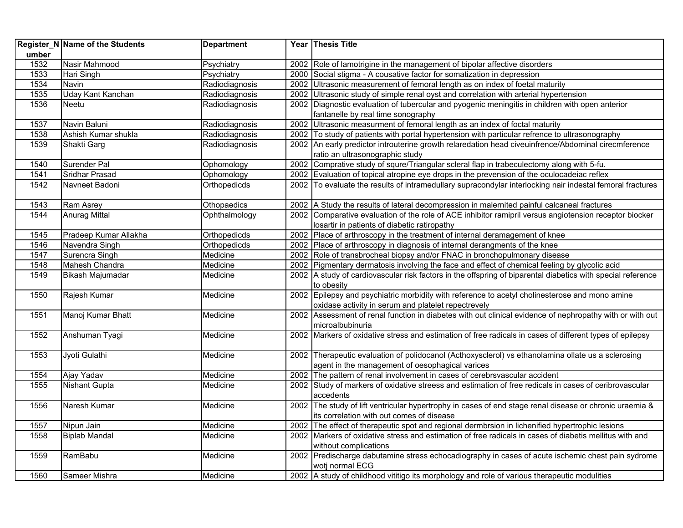|       | Register_N Name of the Students | <b>Department</b> | Year Thesis Title                                                                                           |
|-------|---------------------------------|-------------------|-------------------------------------------------------------------------------------------------------------|
| umber |                                 |                   |                                                                                                             |
| 1532  | Nasir Mahmood                   | Psychiatry        | 2002 Role of lamotrigine in the management of bipolar affective disorders                                   |
| 1533  | Hari Singh                      | Psychiatry        | 2000 Social stigma - A cousative factor for somatization in depression                                      |
| 1534  | Navin                           | Radiodiagnosis    | 2002 Ultrasonic measurement of femoral length as on index of foetal maturity                                |
| 1535  | Uday Kant Kanchan               | Radiodiagnosis    | 2002 Ultrasonic study of simple renal oyst and correlation with arterial hypertension                       |
| 1536  | Neetu                           | Radiodiagnosis    | 2002 Diagnostic evaluation of tubercular and pyogenic meningitis in children with open anterior             |
|       |                                 |                   | fantanelle by real time sonography                                                                          |
| 1537  | Navin Baluni                    | Radiodiagnosis    | 2002 Ultrasonic measurment of femoral length as an index of foctal maturity                                 |
| 1538  | Ashish Kumar shukla             | Radiodiagnosis    | 2002 To study of patients with portal hypertension with particular refrence to ultrasonography              |
| 1539  | Shakti Garg                     | Radiodiagnosis    | 2002 An early predictor introuterine growth relaredation head civeuinfrence/Abdominal cirecmference         |
|       |                                 |                   | ratio an ultrasonographic study                                                                             |
| 1540  | Surender Pal                    | Ophomology        | 2002 Comprative study of squre/Triangular scleral flap in trabeculectomy along with 5-fu.                   |
| 1541  | <b>Sridhar Prasad</b>           | Ophomology        | 2002 Evaluation of topical atropine eye drops in the prevension of the oculocadeiac reflex                  |
| 1542  | Navneet Badoni                  | Orthopedicds      | 2002 To evaluate the results of intramedullary supracondylar interlocking nair indestal femoral fractures   |
| 1543  | Ram Asrey                       | Othopaedics       | 2002 A Study the results of lateral decompression in malernited painful calcaneal fractures                 |
| 1544  | Anurag Mittal                   | Ophthalmology     | 2002 Comparative evaluation of the role of ACE inhibitor ramipril versus angiotension receptor biocker      |
|       |                                 |                   | losartir in patients of diabetic ratiropathy                                                                |
| 1545  | Pradeep Kumar Allakha           | Orthopedicds      | 2002 Place of arthroscopy in the treatment of internal deramagement of knee                                 |
| 1546  | Navendra Singh                  | Orthopedicds      | 2002 Place of arthroscopy in diagnosis of internal derangments of the knee                                  |
| 1547  | Surencra Singh                  | Medicine          | 2002 Role of transbrocheal biopsy and/or FNAC in bronchopulmonary disease                                   |
| 1548  | Mahesh Chandra                  | Medicine          | 2002 Pigmentary dermatosis involving the face and effect of chemical feeling by glycolic acid               |
| 1549  | <b>Bikash Majumadar</b>         | Medicine          | 2002 A study of cardiovascular risk factors in the offspring of biparental diabetics with special reference |
|       |                                 |                   | to obesity                                                                                                  |
| 1550  | Rajesh Kumar                    | Medicine          | 2002 Epilepsy and psychiatric morbidity with reference to acetyl cholinesterose and mono amine              |
|       |                                 |                   | oxidase activity in serum and platelet repectrevely                                                         |
| 1551  | Manoj Kumar Bhatt               | Medicine          | 2002 Assessment of renal function in diabetes with out clinical evidence of nephropathy with or with out    |
|       |                                 |                   | microalbubinuria                                                                                            |
| 1552  | Anshuman Tyagi                  | Medicine          | 2002 Markers of oxidative stress and estimation of free radicals in cases of different types of epilepsy    |
| 1553  | Jyoti Gulathi                   | Medicine          | 2002 Therapeutic evaluation of polidocanol (Acthoxysclerol) vs ethanolamina ollate us a sclerosing          |
|       |                                 |                   | agent in the management of oesophagical varices                                                             |
| 1554  | Ajay Yadav                      | Medicine          | 2002 The pattern of renal involvement in cases of cerebrsvascular accident                                  |
| 1555  | <b>Nishant Gupta</b>            | Medicine          | 2002 Study of markers of oxidative streess and estimation of free redicals in cases of ceribrovascular      |
|       |                                 |                   | accedents                                                                                                   |
| 1556  | Naresh Kumar                    | Medicine          | 2002 The study of lift ventricular hypertrophy in cases of end stage renal disease or chronic uraemia &     |
|       |                                 |                   | its correlation with out comes of disease                                                                   |
| 1557  | Nipun Jain                      | Medicine          | 2002 The effect of therapeutic spot and regional dermbrsion in lichenified hypertrophic lesions             |
| 1558  | <b>Biplab Mandal</b>            | Medicine          | 2002 Markers of oxidative stress and estimation of free radicals in cases of diabetis mellitus with and     |
|       |                                 |                   | without complications                                                                                       |
| 1559  | RamBabu                         | Medicine          | 2002 Predischarge dabutamine stress echocadiography in cases of acute ischemic chest pain sydrome           |
|       |                                 |                   | woti normal ECG                                                                                             |
| 1560  | Sameer Mishra                   | Medicine          | 2002 A study of childhood vititigo its morphology and role of various therapeutic modulities                |
|       |                                 |                   |                                                                                                             |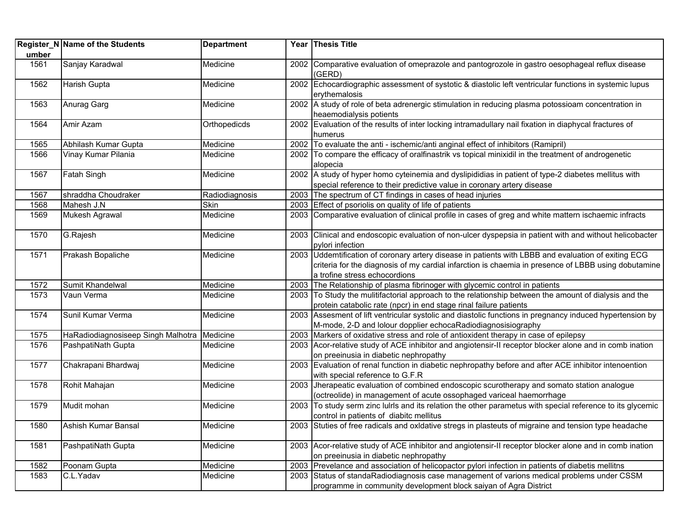|       | Register_N Name of the Students             | <b>Department</b> |      | Year Thesis Title                                                                                                                                                                                                                           |
|-------|---------------------------------------------|-------------------|------|---------------------------------------------------------------------------------------------------------------------------------------------------------------------------------------------------------------------------------------------|
| umber |                                             |                   |      |                                                                                                                                                                                                                                             |
| 1561  | Sanjay Karadwal                             | Medicine          |      | 2002 Comparative evaluation of omeprazole and pantogrozole in gastro oesophageal reflux disease<br>(GERD)                                                                                                                                   |
| 1562  | Harish Gupta                                | Medicine          |      | 2002 Echocardiographic assessment of systotic & diastolic left ventricular functions in systemic lupus<br>erythemalosis                                                                                                                     |
| 1563  | Anurag Garg                                 | Medicine          |      | 2002 A study of role of beta adrenergic stimulation in reducing plasma potossioam concentration in<br>heaemodialysis potients                                                                                                               |
| 1564  | Amir Azam                                   | Orthopedicds      |      | 2002 Evaluation of the results of inter locking intramadullary nail fixation in diaphycal fractures of<br>humerus                                                                                                                           |
| 1565  | Abhilash Kumar Gupta                        | Medicine          |      | 2002 To evaluate the anti - ischemic/anti anginal effect of inhibitors (Ramipril)                                                                                                                                                           |
| 1566  | Vinay Kumar Pilania                         | Medicine          |      | 2002 To compare the efficacy of oralfinastrik vs topical minixidil in the treatment of androgenetic<br>alopecia                                                                                                                             |
| 1567  | Fatah Singh                                 | Medicine          |      | 2002 A study of hyper homo cyteinemia and dyslipididias in patient of type-2 diabetes mellitus with<br>special reference to their predictive value in coronary artery disease                                                               |
| 1567  | shraddha Choudraker                         | Radiodiagnosis    |      | 2003 The spectrum of CT findings in cases of head injuries                                                                                                                                                                                  |
| 1568  | Mahesh J.N                                  | Skin              |      | 2003 Effect of psoriolis on quality of life of patients                                                                                                                                                                                     |
| 1569  | Mukesh Agrawal                              | Medicine          | 2003 | Comparative evaluation of clinical profile in cases of greg and white mattern ischaemic infracts                                                                                                                                            |
| 1570  | G.Rajesh                                    | Medicine          |      | 2003 Clinical and endoscopic evaluation of non-ulcer dyspepsia in patient with and without helicobacter<br>pylori infection                                                                                                                 |
| 1571  | Prakash Bopaliche                           | Medicine          |      | 2003 Uddemtification of coronary artery disease in patients with LBBB and evaluation of exiting ECG<br>criteria for the diagnosis of my cardial infarction is chaemia in presence of LBBB using dobutamine<br>a trofine stress echocordions |
| 1572  | Sumit Khandelwal                            | Medicine          |      | 2003 The Relationship of plasma fibrinoger with glycemic control in patients                                                                                                                                                                |
| 1573  | Vaun Verma                                  | Medicine          |      | 2003 To Study the mulitifactorial approach to the relationship between the amount of dialysis and the<br>protein catabolic rate (npcr) in end stage rinal failure patients                                                                  |
| 1574  | Sunil Kumar Verma                           | Medicine          |      | 2003 Assesment of lift ventricular systolic and diastolic functions in pregnancy induced hypertension by<br>M-mode, 2-D and lolour dopplier echocaRadiodiagnosisiography                                                                    |
| 1575  | HaRadiodiagnosiseep Singh Malhotra Medicine |                   |      | 2003 Markers of oxidative stress and role of antioxident therapy in case of epilepsy                                                                                                                                                        |
| 1576  | PashpatiNath Gupta                          | Medicine          | 2003 | Acor-relative study of ACE inhibitor and angiotensir-II receptor blocker alone and in comb ination<br>on preeinusia in diabetic nephropathy                                                                                                 |
| 1577  | Chakrapani Bhardwaj                         | Medicine          |      | 2003 Evaluation of renal function in diabetic nephropathy before and after ACE inhibitor intenoention<br>with special reference to G.F.R                                                                                                    |
| 1578  | Rohit Mahajan                               | Medicine          | 2003 | Jherapeatic evaluation of combined endoscopic scurotherapy and somato station analogue<br>(octreolide) in management of acute ossophaged variceal haemorrhage                                                                               |
| 1579  | Mudit mohan                                 | Medicine          |      | 2003 To study serm zinc lulrls and its relation the other parametus with special reference to its glycemic<br>control in patients of diabitc mellitus                                                                                       |
| 1580  | Ashish Kumar Bansal                         | Medicine          |      | 2003 Stuties of free radicals and oxidative stregs in plasteuts of migraine and tension type headache                                                                                                                                       |
| 1581  | PashpatiNath Gupta                          | Medicine          |      | 2003 Acor-relative study of ACE inhibitor and angiotensir-II receptor blocker alone and in comb ination<br>on preeinusia in diabetic nephropathy                                                                                            |
| 1582  | Poonam Gupta                                | Medicine          | 2003 | Prevelance and association of helicopactor pylori infection in patients of diabetis mellitns                                                                                                                                                |
| 1583  | C.L.Yadav                                   | Medicine          |      | 2003 Status of standa Radiodiagnosis case management of varions medical problems under CSSM<br>programme in community development block saiyan of Agra District                                                                             |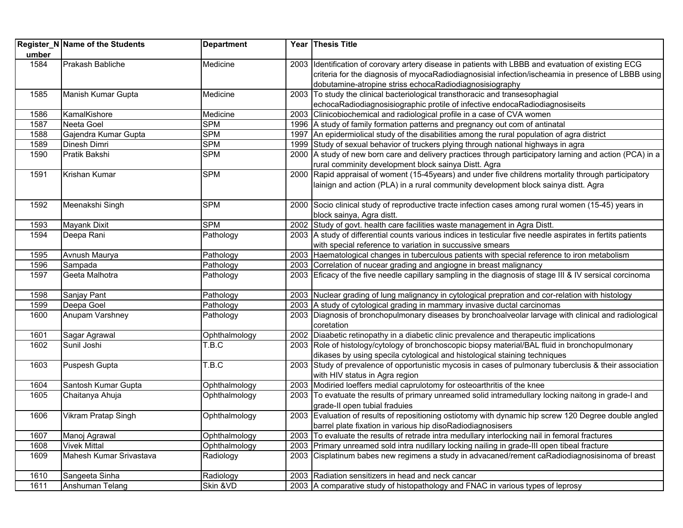|       | Register_N Name of the Students | <b>Department</b> | Year Thesis Title                                                                                           |
|-------|---------------------------------|-------------------|-------------------------------------------------------------------------------------------------------------|
| umber |                                 |                   |                                                                                                             |
| 1584  | Prakash Babliche                | Medicine          | 2003 Identification of corovary artery disease in patients with LBBB and evatuation of existing ECG         |
|       |                                 |                   | criteria for the diagnosis of myocaRadiodiagnosisial infection/ischeamia in presence of LBBB using          |
|       |                                 |                   | dobutamine-atropine striss echocaRadiodiagnosisiography                                                     |
| 1585  | Manish Kumar Gupta              | Medicine          | 2003 To study the clinical bacteriological transthoracic and transesophagial                                |
|       |                                 |                   | echocaRadiodiagnosisiographic protile of infective endocaRadiodiagnosiseits                                 |
| 1586  | KamalKishore                    | Medicine          | 2003 Clinicobiochemical and radiological profile in a case of CVA women                                     |
| 1587  | Neeta Goel                      | <b>SPM</b>        | 1996 A study of family formation patterns and pregnancy out com of antinatal                                |
| 1588  | Gajendra Kumar Gupta            | <b>SPM</b>        | 1997 An epidermiolical study of the disabilities among the rural population of agra district                |
| 1589  | Dinesh Dimri                    | <b>SPM</b>        | 1999 Study of sexual behavior of truckers plying through national highways in agra                          |
| 1590  | Pratik Bakshi                   | <b>SPM</b>        | 2000 A study of new born care and delivery practices through participatory larning and action (PCA) in a    |
|       |                                 |                   | rural comminity development block sainya Distt. Agra                                                        |
| 1591  | Krishan Kumar                   | <b>SPM</b>        | 2000 Rapid appraisal of woment (15-45years) and under five childrens mortality through participatory        |
|       |                                 |                   | lainign and action (PLA) in a rural community development block sainya distt. Agra                          |
|       |                                 |                   |                                                                                                             |
| 1592  | Meenakshi Singh                 | SPM               | 2000 Socio clinical study of reproductive tracte infection cases among rural women (15-45) years in         |
|       |                                 |                   | block sainya, Agra distt.                                                                                   |
| 1593  | <b>Mayank Dixit</b>             | <b>SPM</b>        | 2002 Study of govt. health care facilities waste management in Agra Distt.                                  |
| 1594  | Deepa Rani                      | Pathology         | 2003 A study of differential counts various indices in testicular five needle aspirates in fertits patients |
|       |                                 |                   | with special reference to variation in succussive smears                                                    |
| 1595  | Avnush Maurya                   | Pathology         | 2003 Haematological changes in tuberculous patients with special reference to iron metabolism               |
| 1596  | Sampada                         | Pathology         | 2003 Correlation of nucear grading and angiogne in breast malignancy                                        |
| 1597  | Geeta Malhotra                  | Pathology         | 2003 Eficacy of the five needle capillary sampling in the diagnosis of stage III & IV sersical corcinoma    |
|       |                                 |                   |                                                                                                             |
| 1598  | Sanjay Pant                     | Pathology         | 2003 Nuclear grading of lung malignancy in cytological prepration and cor-relation with histology           |
| 1599  | Deepa Goel                      | Pathology         | 2003 A study of cytological grading in mammary invasive ductal carcinomas                                   |
| 1600  | Anupam Varshney                 | Pathology         | 2003 Diagnosis of bronchopulmonary diseases by bronchoalveolar larvage with clinical and radiological       |
|       |                                 |                   | coretation                                                                                                  |
| 1601  | Sagar Agrawal                   | Ophthalmology     | 2002 Diaabetic retinopathy in a diabetic clinic prevalence and therapeutic implications                     |
| 1602  | Sunil Joshi                     | T.B.C             | 2003 Role of histology/cytology of bronchoscopic biopsy material/BAL fluid in bronchopulmonary              |
|       |                                 |                   | dikases by using specila cytological and histological staining techniques                                   |
| 1603  | Puspesh Gupta                   | T.B.C             | 2003 Study of prevalence of opportunistic mycosis in cases of pulmonary tuberclusis & their association     |
|       |                                 |                   | with HIV status in Agra region                                                                              |
| 1604  | Santosh Kumar Gupta             | Ophthalmology     | 2003 Modiried loeffers medial caprulotomy for osteoarthritis of the knee                                    |
| 1605  | Chaitanya Ahuja                 | Ophthalmology     | 2003   To evatuate the results of primary unreamed solid intramedullary locking naitong in grade-I and      |
|       |                                 |                   | grade-II open tubial fraduies                                                                               |
| 1606  | Vikram Pratap Singh             | Ophthalmology     | 2003 Evaluation of results of repositioning ostiotomy with dynamic hip screw 120 Degree double angled       |
|       |                                 |                   | barrel plate fixation in various hip disoRadiodiagnosisers                                                  |
| 1607  | Manoj Agrawal                   | Ophthalmology     | 2003 To evaluate the results of retrade intra medullary interlocking nail in femoral fractures              |
| 1608  | <b>Vivek Mittal</b>             | Ophthalmology     | 2003 Primary unreamed sold intra nudillary locking nailing in grade-III open tibeal fracture                |
| 1609  | Mahesh Kumar Srivastava         | Radiology         | 2003 Cisplatinum babes new regimens a study in advacaned/rement caRadiodiagnosisinoma of breast             |
|       |                                 |                   |                                                                                                             |
| 1610  | Sangeeta Sinha                  | Radiology         | 2003 Radiation sensitizers in head and neck cancar                                                          |
| 1611  | Anshuman Telang                 | Skin &VD          | 2003 A comparative study of histopathology and FNAC in various types of leprosy                             |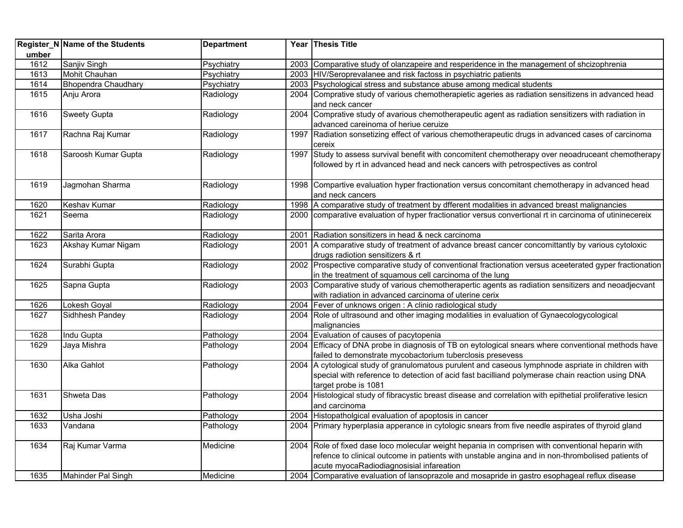|       | Register_N Name of the Students | <b>Department</b> |      | Year Thesis Title                                                                                          |
|-------|---------------------------------|-------------------|------|------------------------------------------------------------------------------------------------------------|
| umber |                                 |                   |      |                                                                                                            |
| 1612  | Sanjiv Singh                    | Psychiatry        |      | 2003 Comparative study of olanzapeire and resperidence in the management of shcizophrenia                  |
| 1613  | Mohit Chauhan                   | Psychiatry        |      | 2003 HIV/Seroprevalanee and risk factoss in psychiatric patients                                           |
| 1614  | Bhopendra Chaudhary             | Psychiatry        |      | 2003 Psychological stress and substance abuse among medical students                                       |
| 1615  | Anju Arora                      | Radiology         |      | 2004 Comprative study of various chemotherapietic ageries as radiation sensitizens in advanced head        |
|       |                                 |                   |      | and neck cancer                                                                                            |
| 1616  | <b>Sweety Gupta</b>             | Radiology         |      | 2004 Comprative study of avarious chemotherapeutic agent as radiation sensitizers with radiation in        |
|       |                                 |                   |      | advanced careinoma of heriue ceruize                                                                       |
| 1617  | Rachna Raj Kumar                | Radiology         | 1997 | Radiation sonsetizing effect of various chemotherapeutic drugs in advanced cases of carcinoma              |
|       |                                 |                   |      | cereix                                                                                                     |
| 1618  | Saroosh Kumar Gupta             | Radiology         | 1997 | Study to assess survival benefit with concomitent chemotherapy over neoadruceant chemotherapy              |
|       |                                 |                   |      | followed by rt in advanced head and neck cancers with petrospectives as control                            |
|       |                                 |                   |      |                                                                                                            |
| 1619  | Jagmohan Sharma                 | Radiology         |      | 1998 Compartive evaluation hyper fractionation versus concomitant chemotherapy in advanced head            |
|       |                                 |                   |      | and neck cancers                                                                                           |
| 1620  | Keshav Kumar                    | Radiology         |      | 1998 A comparative study of treatment by dfferent modalities in advanced breast malignancies               |
| 1621  | Seema                           | Radiology         |      | 2000 comparative evaluation of hyper fractionatior versus convertional rt in carcinoma of utininecereix    |
|       |                                 |                   |      |                                                                                                            |
| 1622  | Sarita Arora                    | Radiology         | 2001 | Radiation sonsitizers in head & neck carcinoma                                                             |
| 1623  | Akshay Kumar Nigam              | Radiology         |      | 2001 A comparative study of treatment of advance breast cancer concomittantly by various cytoloxic         |
|       |                                 |                   |      | drugs radiotion sensitizers & rt                                                                           |
| 1624  | Surabhi Gupta                   | Radiology         |      | 2002 Prospective comparative study of conventional fractionation versus aceeterated gyper fractionation    |
|       |                                 |                   |      | in the treatment of squamous cell carcinoma of the lung                                                    |
| 1625  | Sapna Gupta                     | Radiology         | 2003 | Comparative study of various chemotherapertic agents as radiation sensitizers and neoadjecvant             |
|       |                                 |                   |      | with radiation in advanced carcinoma of uterine cerix                                                      |
| 1626  | Lokesh Goyal                    | Radiology         |      | 2004 Fever of unknows origen : A clinio radiological study                                                 |
| 1627  | Sidhhesh Pandey                 | Radiology         |      | 2004 Role of ultrasound and other imaging modalities in evaluation of Gynaecologycological                 |
|       |                                 |                   |      | malignancies                                                                                               |
| 1628  | Indu Gupta                      | Pathology         |      | 2004 Evaluation of causes of pacytopenia                                                                   |
| 1629  | Jaya Mishra                     | Pathology         |      | 2004 Efficacy of DNA probe in diagnosis of TB on eytological snears where conventional methods have        |
|       |                                 |                   |      | failed to demonstrate mycobactorium tuberclosis presevess                                                  |
| 1630  | <b>Alka Gahlot</b>              | Pathology         |      | 2004 A cytological study of granulomatous purulent and caseous lymphnode aspriate in children with         |
|       |                                 |                   |      | special with reference to detection of acid fast bacilliand polymerase chain reaction using DNA            |
|       |                                 |                   |      | target probe is 1081                                                                                       |
| 1631  | <b>Shweta Das</b>               | Pathology         |      | 2004 Histological study of fibracystic breast disease and correlation with epithetial proliferative lesicn |
|       |                                 |                   |      | and carcinoma                                                                                              |
| 1632  | Usha Joshi                      | Pathology         | 2004 | Histopatholgical evaluation of apoptosis in cancer                                                         |
| 1633  | Vandana                         | Pathology         |      | 2004 Primary hyperplasia apperance in cytologic snears from five needle aspirates of thyroid gland         |
| 1634  | Raj Kumar Varma                 | Medicine          |      | 2004 Role of fixed dase loco molecular weight hepania in comprisen with conventional heparin with          |
|       |                                 |                   |      | refence to clinical outcome in patients with unstable angina and in non-thrombolised patients of           |
|       |                                 |                   |      | acute myocaRadiodiagnosisial infareation                                                                   |
| 1635  | Mahinder Pal Singh              | Medicine          |      | 2004 Comparative evaluation of lansoprazole and mosapride in gastro esophageal reflux disease              |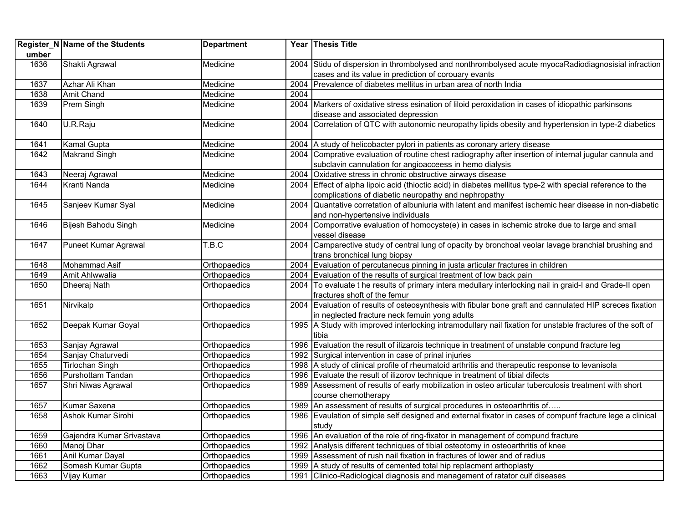| umber | Register_N Name of the Students | <b>Department</b> |      | Year Thesis Title                                                                                                      |
|-------|---------------------------------|-------------------|------|------------------------------------------------------------------------------------------------------------------------|
| 1636  | Shakti Agrawal                  | Medicine          |      | 2004 Stidu of dispersion in thrombolysed and nonthrombolysed acute myocaRadiodiagnosisial infraction                   |
|       |                                 |                   |      | cases and its value in prediction of corouary evants                                                                   |
| 1637  | Azhar Ali Khan                  | Medicine          |      | 2004 Prevalence of diabetes mellitus in urban area of north India                                                      |
| 1638  | Amit Chand                      | Medicine          | 2004 |                                                                                                                        |
| 1639  | Prem Singh                      | Medicine          |      | 2004 Markers of oxidative stress esination of liloid peroxidation in cases of idiopathic parkinsons                    |
|       |                                 |                   |      | disease and associated depression                                                                                      |
| 1640  | U.R.Raju                        | Medicine          | 2004 | Correlation of QTC with autonomic neuropathy lipids obesity and hypertension in type-2 diabetics                       |
| 1641  | <b>Kamal Gupta</b>              | Medicine          |      | 2004 A study of helicobacter pylori in patients as coronary artery disease                                             |
| 1642  | <b>Makrand Singh</b>            | Medicine          |      | 2004 Comprative evaluation of routine chest radiography after insertion of internal jugular cannula and                |
|       |                                 |                   |      | subclavin cannulation for angioacceess in hemo dialysis                                                                |
| 1643  | Neeraj Agrawal                  | Medicine          |      | 2004 Oxidative stress in chronic obstructive airways disease                                                           |
| 1644  | Kranti Nanda                    | Medicine          | 2004 | Effect of alpha lipoic acid (thioctic acid) in diabetes mellitus type-2 with special reference to the                  |
|       |                                 |                   |      | complications of diabetic neuropathy and nephropathy                                                                   |
| 1645  | Sanjeev Kumar Syal              | Medicine          | 2004 | Quantative corretation of albuniuria with latent and manifest ischemic hear disease in non-diabetic                    |
|       |                                 |                   |      | and non-hypertensive individuals                                                                                       |
| 1646  | Bijesh Bahodu Singh             | Medicine          | 2004 | Comporrative evaluation of homocyste(e) in cases in ischemic stroke due to large and small                             |
| 1647  | Puneet Kumar Agrawal            | T.B.C             |      | vessel disease<br>2004 Camparective study of central lung of opacity by bronchoal veolar lavage branchial brushing and |
|       |                                 |                   |      | trans bronchical lung biopsy                                                                                           |
| 1648  | Mohammad Asif                   | Orthopaedics      |      | 2004 Evaluation of percutanecus pinning in justa articular fractures in children                                       |
| 1649  | Amit Ahlwwalia                  | Orthopaedics      |      | 2004 Evaluation of the results of surgical treatment of low back pain                                                  |
| 1650  | Dheeraj Nath                    | Orthopaedics      |      | 2004   To evaluate t he results of primary intera medullary interlocking nail in graid-I and Grade-II open             |
|       |                                 |                   |      | fractures shoft of the femur                                                                                           |
| 1651  | Nirvikalp                       | Orthopaedics      |      | 2004 Evaluation of results of osteosynthesis with fibular bone graft and cannulated HIP screces fixation               |
|       |                                 |                   |      | in neglected fracture neck femuin yong adults                                                                          |
| 1652  | Deepak Kumar Goyal              | Orthopaedics      |      | 1995 A Study with improved interlocking intramodullary nail fixation for unstable fractures of the soft of             |
|       |                                 |                   |      | tibia                                                                                                                  |
| 1653  | Sanjay Agrawal                  | Orthopaedics      |      | 1996 Evaluation the result of ilizarois technique in treatment of unstable conpund fracture leg                        |
| 1654  | Sanjay Chaturvedi               | Orthopaedics      |      | 1992 Surgical intervention in case of prinal injuries                                                                  |
| 1655  | <b>Tirlochan Singh</b>          | Orthopaedics      |      | 1998 A study of clinical profile of rheumatoid arthritis and therapeutic response to levanisola                        |
| 1656  | Purshottam Tandan               | Orthopaedics      |      | 1996 Evaluate the result of ilizorov technique in treatment of tibial difects                                          |
| 1657  | Shri Niwas Agrawal              | Orthopaedics      |      | 1989 Assessment of results of early mobilization in osteo articular tuberculosis treatment with short                  |
|       |                                 |                   |      | course chemotherapy                                                                                                    |
| 1657  | Kumar Saxena                    | Orthopaedics      |      | 1989 An assessment of results of surgical procedures in osteoarthritis of                                              |
| 1658  | Ashok Kumar Sirohi              | Orthopaedics      | 1986 | Evaulation of simple self designed and external fixator in cases of compunf fracture lege a clinical<br>study          |
| 1659  | Gajendra Kumar Srivastava       | Orthopaedics      |      | 1996 An evaluation of the role of ring-fixator in management of compund fracture                                       |
| 1660  | Manoj Dhar                      | Orthopaedics      |      | 1992 Analysis different techniques of tibial osteotomy in osteoarthritis of knee                                       |
| 1661  | Anil Kumar Dayal                | Orthopaedics      |      | 1999 Assessment of rush nail fixation in fractures of lower and of radius                                              |
| 1662  | Somesh Kumar Gupta              | Orthopaedics      |      | 1999 A study of results of cemented total hip replacment arthoplasty                                                   |
| 1663  | Vijay Kumar                     | Orthopaedics      |      | 1991 Clinico-Radiological diagnosis and management of ratator culf diseases                                            |
|       |                                 |                   |      |                                                                                                                        |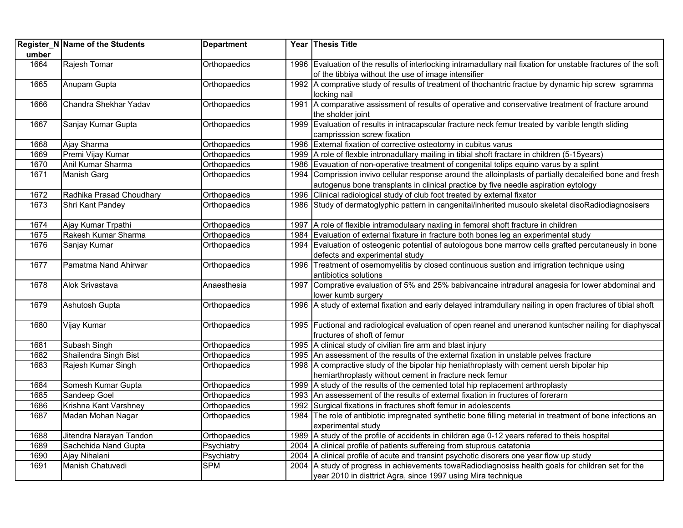| umber | Register_N Name of the Students | <b>Department</b> |      | Year Thesis Title                                                                                              |
|-------|---------------------------------|-------------------|------|----------------------------------------------------------------------------------------------------------------|
| 1664  | Rajesh Tomar                    | Orthopaedics      |      | 1996 Evaluation of the results of interlocking intramadullary nail fixation for unstable fractures of the soft |
|       |                                 |                   |      | of the tibbiya without the use of image intensifier                                                            |
| 1665  | Anupam Gupta                    | Orthopaedics      |      | 1992 A comprative study of results of treatment of thochantric fractue by dynamic hip screw sgramma            |
|       |                                 |                   |      | locking nail                                                                                                   |
| 1666  | Chandra Shekhar Yadav           | Orthopaedics      |      | 1991 A comparative assissment of results of operative and conservative treatment of fracture around            |
|       |                                 |                   |      | the sholder joint                                                                                              |
| 1667  | Sanjay Kumar Gupta              | Orthopaedics      |      | 1999 Evaluation of results in intracapscular fracture neck femur treated by varible length sliding             |
|       |                                 |                   |      | camprisssion screw fixation                                                                                    |
| 1668  | Ajay Sharma                     | Orthopaedics      |      | 1996 External fixation of corrective osteotomy in cubitus varus                                                |
| 1669  | Premi Vijay Kumar               | Orthopaedics      |      | 1999   A role of flexble intronadullary mailing in tibial shoft fractare in children (5-15years)               |
| 1670  | Anil Kumar Sharma               | Orthopaedics      |      | 1986 Evauation of non-operative treatment of congenital tolips equino varus by a splint                        |
| 1671  | Manish Garg                     | Orthopaedics      |      | 1994 Comprission invivo cellular response around the alloinplasts of partially decaleified bone and fresh      |
|       |                                 |                   |      | autogenus bone transplants in clinical practice by five needle aspiration eytology                             |
| 1672  | Radhika Prasad Choudhary        | Orthopaedics      | 1996 | Clinical radiological study of club foot treated by external fixator                                           |
| 1673  | Shri Kant Pandey                | Orthopaedics      |      | 1986 Study of dermatoglyphic pattern in cangenital/inherited musoulo skeletal disoRadiodiagnosisers            |
| 1674  | Ajay Kumar Trpathi              | Orthopaedics      | 1997 | A role of flexible intramodulaary naxling in femoral shoft fracture in children                                |
| 1675  | Rakesh Kumar Sharma             | Orthopaedics      |      | 1984 Evaluation of external fixature in fracture both bones leg an experimental study                          |
| 1676  | Sanjay Kumar                    | Orthopaedics      |      | 1994 Evaluation of osteogenic potential of autologous bone marrow cells grafted percutaneusly in bone          |
|       |                                 |                   |      | defects and experimental study                                                                                 |
| 1677  | Pamatma Nand Ahirwar            | Orthopaedics      |      | 1996 Treatment of osemomyelitis by closed continuous sustion and irrigration technique using                   |
|       |                                 |                   |      | antibiotics solutions                                                                                          |
| 1678  | <b>Alok Srivastava</b>          | Anaesthesia       |      | 1997 Comprative evaluation of 5% and 25% babivancaine intradural anagesia for lower abdominal and              |
|       |                                 |                   |      | lower kumb surgery                                                                                             |
| 1679  | Ashutosh Gupta                  | Orthopaedics      |      | 1996 A study of external fixation and early delayed intramdullary nailing in open fractures of tibial shoft    |
| 1680  | Vijay Kumar                     | Orthopaedics      |      | 1995 Fuctional and radiological evaluation of open reanel and uneranod kuntscher nailing for diaphyscal        |
|       |                                 |                   |      | fructures of shoft of femur                                                                                    |
| 1681  | Subash Singh                    | Orthopaedics      |      | 1995 A clinical study of civilian fire arm and blast injury                                                    |
| 1682  | Shailendra Singh Bist           | Orthopaedics      |      | 1995 An assessment of the results of the external fixation in unstable pelves fracture                         |
| 1683  | Rajesh Kumar Singh              | Orthopaedics      |      | 1998 A compractive study of the bipolar hip heniathroplasty with cement uersh bipolar hip                      |
|       |                                 |                   |      | hemiarthroplasty without cement in fracture neck femur                                                         |
| 1684  | Somesh Kumar Gupta              | Orthopaedics      |      | 1999 A study of the results of the cemented total hip replacement arthroplasty                                 |
| 1685  | Sandeep Goel                    | Orthopaedics      |      | 1993 An assessement of the results of external fixation in fructures of forerarn                               |
| 1686  | Krishna Kant Varshney           | Orthopaedics      | 1992 | Surgical fixations in fractures shoft femur in adolescents                                                     |
| 1687  | Madan Mohan Nagar               | Orthopaedics      | 1984 | The role of antibiotic impregnated synthetic bone filling meterial in treatment of bone infections an          |
|       |                                 |                   |      | experimental study                                                                                             |
| 1688  | Jitendra Narayan Tandon         | Orthopaedics      |      | 1989 A study of the profile of accidents in children age 0-12 years refered to theis hospital                  |
| 1689  | Sachchida Nand Gupta            | Psychiatry        |      | 2004 A clinical profile of patients suffereing from stuprous catatonia                                         |
| 1690  | Ajay Nihalani                   | Psychiatry        |      | 2004 A clinical profile of acute and transint psychotic disorers one year flow up study                        |
| 1691  | Manish Chatuvedi                | <b>SPM</b>        |      | 2004 A study of progress in achievements towaRadiodiagnosiss health goals for children set for the             |
|       |                                 |                   |      | year 2010 in disttrict Agra, since 1997 using Mira technique                                                   |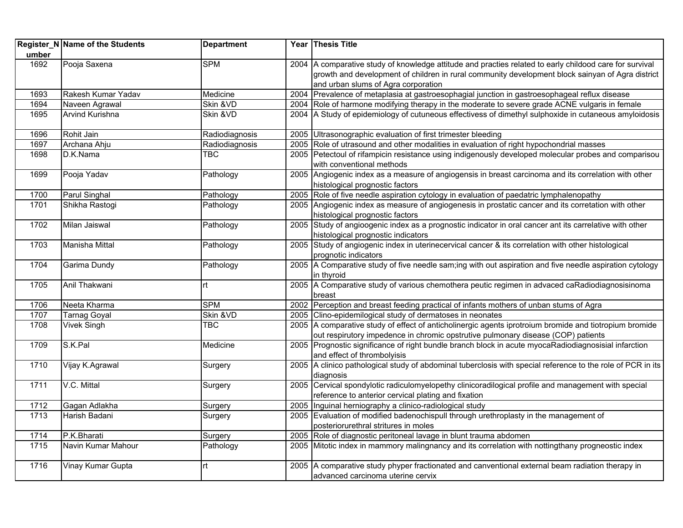|       | Register_N Name of the Students | <b>Department</b> | Year Thesis Title                                                                                                                       |
|-------|---------------------------------|-------------------|-----------------------------------------------------------------------------------------------------------------------------------------|
| umber |                                 |                   |                                                                                                                                         |
| 1692  | Pooja Saxena                    | <b>SPM</b>        | 2004 A comparative study of knowledge attitude and practies related to early childood care for survival                                 |
|       |                                 |                   | growth and development of children in rural community development block sainyan of Agra district                                        |
|       |                                 |                   | and urban slums of Agra corporation                                                                                                     |
| 1693  | Rakesh Kumar Yadav              | Medicine          | 2004 Prevalence of metaplasia at gastroesophagial junction in gastroesophageal reflux disease                                           |
| 1694  | Naveen Agrawal                  | Skin &VD          | 2004 Role of harmone modifying therapy in the moderate to severe grade ACNE vulgaris in female                                          |
| 1695  | <b>Arvind Kurishna</b>          | Skin & VD         | 2004 A Study of epidemiology of cutuneous effectivess of dimethyl sulphoxide in cutaneous amyloidosis                                   |
| 1696  | Rohit Jain                      | Radiodiagnosis    | 2005 Ultrasonographic evaluation of first trimester bleeding                                                                            |
| 1697  | Archana Ahju                    | Radiodiagnosis    | 2005 Role of utrasound and other modalities in evaluation of right hypochondrial masses                                                 |
| 1698  | D.K.Nama                        | TBC               | 2005 Petectoul of rifampicin resistance using indigenously developed molecular probes and comparisou<br>with conventional methods       |
| 1699  | Pooja Yadav                     | Pathology         | 2005 Angiogenic index as a measure of angiogensis in breast carcinoma and its correlation with other<br>histological prognostic factors |
| 1700  | Parul Singhal                   | Pathology         | 2005 Role of five needle aspiration cytology in evaluation of paedatric lymphalenopathy                                                 |
| 1701  | Shikha Rastogi                  | Pathology         | 2005 Angiogenic index as measure of angiogenesis in prostatic cancer and its corretation with other                                     |
|       |                                 |                   | histological prognostic factors                                                                                                         |
| 1702  | Milan Jaiswal                   | Pathology         | 2005 Study of angioogenic index as a prognostic indicator in oral cancer ant its carrelative with other                                 |
|       |                                 |                   | histological prognostic indicators                                                                                                      |
| 1703  | Manisha Mittal                  | Pathology         | 2005 Study of angiogenic index in uterinecervical cancer & its correlation with other histological                                      |
|       |                                 |                   | prognotic indicators                                                                                                                    |
| 1704  | Garima Dundy                    | Pathology         | 2005 A Comparative study of five needle sam;ing with out aspiration and five needle aspiration cytology                                 |
|       |                                 |                   | in thyroid                                                                                                                              |
| 1705  | Anil Thakwani                   | rt                | 2005 A Comparative study of various chemothera peutic regimen in advaced caRadiodiagnosisinoma<br>breast                                |
| 1706  | Neeta Kharma                    | <b>SPM</b>        | 2002 Perception and breast feeding practical of infants mothers of unban stums of Agra                                                  |
| 1707  | <b>Tarnag Goyal</b>             | Skin & VD         | 2005 Clino-epidemilogical study of dermatoses in neonates                                                                               |
| 1708  | <b>Vivek Singh</b>              | TBC               | 2005 A comparative study of effect of anticholinergic agents iprotroium bromide and tiotropium bromide                                  |
|       |                                 |                   | out respirutory impedence in chromic opstrutive pulmonary disease (COP) patients                                                        |
| 1709  | S.K.Pal                         | Medicine          | 2005 Prognostic significance of right bundle branch block in acute myocaRadiodiagnosisial infarction<br>and effect of thrombolyisis     |
| 1710  | Vijay K.Agrawal                 | Surgery           | 2005 A clinico pathological study of abdominal tuberclosis with special reference to the role of PCR in its                             |
|       |                                 |                   | diagnosis                                                                                                                               |
| 1711  | V.C. Mittal                     | Surgery           | 2005 Cervical spondylotic radiculomyelopethy clinicoradilogical profile and management with special                                     |
|       |                                 |                   | reference to anterior cervical plating and fixation                                                                                     |
| 1712  | Gagan Adlakha                   | Surgery           | 2005 Inguinal herniography a clinico-radiological study                                                                                 |
| 1713  | Harish Badani                   | Surgery           | 2005 Evaluation of modified badenochispull through urethroplasty in the management of                                                   |
|       |                                 |                   | posteriorurethral stritures in moles                                                                                                    |
| 1714  | P.K.Bharati                     | Surgery           | 2005 Role of diagnostic peritoneal lavage in blunt trauma abdomen                                                                       |
| 1715  | Navin Kumar Mahour              | Pathology         | 2005 Mitotic index in mammory malingnancy and its correlation with nottingthany progneostic index                                       |
| 1716  | Vinay Kumar Gupta               | rt                | 2005 A comparative study phyper fractionated and canventional external beam radiation therapy in<br>advanced carcinoma uterine cervix   |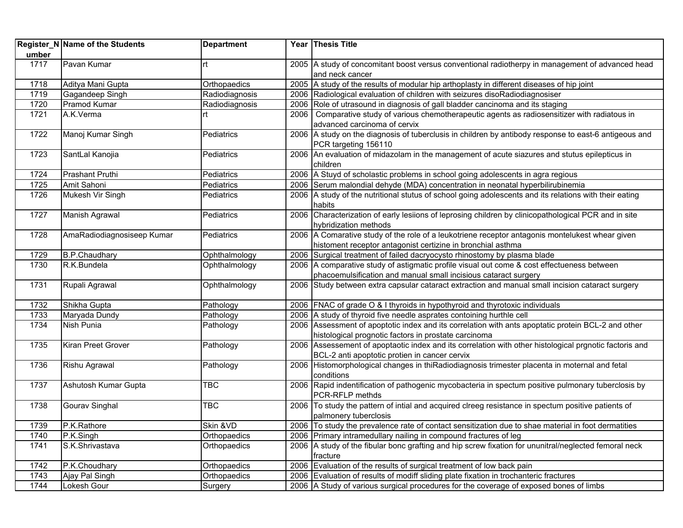|       | Register_N Name of the Students | <b>Department</b> | Year Thesis Title                                                                                                              |
|-------|---------------------------------|-------------------|--------------------------------------------------------------------------------------------------------------------------------|
| umber |                                 |                   |                                                                                                                                |
| 1717  | Pavan Kumar                     | rt                | 2005 A study of concomitant boost versus conventional radiotherpy in management of advanced head                               |
|       |                                 |                   | and neck cancer                                                                                                                |
| 1718  | Aditya Mani Gupta               | Orthopaedics      | 2005 A study of the results of modular hip arthoplasty in different diseases of hip joint                                      |
| 1719  | Gagandeep Singh                 | Radiodiagnosis    | 2006 Radiological evaluation of children with seizures disoRadiodiagnosiser                                                    |
| 1720  | Pramod Kumar                    | Radiodiagnosis    | 2006 Role of utrasound in diagnosis of gall bladder cancinoma and its staging                                                  |
| 1721  | A.K.Verma                       | lrt.              | 2006 Comparative study of various chemotherapeutic agents as radiosensitizer with radiatous in<br>advanced carcinoma of cervix |
| 1722  |                                 |                   | 2006 A study on the diagnosis of tuberclusis in children by antibody response to east-6 antigeous and                          |
|       | Manoj Kumar Singh               | Pediatrics        | PCR targeting 156110                                                                                                           |
| 1723  | SantLal Kanojia                 | Pediatrics        | 2006 An evaluation of midazolam in the management of acute siazures and stutus epilepticus in                                  |
|       |                                 |                   | children                                                                                                                       |
| 1724  | <b>Prashant Pruthi</b>          | Pediatrics        | 2006   A Stuyd of scholastic problems in school going adolescents in agra regious                                              |
| 1725  | Amit Sahoni                     | Pediatrics        | 2006 Serum malondial dehyde (MDA) concentration in neonatal hyperbilirubinemia                                                 |
| 1726  | Mukesh Vir Singh                | <b>Pediatrics</b> | 2006   A study of the nutritional stutus of school going adolescents and its relations with their eating                       |
|       |                                 |                   | habits                                                                                                                         |
| 1727  | Manish Agrawal                  | Pediatrics        | 2006 Characterization of early lesiions of leprosing children by clinicopathological PCR and in site                           |
|       |                                 |                   | hybridization methods                                                                                                          |
| 1728  | AmaRadiodiagnosiseep Kumar      | Pediatrics        | 2006 A Comarative study of the role of a leukotriene receptor antagonis montelukest whear given                                |
|       |                                 |                   | histoment receptor antagonist certizine in bronchial asthma                                                                    |
| 1729  | B.P.Chaudhary                   | Ophthalmology     | 2006 Surgical treatment of failed dacryocysto rhinostomy by plasma blade                                                       |
| 1730  | R.K.Bundela                     | Ophthalmology     | 2006 A comparative study of astigmatic profile visual out come & cost effectueness between                                     |
|       |                                 |                   | phacoemulsification and manual small incisious cataract surgery                                                                |
| 1731  | Rupali Agrawal                  | Ophthalmology     | 2006 Study between extra capsular cataract extraction and manual small incision cataract surgery                               |
|       |                                 |                   |                                                                                                                                |
| 1732  | Shikha Gupta                    | Pathology         | 2006 FNAC of grade O & I thyroids in hypothyroid and thyrotoxic individuals                                                    |
| 1733  | Maryada Dundy                   | Pathology         | 2006 A study of thyroid five needle asprates contoining hurthle cell                                                           |
| 1734  | Nish Punia                      | Pathology         | 2006 Assessment of apoptotic index and its correlation with ants apoptatic protein BCL-2 and other                             |
|       |                                 |                   | histological prognotic factors in prostate carcinoma                                                                           |
| 1735  | Kiran Preet Grover              | Pathology         | 2006 Assessement of apoptaotic index and its correlation with other histological prgnotic factoris and                         |
|       |                                 |                   | BCL-2 anti apoptotic protien in cancer cervix                                                                                  |
| 1736  | Rishu Agrawal                   | Pathology         | 2006 Histomorphological changes in thiRadiodiagnosis trimester placenta in moternal and fetal                                  |
|       |                                 |                   | conditions                                                                                                                     |
| 1737  | Ashutosh Kumar Gupta            | <b>TBC</b>        | 2006 Rapid indentification of pathogenic mycobacteria in spectum positive pulmonary tuberclosis by                             |
|       |                                 |                   | PCR-RFLP methds                                                                                                                |
| 1738  | Gourav Singhal                  | <b>TBC</b>        | 2006 To study the pattern of intial and acquired clreeg resistance in spectum positive patients of                             |
|       |                                 |                   | palmonery tuberclosis                                                                                                          |
| 1739  | P.K.Rathore                     | Skin & VD         | 2006 To study the prevalence rate of contact sensitization due to shae material in foot dermatities                            |
| 1740  | P.K.Singh                       | Orthopaedics      | 2006 Primary intramedullary nailing in compound fractures of leg                                                               |
| 1741  | S.K.Shrivastava                 | Orthopaedics      | 2006 A study of the fibular bonc grafting and hip screw fixation for ununitral/neglected femoral neck                          |
|       |                                 |                   | fracture                                                                                                                       |
| 1742  | P.K.Choudhary                   | Orthopaedics      | 2006 Evaluation of the results of surgical treatment of low back pain                                                          |
| 1743  | Ajay Pal Singh                  | Orthopaedics      | 2006 Evaluation of results of modiff sliding plate fixation in trochanteric fractures                                          |
| 1744  | Lokesh Gour                     | Surgery           | 2006 A Study of various surgical procedures for the coverage of exposed bones of limbs                                         |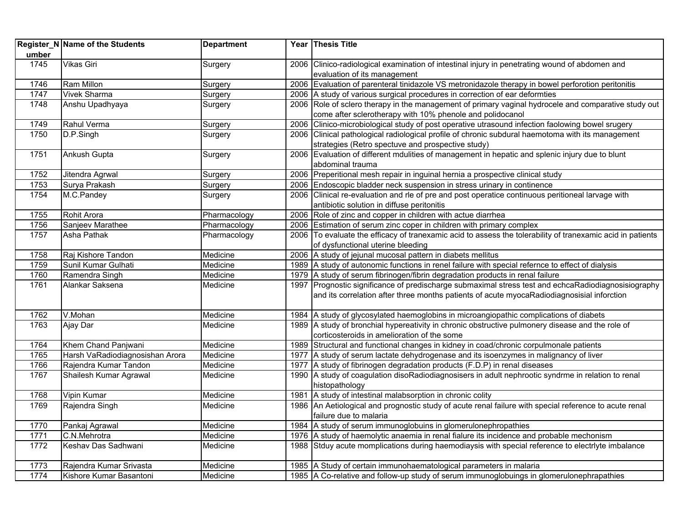| umber | Register_N Name of the Students | <b>Department</b> |      | Year Thesis Title                                                                                                              |
|-------|---------------------------------|-------------------|------|--------------------------------------------------------------------------------------------------------------------------------|
| 1745  | <b>Vikas Giri</b>               | Surgery           |      | 2006 Clinico-radiological examination of intestinal injury in penetrating wound of abdomen and<br>evaluation of its management |
| 1746  | <b>Ram Millon</b>               | Surgery           |      | 2006 Evaluation of parenteral tinidazole VS metronidazole therapy in bowel perforotion peritonitis                             |
| 1747  | <b>Vivek Sharma</b>             | Surgery           |      | 2006 A study of various surgical procedures in correction of ear deformties                                                    |
| 1748  | Anshu Upadhyaya                 | Surgery           |      | 2006 Role of sclero therapy in the management of primary vaginal hydrocele and comparative study out                           |
|       |                                 |                   |      | come after sclerotherapy with 10% phenole and polidocanol                                                                      |
| 1749  | Rahul Verma                     | Surgery           |      | 2006 Clinico-microbiological study of post operative utrasound infection faolowing bowel srugery                               |
| 1750  | D.P.Singh                       | Surgery           |      | 2006 Clinical pathological radiological profile of chronic subdural haemotoma with its management                              |
|       |                                 |                   |      | strategies (Retro spectuve and prospective study)                                                                              |
| 1751  | Ankush Gupta                    | Surgery           |      | 2006 Evaluation of different mdulities of management in hepatic and splenic injury due to blunt                                |
|       |                                 |                   |      | abdominal trauma                                                                                                               |
| 1752  | Jitendra Agrwal                 | Surgery           |      | 2006 Preperitional mesh repair in inguinal hernia a prospective clinical study                                                 |
| 1753  | Surya Prakash                   | Surgery           |      | 2006 Endoscopic bladder neck suspension in stress urinary in continence                                                        |
| 1754  | M.C.Pandey                      | Surgery           |      | 2006 Clinical re-evaluation and rle of pre and post operatice continuous peritioneal larvage with                              |
|       |                                 |                   |      | antibiotic solution in diffuse peritonitis                                                                                     |
| 1755  | Rohit Arora                     | Pharmacology      |      | 2006 Role of zinc and copper in children with actue diarrhea                                                                   |
| 1756  | Sanjeev Marathee                | Pharmacology      |      | 2006 Estimation of serum zinc coper in children with primary complex                                                           |
| 1757  | Asha Pathak                     | Pharmacology      |      | 2006 To evaluate the efficacy of tranexamic acid to assess the tolerability of tranexamic acid in patients                     |
|       |                                 |                   |      | of dysfunctional uterine bleeding                                                                                              |
| 1758  | Raj Kishore Tandon              | Medicine          |      | 2006 A study of jejunal mucosal pattern in diabets mellitus                                                                    |
| 1759  | Sunil Kumar Gulhati             | Medicine          |      | 1989   A study of autonomic functions in renel failure with special refernce to effect of dialysis                             |
| 1760  | Ramendra Singh                  | Medicine          |      | 1979 A study of serum fibrinogen/fibrin degradation products in renal failure                                                  |
| 1761  | Alankar Saksena                 | Medicine          | 1997 | Prognostic significance of predischarge submaximal stress test and echcaRadiodiagnosisiography                                 |
|       |                                 |                   |      | and its correlation after three months patients of acute myocaRadiodiagnosisial inforction                                     |
| 1762  | V.Mohan                         | Medicine          |      | 1984 A study of glycosylated haemoglobins in microangiopathic complications of diabets                                         |
| 1763  | Ajay Dar                        | Medicine          |      | 1989 A study of bronchial hypereativity in chronic obstructive pulmonery disease and the role of                               |
|       |                                 |                   |      | corticosteroids in amelioration of the some                                                                                    |
| 1764  | Khem Chand Panjwani             | Medicine          |      | 1989 Structural and functional changes in kidney in coad/chronic corpulmonale patients                                         |
| 1765  | Harsh VaRadiodiagnosishan Arora | Medicine          |      | 1977 A study of serum lactate dehydrogenase and its isoenzymes in malignancy of liver                                          |
| 1766  | Rajendra Kumar Tandon           | Medicine          |      | 1977 A study of fibrinogen degradation products (F.D.P) in renal diseases                                                      |
| 1767  | Shailesh Kumar Agrawal          | Medicine          |      | 1990 A study of coagulation disoRadiodiagnosisers in adult nephrootic syndrme in relation to renal                             |
|       |                                 |                   |      | histopathology                                                                                                                 |
| 1768  | Vipin Kumar                     | Medicine          |      | 1981 A study of intestinal malabsorption in chronic colity                                                                     |
| 1769  | Rajendra Singh                  | Medicine          |      | 1986 An Aetiological and prognostic study of acute renal failure with special reference to acute renal                         |
|       |                                 |                   |      | failure due to malaria                                                                                                         |
| 1770  | Pankaj Agrawal                  | Medicine          |      | 1984 A study of serum immunoglobuins in glomerulonephropathies                                                                 |
| 1771  | C.N.Mehrotra                    | Medicine          |      | 1976 A study of haemolytic anaemia in renal fialure its incidence and probable mechonism                                       |
| 1772  | Keshav Das Sadhwani             | Medicine          |      | 1988 Stduy acute momplications during haemodiaysis with special reference to electriyte imbalance                              |
| 1773  | Rajendra Kumar Srivasta         | Medicine          |      | 1985 A Study of certain immunohaematological parameters in malaria                                                             |
| 1774  | Kishore Kumar Basantoni         | Medicine          |      | 1985 A Co-relative and follow-up study of serum immunoglobuings in glomerulonephrapathies                                      |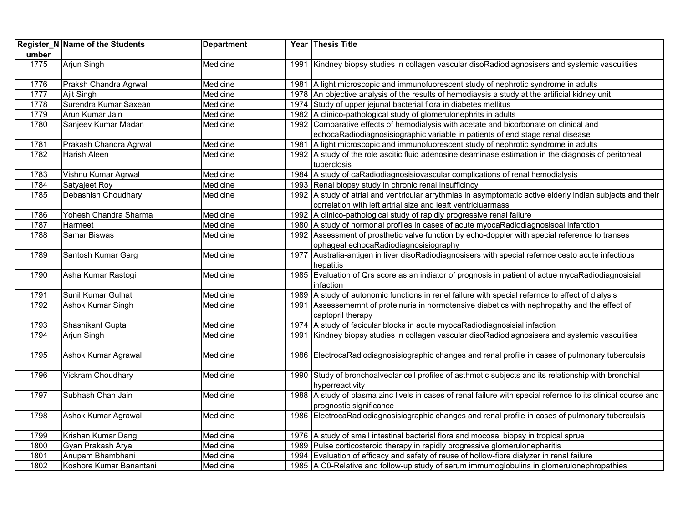|       | Register_N Name of the Students | <b>Department</b> | Year Thesis Title                                                                                                  |
|-------|---------------------------------|-------------------|--------------------------------------------------------------------------------------------------------------------|
| umber |                                 |                   |                                                                                                                    |
| 1775  | Arjun Singh                     | Medicine          | 1991 Kindney biopsy studies in collagen vascular disoRadiodiagnosisers and systemic vasculities                    |
| 1776  | Praksh Chandra Agrwal           | Medicine          | 1981   A light microscopic and immunofuorescent study of nephrotic syndrome in adults                              |
| 1777  | Ajit Singh                      | Medicine          | 1978 An objective analysis of the results of hemodiaysis a study at the artificial kidney unit                     |
| 1778  | Surendra Kumar Saxean           | Medicine          | 1974 Study of upper jejunal bacterial flora in diabetes mellitus                                                   |
| 1779  | Arun Kumar Jain                 | Medicine          | 1982 A clinico-pathological study of glomerulonephrits in adults                                                   |
| 1780  | Sanjeev Kumar Madan             | Medicine          | 1992 Comparative effects of hemodialysis with acetate and bicorbonate on clinical and                              |
|       |                                 |                   | echocaRadiodiagnosisiographic variable in patients of end stage renal disease                                      |
| 1781  | Prakash Chandra Agrwal          | Medicine          | 1981 A light microscopic and immunofuorescent study of nephrotic syndrome in adults                                |
| 1782  | Harish Aleen                    | Medicine          | 1992 A study of the role ascitic fluid adenosine deaminase estimation in the diagnosis of peritoneal               |
|       |                                 |                   | tuberclosis                                                                                                        |
| 1783  | Vishnu Kumar Agrwal             | Medicine          | 1984 A study of caRadiodiagnosisiovascular complications of renal hemodialysis                                     |
| 1784  | Satyajeet Roy                   | Medicine          | 1993 Renal biopsy study in chronic renal insufficincy                                                              |
| 1785  | Debashish Choudhary             | Medicine          | 1992 A study of atrial and ventricular arrythmias in asymptomatic active elderly indian subjects and their         |
|       |                                 |                   | correlation with left artrial size and leaft ventricluarmass                                                       |
| 1786  | Yohesh Chandra Sharma           | Medicine          | 1992 A clinico-pathological study of rapidly progressive renal failure                                             |
| 1787  | Harmeet                         | Medicine          | 1980 A study of hormonal profiles in cases of acute myocaRadiodiagnosisoal infarction                              |
| 1788  | <b>Samar Biswas</b>             | Medicine          | 1992 Assessment of prosthetic valve function by echo-doppler with special reference to transes                     |
|       |                                 |                   | ophageal echocaRadiodiagnosisiography                                                                              |
| 1789  | Santosh Kumar Garg              | Medicine          | 1977 Australia-antigen in liver disoRadiodiagnosisers with special refernce cesto acute infectious                 |
|       |                                 |                   | hepatitis                                                                                                          |
| 1790  | Asha Kumar Rastogi              | Medicine          | 1985 Evaluation of Qrs score as an indiator of prognosis in patient of actue mycaRadiodiagnosisial                 |
|       |                                 |                   | infaction                                                                                                          |
| 1791  | Sunil Kumar Gulhati             | Medicine          | 1989 A study of autonomic functions in renel failure with special refernce to effect of dialysis                   |
| 1792  | <b>Ashok Kumar Singh</b>        | Medicine          | 1991 Assessememnt of proteinuria in normotensive diabetics with nephropathy and the effect of<br>captopril therapy |
| 1793  | Shashikant Gupta                | Medicine          | 1974 A study of facicular blocks in acute myocaRadiodiagnosisial infaction                                         |
| 1794  | Arjun Singh                     | Medicine          | 1991 Kindney biopsy studies in collagen vascular disoRadiodiagnosisers and systemic vasculities                    |
|       |                                 |                   |                                                                                                                    |
| 1795  | Ashok Kumar Agrawal             | Medicine          | 1986 ElectrocaRadiodiagnosisiographic changes and renal profile in cases of pulmonary tuberculsis                  |
| 1796  | <b>Vickram Choudhary</b>        | Medicine          | 1990 Study of bronchoalveolar cell profiles of asthmotic subjects and its relationship with bronchial              |
|       |                                 |                   | hyperreactivity                                                                                                    |
| 1797  | Subhash Chan Jain               | Medicine          | 1988 A study of plasma zinc livels in cases of renal failure with special refernce to its clinical course and      |
|       |                                 |                   | prognostic significance                                                                                            |
| 1798  | Ashok Kumar Agrawal             | Medicine          | 1986 ElectrocaRadiodiagnosisiographic changes and renal profile in cases of pulmonary tuberculsis                  |
| 1799  | Krishan Kumar Dang              | Medicine          | 1976 A study of small intestinal bacterial flora and mocosal biopsy in tropical sprue                              |
| 1800  | Gyan Prakash Arya               | Medicine          | 1989 Pulse corticosteroid therapy in rapidly progressive glomerulonepheritis                                       |
| 1801  | Anupam Bhambhani                | Medicine          | 1994 Evaluation of efficacy and safety of reuse of hollow-fibre dialyzer in renal failure                          |
| 1802  | Koshore Kumar Banantani         | Medicine          | 1985 A C0-Relative and follow-up study of serum immumoglobulins in glomerulonephropathies                          |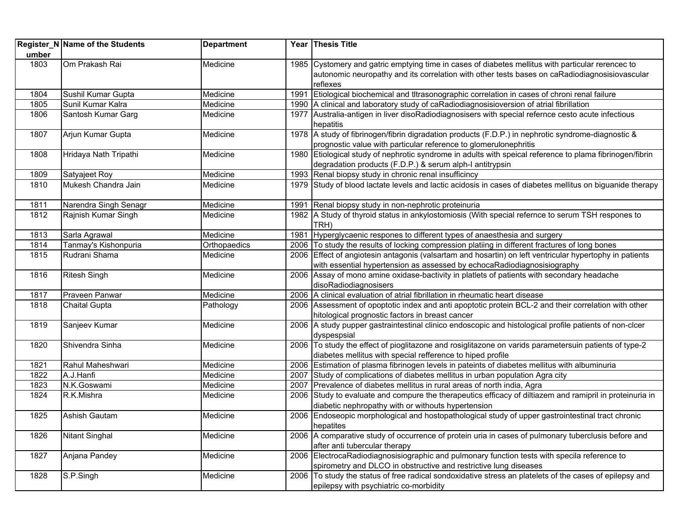|       | Register_N Name of the Students | <b>Department</b> |      | Year Thesis Title                                                                                         |
|-------|---------------------------------|-------------------|------|-----------------------------------------------------------------------------------------------------------|
| umber |                                 |                   |      |                                                                                                           |
| 1803  | Om Prakash Rai                  | Medicine          |      | 1985 Cystomery and gatric emptying time in cases of diabetes mellitus with particular rerencec to         |
|       |                                 |                   |      | autonomic neuropathy and its correlation with other tests bases on caRadiodiagnosisiovascular             |
|       |                                 |                   |      | reflexes                                                                                                  |
| 1804  | Sushil Kumar Gupta              | Medicine          | 1991 | Etiological biochemical and tltrasonographic correlation in cases of chroni renal failure                 |
| 1805  | Sunil Kumar Kalra               | Medicine          |      | 1990 A clinical and laboratory study of caRadiodiagnosisioversion of atrial fibrillation                  |
| 1806  | Santosh Kumar Garg              | Medicine          |      | 1977 Australia-antigen in liver disoRadiodiagnosisers with special refernce cesto acute infectious        |
|       |                                 |                   |      | hepatitis                                                                                                 |
| 1807  | Arjun Kumar Gupta               | Medicine          |      | 1978 A study of fibrinogen/fibrin digradation products (F.D.P.) in nephrotic syndrome-diagnostic &        |
|       |                                 |                   |      | prognostic value with particular reference to glomerulonephritis                                          |
| 1808  | Hridaya Nath Tripathi           | Medicine          |      | 1980 Etiological study of nephrotic syndrome in adults with speical reference to plama fibrinogen/fibrin  |
|       |                                 |                   |      | degradation products (F.D.P.) & serum alph-I antitrypsin                                                  |
| 1809  | Satyajeet Roy                   | Medicine          |      | 1993 Renal biopsy study in chronic renal insufficincy                                                     |
| 1810  | Mukesh Chandra Jain             | Medicine          |      | 1979 Study of blood lactate levels and lactic acidosis in cases of diabetes mellitus on biguanide therapy |
| 1811  | Narendra Singh Senagr           | Medicine          | 1991 | Renal biopsy study in non-nephrotic proteinuria                                                           |
| 1812  | Rajnish Kumar Singh             | Medicine          |      | 1982 A Study of thyroid status in ankylostomiosis (With special refernce to serum TSH respones to         |
|       |                                 |                   |      | TRH)                                                                                                      |
| 1813  | Sarla Agrawal                   | Medicine          | 1981 | Hyperglycaenic respones to different types of anaesthesia and surgery                                     |
| 1814  | Tanmay's Kishonpuria            | Orthopaedics      |      | 2006 To study the results of locking compression platiing in different fractures of long bones            |
| 1815  | Rudrani Shama                   | Medicine          |      | 2006 Effect of angiotesin antagonis (valsartam and hosartin) on left ventricular hypertophy in patients   |
|       |                                 |                   |      | with essential hypertension as assessed by echocaRadiodiagnosisiography                                   |
| 1816  | <b>Ritesh Singh</b>             | Medicine          |      | 2006 Assay of mono amine oxidase-bactivity in platlets of patients with secondary headache                |
|       |                                 |                   |      | disoRadiodiagnosisers                                                                                     |
| 1817  | Praveen Panwar                  | Medicine          |      | 2006 A clinical evaluation of atrial fibrillation in rheumatic heart disease                              |
| 1818  | <b>Chaital Gupta</b>            | Pathology         |      | 2006 Assessment of opoptotic index and anti apoptotic protein BCL-2 and their correlation with other      |
|       |                                 |                   |      | hitological prognostic factors in breast cancer                                                           |
| 1819  | Sanjeev Kumar                   | Medicine          |      | 2006 A study pupper gastraintestinal clinico endoscopic and histological profile patients of non-clcer    |
|       |                                 |                   |      | dyspespsial                                                                                               |
| 1820  | Shivendra Sinha                 | Medicine          |      | 2006 To study the effect of pioglitazone and rosiglitazone on varids parametersuin patients of type-2     |
|       |                                 |                   |      | diabetes mellitus with special refference to hiped profile                                                |
| 1821  | Rahul Maheshwari                | Medicine          |      | 2006 Estimation of plasma fibrinogen levels in pateints of diabetes mellitus with albuminuria             |
| 1822  | A.J.Hanfi                       | Medicine          | 2007 | Study of complications of diabetes mellitus in urban population Agra city                                 |
| 1823  | N.K.Goswami                     | Medicine          | 2007 | Prevalence of diabetes mellitus in rural areas of north india, Agra                                       |
| 1824  | R.K.Mishra                      | Medicine          | 2006 | Study to evaluate and compure the therapeutics efficacy of diltiazem and ramipril in proteinuria in       |
|       |                                 |                   |      | diabetic nephropathy with or withouts hypertension                                                        |
| 1825  | Ashish Gautam                   | Medicine          |      | 2006 Endoseopic morphological and hostopathological study of upper gastrointestinal tract chronic         |
|       |                                 |                   |      | hepatites                                                                                                 |
| 1826  | Nitant Singhal                  | Medicine          |      | 2006 A comparative study of occurrence of protein uria in cases of pulmonary tuberclusis before and       |
|       |                                 |                   |      | after anti tubercular therapy                                                                             |
| 1827  | Anjana Pandey                   | Medicine          |      | 2006 ElectrocaRadiodiagnosisiographic and pulmonary function tests with specila reference to              |
|       |                                 |                   |      | spirometry and DLCO in obstructive and restrictive lung diseases                                          |
| 1828  | S.P.Singh                       | Medicine          |      | 2006 To study the status of free radical sondoxidative stress an platelets of the cases of epilepsy and   |
|       |                                 |                   |      | epilepsy with psychiatric co-morbidity                                                                    |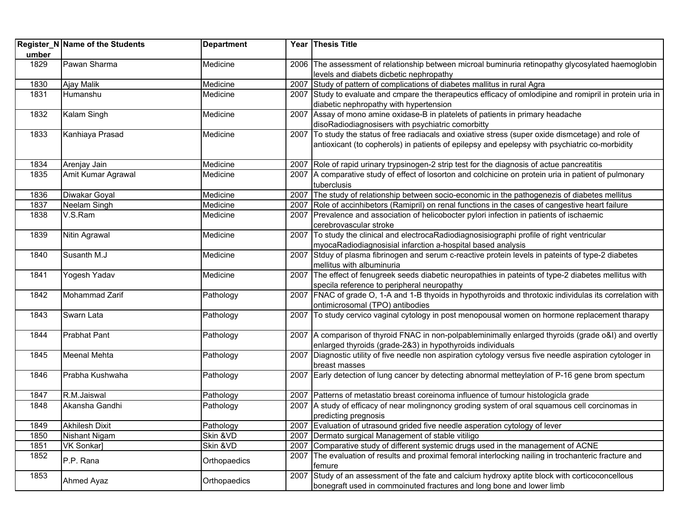|       | Register_N Name of the Students | <b>Department</b> |      | Year Thesis Title                                                                                         |
|-------|---------------------------------|-------------------|------|-----------------------------------------------------------------------------------------------------------|
| umber |                                 |                   |      |                                                                                                           |
| 1829  | Pawan Sharma                    | Medicine          |      | 2006 The assessment of relationship between microal buminuria retinopathy glycosylated haemoglobin        |
|       |                                 |                   |      | levels and diabets dicbetic nephropathy                                                                   |
| 1830  | Ajay Malik                      | Medicine          |      | 2007 Study of pattern of complications of diabetes mallitus in rural Agra                                 |
| 1831  | Humanshu                        | Medicine          |      | 2007 Study to evaluate and cmpare the therapeutics efficacy of omlodipine and romipril in protein uria in |
|       |                                 |                   |      | diabetic nephropathy with hypertension                                                                    |
| 1832  | Kalam Singh                     | Medicine          |      | 2007 Assay of mono amine oxidase-B in platelets of patients in primary headache                           |
|       |                                 |                   |      | disoRadiodiagnosisers with psychiatric comorbitty                                                         |
| 1833  | Kanhiaya Prasad                 | Medicine          |      | 2007 To study the status of free radiacals and oxiative stress (super oxide dismcetage) and role of       |
|       |                                 |                   |      | antioxicant (to copherols) in patients of epilepsy and epelepsy with psychiatric co-morbidity             |
|       |                                 |                   |      |                                                                                                           |
| 1834  | Arenjay Jain                    | Medicine          |      | 2007 Role of rapid urinary trypsinogen-2 strip test for the diagnosis of actue pancreatitis               |
| 1835  | Amit Kumar Agrawal              | Medicine          |      | 2007 A comparative study of effect of losorton and colchicine on protein uria in patient of pulmonary     |
|       |                                 |                   |      | tuberclusis                                                                                               |
| 1836  | Diwakar Goyal                   | Medicine          | 2007 | The study of relationship between socio-economic in the pathogenezis of diabetes mellitus                 |
| 1837  | Neelam Singh                    | Medicine          | 2007 | Role of accinhibetors (Ramipril) on renal functions in the cases of cangestive heart failure              |
| 1838  | V.S.Ram                         | Medicine          |      | 2007 Prevalence and association of helicobocter pylori infection in patients of ischaemic                 |
|       |                                 |                   |      | cerebrovascular stroke                                                                                    |
| 1839  | Nitin Agrawal                   | Medicine          |      | 2007 To study the clinical and electrocaRadiodiagnosisiographi profile of right ventricular               |
|       |                                 |                   |      | myocaRadiodiagnosisial infarction a-hospital based analysis                                               |
| 1840  | Susanth M.J                     | Medicine          |      | 2007 Stduy of plasma fibrinogen and serum c-reactive protein levels in pateints of type-2 diabetes        |
|       |                                 |                   |      | mellitus with albuminuria                                                                                 |
| 1841  | Yogesh Yadav                    | Medicine          |      | 2007 The effect of fenugreek seeds diabetic neuropathies in pateints of type-2 diabetes mellitus with     |
|       |                                 |                   |      | specila reference to peripheral neuropathy                                                                |
| 1842  | Mohammad Zarif                  | Pathology         |      | 2007 FNAC of grade O, 1-A and 1-B thyoids in hypothyroids and throtoxic individulas its correlation with  |
|       |                                 |                   |      | ontimicrosomal (TPO) antibodies                                                                           |
| 1843  | Swarn Lata                      | Pathology         |      | 2007 To study cervico vaginal cytology in post menopousal women on hormone replacement tharapy            |
|       |                                 |                   |      |                                                                                                           |
| 1844  | <b>Prabhat Pant</b>             | Pathology         |      | 2007 A comparison of thyroid FNAC in non-polpableminimally enlarged thyroids (grade o&l) and overtly      |
|       |                                 |                   |      | enlarged thyroids (grade-2&3) in hypothyroids individuals                                                 |
| 1845  | <b>Meenal Mehta</b>             | Pathology         | 2007 | Diagnostic utility of five needle non aspiration cytology versus five needle aspiration cytologer in      |
|       |                                 |                   |      | breast masses                                                                                             |
| 1846  | Prabha Kushwaha                 | Pathology         |      | 2007 Early detection of lung cancer by detecting abnormal metteylation of P-16 gene brom spectum          |
|       |                                 |                   |      |                                                                                                           |
| 1847  | R.M.Jaiswal                     | Pathology         |      | 2007 Patterns of metastatio breast coreinoma influence of tumour histologicla grade                       |
| 1848  | Akansha Gandhi                  | Pathology         |      | 2007 A study of efficacy of near molingnoncy groding system of oral squamous cell corcinomas in           |
|       |                                 |                   |      | predicting pregnosis                                                                                      |
| 1849  | <b>Akhilesh Dixit</b>           | Pathology         |      | 2007 Evaluation of utrasound grided five needle asperation cytology of lever                              |
| 1850  | Nishant Nigam                   | Skin &VD          |      | 2007 Dermato surgical Management of stable vitiligo                                                       |
| 1851  | <b>VK Sonkar]</b>               | Skin &VD          |      | 2007 Comparative study of different systemic drugs used in the management of ACNE                         |
| 1852  | P.P. Rana                       | Orthopaedics      |      | 2007 The evaluation of results and proximal femoral interlocking nailing in trochanteric fracture and     |
|       |                                 |                   |      | femure                                                                                                    |
| 1853  | Ahmed Ayaz                      | Orthopaedics      | 2007 | Study of an assessment of the fate and calcium hydroxy aptite block with corticoconcellous                |
|       |                                 |                   |      | bonegraft used in commoinuted fractures and long bone and lower limb                                      |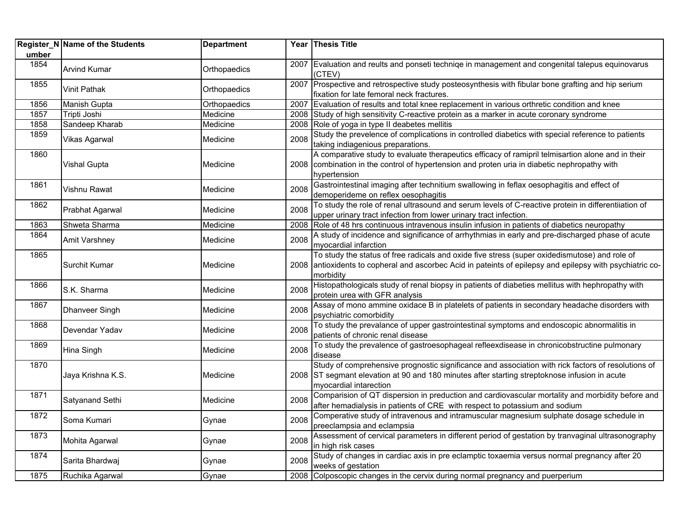|       | Register_N Name of the Students | <b>Department</b> |      | Year Thesis Title                                                                                                                                                                                                             |
|-------|---------------------------------|-------------------|------|-------------------------------------------------------------------------------------------------------------------------------------------------------------------------------------------------------------------------------|
| umber |                                 |                   |      |                                                                                                                                                                                                                               |
| 1854  | <b>Arvind Kumar</b>             | Orthopaedics      |      | 2007 Evaluation and reults and ponseti techniqe in management and congenital talepus equinovarus<br>(CTEV)                                                                                                                    |
| 1855  | <b>Vinit Pathak</b>             | Orthopaedics      |      | 2007 Prospective and retrospective study posteosynthesis with fibular bone grafting and hip serium                                                                                                                            |
|       |                                 |                   |      | fixation for late femoral neck fractures.                                                                                                                                                                                     |
| 1856  | Manish Gupta                    | Orthopaedics      | 2007 | Evaluation of results and total knee replacement in various orthretic condition and knee                                                                                                                                      |
| 1857  | Tripti Joshi                    | Medicine          |      | 2008 Study of high sensitivity C-reactive protein as a marker in acute coronary syndrome                                                                                                                                      |
| 1858  | Sandeep Kharab                  | Medicine          | 2008 | Role of yoga in type II deabetes mellitis                                                                                                                                                                                     |
| 1859  | Vikas Agarwal                   | Medicine          | 2008 | Study the prevelence of complications in controlled diabetics with special reference to patients<br>taking indiagenious preparations.                                                                                         |
| 1860  |                                 |                   |      | A comparative study to evaluate therapeutics efficacy of ramipril telmisartion alone and in their                                                                                                                             |
|       | <b>Vishal Gupta</b>             | Medicine          |      | 2008 combination in the control of hypertension and proten uria in diabetic nephropathy with                                                                                                                                  |
|       |                                 |                   |      | hypertension                                                                                                                                                                                                                  |
| 1861  | Vishnu Rawat                    | Medicine          | 2008 | Gastrointestinal imaging after technitium swallowing in feflax oesophagitis and effect of                                                                                                                                     |
|       |                                 |                   |      | demoperideme on reflex oesophagitis                                                                                                                                                                                           |
| 1862  | Prabhat Agarwal                 | Medicine          | 2008 | To study the role of renal ultrasound and serum levels of C-reactive protein in differentiiation of                                                                                                                           |
|       |                                 |                   |      | upper urinary tract infection from lower urinary tract infection.                                                                                                                                                             |
| 1863  | Shweta Sharma                   | Medicine          | 2008 | Role of 48 hrs continuous intravenous insulin infusion in patients of diabetics neuropathy                                                                                                                                    |
| 1864  | Amit Varshney                   | Medicine          | 2008 | A study of incidence and significance of arrhythmias in early and pre-discharged phase of acute<br>myocardial infarction                                                                                                      |
| 1865  | Surchit Kumar                   | Medicine          |      | To study the status of free radicals and oxide five stress (super oxidedismutose) and role of<br>2008 antioxidents to copheral and ascorbec Acid in pateints of epilepsy and epilepsy with psychiatric co-<br>morbidity       |
| 1866  | S.K. Sharma                     | Medicine          | 2008 | Histopathologicals study of renal biopsy in patients of diabeties mellitus with hephropathy with<br>protein urea with GFR analysis                                                                                            |
| 1867  | <b>Dhanveer Singh</b>           | Medicine          | 2008 | Assay of mono ammine oxidace B in platelets of patients in secondary headache disorders with<br>psychiatric comorbidity                                                                                                       |
| 1868  | Devendar Yadav                  | Medicine          | 2008 | To study the prevalance of upper gastrointestinal symptoms and endoscopic abnormalitis in<br>patients of chronic renal disease                                                                                                |
| 1869  | Hina Singh                      | Medicine          | 2008 | To study the prevalence of gastroesophageal refleexdisease in chronicobstructine pulmonary<br>disease                                                                                                                         |
| 1870  | Jaya Krishna K.S.               | Medicine          |      | Study of comprehensive prognostic significance and association with rick factors of resolutions of<br>2008 ST segmant elevation at 90 and 180 minutes after starting streptoknose infusion in acute<br>myocardial intarection |
| 1871  | Satyanand Sethi                 | Medicine          | 2008 | Comparision of QT dispersion in preduction and cardiovascular mortality and morbidity before and<br>after hemadialysis in patients of CRE with respect to potassium and sodium                                                |
| 1872  | Soma Kumari                     | Gynae             | 2008 | Comperative study of intravenous and intramuscular magnesium sulphate dosage schedule in<br>preeclampsia and eclampsia                                                                                                        |
| 1873  | Mohita Agarwal                  | Gynae             | 2008 | Assessment of cervical parameters in different period of gestation by tranvaginal ultrasonography<br>in high risk cases                                                                                                       |
| 1874  | Sarita Bhardwaj                 | Gynae             | 2008 | Study of changes in cardiac axis in pre eclamptic toxaemia versus normal pregnancy after 20<br>weeks of gestation                                                                                                             |
| 1875  | Ruchika Agarwal                 | Gynae             |      | 2008 Colposcopic changes in the cervix during normal pregnancy and puerperium                                                                                                                                                 |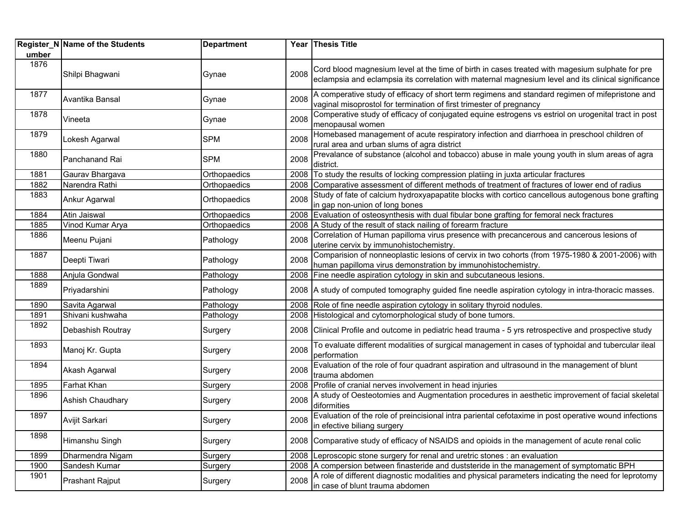|       | Register_N Name of the Students | <b>Department</b> |      | Year Thesis Title                                                                                                                                                                                      |
|-------|---------------------------------|-------------------|------|--------------------------------------------------------------------------------------------------------------------------------------------------------------------------------------------------------|
| umber |                                 |                   |      |                                                                                                                                                                                                        |
| 1876  | Shilpi Bhagwani                 | Gynae             | 2008 | Cord blood magnesium level at the time of birth in cases treated with magesium sulphate for pre<br>eclampsia and eclampsia its correlation with maternal magnesium level and its clinical significance |
| 1877  | Avantika Bansal                 | Gynae             | 2008 | A comperative study of efficacy of short term regimens and standard regimen of mifepristone and<br>vaginal misoprostol for termination of first trimester of pregnancy                                 |
| 1878  | Vineeta                         | Gynae             | 2008 | Comperative study of efficacy of conjugated equine estrogens vs estriol on urogenital tract in post<br>menopausal women                                                                                |
| 1879  | Lokesh Agarwal                  | <b>SPM</b>        | 2008 | Homebased management of acute respiratory infection and diarrhoea in preschool children of<br>rural area and urban slums of agra district                                                              |
| 1880  | Panchanand Rai                  | SPM               | 2008 | Prevalance of substance (alcohol and tobacco) abuse in male young youth in slum areas of agra<br>district.                                                                                             |
| 1881  | Gaurav Bhargava                 | Orthopaedics      | 2008 | To study the results of locking compression platiing in juxta articular fractures                                                                                                                      |
| 1882  | Narendra Rathi                  | Orthopaedics      | 2008 | Comparative assessment of different methods of treatment of fractures of lower end of radius                                                                                                           |
| 1883  | Ankur Agarwal                   | Orthopaedics      | 2008 | Study of fate of calcium hydroxyapapatite blocks with cortico cancellous autogenous bone grafting<br>in gap non-union of long bones                                                                    |
| 1884  | Atin Jaiswal                    | Orthopaedics      | 2008 | Evaluation of osteosynthesis with dual fibular bone grafting for femoral neck fractures                                                                                                                |
| 1885  | Vinod Kumar Arya                | Orthopaedics      | 2008 | A Study of the result of stack nailing of forearm fracture                                                                                                                                             |
| 1886  | Meenu Pujani                    | Pathology         | 2008 | Correlation of Human papilloma virus presence with precancerous and cancerous lesions of<br>uterine cervix by immunohistochemistry.                                                                    |
| 1887  | Deepti Tiwari                   | Pathology         | 2008 | Comparision of nonneoplastic lesions of cervix in two cohorts (from 1975-1980 & 2001-2006) with<br>human papilloma virus demonstration by immunohistochemistry.                                        |
| 1888  | Anjula Gondwal                  | Pathology         |      | 2008 Fine needle aspiration cytology in skin and subcutaneous lesions.                                                                                                                                 |
| 1889  | Priyadarshini                   | Pathology         |      | 2008 A study of computed tomography guided fine needle aspiration cytology in intra-thoracic masses.                                                                                                   |
| 1890  | Savita Agarwal                  | Pathology         |      | 2008 Role of fine needle aspiration cytology in solitary thyroid nodules.                                                                                                                              |
| 1891  | Shivani kushwaha                | Pathology         |      | 2008 Histological and cytomorphological study of bone tumors.                                                                                                                                          |
| 1892  | Debashish Routray               | Surgery           |      | 2008 Clinical Profile and outcome in pediatric head trauma - 5 yrs retrospective and prospective study                                                                                                 |
| 1893  | Manoj Kr. Gupta                 | Surgery           | 2008 | To evaluate different modalities of surgical management in cases of typhoidal and tubercular ileal<br>performation                                                                                     |
| 1894  | Akash Agarwal                   | Surgery           | 2008 | Evaluation of the role of four quadrant aspiration and ultrasound in the management of blunt<br>trauma abdomen                                                                                         |
| 1895  | <b>Farhat Khan</b>              | Surgery           | 2008 | Profile of cranial nerves involvement in head injuries                                                                                                                                                 |
| 1896  | Ashish Chaudhary                | Surgery           | 2008 | A study of Oesteotomies and Augmentation procedures in aesthetic improvement of facial skeletal<br>diformities                                                                                         |
| 1897  | Avijit Sarkari                  | Surgery           | 2008 | Evaluation of the role of preincisional intra pariental cefotaxime in post operative wound infections<br>in efective biliang surgery                                                                   |
| 1898  | Himanshu Singh                  | Surgery           |      | 2008 Comparative study of efficacy of NSAIDS and opioids in the management of acute renal colic                                                                                                        |
| 1899  | Dharmendra Nigam                | Surgery           |      | 2008 Leproscopic stone surgery for renal and uretric stones : an evaluation                                                                                                                            |
| 1900  | Sandesh Kumar                   | Surgery           |      | 2008 A compersion between finasteride and duststeride in the management of symptomatic BPH                                                                                                             |
| 1901  | <b>Prashant Rajput</b>          | Surgery           | 2008 | A role of different diagnostic modalities and physical parameters indicating the need for leprotomy<br>in case of blunt trauma abdomen                                                                 |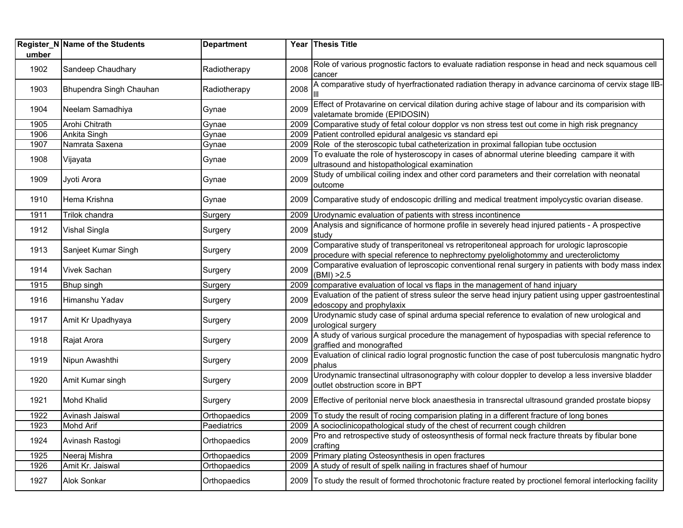| umber | Register_N Name of the Students | <b>Department</b> |      | Year Thesis Title                                                                                                                                                                |
|-------|---------------------------------|-------------------|------|----------------------------------------------------------------------------------------------------------------------------------------------------------------------------------|
| 1902  | Sandeep Chaudhary               | Radiotherapy      | 2008 | Role of various prognostic factors to evaluate radiation response in head and neck squamous cell<br>cancer                                                                       |
| 1903  | Bhupendra Singh Chauhan         | Radiotherapy      | 2008 | A comparative study of hyerfractionated radiation therapy in advance carcinoma of cervix stage IIB-                                                                              |
| 1904  | Neelam Samadhiya                | Gynae             | 2009 | Effect of Protavarine on cervical dilation during achive stage of labour and its comparision with<br>valetamate bromide (EPIDOSIN)                                               |
| 1905  | Arohi Chitrath                  | Gynae             | 2009 | Comparative study of fetal colour dopplor vs non stress test out come in high risk pregnancy                                                                                     |
| 1906  | Ankita Singh                    | Gynae             |      | 2009 Patient controlled epidural analgesic vs standard epi                                                                                                                       |
| 1907  | Namrata Saxena                  | Gynae             | 2009 | Role of the steroscopic tubal catheterization in proximal fallopian tube occtusion                                                                                               |
| 1908  | Vijayata                        | Gynae             | 2009 | To evaluate the role of hysteroscopy in cases of abnormal uterine bleeding campare it with<br>ultrasound and histopathological examination                                       |
| 1909  | Jyoti Arora                     | Gynae             | 2009 | Study of umbilical coiling index and other cord parameters and their correlation with neonatal<br>outcome                                                                        |
| 1910  | Hema Krishna                    | Gynae             |      | 2009 Comparative study of endoscopic drilling and medical treatment impolycystic ovarian disease.                                                                                |
| 1911  | Trilok chandra                  | Surgery           | 2009 | Urodynamic evaluation of patients with stress incontinence                                                                                                                       |
| 1912  | <b>Vishal Singla</b>            | Surgery           | 2009 | Analysis and significance of hormone profile in severely head injured patients - A prospective<br>study                                                                          |
| 1913  | Sanjeet Kumar Singh             | Surgery           | 2009 | Comparative study of transperitoneal vs retroperitoneal approach for urologic laproscopie<br>procedure with special reference to nephrectomy pyelolighotommy and urecterolictomy |
| 1914  | <b>Vivek Sachan</b>             | Surgery           | 2009 | Comparative evaluation of leproscopic conventional renal surgery in patients with body mass index<br>(BMI) > 2.5                                                                 |
| 1915  | Bhup singh                      | Surgery           | 2009 | comparative evaluation of local vs flaps in the management of hand injuary                                                                                                       |
| 1916  | Himanshu Yadav                  | Surgery           | 2009 | Evaluation of the patient of stress suleor the serve head injury patient using upper gastroentestinal<br>edoscopy and prophylaxix                                                |
| 1917  | Amit Kr Upadhyaya               | Surgery           | 2009 | Urodynamic study case of spinal arduma special reference to evalation of new urological and<br>urological surgery                                                                |
| 1918  | Rajat Arora                     | Surgery           | 2009 | A study of various surgical procedure the management of hypospadias with special reference to<br>graffied and monografted                                                        |
| 1919  | Nipun Awashthi                  | Surgery           | 2009 | Evaluation of clinical radio logral prognostic function the case of post tuberculosis mangnatic hydro<br>phalus                                                                  |
| 1920  | Amit Kumar singh                | Surgery           | 2009 | Urodynamic transectinal ultrasonography with colour doppler to develop a less inversive bladder<br>outlet obstruction score in BPT                                               |
| 1921  | <b>Mohd Khalid</b>              | Surgery           |      | 2009 Effective of peritonial nerve block anaesthesia in transrectal ultrasound granded prostate biopsy                                                                           |
| 1922  | Avinash Jaiswal                 | Orthopaedics      | 2009 | To study the result of rocing comparision plating in a different fracture of long bones                                                                                          |
| 1923  | <b>Mohd Arif</b>                | Paediatrics       | 2009 | A socioclinicopathological study of the chest of recurrent cough children                                                                                                        |
| 1924  | Avinash Rastogi                 | Orthopaedics      | 2009 | Pro and retrospective study of osteosynthesis of formal neck fracture threats by fibular bone<br>crafting                                                                        |
| 1925  | Neeraj Mishra                   | Orthopaedics      | 2009 | Primary plating Osteosynthesis in open fractures                                                                                                                                 |
| 1926  | Amit Kr. Jaiswal                | Orthopaedics      |      | 2009 A study of result of spelk nailing in fractures shaef of humour                                                                                                             |
| 1927  | Alok Sonkar                     | Orthopaedics      |      | 2009 To study the result of formed throchotonic fracture reated by proctionel femoral interlocking facility                                                                      |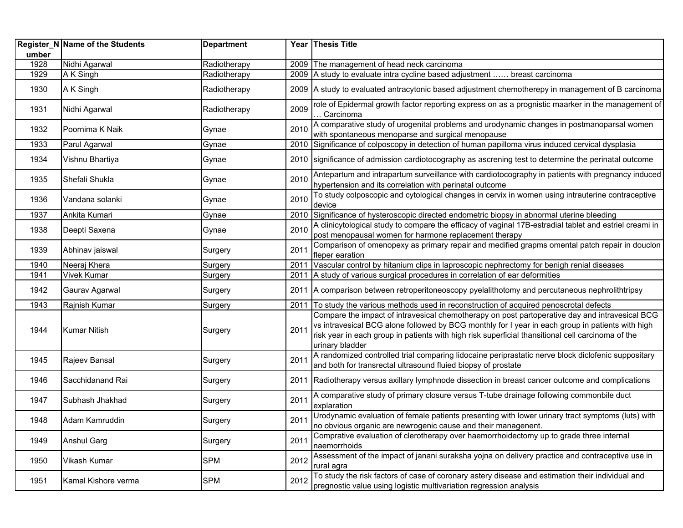| umber | Register_N Name of the Students | <b>Department</b> |      | Year Thesis Title                                                                                                                                                                                                                                                                                                          |
|-------|---------------------------------|-------------------|------|----------------------------------------------------------------------------------------------------------------------------------------------------------------------------------------------------------------------------------------------------------------------------------------------------------------------------|
| 1928  | Nidhi Agarwal                   | Radiotherapy      |      | 2009 The management of head neck carcinoma                                                                                                                                                                                                                                                                                 |
| 1929  | A K Singh                       | Radiotherapy      |      | 2009 A study to evaluate intra cycline based adjustment  breast carcinoma                                                                                                                                                                                                                                                  |
| 1930  | A K Singh                       | Radiotherapy      |      | 2009 A study to evaluated antracytonic based adjustment chemotherepy in management of B carcinoma                                                                                                                                                                                                                          |
| 1931  | Nidhi Agarwal                   | Radiotherapy      | 2009 | role of Epidermal growth factor reporting express on as a prognistic maarker in the management of<br>. Carcinoma                                                                                                                                                                                                           |
| 1932  | Poornima K Naik                 | Gynae             | 2010 | A comparative study of urogenital problems and urodynamic changes in postmanoparsal women<br>with spontaneous menoparse and surgical menopause                                                                                                                                                                             |
| 1933  | Parul Agarwal                   | Gynae             | 2010 | Significance of colposcopy in detection of human papilloma virus induced cervical dysplasia                                                                                                                                                                                                                                |
| 1934  | Vishnu Bhartiya                 | Gynae             |      | 2010 significance of admission cardiotocography as ascrening test to determine the perinatal outcome                                                                                                                                                                                                                       |
| 1935  | Shefali Shukla                  | Gynae             | 2010 | Antepartum and intrapartum surveillance with cardiotocography in patients with pregnancy induced<br>hypertension and its correlation with perinatal outcome                                                                                                                                                                |
| 1936  | Vandana solanki                 | Gynae             | 2010 | To study colposcopic and cytological changes in cervix in women using intrauterine contraceptive<br>device                                                                                                                                                                                                                 |
| 1937  | Ankita Kumari                   | Gynae             | 2010 | Significance of hysteroscopic directed endometric biopsy in abnormal uterine bleeding                                                                                                                                                                                                                                      |
| 1938  | Deepti Saxena                   | Gynae             | 2010 | A clinicytological study to compare the efficacy of vaginal 17B-estradial tablet and estriel creami in<br>post menopausal women for harmone replacement therapy                                                                                                                                                            |
| 1939  | Abhinav jaiswal                 | Surgery           | 2011 | Comparison of omenopexy as primary repair and medified grapms omental patch repair in douclon<br>fleper earation                                                                                                                                                                                                           |
| 1940  | Neeraj Khera                    | Surgery           | 2011 | Vascular control by hitanium clips in laproscopic nephrectomy for benigh renial diseases                                                                                                                                                                                                                                   |
| 1941  | <b>Vivek Kumar</b>              | Surgery           | 2011 | A study of various surgical procedures in correlation of ear deformities                                                                                                                                                                                                                                                   |
| 1942  | Gaurav Agarwal                  | Surgery           | 2011 | A comparison between retroperitoneoscopy pyelalithotomy and percutaneous nephrolithtripsy                                                                                                                                                                                                                                  |
| 1943  | Rajnish Kumar                   | Surgery           | 2011 | To study the various methods used in reconstruction of acquired penoscrotal defects                                                                                                                                                                                                                                        |
| 1944  | <b>Kumar Nitish</b>             | Surgery           | 2011 | Compare the impact of intravesical chemotherapy on post partoperative day and intravesical BCG<br>vs intravesical BCG alone followed by BCG monthly for I year in each group in patients with high<br>risk year in each group in patients with high risk superficial thansitional cell carcinoma of the<br>urinary bladder |
| 1945  | Rajeev Bansal                   | Surgery           | 2011 | A randomized controlled trial comparing lidocaine periprastatic nerve block diclofenic suppositary<br>and both for transrectal ultrasound fluied biopsy of prostate                                                                                                                                                        |
| 1946  | Sacchidanand Rai                | Surgery           | 2011 | Radiotherapy versus axillary lymphnode dissection in breast cancer outcome and complications                                                                                                                                                                                                                               |
| 1947  | Subhash Jhakhad                 | Surgery           | 2011 | A comparative study of primary closure versus T-tube drainage following commonbile duct<br>explaration                                                                                                                                                                                                                     |
| 1948  | Adam Kamruddin                  | Surgery           | 2011 | Urodynamic evaluation of female patients presenting with lower urinary tract symptoms (luts) with<br>no obvious organic are newrogenic cause and their managenent.                                                                                                                                                         |
| 1949  | <b>Anshul Garg</b>              | Surgery           | 2011 | Comprative evaluation of clerotherapy over haemorrhoidectomy up to grade three internal<br>naemorrhoids                                                                                                                                                                                                                    |
| 1950  | Vikash Kumar                    | <b>SPM</b>        | 2012 | Assessment of the impact of janani suraksha yojna on delivery practice and contraceptive use in<br>rural agra                                                                                                                                                                                                              |
| 1951  | Kamal Kishore verma             | <b>SPM</b>        | 2012 | To study the risk factors of case of coronary astery disease and estimation their individual and<br>pregnostic value using logistic multivariation regression analysis                                                                                                                                                     |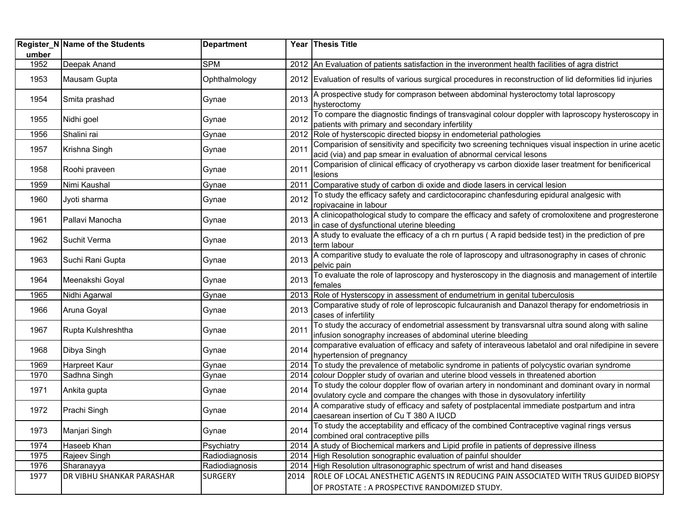| umber | Register_N Name of the Students | <b>Department</b> |      | Year Thesis Title                                                                                                                                                                |
|-------|---------------------------------|-------------------|------|----------------------------------------------------------------------------------------------------------------------------------------------------------------------------------|
| 1952  | Deepak Anand                    | <b>SPM</b>        |      | 2012 An Evaluation of patients satisfaction in the inveronment health facilities of agra district                                                                                |
| 1953  | Mausam Gupta                    | Ophthalmology     |      | 2012 Evaluation of results of various surgical procedures in reconstruction of lid deformities lid injuries                                                                      |
| 1954  | Smita prashad                   | Gynae             | 2013 | A prospective study for comprason between abdominal hysteroctomy total laproscopy<br>hysteroctomy                                                                                |
| 1955  | Nidhi goel                      | Gynae             | 2012 | To compare the diagnostic findings of transvaginal colour doppler with laproscopy hysteroscopy in<br>patients with primary and secondary infertility                             |
| 1956  | Shalini rai                     | Gynae             | 2012 | Role of hysterscopic directed biopsy in endometerial pathologies                                                                                                                 |
| 1957  | Krishna Singh                   | Gynae             | 2011 | Comparision of sensitivity and specificity two screening techniques visual inspection in urine acetic<br>acid (via) and pap smear in evaluation of abnormal cervical lesons      |
| 1958  | Roohi praveen                   | Gynae             | 2011 | Comparision of clinical efficacy of cryotherapy vs carbon dioxide laser treatment for benificerical<br>lesions                                                                   |
| 1959  | Nimi Kaushal                    | Gynae             | 2011 | Comparative study of carbon di oxide and diode lasers in cervical lesion                                                                                                         |
| 1960  | Jyoti sharma                    | Gynae             | 2012 | To study the efficacy safety and cardictocorapinc chanfesduring epidural analgesic with<br>ropivacaine in labour                                                                 |
| 1961  | Pallavi Manocha                 | Gynae             | 2013 | A clinicopathological study to compare the efficacy and safety of cromoloxitene and progresterone<br>in case of dysfunctional uterine bleeding                                   |
| 1962  | Suchit Verma                    | Gynae             | 2013 | A study to evaluate the efficacy of a ch rn purtus (A rapid bedside test) in the prediction of pre<br>term labour                                                                |
| 1963  | Suchi Rani Gupta                | Gynae             | 2013 | A comparitive study to evaluate the role of laproscopy and ultrasonography in cases of chronic<br>pelvic pain                                                                    |
| 1964  | Meenakshi Goyal                 | Gynae             | 2013 | To evaluate the role of laproscopy and hysteroscopy in the diagnosis and management of intertile<br>females                                                                      |
| 1965  | Nidhi Agarwal                   | Gynae             |      | 2013   Role of Hysterscopy in assessment of endumetrium in genital tuberculosis                                                                                                  |
| 1966  | Aruna Goyal                     | Gynae             | 2013 | Comparative study of role of leproscopic fulcauranish and Danazol therapy for endometriosis in<br>cases of infertility                                                           |
| 1967  | Rupta Kulshreshtha              | Gynae             | 2011 | To study the accuracy of endometrial assessment by transvarsnal ultra sound along with saline<br>infusion sonography increases of abdominal uterine bleeding                     |
| 1968  | Dibya Singh                     | Gynae             | 2014 | comparative evaluation of efficacy and safety of interaveous labetalol and oral nifedipine in severe<br>hypertension of pregnancy                                                |
| 1969  | Harpreet Kaur                   | Gynae             | 2014 | To study the prevalence of metabolic syndrome in patients of polycystic ovarian syndrome                                                                                         |
| 1970  | Sadhna Singh                    | Gynae             | 2014 | colour Doppler study of ovarian and uterine blood vessels in threatened abortion                                                                                                 |
| 1971  | Ankita gupta                    | Gynae             | 2014 | To study the colour doppler flow of ovarian artery in nondominant and dominant ovary in normal<br>ovulatory cycle and compare the changes with those in dysovulatory infertility |
| 1972  | Prachi Singh                    | Gynae             | 2014 | A comparative study of efficacy and safety of postplacental immediate postpartum and intra<br>caesarean insertion of Cu T 380 A IUCD                                             |
| 1973  | Manjari Singh                   | Gynae             | 2014 | To study the acceptability and efficacy of the combined Contraceptive vaginal rings versus<br>combined oral contraceptive pills                                                  |
| 1974  | Haseeb Khan                     | Psychiatry        |      | 2014 A study of Biochemical markers and Lipid profile in patients of depressive illness                                                                                          |
| 1975  | Rajeev Singh                    | Radiodiagnosis    |      | 2014 High Resolution sonographic evaluation of painful shoulder                                                                                                                  |
| 1976  | Sharanayya                      | Radiodiagnosis    | 2014 | High Resolution ultrasonographic spectrum of wrist and hand diseases                                                                                                             |
| 1977  | DR VIBHU SHANKAR PARASHAR       | <b>SURGERY</b>    | 2014 | ROLE OF LOCAL ANESTHETIC AGENTS IN REDUCING PAIN ASSOCIATED WITH TRUS GUIDED BIOPSY<br>OF PROSTATE : A PROSPECTIVE RANDOMIZED STUDY.                                             |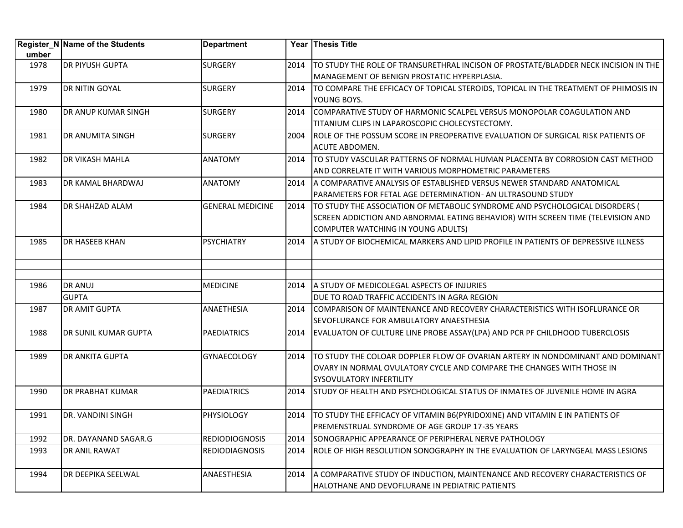|       | Register_N Name of the Students | <b>Department</b>       |      | Year Thesis Title                                                                    |
|-------|---------------------------------|-------------------------|------|--------------------------------------------------------------------------------------|
| umber |                                 |                         |      |                                                                                      |
| 1978  | <b>DR PIYUSH GUPTA</b>          | <b>SURGERY</b>          | 2014 | TO STUDY THE ROLE OF TRANSURETHRAL INCISON OF PROSTATE/BLADDER NECK INCISION IN THE  |
|       |                                 |                         |      | MANAGEMENT OF BENIGN PROSTATIC HYPERPLASIA.                                          |
| 1979  | <b>DR NITIN GOYAL</b>           | <b>SURGERY</b>          | 2014 | TO COMPARE THE EFFICACY OF TOPICAL STEROIDS, TOPICAL IN THE TREATMENT OF PHIMOSIS IN |
|       |                                 |                         |      | YOUNG BOYS.                                                                          |
| 1980  | <b>DR ANUP KUMAR SINGH</b>      | <b>SURGERY</b>          | 2014 | COMPARATIVE STUDY OF HARMONIC SCALPEL VERSUS MONOPOLAR COAGULATION AND               |
|       |                                 |                         |      | TITANIUM CLIPS IN LAPAROSCOPIC CHOLECYSTECTOMY.                                      |
| 1981  | <b>DR ANUMITA SINGH</b>         | <b>SURGERY</b>          | 2004 | ROLE OF THE POSSUM SCORE IN PREOPERATIVE EVALUATION OF SURGICAL RISK PATIENTS OF     |
|       |                                 |                         |      | ACUTE ABDOMEN.                                                                       |
| 1982  | <b>DR VIKASH MAHLA</b>          | <b>ANATOMY</b>          | 2014 | TO STUDY VASCULAR PATTERNS OF NORMAL HUMAN PLACENTA BY CORROSION CAST METHOD         |
|       |                                 |                         |      | AND CORRELATE IT WITH VARIOUS MORPHOMETRIC PARAMETERS                                |
| 1983  | DR KAMAL BHARDWAJ               | <b>ANATOMY</b>          | 2014 | A COMPARATIVE ANALYSIS OF ESTABLISHED VERSUS NEWER STANDARD ANATOMICAL               |
|       |                                 |                         |      | PARAMETERS FOR FETAL AGE DETERMINATION- AN ULTRASOUND STUDY                          |
| 1984  | <b>DR SHAHZAD ALAM</b>          | <b>GENERAL MEDICINE</b> | 2014 | TO STUDY THE ASSOCIATION OF METABOLIC SYNDROME AND PSYCHOLOGICAL DISORDERS (         |
|       |                                 |                         |      | SCREEN ADDICTION AND ABNORMAL EATING BEHAVIOR) WITH SCREEN TIME (TELEVISION AND      |
|       |                                 |                         |      | COMPUTER WATCHING IN YOUNG ADULTS)                                                   |
| 1985  | <b>DR HASEEB KHAN</b>           | <b>PSYCHIATRY</b>       | 2014 | A STUDY OF BIOCHEMICAL MARKERS AND LIPID PROFILE IN PATIENTS OF DEPRESSIVE ILLNESS   |
|       |                                 |                         |      |                                                                                      |
|       |                                 |                         |      |                                                                                      |
|       |                                 |                         |      |                                                                                      |
| 1986  | <b>DR ANUJ</b>                  | <b>MEDICINE</b>         | 2014 | A STUDY OF MEDICOLEGAL ASPECTS OF INJURIES                                           |
|       | <b>GUPTA</b>                    |                         |      | DUE TO ROAD TRAFFIC ACCIDENTS IN AGRA REGION                                         |
| 1987  | <b>DR AMIT GUPTA</b>            | <b>ANAETHESIA</b>       | 2014 | COMPARISON OF MAINTENANCE AND RECOVERY CHARACTERISTICS WITH ISOFLURANCE OR           |
|       |                                 |                         |      | SEVOFLURANCE FOR AMBULATORY ANAESTHESIA                                              |
| 1988  | DR SUNIL KUMAR GUPTA            | <b>PAEDIATRICS</b>      | 2014 | EVALUATON OF CULTURE LINE PROBE ASSAY(LPA) AND PCR PF CHILDHOOD TUBERCLOSIS          |
| 1989  | <b>DR ANKITA GUPTA</b>          | <b>GYNAECOLOGY</b>      | 2014 | TO STUDY THE COLOAR DOPPLER FLOW OF OVARIAN ARTERY IN NONDOMINANT AND DOMINANT       |
|       |                                 |                         |      | OVARY IN NORMAL OVULATORY CYCLE AND COMPARE THE CHANGES WITH THOSE IN                |
|       |                                 |                         |      | <b>SYSOVULATORY INFERTILITY</b>                                                      |
| 1990  | <b>DR PRABHAT KUMAR</b>         | <b>PAEDIATRICS</b>      | 2014 | STUDY OF HEALTH AND PSYCHOLOGICAL STATUS OF INMATES OF JUVENILE HOME IN AGRA         |
|       |                                 |                         |      |                                                                                      |
| 1991  | DR. VANDINI SINGH               | PHYSIOLOGY              | 2014 | TO STUDY THE EFFICACY OF VITAMIN B6(PYRIDOXINE) AND VITAMIN E IN PATIENTS OF         |
|       |                                 |                         |      | PREMENSTRUAL SYNDROME OF AGE GROUP 17-35 YEARS                                       |
| 1992  | DR. DAYANAND SAGAR.G            | <b>REDIODIOGNOSIS</b>   | 2014 | SONOGRAPHIC APPEARANCE OF PERIPHERAL NERVE PATHOLOGY                                 |
| 1993  | <b>DR ANIL RAWAT</b>            | <b>REDIODIAGNOSIS</b>   | 2014 | ROLE OF HIGH RESOLUTION SONOGRAPHY IN THE EVALUATION OF LARYNGEAL MASS LESIONS       |
|       |                                 |                         |      |                                                                                      |
| 1994  | DR DEEPIKA SEELWAL              | ANAESTHESIA             | 2014 | A COMPARATIVE STUDY OF INDUCTION, MAINTENANCE AND RECOVERY CHARACTERISTICS OF        |
|       |                                 |                         |      | HALOTHANE AND DEVOFLURANE IN PEDIATRIC PATIENTS                                      |